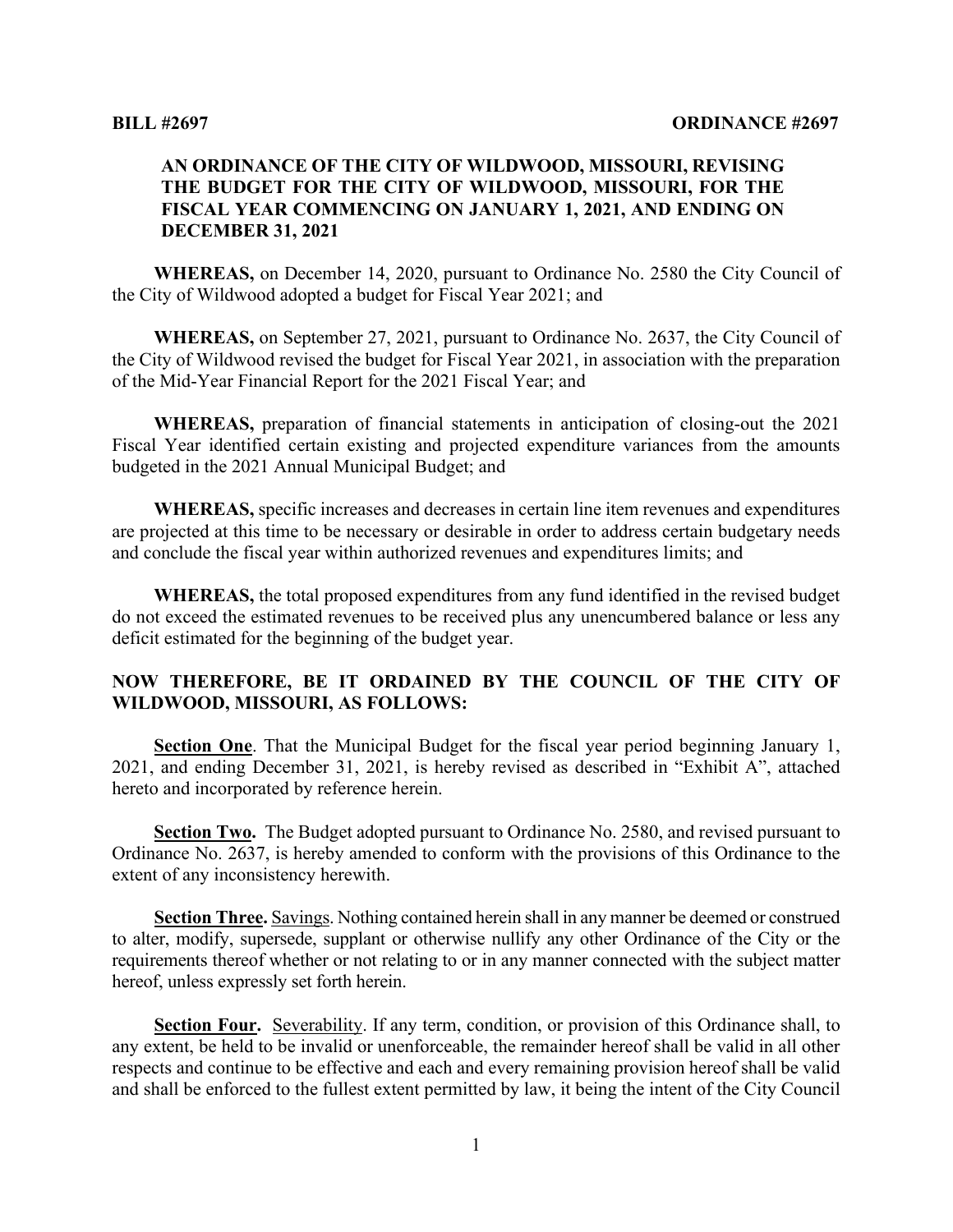#### **AN ORDINANCE OF THE CITY OF WILDWOOD, MISSOURI, REVISING THE BUDGET FOR THE CITY OF WILDWOOD, MISSOURI, FOR THE FISCAL YEAR COMMENCING ON JANUARY 1, 2021, AND ENDING ON DECEMBER 31, 2021**

**WHEREAS,** on December 14, 2020, pursuant to Ordinance No. 2580 the City Council of the City of Wildwood adopted a budget for Fiscal Year 2021; and

**WHEREAS,** on September 27, 2021, pursuant to Ordinance No. 2637, the City Council of the City of Wildwood revised the budget for Fiscal Year 2021, in association with the preparation of the Mid-Year Financial Report for the 2021 Fiscal Year; and

**WHEREAS,** preparation of financial statements in anticipation of closing-out the 2021 Fiscal Year identified certain existing and projected expenditure variances from the amounts budgeted in the 2021 Annual Municipal Budget; and

**WHEREAS,** specific increases and decreases in certain line item revenues and expenditures are projected at this time to be necessary or desirable in order to address certain budgetary needs and conclude the fiscal year within authorized revenues and expenditures limits; and

**WHEREAS,** the total proposed expenditures from any fund identified in the revised budget do not exceed the estimated revenues to be received plus any unencumbered balance or less any deficit estimated for the beginning of the budget year.

#### **NOW THEREFORE, BE IT ORDAINED BY THE COUNCIL OF THE CITY OF WILDWOOD, MISSOURI, AS FOLLOWS:**

**Section One**. That the Municipal Budget for the fiscal year period beginning January 1, 2021, and ending December 31, 2021, is hereby revised as described in "Exhibit A", attached hereto and incorporated by reference herein.

**Section Two.** The Budget adopted pursuant to Ordinance No. 2580, and revised pursuant to Ordinance No. 2637, is hereby amended to conform with the provisions of this Ordinance to the extent of any inconsistency herewith.

**Section Three.** Savings. Nothing contained herein shall in any manner be deemed or construed to alter, modify, supersede, supplant or otherwise nullify any other Ordinance of the City or the requirements thereof whether or not relating to or in any manner connected with the subject matter hereof, unless expressly set forth herein.

**Section Four.** Severability. If any term, condition, or provision of this Ordinance shall, to any extent, be held to be invalid or unenforceable, the remainder hereof shall be valid in all other respects and continue to be effective and each and every remaining provision hereof shall be valid and shall be enforced to the fullest extent permitted by law, it being the intent of the City Council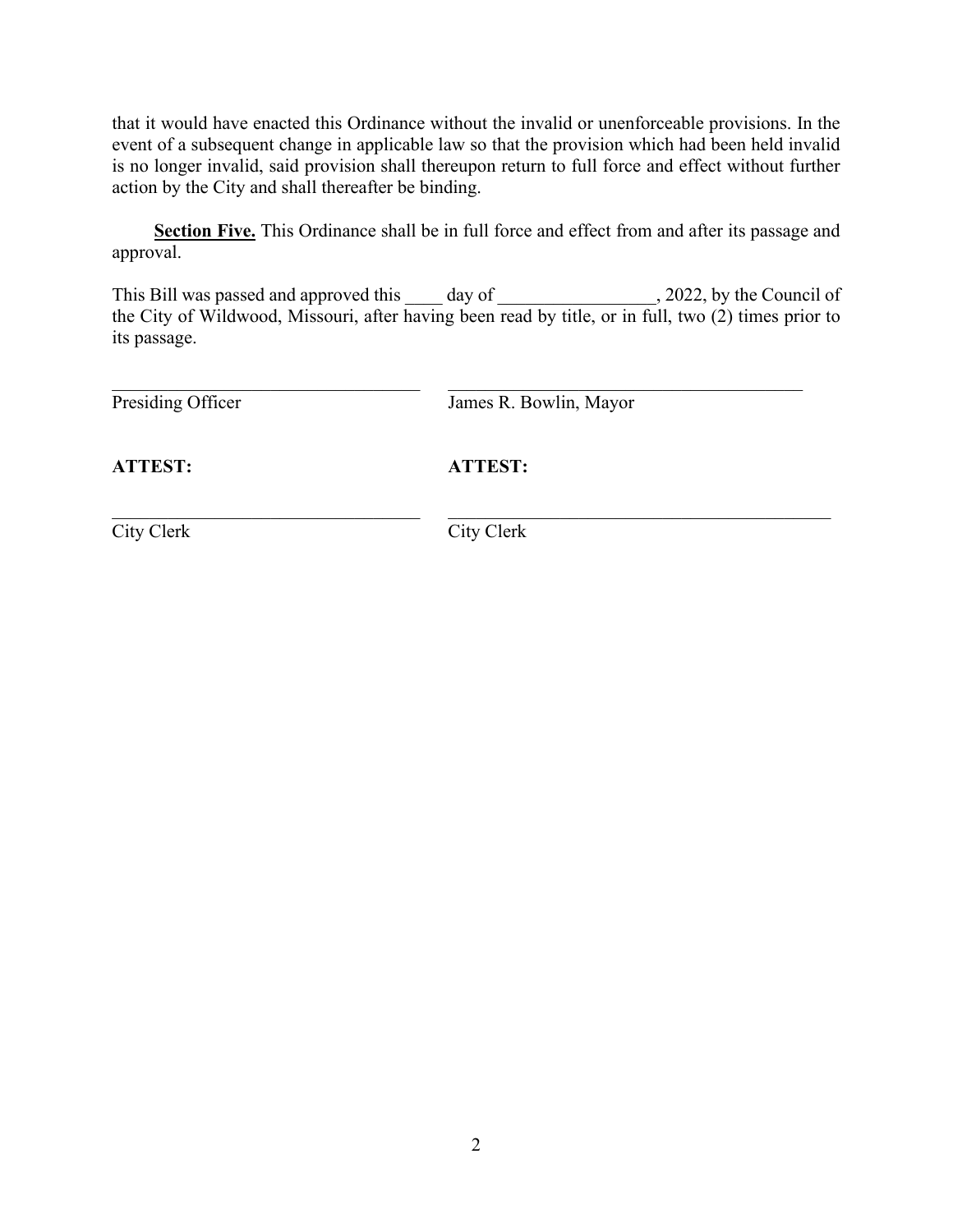that it would have enacted this Ordinance without the invalid or unenforceable provisions. In the event of a subsequent change in applicable law so that the provision which had been held invalid is no longer invalid, said provision shall thereupon return to full force and effect without further action by the City and shall thereafter be binding.

**Section Five.** This Ordinance shall be in full force and effect from and after its passage and approval.

This Bill was passed and approved this \_\_\_\_ day of \_\_\_\_\_\_\_\_\_\_\_\_\_\_\_\_, 2022, by the Council of the City of Wildwood, Missouri, after having been read by title, or in full, two (2) times prior to its passage.

Presiding Officer James R. Bowlin, Mayor

**ATTEST: ATTEST:**

\_\_\_\_\_\_\_\_\_\_\_\_\_\_\_\_\_\_\_\_\_\_\_\_\_\_\_\_\_\_\_\_\_ \_\_\_\_\_\_\_\_\_\_\_\_\_\_\_\_\_\_\_\_\_\_\_\_\_\_\_\_\_\_\_\_\_\_\_\_\_\_\_\_\_ City Clerk City Clerk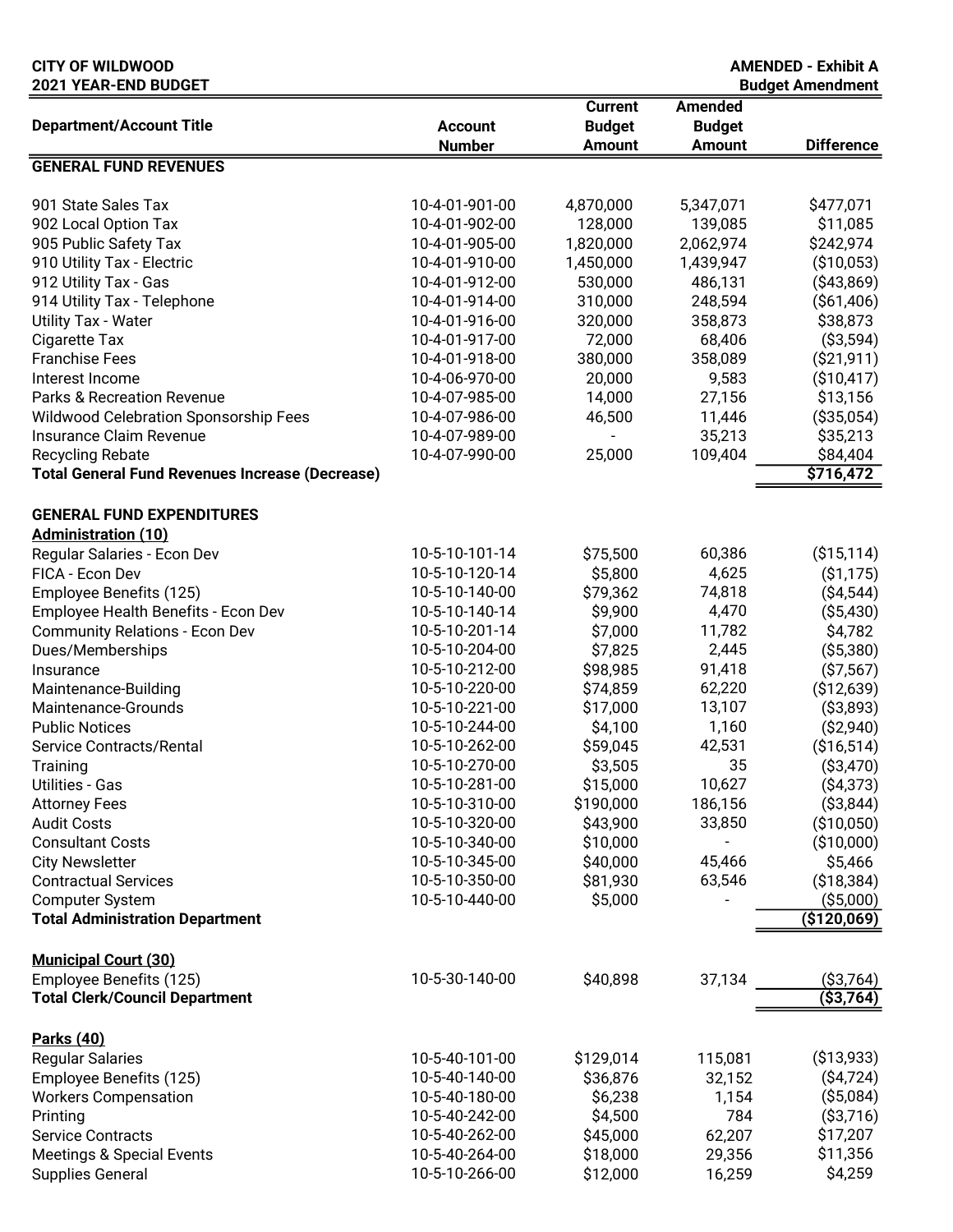| <b>CITY OF WILDWOOD</b><br>2021 YEAR-END BUDGET        |                |                |                | <b>AMENDED - Exhibit A</b><br><b>Budget Amendment</b> |
|--------------------------------------------------------|----------------|----------------|----------------|-------------------------------------------------------|
|                                                        |                | <b>Current</b> | <b>Amended</b> |                                                       |
| <b>Department/Account Title</b>                        | <b>Account</b> | <b>Budget</b>  | <b>Budget</b>  |                                                       |
|                                                        | <b>Number</b>  | <b>Amount</b>  | <b>Amount</b>  | <b>Difference</b>                                     |
| <b>GENERAL FUND REVENUES</b>                           |                |                |                |                                                       |
|                                                        |                |                |                |                                                       |
| 901 State Sales Tax                                    | 10-4-01-901-00 | 4,870,000      | 5,347,071      | \$477,071                                             |
| 902 Local Option Tax                                   | 10-4-01-902-00 | 128,000        | 139,085        | \$11,085                                              |
| 905 Public Safety Tax                                  | 10-4-01-905-00 | 1,820,000      | 2,062,974      | \$242,974                                             |
| 910 Utility Tax - Electric                             | 10-4-01-910-00 | 1,450,000      | 1,439,947      | (\$10,053)                                            |
| 912 Utility Tax - Gas                                  | 10-4-01-912-00 | 530,000        | 486,131        | ( \$43,869)                                           |
| 914 Utility Tax - Telephone                            | 10-4-01-914-00 | 310,000        | 248,594        | ( \$61,406)                                           |
| <b>Utility Tax - Water</b>                             | 10-4-01-916-00 | 320,000        | 358,873        | \$38,873                                              |
| Cigarette Tax                                          | 10-4-01-917-00 | 72,000         | 68,406         | ( \$3,594)                                            |
| <b>Franchise Fees</b>                                  | 10-4-01-918-00 | 380,000        | 358,089        | $($ \$21,911)                                         |
| Interest Income                                        | 10-4-06-970-00 | 20,000         | 9,583          | ( \$10,417)                                           |
| <b>Parks &amp; Recreation Revenue</b>                  | 10-4-07-985-00 | 14,000         | 27,156         | \$13,156                                              |
| Wildwood Celebration Sponsorship Fees                  | 10-4-07-986-00 | 46,500         | 11,446         | ( \$35,054)                                           |
| Insurance Claim Revenue                                | 10-4-07-989-00 |                | 35,213         | \$35,213                                              |
| <b>Recycling Rebate</b>                                | 10-4-07-990-00 | 25,000         | 109,404        | \$84,404                                              |
| <b>Total General Fund Revenues Increase (Decrease)</b> |                |                |                | \$716,472                                             |
| <b>GENERAL FUND EXPENDITURES</b>                       |                |                |                |                                                       |
| <b>Administration (10)</b>                             |                |                |                |                                                       |
| Regular Salaries - Econ Dev                            | 10-5-10-101-14 | \$75,500       | 60,386         | ( \$15, 114)                                          |
| FICA - Econ Dev                                        | 10-5-10-120-14 | \$5,800        | 4,625          | ( \$1,175)                                            |
| Employee Benefits (125)                                | 10-5-10-140-00 | \$79,362       | 74,818         | ( \$4,544)                                            |
| Employee Health Benefits - Econ Dev                    | 10-5-10-140-14 | \$9,900        | 4,470          | ( \$5,430)                                            |
| <b>Community Relations - Econ Dev</b>                  | 10-5-10-201-14 | \$7,000        | 11,782         | \$4,782                                               |
| Dues/Memberships                                       | 10-5-10-204-00 | \$7,825        | 2,445          | ( \$5,380)                                            |
| Insurance                                              | 10-5-10-212-00 | \$98,985       | 91,418         | ( \$7,567)                                            |
| Maintenance-Building                                   | 10-5-10-220-00 | \$74,859       | 62,220         | (\$12,639)                                            |
| Maintenance-Grounds                                    | 10-5-10-221-00 | \$17,000       | 13,107         | ( \$3,893)                                            |
| <b>Public Notices</b>                                  | 10-5-10-244-00 | \$4,100        | 1,160          | ( \$2,940)                                            |
| Service Contracts/Rental                               | 10-5-10-262-00 | \$59,045       | 42,531         | (\$16,514)                                            |
| Training                                               | 10-5-10-270-00 | \$3,505        | 35             | ( \$3,470)                                            |
| <b>Utilities - Gas</b>                                 | 10-5-10-281-00 | \$15,000       | 10,627         | ( \$4,373)                                            |
| <b>Attorney Fees</b>                                   | 10-5-10-310-00 | \$190,000      | 186,156        | ( \$3,844)                                            |
| <b>Audit Costs</b>                                     | 10-5-10-320-00 | \$43,900       | 33,850         | ( \$10,050)                                           |
| <b>Consultant Costs</b>                                | 10-5-10-340-00 | \$10,000       |                | (\$10,000)                                            |
| <b>City Newsletter</b>                                 | 10-5-10-345-00 | \$40,000       | 45,466         | \$5,466                                               |
| <b>Contractual Services</b>                            | 10-5-10-350-00 | \$81,930       | 63,546         | ( \$18,384)                                           |
| <b>Computer System</b>                                 | 10-5-10-440-00 | \$5,000        |                | ( \$5,000)                                            |
| <b>Total Administration Department</b>                 |                |                |                | $($ \$120,069)                                        |
| <b>Municipal Court (30)</b>                            |                |                |                |                                                       |
| Employee Benefits (125)                                | 10-5-30-140-00 | \$40,898       | 37,134         | ( \$3,764)                                            |
| <b>Total Clerk/Council Department</b>                  |                |                |                | $($ \$3,764)                                          |
|                                                        |                |                |                |                                                       |
| <b>Parks (40)</b><br><b>Regular Salaries</b>           | 10-5-40-101-00 | \$129,014      | 115,081        | ( \$13,933)                                           |
| Employee Benefits (125)                                | 10-5-40-140-00 | \$36,876       | 32,152         | ( \$4,724)                                            |
| <b>Workers Compensation</b>                            | 10-5-40-180-00 | \$6,238        | 1,154          | ( \$5,084)                                            |
| Printing                                               | 10-5-40-242-00 | \$4,500        | 784            | ( \$3,716)                                            |
| <b>Service Contracts</b>                               | 10-5-40-262-00 | \$45,000       | 62,207         | \$17,207                                              |
| <b>Meetings &amp; Special Events</b>                   | 10-5-40-264-00 | \$18,000       | 29,356         | \$11,356                                              |
| <b>Supplies General</b>                                | 10-5-10-266-00 | \$12,000       | 16,259         | \$4,259                                               |
|                                                        |                |                |                |                                                       |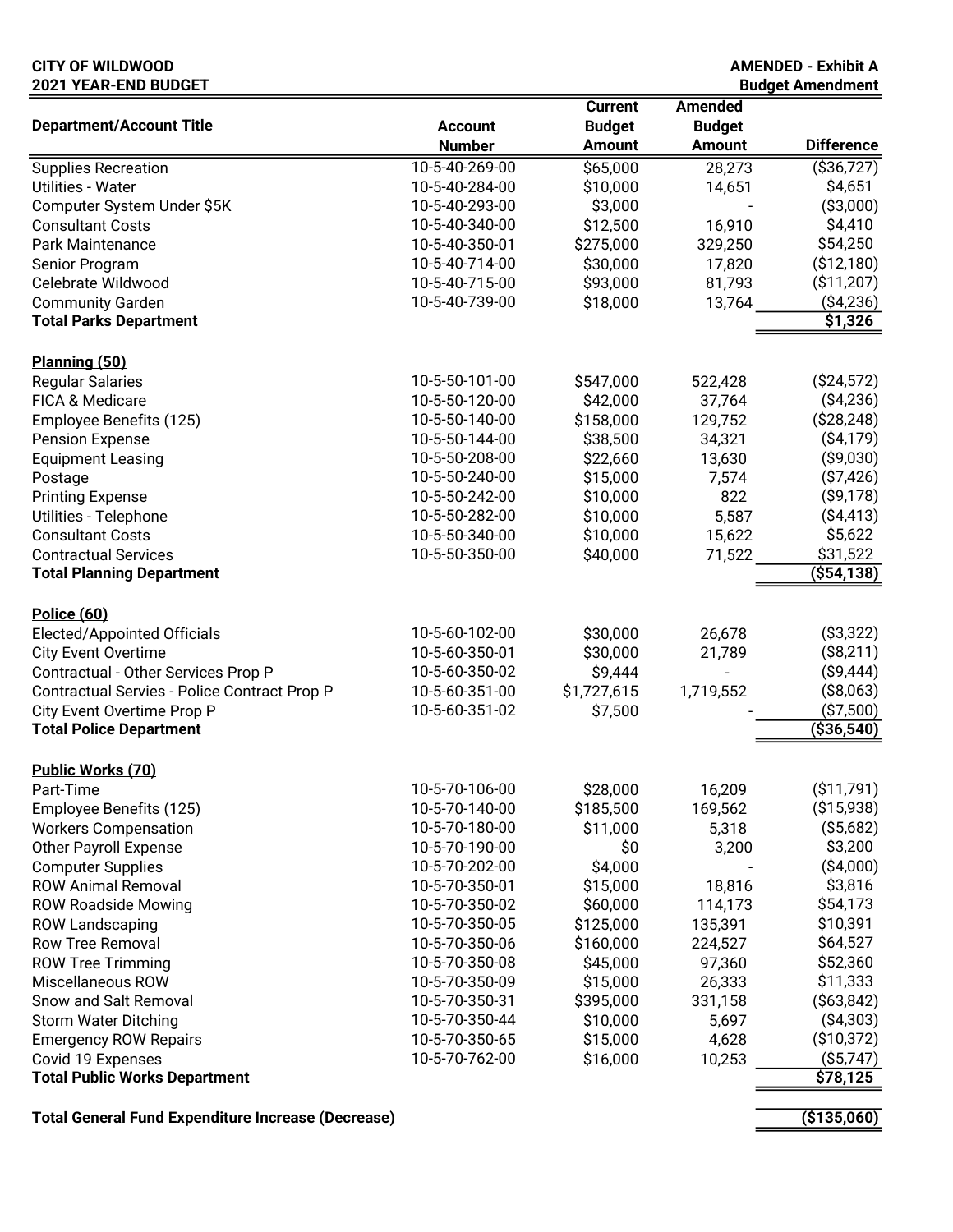#### CITY OF WILDWOOD AMENDED - Exhibit A 2021 YEAR-END BUDGET

| <b>Current</b>                                                                | <b>Amended</b> |                      |
|-------------------------------------------------------------------------------|----------------|----------------------|
| <b>Department/Account Title</b><br><b>Budget</b><br><b>Account</b>            | <b>Budget</b>  |                      |
| <b>Amount</b><br><b>Number</b>                                                | <b>Amount</b>  | <b>Difference</b>    |
| 10-5-40-269-00<br>\$65,000<br><b>Supplies Recreation</b>                      | 28,273         | ( \$36, 727)         |
| \$10,000<br><b>Utilities - Water</b><br>10-5-40-284-00                        | 14,651         | \$4,651              |
| \$3,000<br>Computer System Under \$5K<br>10-5-40-293-00                       |                | ( \$3,000)           |
| \$12,500<br>10-5-40-340-00<br><b>Consultant Costs</b>                         | 16,910         | \$4,410              |
| 10-5-40-350-01<br>\$275,000<br><b>Park Maintenance</b>                        | 329,250        | \$54,250             |
| 10-5-40-714-00<br>\$30,000<br>Senior Program                                  | 17,820         | (\$12,180)           |
| 10-5-40-715-00<br>\$93,000<br>Celebrate Wildwood                              | 81,793         | (\$11,207)           |
| 10-5-40-739-00<br>\$18,000<br><b>Community Garden</b>                         | 13,764         | ( \$4,236)           |
| <b>Total Parks Department</b>                                                 |                | \$1,326              |
|                                                                               |                |                      |
| Planning (50)                                                                 |                |                      |
| 10-5-50-101-00<br><b>Regular Salaries</b><br>\$547,000                        | 522,428        | ( \$24,572)          |
| 10-5-50-120-00<br>\$42,000<br>FICA & Medicare                                 | 37,764         | ( \$4,236)           |
| \$158,000<br>10-5-50-140-00<br>Employee Benefits (125)                        | 129,752        | ( \$28, 248)         |
| \$38,500<br>10-5-50-144-00<br><b>Pension Expense</b>                          | 34,321         | $($ \$4,179)         |
| 10-5-50-208-00<br>\$22,660<br><b>Equipment Leasing</b>                        | 13,630         | ( \$9,030)           |
| \$15,000<br>10-5-50-240-00<br>Postage                                         | 7,574          | ( \$7,426)           |
| 10-5-50-242-00<br>\$10,000<br><b>Printing Expense</b>                         | 822            | ( \$9,178)           |
| 10-5-50-282-00<br>Utilities - Telephone<br>\$10,000                           | 5,587          | ( \$4,413)           |
| <b>Consultant Costs</b><br>10-5-50-340-00<br>\$10,000                         | 15,622         | \$5,622              |
| <b>Contractual Services</b><br>10-5-50-350-00<br>\$40,000                     | 71,522         | \$31,522             |
| <b>Total Planning Department</b>                                              |                | ( \$54, 138)         |
|                                                                               |                |                      |
| <b>Police (60)</b>                                                            |                |                      |
| 10-5-60-102-00<br>\$30,000<br>Elected/Appointed Officials                     | 26,678         | ( \$3,322)           |
| 10-5-60-350-01<br>\$30,000<br><b>City Event Overtime</b>                      | 21,789         | (\$8,211)            |
| 10-5-60-350-02<br>\$9,444<br>Contractual - Other Services Prop P              |                | ( \$9,444)           |
| \$1,727,615<br>10-5-60-351-00<br>Contractual Servies - Police Contract Prop P | 1,719,552      | ( \$8,063)           |
| 10-5-60-351-02<br>City Event Overtime Prop P<br>\$7,500                       |                | ( \$7,500)           |
| <b>Total Police Department</b>                                                |                | ( \$36, 540)         |
|                                                                               |                |                      |
| Public Works (70)                                                             |                |                      |
| 10-5-70-106-00<br>\$28,000<br>Part-Time                                       | 16,209         | ( \$11,791)          |
| 10-5-70-140-00<br>\$185,500<br>Employee Benefits (125)                        | 169,562        | ( \$15,938)          |
| 10-5-70-180-00<br>\$11,000<br><b>Workers Compensation</b>                     | 5,318          | ( \$5,682)           |
| \$0<br><b>Other Payroll Expense</b><br>10-5-70-190-00                         | 3,200          | \$3,200              |
| 10-5-70-202-00<br>\$4,000<br><b>Computer Supplies</b>                         |                | ( \$4,000)           |
| 10-5-70-350-01<br>\$15,000<br><b>ROW Animal Removal</b>                       | 18,816         | \$3,816              |
| \$60,000<br><b>ROW Roadside Mowing</b><br>10-5-70-350-02                      | 114,173        | \$54,173             |
| \$125,000<br><b>ROW Landscaping</b><br>10-5-70-350-05                         | 135,391        | \$10,391             |
| \$160,000<br><b>Row Tree Removal</b><br>10-5-70-350-06                        | 224,527        | \$64,527             |
| 10-5-70-350-08<br>\$45,000<br><b>ROW Tree Trimming</b>                        | 97,360         | \$52,360             |
| 10-5-70-350-09<br>\$15,000<br>Miscellaneous ROW                               | 26,333         | \$11,333             |
| Snow and Salt Removal<br>10-5-70-350-31<br>\$395,000                          | 331,158        | $($ \$63,842)        |
| 10-5-70-350-44<br>\$10,000<br><b>Storm Water Ditching</b>                     | 5,697          | ( \$4,303)           |
| 10-5-70-350-65<br>\$15,000<br><b>Emergency ROW Repairs</b>                    | 4,628          | (\$10,372)           |
| 10-5-70-762-00<br>\$16,000<br>Covid 19 Expenses                               | 10,253         | $($ \$5,747)         |
| <b>Total Public Works Department</b>                                          |                | $\overline{$}78,125$ |

Total General Fund Expenditure Increase (Decrease) and the state of the state of the state (\$135,060)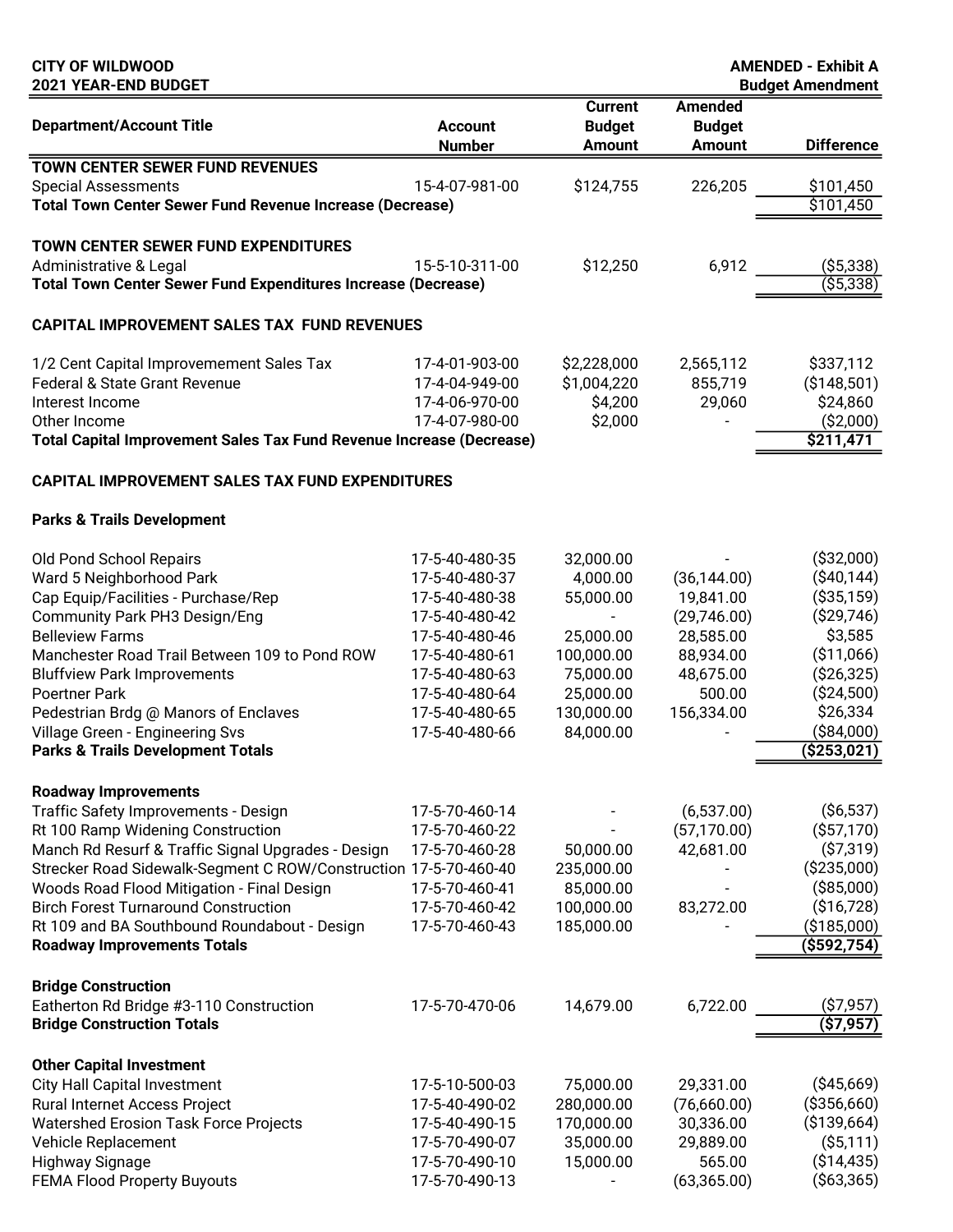| <b>CITY OF WILDWOOD</b><br>2021 YEAR-END BUDGET                             |                                  |                                                  |                                                  | <b>AMENDED - Exhibit A</b>                   |
|-----------------------------------------------------------------------------|----------------------------------|--------------------------------------------------|--------------------------------------------------|----------------------------------------------|
| <b>Department/Account Title</b>                                             | <b>Account</b><br><b>Number</b>  | <b>Current</b><br><b>Budget</b><br><b>Amount</b> | <b>Amended</b><br><b>Budget</b><br><b>Amount</b> | <b>Budget Amendment</b><br><b>Difference</b> |
| <b>TOWN CENTER SEWER FUND REVENUES</b>                                      |                                  |                                                  |                                                  |                                              |
| <b>Special Assessments</b>                                                  | 15-4-07-981-00                   | \$124,755                                        | 226,205                                          | \$101,450                                    |
| <b>Total Town Center Sewer Fund Revenue Increase (Decrease)</b>             |                                  |                                                  |                                                  | \$101,450                                    |
| TOWN CENTER SEWER FUND EXPENDITURES                                         |                                  |                                                  |                                                  |                                              |
| Administrative & Legal                                                      | 15-5-10-311-00                   | \$12,250                                         | 6,912                                            | ( \$5,338)                                   |
| <b>Total Town Center Sewer Fund Expenditures Increase (Decrease)</b>        |                                  |                                                  |                                                  | ( \$5,338)                                   |
| <b>CAPITAL IMPROVEMENT SALES TAX FUND REVENUES</b>                          |                                  |                                                  |                                                  |                                              |
|                                                                             |                                  |                                                  |                                                  |                                              |
| 1/2 Cent Capital Improvemement Sales Tax                                    | 17-4-01-903-00                   | \$2,228,000                                      | 2,565,112                                        | \$337,112                                    |
| <b>Federal &amp; State Grant Revenue</b><br>Interest Income                 | 17-4-04-949-00<br>17-4-06-970-00 | \$1,004,220<br>\$4,200                           | 855,719                                          | ( \$148, 501)                                |
| Other Income                                                                | 17-4-07-980-00                   | \$2,000                                          | 29,060                                           | \$24,860<br>( \$2,000)                       |
| <b>Total Capital Improvement Sales Tax Fund Revenue Increase (Decrease)</b> |                                  |                                                  |                                                  | \$211,471                                    |
| CAPITAL IMPROVEMENT SALES TAX FUND EXPENDITURES                             |                                  |                                                  |                                                  |                                              |
| <b>Parks &amp; Trails Development</b>                                       |                                  |                                                  |                                                  |                                              |
|                                                                             |                                  |                                                  |                                                  |                                              |
| Old Pond School Repairs                                                     | 17-5-40-480-35                   | 32,000.00                                        |                                                  | ( \$32,000)                                  |
| Ward 5 Neighborhood Park                                                    | 17-5-40-480-37                   | 4,000.00                                         | (36, 144.00)                                     | ( \$40,144)                                  |
| Cap Equip/Facilities - Purchase/Rep                                         | 17-5-40-480-38                   | 55,000.00                                        | 19,841.00                                        | ( \$35, 159)                                 |
| Community Park PH3 Design/Eng                                               | 17-5-40-480-42                   | $\blacksquare$                                   | (29,746.00)                                      | ( \$29, 746)                                 |
| <b>Belleview Farms</b>                                                      | 17-5-40-480-46                   | 25,000.00                                        | 28,585.00                                        | \$3,585                                      |
| Manchester Road Trail Between 109 to Pond ROW                               | 17-5-40-480-61                   | 100,000.00                                       | 88,934.00                                        | (\$11,066)<br>( \$26, 325)                   |
| <b>Bluffview Park Improvements</b><br><b>Poertner Park</b>                  | 17-5-40-480-63<br>17-5-40-480-64 | 75,000.00<br>25,000.00                           | 48,675.00<br>500.00                              | ( \$24,500)                                  |
| Pedestrian Brdg @ Manors of Enclaves                                        | 17-5-40-480-65                   | 130,000.00                                       | 156,334.00                                       | \$26,334                                     |
| Village Green - Engineering Svs                                             | 17-5-40-480-66                   | 84,000.00                                        |                                                  | ( \$84,000)                                  |
| <b>Parks &amp; Trails Development Totals</b>                                |                                  |                                                  |                                                  | ( \$253,021)                                 |
|                                                                             |                                  |                                                  |                                                  |                                              |
| <b>Roadway Improvements</b>                                                 |                                  |                                                  |                                                  |                                              |
| Traffic Safety Improvements - Design<br>Rt 100 Ramp Widening Construction   | 17-5-70-460-14<br>17-5-70-460-22 |                                                  | (6,537.00)<br>(57, 170.00)                       | $($ \$6,537)<br>( \$57,170)                  |
| Manch Rd Resurf & Traffic Signal Upgrades - Design                          | 17-5-70-460-28                   | 50,000.00                                        | 42,681.00                                        | ( \$7,319)                                   |
| Strecker Road Sidewalk-Segment C ROW/Construction 17-5-70-460-40            |                                  | 235,000.00                                       |                                                  | ( \$235,000)                                 |
| Woods Road Flood Mitigation - Final Design                                  | 17-5-70-460-41                   | 85,000.00                                        |                                                  | ( \$85,000)                                  |
| <b>Birch Forest Turnaround Construction</b>                                 | 17-5-70-460-42                   | 100,000.00                                       | 83,272.00                                        | (\$16,728)                                   |
| Rt 109 and BA Southbound Roundabout - Design                                | 17-5-70-460-43                   | 185,000.00                                       |                                                  | ( \$185,000)                                 |
| <b>Roadway Improvements Totals</b>                                          |                                  |                                                  |                                                  | $($ \$592,754)                               |
| <b>Bridge Construction</b>                                                  |                                  |                                                  |                                                  |                                              |
| Eatherton Rd Bridge #3-110 Construction                                     | 17-5-70-470-06                   | 14,679.00                                        | 6,722.00                                         | (\$7,957)                                    |
| <b>Bridge Construction Totals</b>                                           |                                  |                                                  |                                                  | (\$7,957)                                    |
| <b>Other Capital Investment</b>                                             |                                  |                                                  |                                                  |                                              |
| <b>City Hall Capital Investment</b>                                         | 17-5-10-500-03                   | 75,000.00                                        | 29,331.00                                        | ( \$45,669)                                  |
| Rural Internet Access Project                                               | 17-5-40-490-02                   | 280,000.00                                       | (76,660.00)                                      | ( \$356, 660)                                |
| Watershed Erosion Task Force Projects                                       | 17-5-40-490-15                   | 170,000.00                                       | 30,336.00                                        | ( \$139,664)                                 |
| Vehicle Replacement                                                         | 17-5-70-490-07                   | 35,000.00                                        | 29,889.00                                        | $($ \$5,111)                                 |
| Highway Signage                                                             | 17-5-70-490-10                   | 15,000.00                                        | 565.00                                           | ( \$14,435)                                  |

FEMA Flood Property Buyouts 17-5-70-490-13 - (63,365.00) (\$63,365)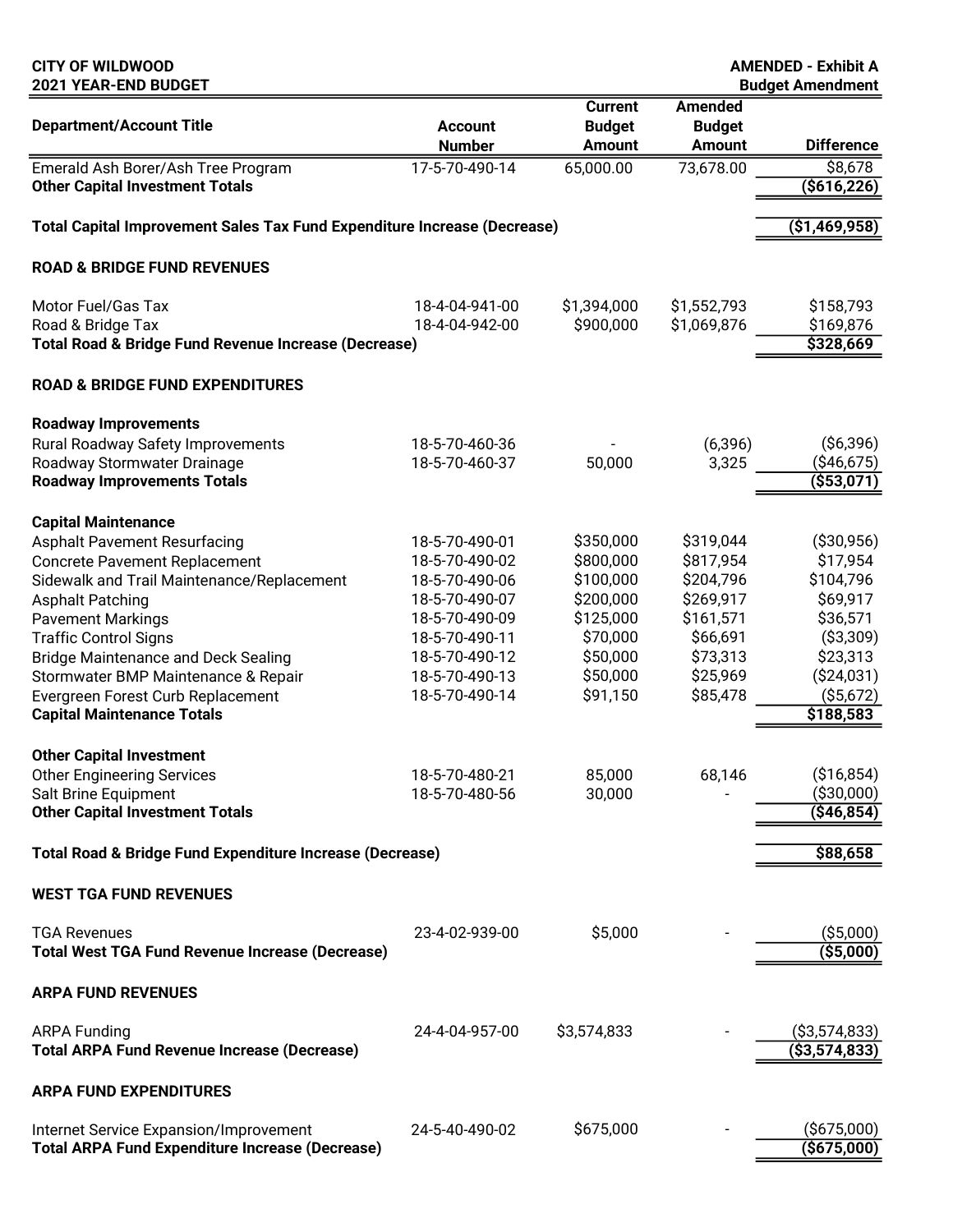| <b>CITY OF WILDWOOD</b><br>2021 YEAR-END BUDGET                                                                                                                                                                                                                                                                                                                                                                                                                                                                                                                                                                                |                                                                                                                                                                                                    |                                                                                                                                   |                                                                                                                         | <b>AMENDED - Exhibit A</b><br><b>Budget Amendment</b>                                                                                                                                    |
|--------------------------------------------------------------------------------------------------------------------------------------------------------------------------------------------------------------------------------------------------------------------------------------------------------------------------------------------------------------------------------------------------------------------------------------------------------------------------------------------------------------------------------------------------------------------------------------------------------------------------------|----------------------------------------------------------------------------------------------------------------------------------------------------------------------------------------------------|-----------------------------------------------------------------------------------------------------------------------------------|-------------------------------------------------------------------------------------------------------------------------|------------------------------------------------------------------------------------------------------------------------------------------------------------------------------------------|
| <b>Department/Account Title</b>                                                                                                                                                                                                                                                                                                                                                                                                                                                                                                                                                                                                | <b>Account</b><br><b>Number</b>                                                                                                                                                                    | <b>Current</b><br><b>Budget</b><br><b>Amount</b>                                                                                  | <b>Amended</b><br><b>Budget</b><br><b>Amount</b>                                                                        | <b>Difference</b>                                                                                                                                                                        |
| Emerald Ash Borer/Ash Tree Program<br><b>Other Capital Investment Totals</b>                                                                                                                                                                                                                                                                                                                                                                                                                                                                                                                                                   | 17-5-70-490-14                                                                                                                                                                                     | 65,000.00                                                                                                                         | 73,678.00                                                                                                               | \$8,678<br>$($ \$616,226)                                                                                                                                                                |
| Total Capital Improvement Sales Tax Fund Expenditure Increase (Decrease)                                                                                                                                                                                                                                                                                                                                                                                                                                                                                                                                                       |                                                                                                                                                                                                    |                                                                                                                                   |                                                                                                                         | (\$1,469,958)                                                                                                                                                                            |
| <b>ROAD &amp; BRIDGE FUND REVENUES</b>                                                                                                                                                                                                                                                                                                                                                                                                                                                                                                                                                                                         |                                                                                                                                                                                                    |                                                                                                                                   |                                                                                                                         |                                                                                                                                                                                          |
| Motor Fuel/Gas Tax<br>Road & Bridge Tax<br>Total Road & Bridge Fund Revenue Increase (Decrease)                                                                                                                                                                                                                                                                                                                                                                                                                                                                                                                                | 18-4-04-941-00<br>18-4-04-942-00                                                                                                                                                                   | \$1,394,000<br>\$900,000                                                                                                          | \$1,552,793<br>\$1,069,876                                                                                              | \$158,793<br>\$169,876<br>\$328,669                                                                                                                                                      |
| <b>ROAD &amp; BRIDGE FUND EXPENDITURES</b>                                                                                                                                                                                                                                                                                                                                                                                                                                                                                                                                                                                     |                                                                                                                                                                                                    |                                                                                                                                   |                                                                                                                         |                                                                                                                                                                                          |
| <b>Roadway Improvements</b><br>Rural Roadway Safety Improvements<br>Roadway Stormwater Drainage<br><b>Roadway Improvements Totals</b>                                                                                                                                                                                                                                                                                                                                                                                                                                                                                          | 18-5-70-460-36<br>18-5-70-460-37                                                                                                                                                                   | 50,000                                                                                                                            | (6, 396)<br>3,325                                                                                                       | $($ \$6,396)<br>( \$46,675)<br>( \$53,071)                                                                                                                                               |
| <b>Capital Maintenance</b><br><b>Asphalt Pavement Resurfacing</b><br><b>Concrete Pavement Replacement</b><br>Sidewalk and Trail Maintenance/Replacement<br><b>Asphalt Patching</b><br><b>Pavement Markings</b><br><b>Traffic Control Signs</b><br><b>Bridge Maintenance and Deck Sealing</b><br>Stormwater BMP Maintenance & Repair<br>Evergreen Forest Curb Replacement<br><b>Capital Maintenance Totals</b><br><b>Other Capital Investment</b><br><b>Other Engineering Services</b><br>Salt Brine Equipment<br><b>Other Capital Investment Totals</b><br><b>Total Road &amp; Bridge Fund Expenditure Increase (Decrease)</b> | 18-5-70-490-01<br>18-5-70-490-02<br>18-5-70-490-06<br>18-5-70-490-07<br>18-5-70-490-09<br>18-5-70-490-11<br>18-5-70-490-12<br>18-5-70-490-13<br>18-5-70-490-14<br>18-5-70-480-21<br>18-5-70-480-56 | \$350,000<br>\$800,000<br>\$100,000<br>\$200,000<br>\$125,000<br>\$70,000<br>\$50,000<br>\$50,000<br>\$91,150<br>85,000<br>30,000 | \$319,044<br>\$817,954<br>\$204,796<br>\$269,917<br>\$161,571<br>\$66,691<br>\$73,313<br>\$25,969<br>\$85,478<br>68,146 | ( \$30,956)<br>\$17,954<br>\$104,796<br>\$69,917<br>\$36,571<br>( \$3,309)<br>\$23,313<br>( \$24,031)<br>( \$5,672)<br>\$188,583<br>( \$16, 854)<br>(\$30,000)<br>(\$46,854)<br>\$88,658 |
| <b>WEST TGA FUND REVENUES</b>                                                                                                                                                                                                                                                                                                                                                                                                                                                                                                                                                                                                  |                                                                                                                                                                                                    |                                                                                                                                   |                                                                                                                         |                                                                                                                                                                                          |
| <b>TGA Revenues</b><br><b>Total West TGA Fund Revenue Increase (Decrease)</b>                                                                                                                                                                                                                                                                                                                                                                                                                                                                                                                                                  | 23-4-02-939-00                                                                                                                                                                                     | \$5,000                                                                                                                           |                                                                                                                         | ( \$5,000)<br>$($ \$5,000)                                                                                                                                                               |
| <b>ARPA FUND REVENUES</b>                                                                                                                                                                                                                                                                                                                                                                                                                                                                                                                                                                                                      |                                                                                                                                                                                                    |                                                                                                                                   |                                                                                                                         |                                                                                                                                                                                          |
| <b>ARPA Funding</b><br><b>Total ARPA Fund Revenue Increase (Decrease)</b>                                                                                                                                                                                                                                                                                                                                                                                                                                                                                                                                                      | 24-4-04-957-00                                                                                                                                                                                     | \$3,574,833                                                                                                                       |                                                                                                                         | $($ \$3,574,833)<br>( \$3,574,833)                                                                                                                                                       |
| <b>ARPA FUND EXPENDITURES</b>                                                                                                                                                                                                                                                                                                                                                                                                                                                                                                                                                                                                  |                                                                                                                                                                                                    |                                                                                                                                   |                                                                                                                         |                                                                                                                                                                                          |
| Internet Service Expansion/Improvement<br><b>Total ARPA Fund Expenditure Increase (Decrease)</b>                                                                                                                                                                                                                                                                                                                                                                                                                                                                                                                               | 24-5-40-490-02                                                                                                                                                                                     | \$675,000                                                                                                                         |                                                                                                                         | $($ \$675,000)<br>(5675,000)                                                                                                                                                             |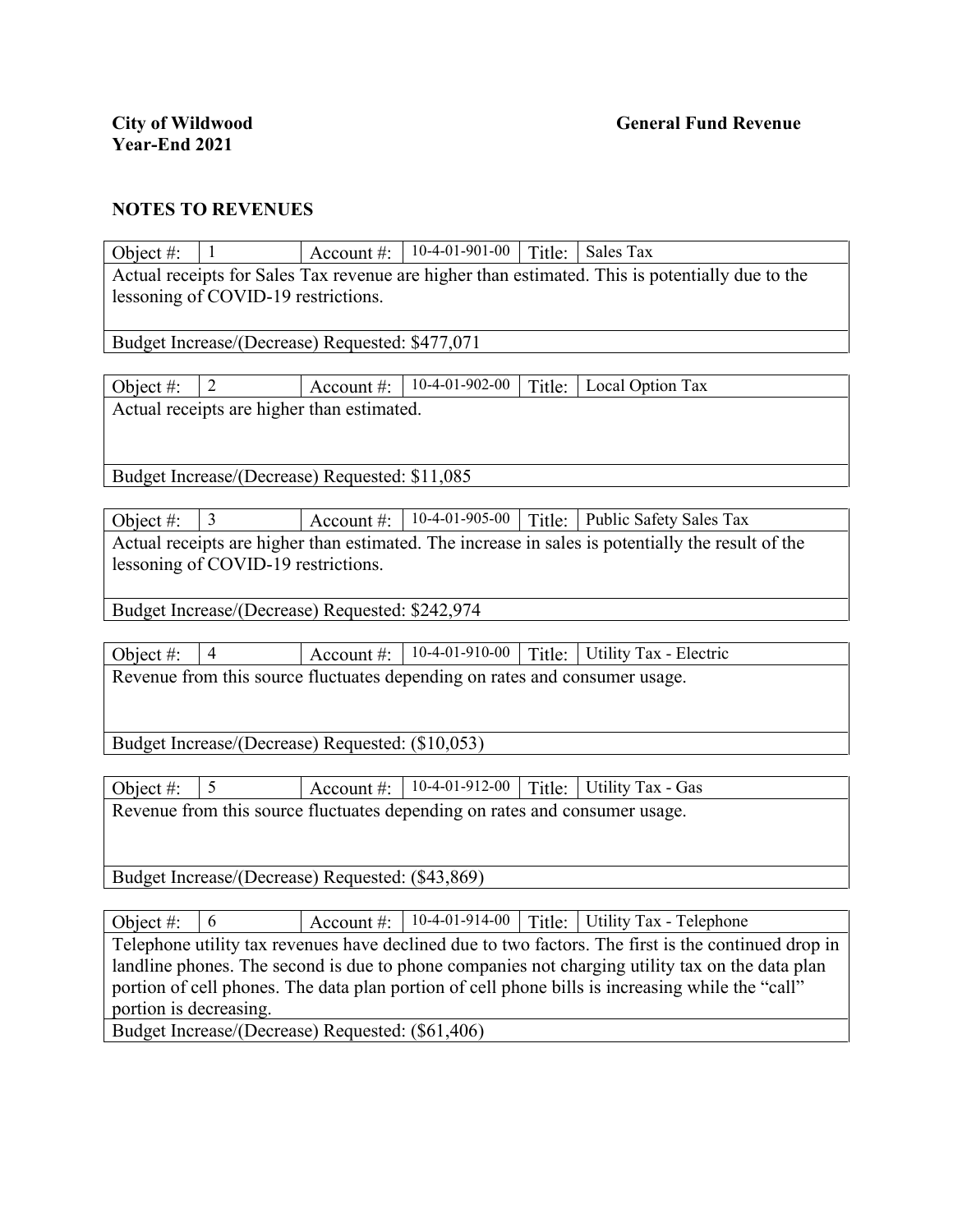| Actual receipts for Sales Tax revenue are higher than estimated. This is potentially due to the<br>lessoning of COVID-19 restrictions.<br>Budget Increase/(Decrease) Requested: \$477,071<br>10-4-01-902-00<br>$\overline{2}$<br>Object #:<br>Account #:<br>Title:<br>Local Option Tax<br>Actual receipts are higher than estimated.<br>Budget Increase/(Decrease) Requested: \$11,085<br>10-4-01-905-00<br>3<br>Object #:<br>Title: Public Safety Sales Tax<br>Account #:<br>Actual receipts are higher than estimated. The increase in sales is potentially the result of the<br>lessoning of COVID-19 restrictions.<br>Budget Increase/(Decrease) Requested: \$242,974<br>10-4-01-910-00<br>$\overline{4}$<br>Title:<br>Utility Tax - Electric<br>Object #:<br>Account #:<br>Revenue from this source fluctuates depending on rates and consumer usage.<br>Budget Increase/(Decrease) Requested: (\$10,053)<br>5<br>10-4-01-912-00<br><b>Utility Tax - Gas</b><br>Title:<br>Object #:<br>Account #:<br>Revenue from this source fluctuates depending on rates and consumer usage. | Object #: | $\mathbf{1}$ |  | Account #: $  10-4-01-901-00$ |  | Title: Sales Tax |  |  |
|--------------------------------------------------------------------------------------------------------------------------------------------------------------------------------------------------------------------------------------------------------------------------------------------------------------------------------------------------------------------------------------------------------------------------------------------------------------------------------------------------------------------------------------------------------------------------------------------------------------------------------------------------------------------------------------------------------------------------------------------------------------------------------------------------------------------------------------------------------------------------------------------------------------------------------------------------------------------------------------------------------------------------------------------------------------------------------------|-----------|--------------|--|-------------------------------|--|------------------|--|--|
|                                                                                                                                                                                                                                                                                                                                                                                                                                                                                                                                                                                                                                                                                                                                                                                                                                                                                                                                                                                                                                                                                      |           |              |  |                               |  |                  |  |  |
|                                                                                                                                                                                                                                                                                                                                                                                                                                                                                                                                                                                                                                                                                                                                                                                                                                                                                                                                                                                                                                                                                      |           |              |  |                               |  |                  |  |  |
|                                                                                                                                                                                                                                                                                                                                                                                                                                                                                                                                                                                                                                                                                                                                                                                                                                                                                                                                                                                                                                                                                      |           |              |  |                               |  |                  |  |  |
|                                                                                                                                                                                                                                                                                                                                                                                                                                                                                                                                                                                                                                                                                                                                                                                                                                                                                                                                                                                                                                                                                      |           |              |  |                               |  |                  |  |  |
|                                                                                                                                                                                                                                                                                                                                                                                                                                                                                                                                                                                                                                                                                                                                                                                                                                                                                                                                                                                                                                                                                      |           |              |  |                               |  |                  |  |  |
|                                                                                                                                                                                                                                                                                                                                                                                                                                                                                                                                                                                                                                                                                                                                                                                                                                                                                                                                                                                                                                                                                      |           |              |  |                               |  |                  |  |  |
|                                                                                                                                                                                                                                                                                                                                                                                                                                                                                                                                                                                                                                                                                                                                                                                                                                                                                                                                                                                                                                                                                      |           |              |  |                               |  |                  |  |  |
|                                                                                                                                                                                                                                                                                                                                                                                                                                                                                                                                                                                                                                                                                                                                                                                                                                                                                                                                                                                                                                                                                      |           |              |  |                               |  |                  |  |  |
|                                                                                                                                                                                                                                                                                                                                                                                                                                                                                                                                                                                                                                                                                                                                                                                                                                                                                                                                                                                                                                                                                      |           |              |  |                               |  |                  |  |  |
|                                                                                                                                                                                                                                                                                                                                                                                                                                                                                                                                                                                                                                                                                                                                                                                                                                                                                                                                                                                                                                                                                      |           |              |  |                               |  |                  |  |  |
|                                                                                                                                                                                                                                                                                                                                                                                                                                                                                                                                                                                                                                                                                                                                                                                                                                                                                                                                                                                                                                                                                      |           |              |  |                               |  |                  |  |  |
|                                                                                                                                                                                                                                                                                                                                                                                                                                                                                                                                                                                                                                                                                                                                                                                                                                                                                                                                                                                                                                                                                      |           |              |  |                               |  |                  |  |  |
|                                                                                                                                                                                                                                                                                                                                                                                                                                                                                                                                                                                                                                                                                                                                                                                                                                                                                                                                                                                                                                                                                      |           |              |  |                               |  |                  |  |  |
|                                                                                                                                                                                                                                                                                                                                                                                                                                                                                                                                                                                                                                                                                                                                                                                                                                                                                                                                                                                                                                                                                      |           |              |  |                               |  |                  |  |  |
|                                                                                                                                                                                                                                                                                                                                                                                                                                                                                                                                                                                                                                                                                                                                                                                                                                                                                                                                                                                                                                                                                      |           |              |  |                               |  |                  |  |  |
|                                                                                                                                                                                                                                                                                                                                                                                                                                                                                                                                                                                                                                                                                                                                                                                                                                                                                                                                                                                                                                                                                      |           |              |  |                               |  |                  |  |  |
|                                                                                                                                                                                                                                                                                                                                                                                                                                                                                                                                                                                                                                                                                                                                                                                                                                                                                                                                                                                                                                                                                      |           |              |  |                               |  |                  |  |  |
|                                                                                                                                                                                                                                                                                                                                                                                                                                                                                                                                                                                                                                                                                                                                                                                                                                                                                                                                                                                                                                                                                      |           |              |  |                               |  |                  |  |  |
|                                                                                                                                                                                                                                                                                                                                                                                                                                                                                                                                                                                                                                                                                                                                                                                                                                                                                                                                                                                                                                                                                      |           |              |  |                               |  |                  |  |  |
|                                                                                                                                                                                                                                                                                                                                                                                                                                                                                                                                                                                                                                                                                                                                                                                                                                                                                                                                                                                                                                                                                      |           |              |  |                               |  |                  |  |  |
|                                                                                                                                                                                                                                                                                                                                                                                                                                                                                                                                                                                                                                                                                                                                                                                                                                                                                                                                                                                                                                                                                      |           |              |  |                               |  |                  |  |  |
|                                                                                                                                                                                                                                                                                                                                                                                                                                                                                                                                                                                                                                                                                                                                                                                                                                                                                                                                                                                                                                                                                      |           |              |  |                               |  |                  |  |  |
|                                                                                                                                                                                                                                                                                                                                                                                                                                                                                                                                                                                                                                                                                                                                                                                                                                                                                                                                                                                                                                                                                      |           |              |  |                               |  |                  |  |  |
|                                                                                                                                                                                                                                                                                                                                                                                                                                                                                                                                                                                                                                                                                                                                                                                                                                                                                                                                                                                                                                                                                      |           |              |  |                               |  |                  |  |  |
|                                                                                                                                                                                                                                                                                                                                                                                                                                                                                                                                                                                                                                                                                                                                                                                                                                                                                                                                                                                                                                                                                      |           |              |  |                               |  |                  |  |  |
|                                                                                                                                                                                                                                                                                                                                                                                                                                                                                                                                                                                                                                                                                                                                                                                                                                                                                                                                                                                                                                                                                      |           |              |  |                               |  |                  |  |  |
|                                                                                                                                                                                                                                                                                                                                                                                                                                                                                                                                                                                                                                                                                                                                                                                                                                                                                                                                                                                                                                                                                      |           |              |  |                               |  |                  |  |  |
| Budget Increase/(Decrease) Requested: (\$43,869)                                                                                                                                                                                                                                                                                                                                                                                                                                                                                                                                                                                                                                                                                                                                                                                                                                                                                                                                                                                                                                     |           |              |  |                               |  |                  |  |  |

Object #:  $\begin{array}{|l|l|} \hline 6 & \text{Account #:} & 10-4-01-914-00 & \text{Title:} & \text{Utility Tax - Telephone} \hline \end{array}$ Telephone utility tax revenues have declined due to two factors. The first is the continued drop in landline phones. The second is due to phone companies not charging utility tax on the data plan portion of cell phones. The data plan portion of cell phone bills is increasing while the "call" portion is decreasing.

Budget Increase/(Decrease) Requested: (\$61,406)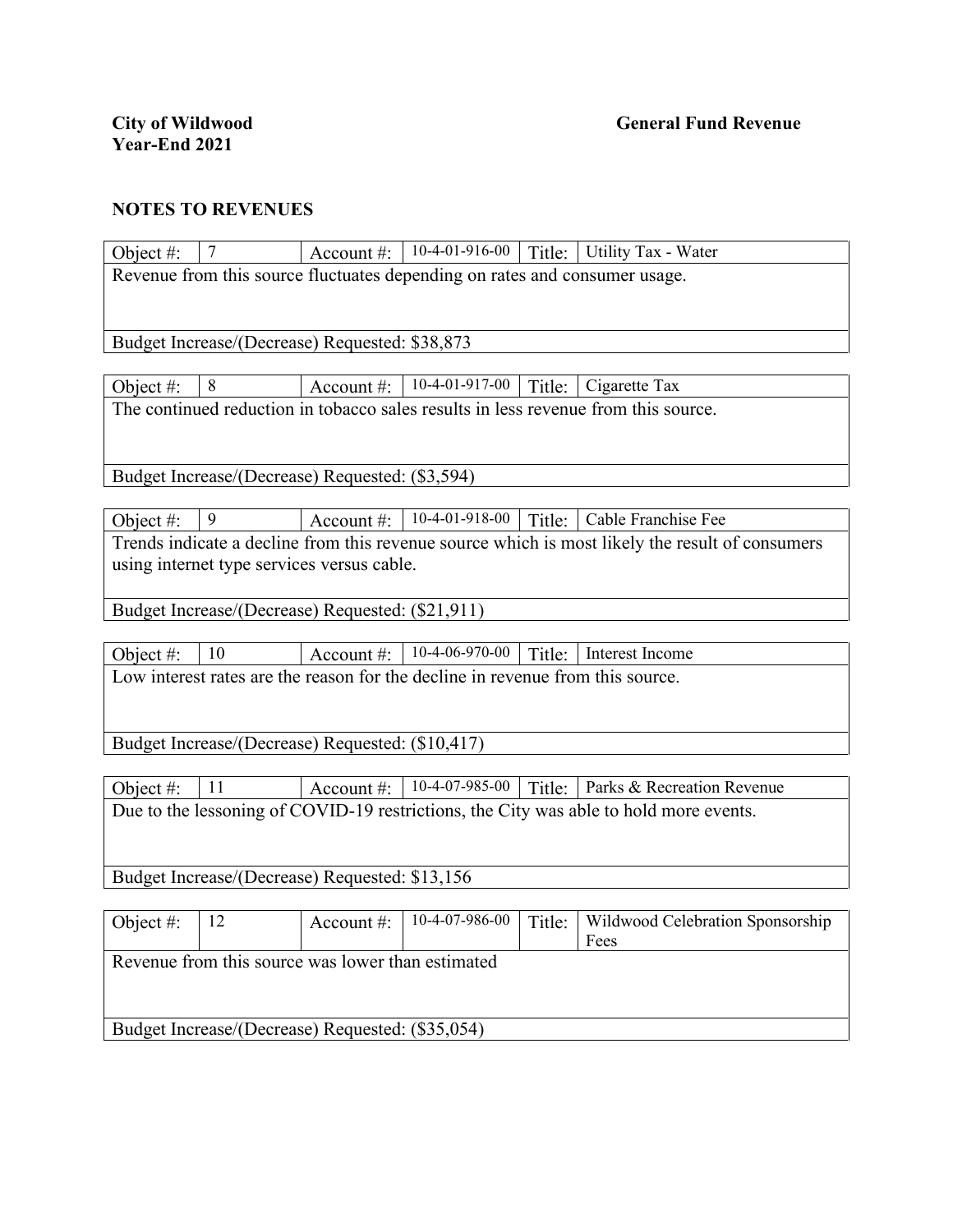| Object #:                                                                             | $\overline{7}$                                                             |            |                                                                                |        | Account #:   10-4-01-916-00   Title:   Utility Tax - Water                                      |  |  |
|---------------------------------------------------------------------------------------|----------------------------------------------------------------------------|------------|--------------------------------------------------------------------------------|--------|-------------------------------------------------------------------------------------------------|--|--|
|                                                                                       | Revenue from this source fluctuates depending on rates and consumer usage. |            |                                                                                |        |                                                                                                 |  |  |
|                                                                                       |                                                                            |            |                                                                                |        |                                                                                                 |  |  |
|                                                                                       |                                                                            |            |                                                                                |        |                                                                                                 |  |  |
|                                                                                       | Budget Increase/(Decrease) Requested: \$38,873                             |            |                                                                                |        |                                                                                                 |  |  |
| Object #:                                                                             | 8                                                                          | Account #: | 10-4-01-917-00                                                                 | Title: | Cigarette Tax                                                                                   |  |  |
|                                                                                       |                                                                            |            |                                                                                |        | The continued reduction in tobacco sales results in less revenue from this source.              |  |  |
|                                                                                       |                                                                            |            |                                                                                |        |                                                                                                 |  |  |
|                                                                                       |                                                                            |            |                                                                                |        |                                                                                                 |  |  |
|                                                                                       | Budget Increase/(Decrease) Requested: (\$3,594)                            |            |                                                                                |        |                                                                                                 |  |  |
|                                                                                       | 9                                                                          |            | Account #: $  10-4-01-918-00$                                                  |        | Cable Franchise Fee                                                                             |  |  |
| Object #:                                                                             |                                                                            |            |                                                                                | Title: | Trends indicate a decline from this revenue source which is most likely the result of consumers |  |  |
|                                                                                       | using internet type services versus cable.                                 |            |                                                                                |        |                                                                                                 |  |  |
|                                                                                       |                                                                            |            |                                                                                |        |                                                                                                 |  |  |
|                                                                                       | Budget Increase/(Decrease) Requested: (\$21,911)                           |            |                                                                                |        |                                                                                                 |  |  |
|                                                                                       |                                                                            |            |                                                                                |        |                                                                                                 |  |  |
| Object #:                                                                             | 10                                                                         | Account #: | 10-4-06-970-00                                                                 | Title: | Interest Income                                                                                 |  |  |
|                                                                                       |                                                                            |            | Low interest rates are the reason for the decline in revenue from this source. |        |                                                                                                 |  |  |
|                                                                                       |                                                                            |            |                                                                                |        |                                                                                                 |  |  |
| Budget Increase/(Decrease) Requested: (\$10,417)                                      |                                                                            |            |                                                                                |        |                                                                                                 |  |  |
|                                                                                       |                                                                            |            |                                                                                |        |                                                                                                 |  |  |
| Object $#$ :                                                                          | 11                                                                         |            | Account #: $  10-4-07-985-00$                                                  | Title: | Parks & Recreation Revenue                                                                      |  |  |
| Due to the lessoning of COVID-19 restrictions, the City was able to hold more events. |                                                                            |            |                                                                                |        |                                                                                                 |  |  |
|                                                                                       |                                                                            |            |                                                                                |        |                                                                                                 |  |  |
|                                                                                       |                                                                            |            |                                                                                |        |                                                                                                 |  |  |
|                                                                                       | Budget Increase/(Decrease) Requested: \$13,156                             |            |                                                                                |        |                                                                                                 |  |  |
| Object #:                                                                             | 12                                                                         | Account #: | 10-4-07-986-00                                                                 | Title: | Wildwood Celebration Sponsorship                                                                |  |  |
|                                                                                       |                                                                            |            |                                                                                |        | Fees                                                                                            |  |  |
| Revenue from this source was lower than estimated                                     |                                                                            |            |                                                                                |        |                                                                                                 |  |  |
|                                                                                       |                                                                            |            |                                                                                |        |                                                                                                 |  |  |
|                                                                                       |                                                                            |            |                                                                                |        |                                                                                                 |  |  |
| Budget Increase/(Decrease) Requested: (\$35,054)                                      |                                                                            |            |                                                                                |        |                                                                                                 |  |  |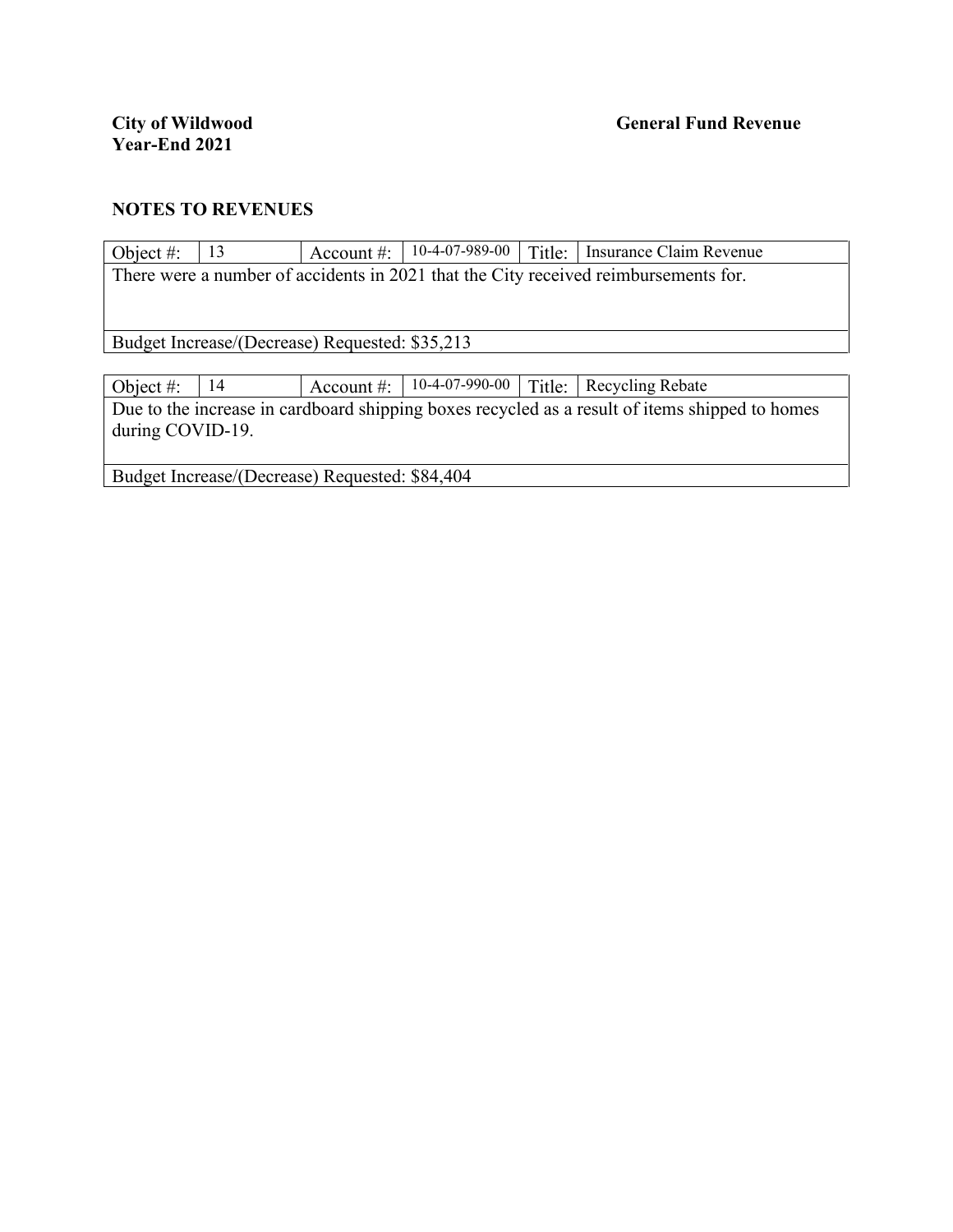| Object #:                                                                                      | 13                                             | Account $\#$ : | 10-4-07-989-00 | Title: | Insurance Claim Revenue                                                             |  |  |
|------------------------------------------------------------------------------------------------|------------------------------------------------|----------------|----------------|--------|-------------------------------------------------------------------------------------|--|--|
|                                                                                                |                                                |                |                |        | There were a number of accidents in 2021 that the City received reimbursements for. |  |  |
|                                                                                                |                                                |                |                |        |                                                                                     |  |  |
|                                                                                                |                                                |                |                |        |                                                                                     |  |  |
|                                                                                                | Budget Increase/(Decrease) Requested: \$35,213 |                |                |        |                                                                                     |  |  |
|                                                                                                |                                                |                |                |        |                                                                                     |  |  |
| Object #:                                                                                      | 14                                             | Account $\#$ : | 10-4-07-990-00 | Title: | Recycling Rebate                                                                    |  |  |
| Due to the increase in cardboard shipping boxes recycled as a result of items shipped to homes |                                                |                |                |        |                                                                                     |  |  |
|                                                                                                | during COVID-19.                               |                |                |        |                                                                                     |  |  |
|                                                                                                |                                                |                |                |        |                                                                                     |  |  |
|                                                                                                |                                                |                |                |        |                                                                                     |  |  |

Budget Increase/(Decrease) Requested: \$84,404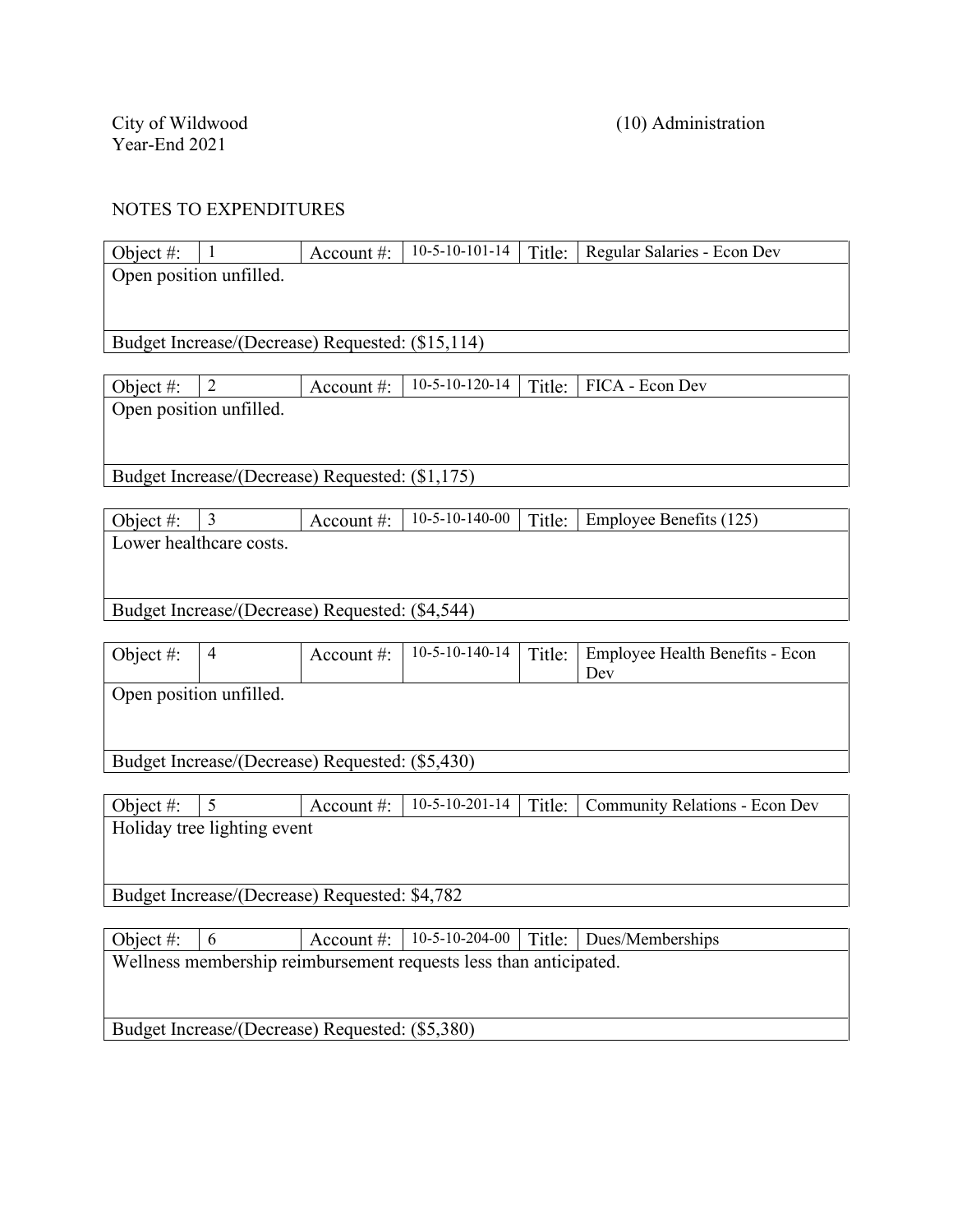| Object #:               |  |  | Account #: $\vert$ 10-5-10-101-14   Title: Regular Salaries - Econ Dev |
|-------------------------|--|--|------------------------------------------------------------------------|
| Open position unfilled. |  |  |                                                                        |
|                         |  |  |                                                                        |

Budget Increase/(Decrease) Requested: (\$15,114)

| Object #:               |  |  |  |  | Account #:   10-5-10-120-14   Title:   FICA - Econ Dev |  |
|-------------------------|--|--|--|--|--------------------------------------------------------|--|
| Open position unfilled. |  |  |  |  |                                                        |  |
|                         |  |  |  |  |                                                        |  |

Budget Increase/(Decrease) Requested: (\$1,175)

| Object #: |                         | Account #: $\parallel$ |  | 10-5-10-140-00   Title: Employee Benefits $(125)$ |
|-----------|-------------------------|------------------------|--|---------------------------------------------------|
|           | Lower healthcare costs. |                        |  |                                                   |
|           |                         |                        |  |                                                   |
|           |                         |                        |  |                                                   |

Budget Increase/(Decrease) Requested: (\$4,544)

| Object #:                                       | 4 | Account $\#$ : | $10-5-10-140-14$ |  | Title: Employee Health Benefits - Econ<br>Dev |  |
|-------------------------------------------------|---|----------------|------------------|--|-----------------------------------------------|--|
| Open position unfilled.                         |   |                |                  |  |                                               |  |
| Budget Increase/(Decrease) Requested: (\$5,430) |   |                |                  |  |                                               |  |

| Object #:                                     |  | Account $\#$ : |  |  | 10-5-10-201-14   Title:   Community Relations - Econ Dev |  |  |
|-----------------------------------------------|--|----------------|--|--|----------------------------------------------------------|--|--|
| Holiday tree lighting event                   |  |                |  |  |                                                          |  |  |
|                                               |  |                |  |  |                                                          |  |  |
|                                               |  |                |  |  |                                                          |  |  |
| Budget Increase/(Decrease) Requested: \$4,782 |  |                |  |  |                                                          |  |  |
|                                               |  |                |  |  |                                                          |  |  |

| Object #:                                                         |                                                 |  |  |  | Account #: $  10-5-10-204-00  $ Title: Dues/Memberships |  |  |  |
|-------------------------------------------------------------------|-------------------------------------------------|--|--|--|---------------------------------------------------------|--|--|--|
| Wellness membership reimbursement requests less than anticipated. |                                                 |  |  |  |                                                         |  |  |  |
|                                                                   |                                                 |  |  |  |                                                         |  |  |  |
|                                                                   |                                                 |  |  |  |                                                         |  |  |  |
|                                                                   | Budget Increase/(Decrease) Requested: (\$5,380) |  |  |  |                                                         |  |  |  |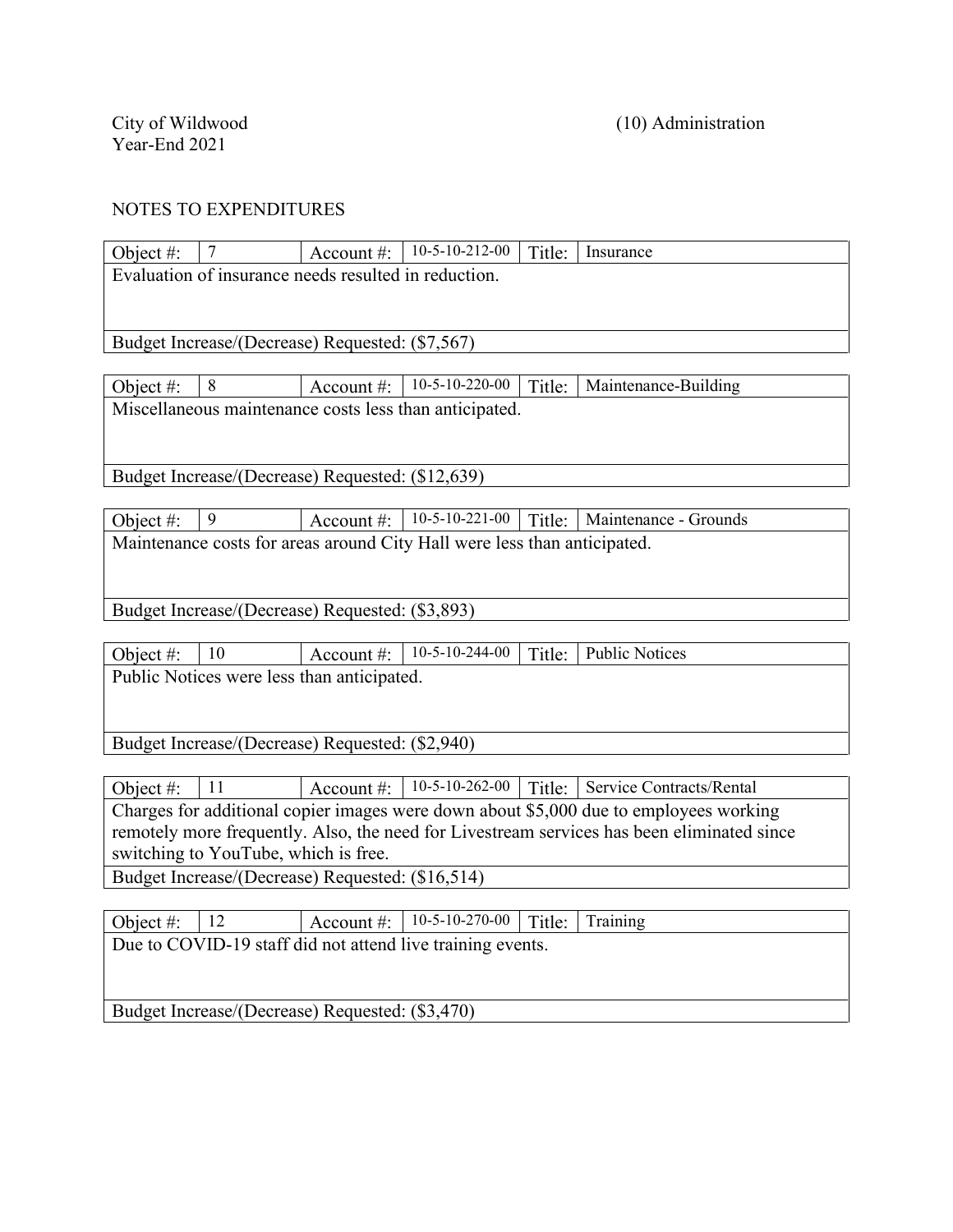| Object #:    | $\overline{7}$                                       | Account $#$ : | $10-5-10-212-00$                                                         | Title: | Insurance                                                                              |  |  |
|--------------|------------------------------------------------------|---------------|--------------------------------------------------------------------------|--------|----------------------------------------------------------------------------------------|--|--|
|              | Evaluation of insurance needs resulted in reduction. |               |                                                                          |        |                                                                                        |  |  |
|              |                                                      |               |                                                                          |        |                                                                                        |  |  |
|              |                                                      |               |                                                                          |        |                                                                                        |  |  |
|              | Budget Increase/(Decrease) Requested: (\$7,567)      |               |                                                                          |        |                                                                                        |  |  |
|              |                                                      |               |                                                                          |        |                                                                                        |  |  |
| Object $#$ : | 8                                                    |               | Account #: $  10-5-10-220-00$                                            | Title: | Maintenance-Building                                                                   |  |  |
|              |                                                      |               | Miscellaneous maintenance costs less than anticipated.                   |        |                                                                                        |  |  |
|              |                                                      |               |                                                                          |        |                                                                                        |  |  |
|              |                                                      |               |                                                                          |        |                                                                                        |  |  |
|              | Budget Increase/(Decrease) Requested: (\$12,639)     |               |                                                                          |        |                                                                                        |  |  |
|              |                                                      |               |                                                                          |        |                                                                                        |  |  |
| Object #:    | 9                                                    |               | Account #: $  10-5-10-221-00$                                            |        | Title:   Maintenance - Grounds                                                         |  |  |
|              |                                                      |               | Maintenance costs for areas around City Hall were less than anticipated. |        |                                                                                        |  |  |
|              |                                                      |               |                                                                          |        |                                                                                        |  |  |
|              |                                                      |               |                                                                          |        |                                                                                        |  |  |
|              | Budget Increase/(Decrease) Requested: (\$3,893)      |               |                                                                          |        |                                                                                        |  |  |
|              |                                                      |               |                                                                          |        |                                                                                        |  |  |
| Object #:    | 10                                                   | Account $#$ : | $10-5-10-244-00$                                                         | Title: | <b>Public Notices</b>                                                                  |  |  |
|              | Public Notices were less than anticipated.           |               |                                                                          |        |                                                                                        |  |  |
|              |                                                      |               |                                                                          |        |                                                                                        |  |  |
|              |                                                      |               |                                                                          |        |                                                                                        |  |  |
|              | Budget Increase/(Decrease) Requested: (\$2,940)      |               |                                                                          |        |                                                                                        |  |  |
|              |                                                      |               |                                                                          |        |                                                                                        |  |  |
| Object #:    | 11                                                   | Account #:    | $10-5-10-262-00$                                                         | Title: | Service Contracts/Rental                                                               |  |  |
|              |                                                      |               |                                                                          |        | Changes for additional senior images were down about $$5,000$ due to employees weaking |  |  |

Charges for additional copier images were down about \$5,000 due to employees working remotely more frequently. Also, the need for Livestream services has been eliminated since switching to YouTube, which is free.

Budget Increase/(Decrease) Requested: (\$16,514)

Object #: 12 Account #: 10-5-10-270-00 Title: Training Due to COVID-19 staff did not attend live training events. Budget Increase/(Decrease) Requested: (\$3,470)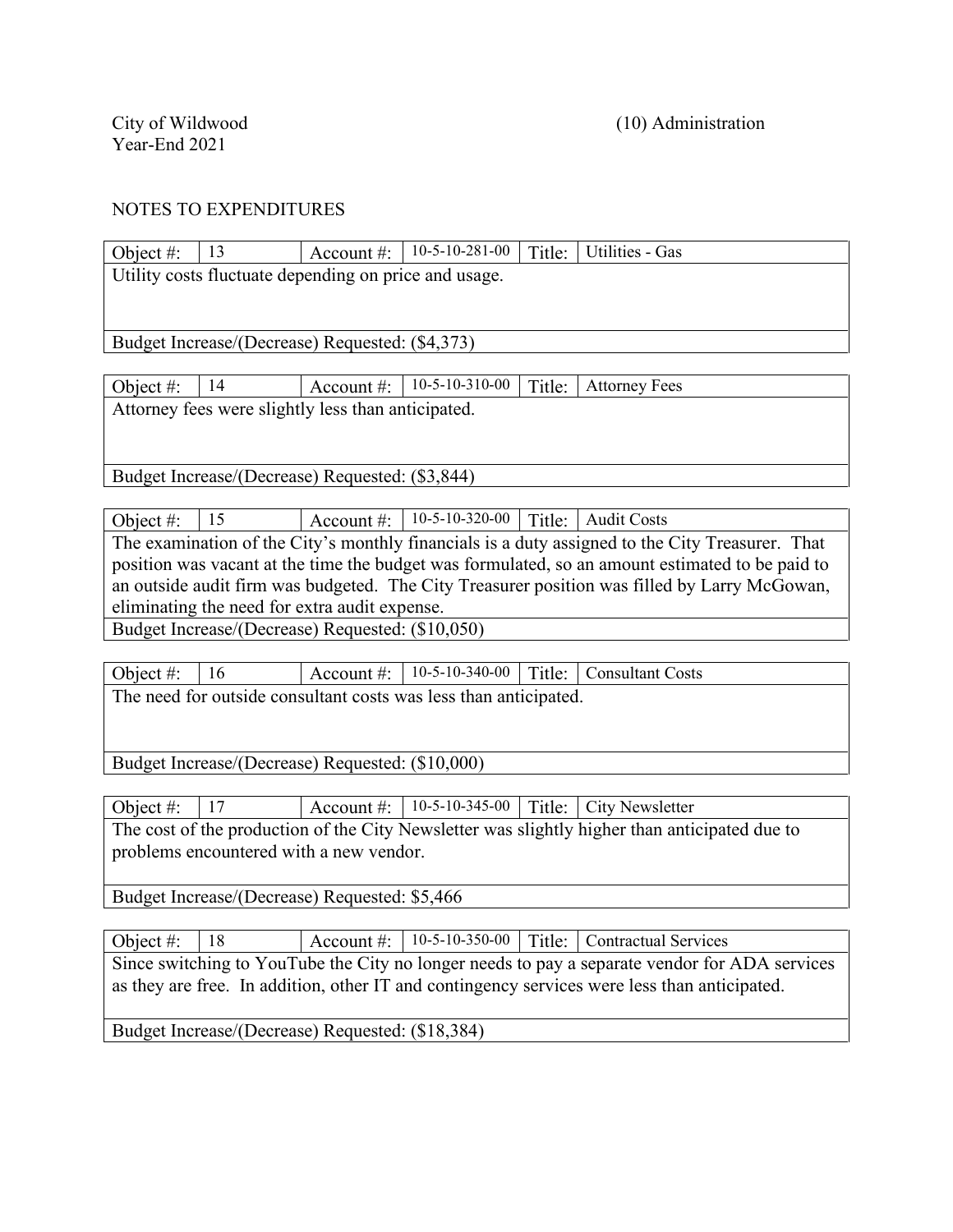| Object #:                                                                                    | 13                                                                                              | Account $\#$ : | $10-5-10-281-00$ | Title: | Utilities - Gas                                                                                 |  |  |
|----------------------------------------------------------------------------------------------|-------------------------------------------------------------------------------------------------|----------------|------------------|--------|-------------------------------------------------------------------------------------------------|--|--|
|                                                                                              | Utility costs fluctuate depending on price and usage.                                           |                |                  |        |                                                                                                 |  |  |
|                                                                                              |                                                                                                 |                |                  |        |                                                                                                 |  |  |
|                                                                                              |                                                                                                 |                |                  |        |                                                                                                 |  |  |
|                                                                                              | Budget Increase/(Decrease) Requested: (\$4,373)                                                 |                |                  |        |                                                                                                 |  |  |
|                                                                                              |                                                                                                 |                |                  |        |                                                                                                 |  |  |
| Object #:                                                                                    | 14                                                                                              | Account $#$ :  | $10-5-10-310-00$ | Title: | <b>Attorney Fees</b>                                                                            |  |  |
|                                                                                              | Attorney fees were slightly less than anticipated.                                              |                |                  |        |                                                                                                 |  |  |
|                                                                                              |                                                                                                 |                |                  |        |                                                                                                 |  |  |
|                                                                                              |                                                                                                 |                |                  |        |                                                                                                 |  |  |
|                                                                                              | Budget Increase/(Decrease) Requested: (\$3,844)                                                 |                |                  |        |                                                                                                 |  |  |
|                                                                                              |                                                                                                 |                |                  |        |                                                                                                 |  |  |
| Object #:                                                                                    | 15                                                                                              | Account $#$ :  | $10-5-10-320-00$ | Title: | <b>Audit Costs</b>                                                                              |  |  |
|                                                                                              |                                                                                                 |                |                  |        | The examination of the City's monthly financials is a duty assigned to the City Treasurer. That |  |  |
|                                                                                              | position was vacant at the time the budget was formulated, so an amount estimated to be paid to |                |                  |        |                                                                                                 |  |  |
| an outside audit firm was budgeted. The City Treasurer position was filled by Larry McGowan, |                                                                                                 |                |                  |        |                                                                                                 |  |  |
| eliminating the need for extra audit expense.                                                |                                                                                                 |                |                  |        |                                                                                                 |  |  |
|                                                                                              | Budget Increase/(Decrease) Requested: (\$10,050)                                                |                |                  |        |                                                                                                 |  |  |
|                                                                                              |                                                                                                 |                |                  |        |                                                                                                 |  |  |

| Object #: $  16$                                                 |  |  |  |  | $\vert$ Account #: $\vert$ 10-5-10-340-00 $\vert$ Title: $\vert$ Consultant Costs |  |  |
|------------------------------------------------------------------|--|--|--|--|-----------------------------------------------------------------------------------|--|--|
| The need for outside consultant costs was less than anticipated. |  |  |  |  |                                                                                   |  |  |
|                                                                  |  |  |  |  |                                                                                   |  |  |

Budget Increase/(Decrease) Requested: (\$10,000)

Object #: 17 Account #: 10-5-10-345-00 Title: City Newsletter The cost of the production of the City Newsletter was slightly higher than anticipated due to problems encountered with a new vendor.

Budget Increase/(Decrease) Requested: \$5,466

Object #: 18 Account #: 10-5-10-350-00 Title: Contractual Services Since switching to YouTube the City no longer needs to pay a separate vendor for ADA services as they are free. In addition, other IT and contingency services were less than anticipated. Budget Increase/(Decrease) Requested: (\$18,384)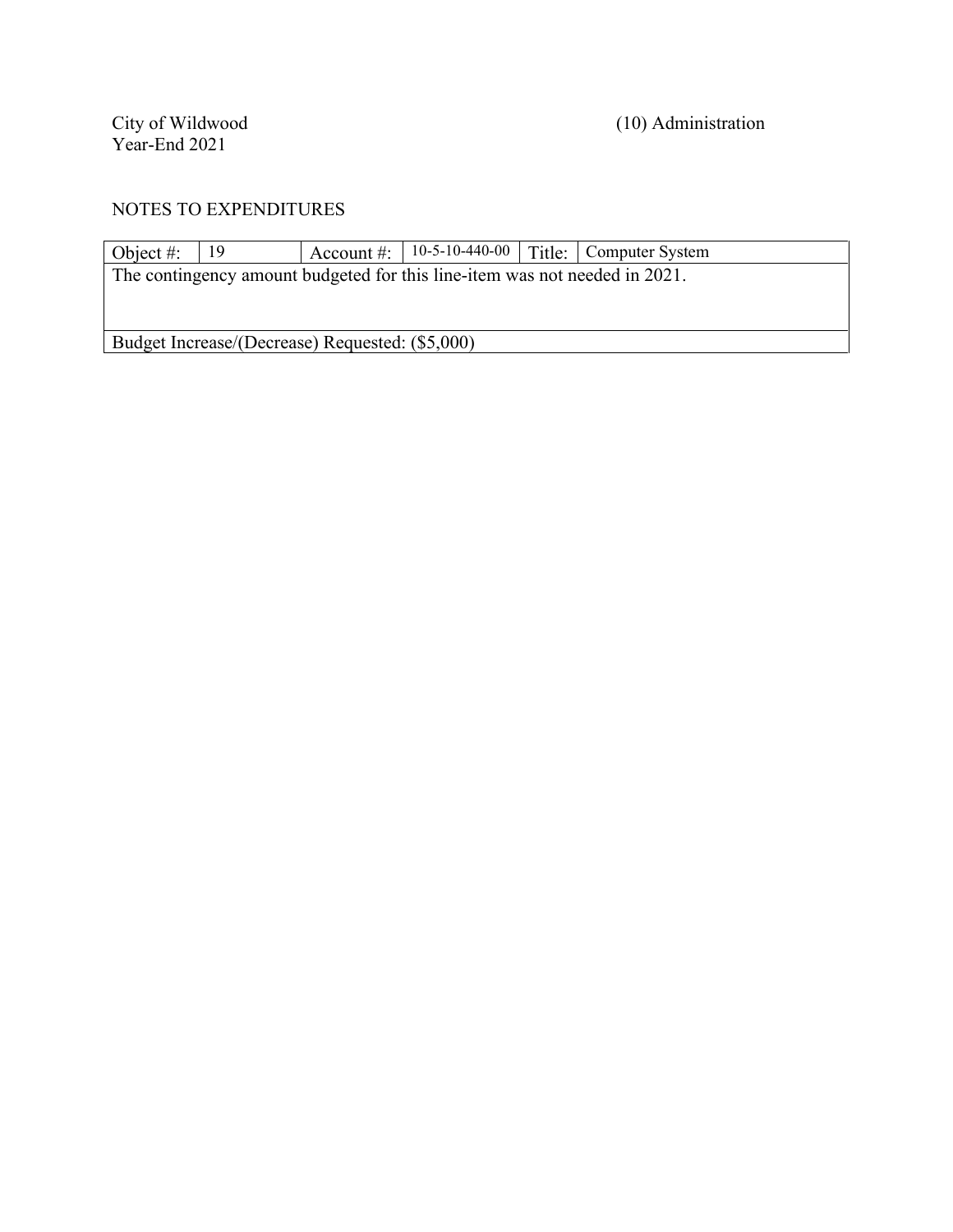City of Wildwood<br>Year-End 2021

(10) Administration

| Object #: | - 19                                            |                                                                            | Account #: $\vert$ 10-5-10-440-00 $\vert$ Title: $\vert$ Computer System |
|-----------|-------------------------------------------------|----------------------------------------------------------------------------|--------------------------------------------------------------------------|
|           |                                                 | The contingency amount budgeted for this line-item was not needed in 2021. |                                                                          |
|           |                                                 |                                                                            |                                                                          |
|           |                                                 |                                                                            |                                                                          |
|           | Budget Increase/(Decrease) Requested: (\$5,000) |                                                                            |                                                                          |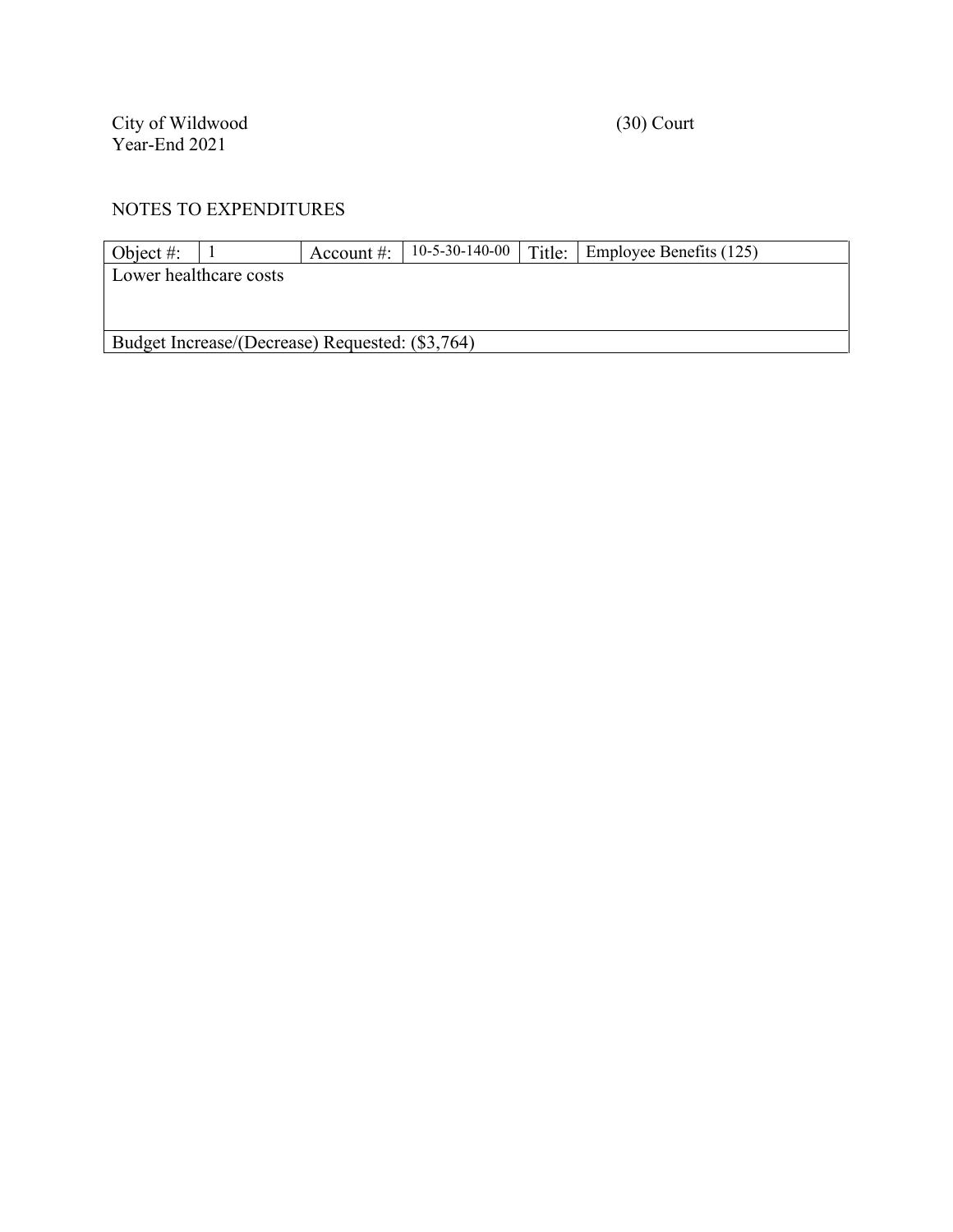City of Wildwood (30) Court Year-End 2021

| Object #:                                       |  | Account $\#$ : |  |  | 10-5-30-140-00   Title:   Employee Benefits $(125)$ |  |  |  |
|-------------------------------------------------|--|----------------|--|--|-----------------------------------------------------|--|--|--|
| Lower healthcare costs                          |  |                |  |  |                                                     |  |  |  |
|                                                 |  |                |  |  |                                                     |  |  |  |
|                                                 |  |                |  |  |                                                     |  |  |  |
| Budget Increase/(Decrease) Requested: (\$3,764) |  |                |  |  |                                                     |  |  |  |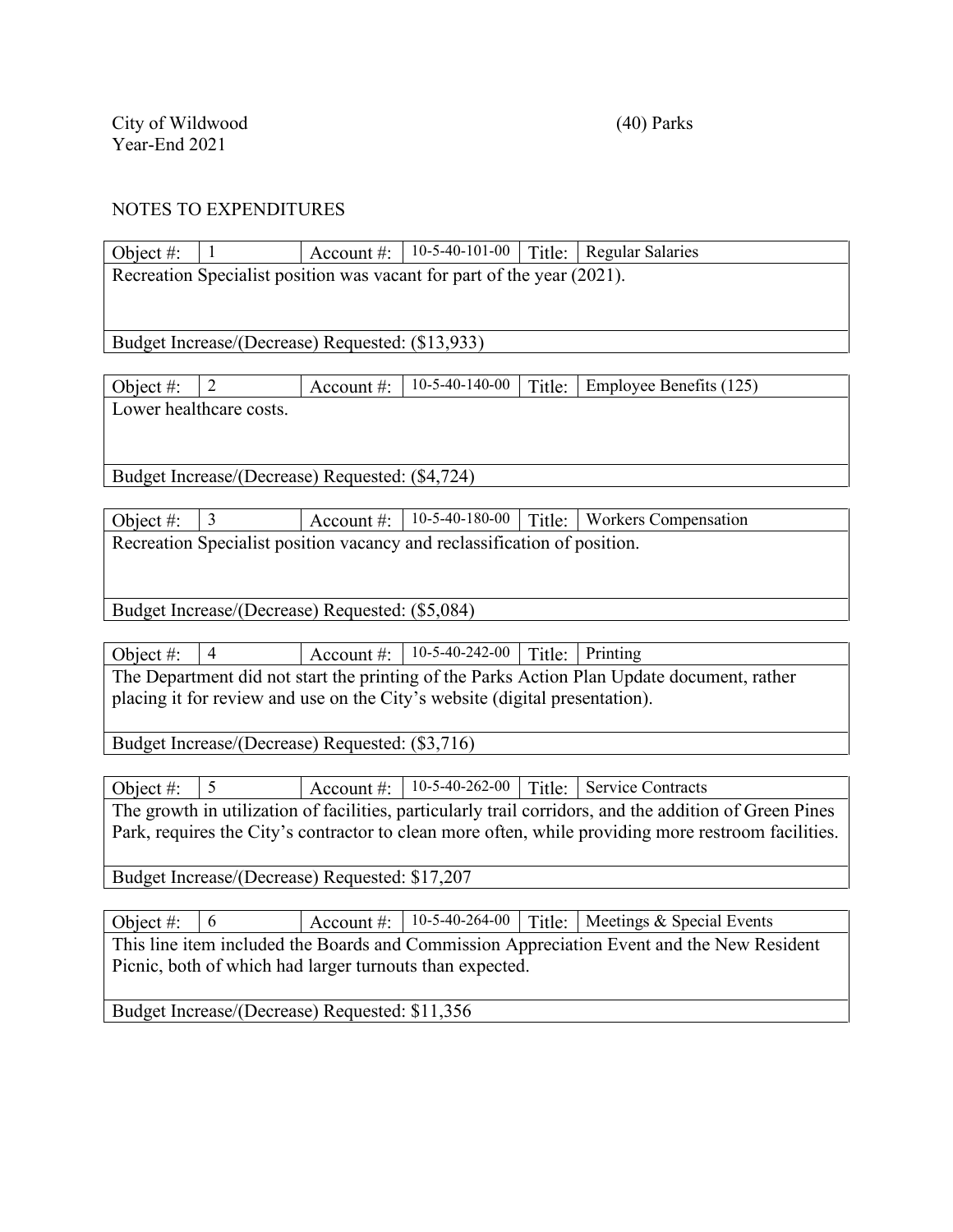| Object #:    | $\mathbf{1}$                                     | Account#:      | $10-5-40-101-00$                                                            |        | Title:   Regular Salaries                                                                              |
|--------------|--------------------------------------------------|----------------|-----------------------------------------------------------------------------|--------|--------------------------------------------------------------------------------------------------------|
|              |                                                  |                | Recreation Specialist position was vacant for part of the year (2021).      |        |                                                                                                        |
|              |                                                  |                |                                                                             |        |                                                                                                        |
|              | Budget Increase/(Decrease) Requested: (\$13,933) |                |                                                                             |        |                                                                                                        |
|              |                                                  |                |                                                                             |        |                                                                                                        |
| Object #:    | $\overline{2}$                                   | Account #:     | 10-5-40-140-00                                                              | Title: | Employee Benefits (125)                                                                                |
|              | Lower healthcare costs.                          |                |                                                                             |        |                                                                                                        |
|              |                                                  |                |                                                                             |        |                                                                                                        |
|              | Budget Increase/(Decrease) Requested: (\$4,724)  |                |                                                                             |        |                                                                                                        |
|              |                                                  |                |                                                                             |        |                                                                                                        |
| Object $#$ : | $\overline{3}$                                   | Account #:     | 10-5-40-180-00                                                              | Title: | <b>Workers Compensation</b>                                                                            |
|              |                                                  |                | Recreation Specialist position vacancy and reclassification of position.    |        |                                                                                                        |
|              |                                                  |                |                                                                             |        |                                                                                                        |
|              | Budget Increase/(Decrease) Requested: (\$5,084)  |                |                                                                             |        |                                                                                                        |
|              |                                                  |                |                                                                             |        |                                                                                                        |
| Object#:     | $\overline{4}$                                   | Account #:     | 10-5-40-242-00                                                              | Title: | Printing                                                                                               |
|              |                                                  |                |                                                                             |        | The Department did not start the printing of the Parks Action Plan Update document, rather             |
|              |                                                  |                | placing it for review and use on the City's website (digital presentation). |        |                                                                                                        |
|              | Budget Increase/(Decrease) Requested: (\$3,716)  |                |                                                                             |        |                                                                                                        |
|              |                                                  |                |                                                                             |        |                                                                                                        |
| Object #:    | 5                                                | Account #:     | $10-5-40-262-00$                                                            |        | Title: Service Contracts                                                                               |
|              |                                                  |                |                                                                             |        | The growth in utilization of facilities, particularly trail corridors, and the addition of Green Pines |
|              |                                                  |                |                                                                             |        | Park, requires the City's contractor to clean more often, while providing more restroom facilities.    |
|              | Budget Increase/(Decrease) Requested: \$17,207   |                |                                                                             |        |                                                                                                        |
|              |                                                  |                |                                                                             |        |                                                                                                        |
| Object #:    | 6                                                | Account $\#$ : | 10-5-40-264-00                                                              | Title: | Meetings & Special Events                                                                              |
|              |                                                  |                |                                                                             |        | This line item included the Boards and Commission Appreciation Event and the New Resident              |
|              |                                                  |                | Picnic, both of which had larger turnouts than expected.                    |        |                                                                                                        |
|              |                                                  |                |                                                                             |        |                                                                                                        |
|              | Budget Increase/(Decrease) Requested: \$11,356   |                |                                                                             |        |                                                                                                        |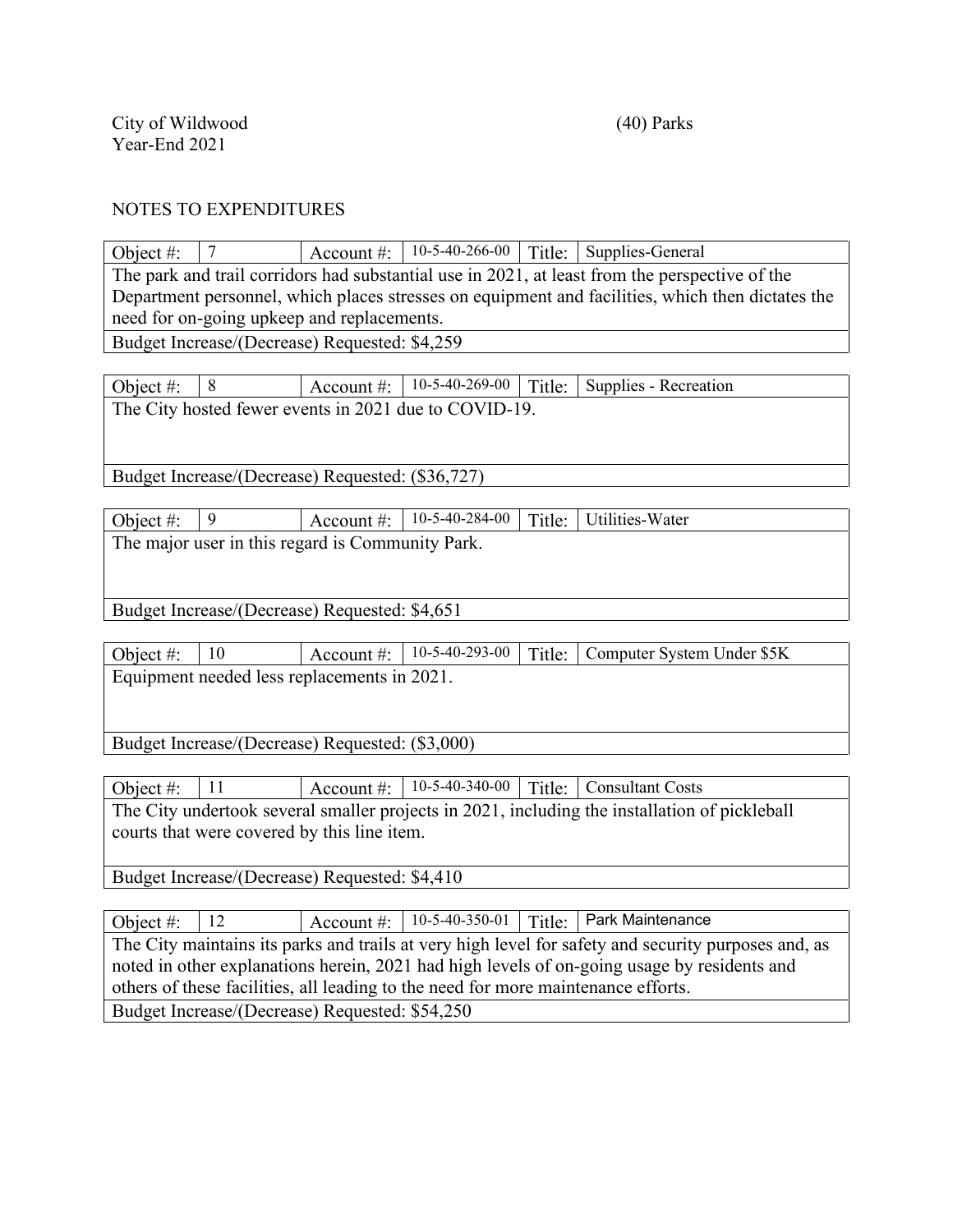Object #:  $\begin{array}{|c|c|c|c|c|c|} \hline 7 & & \text{Account #:} & 10-5-40-266-00 & \text{Title:} & \text{Supplies-General} \hline \end{array}$ The park and trail corridors had substantial use in 2021, at least from the perspective of the Department personnel, which places stresses on equipment and facilities, which then dictates the need for on-going upkeep and replacements. Budget Increase/(Decrease) Requested: \$4,259

Object #:  $\begin{array}{|l|l|} 8 \end{array}$  Account #:  $\begin{array}{|l|l|} 10-5-40-269-00 & \text{Title:} \end{array}$  Supplies - Recreation The City hosted fewer events in 2021 due to COVID-19.

Budget Increase/(Decrease) Requested: (\$36,727)

Object #:  $\begin{array}{|c|c|c|c|c|c|}\n\hline\n9 & & \text{Account #:} & 10-5-40-284-00 & Title:} & \text{Utilities-Water}\n\hline\n\end{array}$ The major user in this regard is Community Park.

Budget Increase/(Decrease) Requested: \$4,651

Object #: 10 Account #: 10-5-40-293-00 Title: Computer System Under \$5K Equipment needed less replacements in 2021.

Budget Increase/(Decrease) Requested: (\$3,000)

Object #: 11 Account #: 10-5-40-340-00 Title: Consultant Costs The City undertook several smaller projects in 2021, including the installation of pickleball courts that were covered by this line item.

Budget Increase/(Decrease) Requested: \$4,410

Object #:  $\begin{array}{|l|l|}\n\end{array}$  12  $\begin{array}{|l|l|}\n\end{array}$  Account #:  $\begin{array}{|l|l|}\n\end{array}$  10-5-40-350-01 Title: Park Maintenance The City maintains its parks and trails at very high level for safety and security purposes and, as noted in other explanations herein, 2021 had high levels of on-going usage by residents and others of these facilities, all leading to the need for more maintenance efforts. Budget Increase/(Decrease) Requested: \$54,250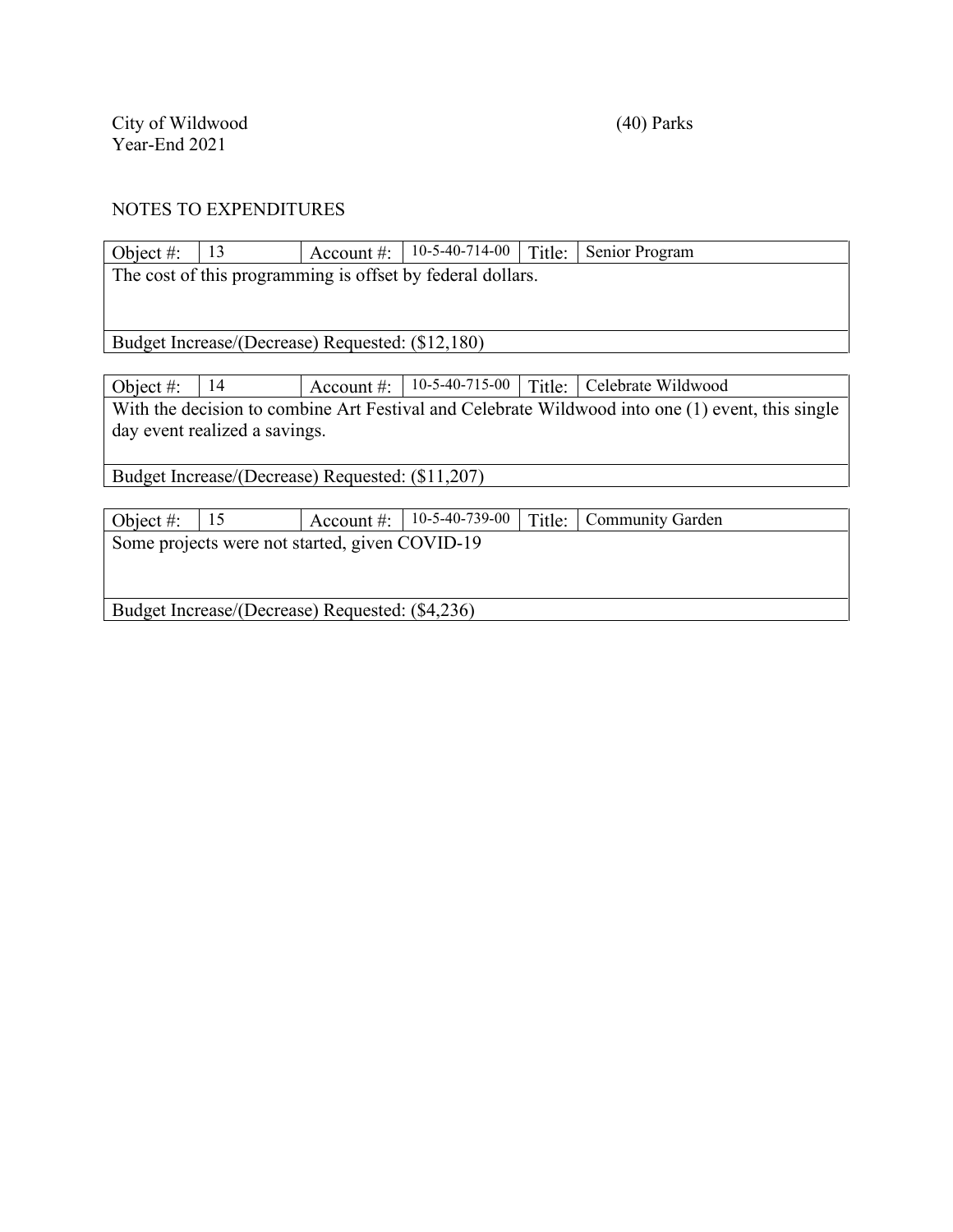| Object #:                                       | 13                                                         | Account $\#$ :                                   | $10-5-40-714-00$ | Title: | Senior Program                                                                                   |  |  |  |
|-------------------------------------------------|------------------------------------------------------------|--------------------------------------------------|------------------|--------|--------------------------------------------------------------------------------------------------|--|--|--|
|                                                 | The cost of this programming is offset by federal dollars. |                                                  |                  |        |                                                                                                  |  |  |  |
|                                                 |                                                            |                                                  |                  |        |                                                                                                  |  |  |  |
|                                                 |                                                            |                                                  |                  |        |                                                                                                  |  |  |  |
|                                                 | Budget Increase/(Decrease) Requested: (\$12,180)           |                                                  |                  |        |                                                                                                  |  |  |  |
|                                                 |                                                            |                                                  |                  |        |                                                                                                  |  |  |  |
| Object #:                                       | 14                                                         | Account $\#$ :                                   | $10-5-40-715-00$ | Title: | Celebrate Wildwood                                                                               |  |  |  |
|                                                 |                                                            |                                                  |                  |        | With the decision to combine Art Festival and Celebrate Wildwood into one (1) event, this single |  |  |  |
|                                                 | day event realized a savings.                              |                                                  |                  |        |                                                                                                  |  |  |  |
|                                                 |                                                            |                                                  |                  |        |                                                                                                  |  |  |  |
|                                                 |                                                            | Budget Increase/(Decrease) Requested: (\$11,207) |                  |        |                                                                                                  |  |  |  |
|                                                 |                                                            |                                                  |                  |        |                                                                                                  |  |  |  |
| Object #:                                       | 15                                                         | Account $\#$ :                                   | $10-5-40-739-00$ | Title: | <b>Community Garden</b>                                                                          |  |  |  |
| Some projects were not started, given COVID-19  |                                                            |                                                  |                  |        |                                                                                                  |  |  |  |
|                                                 |                                                            |                                                  |                  |        |                                                                                                  |  |  |  |
|                                                 |                                                            |                                                  |                  |        |                                                                                                  |  |  |  |
| Budget Increase/(Decrease) Requested: (\$4,236) |                                                            |                                                  |                  |        |                                                                                                  |  |  |  |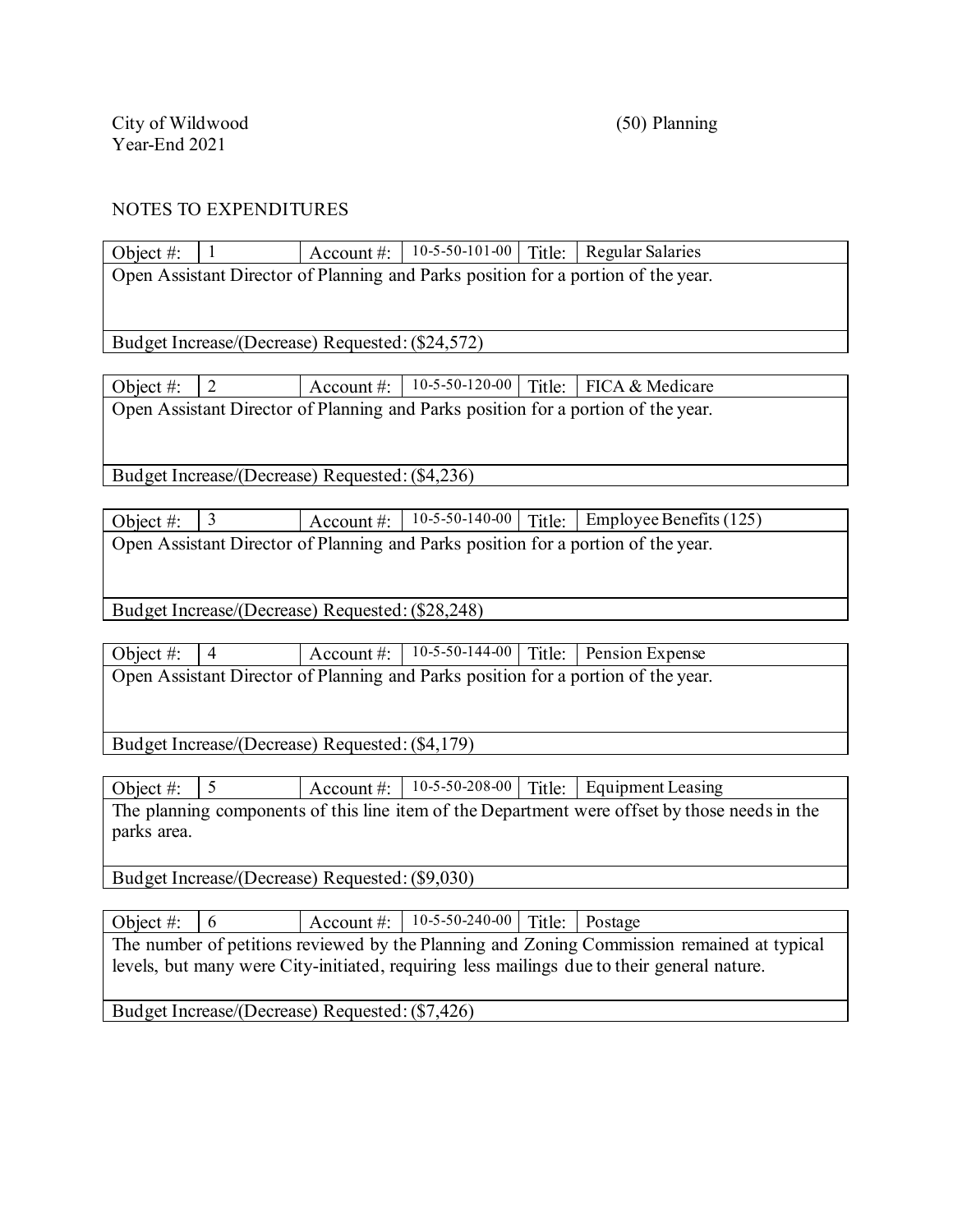Object  $\#$ :  $\begin{array}{|l|l|} 1 \end{array}$  Account  $\#$ :  $\begin{array}{|l|l|} 10-5-50-101-00 & \text{Title}$ : Regular Salaries Open Assistant Director of Planning and Parks position for a portion of the year.

Budget Increase/(Decrease) Requested:(\$24,572)

Object #:  $\begin{array}{|l|l|} 2 \end{array}$  Account #:  $\begin{array}{|l|l|} 10-5-50-120-00 \end{array}$  Title: FICA & Medicare Open Assistant Director of Planning and Parks position for a portion of the year.

Budget Increase/(Decrease) Requested:(\$4,236)

Object #:  $\begin{array}{|l|l|} \hline 3 & 4 \end{array}$  Account #:  $\begin{array}{|l|l|} \hline 10-5-50-140-00 & \hline \end{array}$  Title: Employee Benefits (125) Open Assistant Director of Planning and Parks position for a portion of the year.

Budget Increase/(Decrease) Requested:(\$28,248)

Object #: 4 Account #: 10-5-50-144-00 Title: Pension Expense Open Assistant Director of Planning and Parks position for a portion of the year.

Budget Increase/(Decrease) Requested:(\$4,179)

Object #:  $\begin{array}{|l|l|} 5 \end{array}$  Account #:  $\begin{array}{|l|l|} 10-5-50-208-00 & \text{Title:} & \text{Equipment Leasing} \end{array}$ The planning components of this line item of the Department were offset by those needs in the parks area.

Budget Increase/(Decrease) Requested:(\$9,030)

Object #:  $\begin{array}{|c|c|c|c|c|c|c|c|}\n\hline\n0 & Account & 10-5-50-240-00 & Title: Postage\n\end{array}$ 

The number of petitions reviewed by the Planning and Zoning Commission remained at typical levels, but many were City-initiated, requiring less mailings due to their general nature.

Budget Increase/(Decrease) Requested:(\$7,426)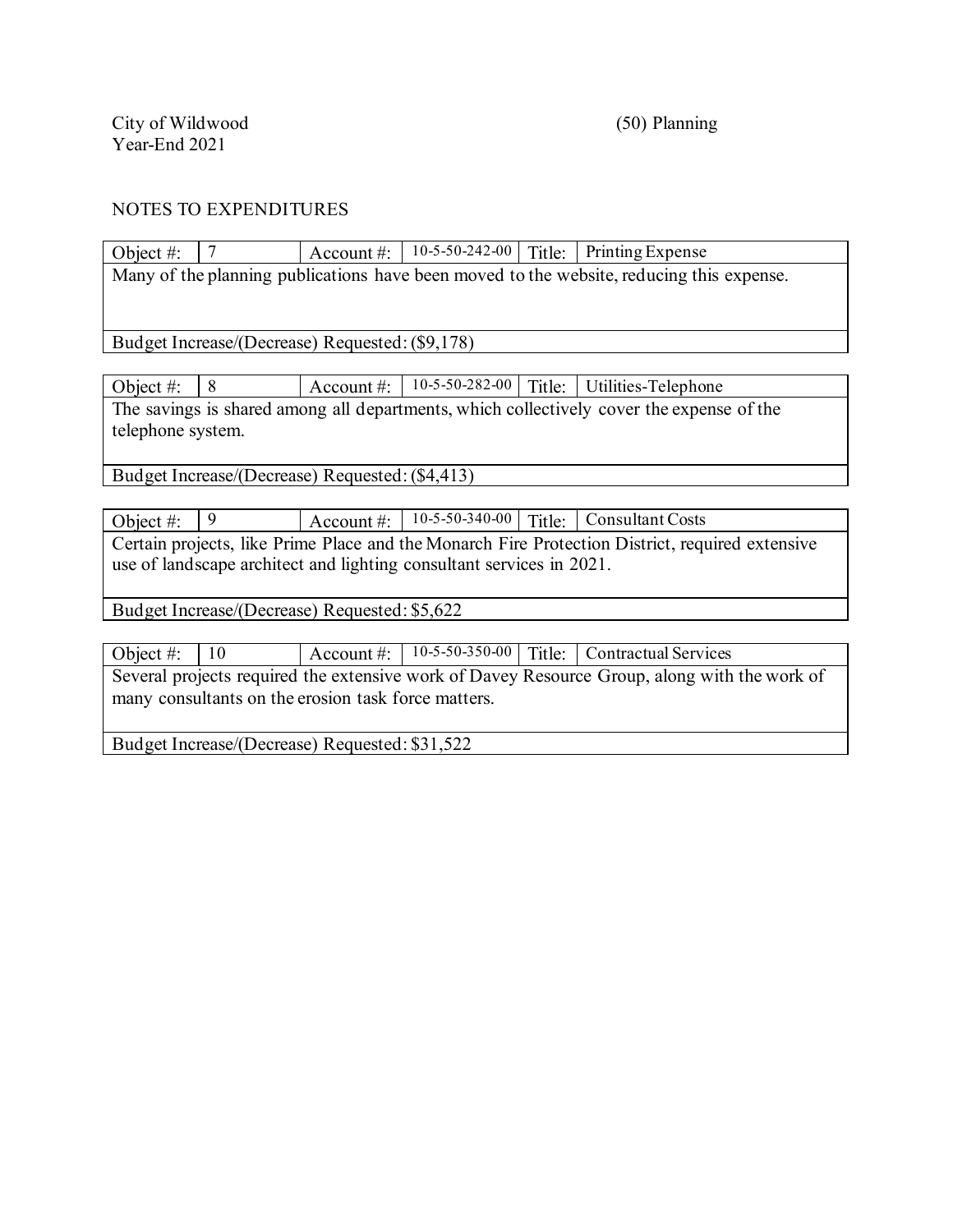| Object #:                                                                                |                                                                                          | Account $\#$ :                                  | $10-5-50-242-00$         | Title: | Printing Expense    |  |  |
|------------------------------------------------------------------------------------------|------------------------------------------------------------------------------------------|-------------------------------------------------|--------------------------|--------|---------------------|--|--|
|                                                                                          | Many of the planning publications have been moved to the website, reducing this expense. |                                                 |                          |        |                     |  |  |
|                                                                                          |                                                                                          |                                                 |                          |        |                     |  |  |
|                                                                                          |                                                                                          |                                                 |                          |        |                     |  |  |
|                                                                                          |                                                                                          | Budget Increase/(Decrease) Requested: (\$9,178) |                          |        |                     |  |  |
|                                                                                          |                                                                                          |                                                 |                          |        |                     |  |  |
| Object #:                                                                                | 8                                                                                        | Account $\#$ :                                  | $10 - 5 - 50 - 282 - 00$ | Title: | Utilities-Telephone |  |  |
| The savings is shared among all departments, which collectively cover the expense of the |                                                                                          |                                                 |                          |        |                     |  |  |
| telephone system.                                                                        |                                                                                          |                                                 |                          |        |                     |  |  |
|                                                                                          |                                                                                          |                                                 |                          |        |                     |  |  |

Budget Increase/(Decrease) Requested:(\$4,413)

Object #: 9 Account #: 10-5-50-340-00 Title: Consultant Costs Certain projects, like Prime Place and the Monarch Fire Protection District, required extensive use of landscape architect and lighting consultant services in 2021.

Budget Increase/(Decrease) Requested: \$5,622

Object #: 10 Account #: 10-5-50-350-00 Title: Contractual Services Several projects required the extensive work of Davey Resource Group, along with the work of many consultants on the erosion task force matters.

Budget Increase/(Decrease) Requested: \$31,522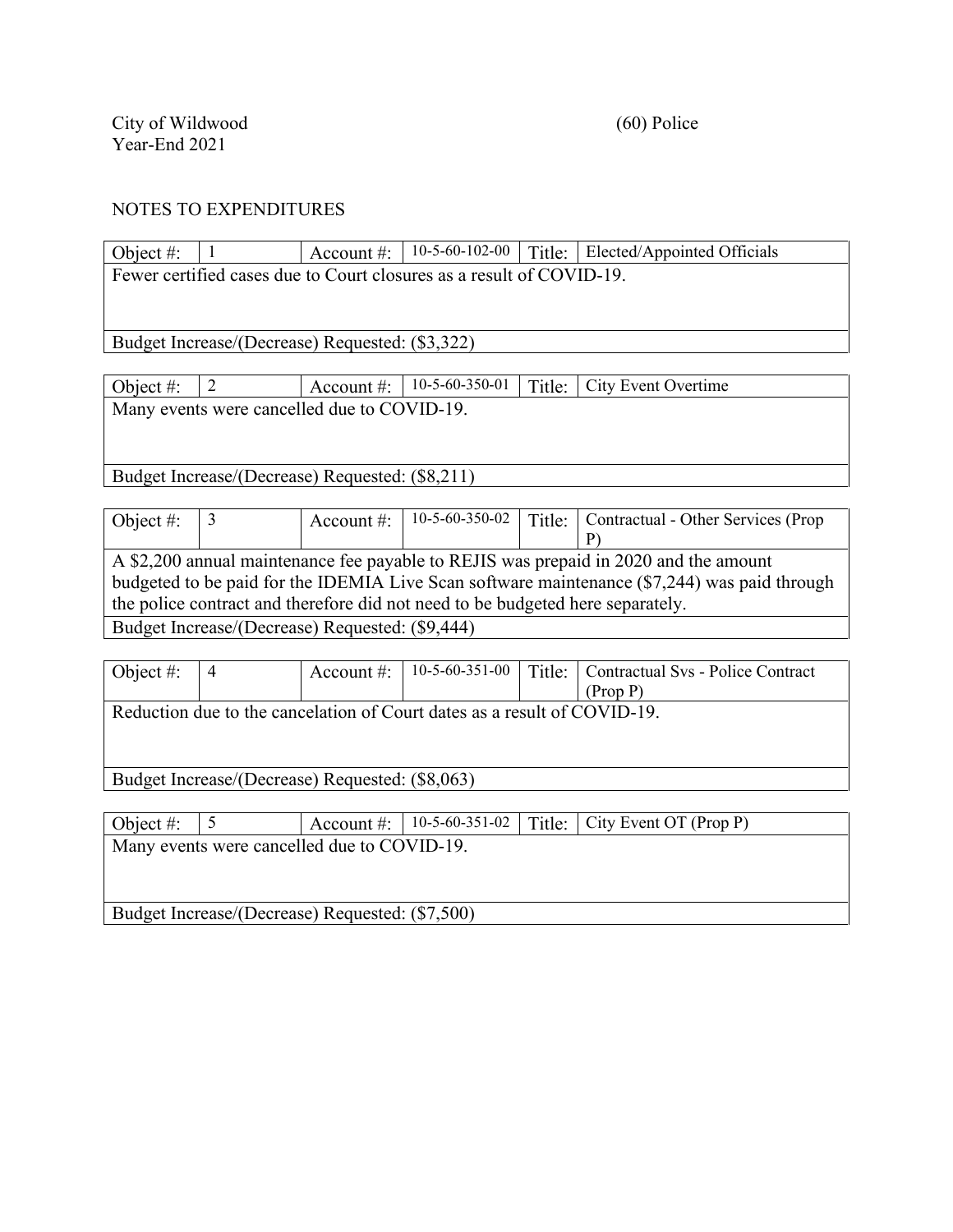| Object #:                                       |                                                 | Account $\#$ : | $10-5-60-102-00$                                                     | Title: | Elected/Appointed Officials        |  |
|-------------------------------------------------|-------------------------------------------------|----------------|----------------------------------------------------------------------|--------|------------------------------------|--|
|                                                 |                                                 |                | Fewer certified cases due to Court closures as a result of COVID-19. |        |                                    |  |
|                                                 |                                                 |                |                                                                      |        |                                    |  |
|                                                 |                                                 |                |                                                                      |        |                                    |  |
|                                                 | Budget Increase/(Decrease) Requested: (\$3,322) |                |                                                                      |        |                                    |  |
|                                                 |                                                 |                |                                                                      |        |                                    |  |
| Object #:                                       | 2                                               | Account $\#$ : | $10-5-60-350-01$                                                     | Title: | City Event Overtime                |  |
|                                                 | Many events were cancelled due to COVID-19.     |                |                                                                      |        |                                    |  |
|                                                 |                                                 |                |                                                                      |        |                                    |  |
|                                                 |                                                 |                |                                                                      |        |                                    |  |
| Budget Increase/(Decrease) Requested: (\$8,211) |                                                 |                |                                                                      |        |                                    |  |
|                                                 |                                                 |                |                                                                      |        |                                    |  |
| Object $#$ :                                    | 3                                               | Account #:     | $10-5-60-350-02$                                                     | Title: | Contractual - Other Services (Prop |  |
|                                                 |                                                 |                |                                                                      |        | P)                                 |  |

|  | A \$2,200 annual maintenance fee payable to REJIS was prepaid in 2020 and the amount         |
|--|----------------------------------------------------------------------------------------------|
|  | budgeted to be paid for the IDEMIA Live Scan software maintenance (\$7,244) was paid through |
|  | the police contract and therefore did not need to be budgeted here separately.               |
|  |                                                                                              |

Budget Increase/(Decrease) Requested: (\$9,444)

| Object #: | 4                                                                        | Account $\#$ : | $10-5-60-351-00$ | Title: | Contractual Svs - Police Contract |  |  |  |
|-----------|--------------------------------------------------------------------------|----------------|------------------|--------|-----------------------------------|--|--|--|
|           |                                                                          |                |                  |        | (Prop P)                          |  |  |  |
|           | Reduction due to the cancelation of Court dates as a result of COVID-19. |                |                  |        |                                   |  |  |  |
|           |                                                                          |                |                  |        |                                   |  |  |  |
|           |                                                                          |                |                  |        |                                   |  |  |  |
|           |                                                                          |                |                  |        |                                   |  |  |  |
|           | Budget Increase/(Decrease) Requested: (\$8,063)                          |                |                  |        |                                   |  |  |  |
|           |                                                                          |                |                  |        |                                   |  |  |  |
| Object #: |                                                                          | Account $\#$ : | $10-5-60-351-02$ | Title: | City Event OT (Prop P)            |  |  |  |
|           | Many events were cancelled due to COVID-19.                              |                |                  |        |                                   |  |  |  |
|           |                                                                          |                |                  |        |                                   |  |  |  |

Budget Increase/(Decrease) Requested: (\$7,500)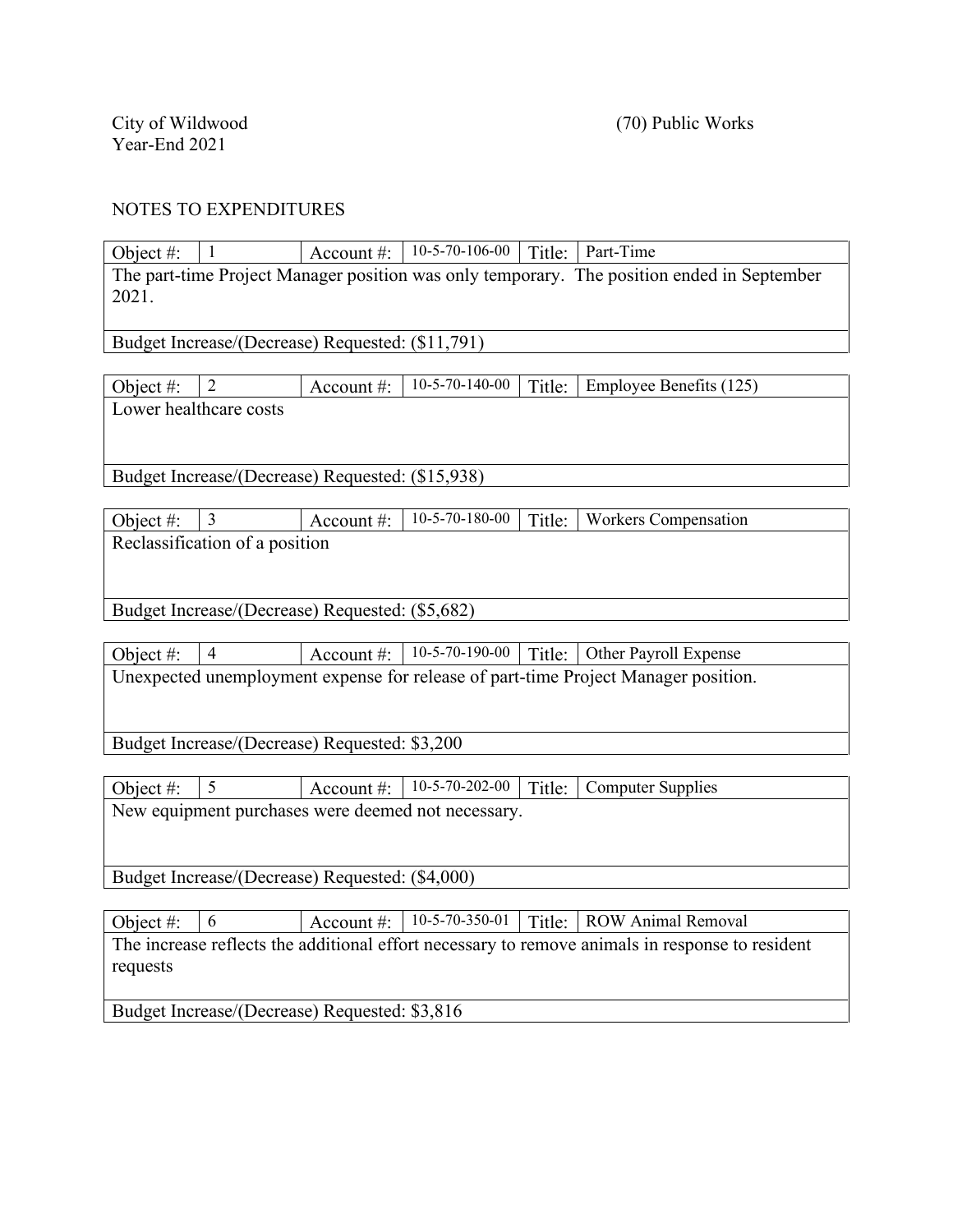| Object#:                                         | $\mathbf{1}$                   | Account #:                                       | 10-5-70-106-00   Title:   Part-Time                |        |                                                                                                 |  |  |  |
|--------------------------------------------------|--------------------------------|--------------------------------------------------|----------------------------------------------------|--------|-------------------------------------------------------------------------------------------------|--|--|--|
|                                                  |                                |                                                  |                                                    |        | The part-time Project Manager position was only temporary. The position ended in September      |  |  |  |
| 2021.                                            |                                |                                                  |                                                    |        |                                                                                                 |  |  |  |
| Budget Increase/(Decrease) Requested: (\$11,791) |                                |                                                  |                                                    |        |                                                                                                 |  |  |  |
|                                                  |                                |                                                  |                                                    |        |                                                                                                 |  |  |  |
| Object #:                                        | $\overline{2}$                 | Account#:                                        | 10-5-70-140-00                                     | Title: | Employee Benefits (125)                                                                         |  |  |  |
| Lower healthcare costs                           |                                |                                                  |                                                    |        |                                                                                                 |  |  |  |
|                                                  |                                |                                                  |                                                    |        |                                                                                                 |  |  |  |
|                                                  |                                | Budget Increase/(Decrease) Requested: (\$15,938) |                                                    |        |                                                                                                 |  |  |  |
|                                                  |                                |                                                  |                                                    |        |                                                                                                 |  |  |  |
| Object #:                                        | $\mathfrak{Z}$                 | Account#:                                        | $10-5-70-180-00$                                   | Title: | <b>Workers Compensation</b>                                                                     |  |  |  |
|                                                  | Reclassification of a position |                                                  |                                                    |        |                                                                                                 |  |  |  |
|                                                  |                                |                                                  |                                                    |        |                                                                                                 |  |  |  |
|                                                  |                                | Budget Increase/(Decrease) Requested: (\$5,682)  |                                                    |        |                                                                                                 |  |  |  |
|                                                  |                                |                                                  |                                                    |        |                                                                                                 |  |  |  |
| Object #:                                        | $\overline{4}$                 | Account#:                                        | $10-5-70-190-00$                                   | Title: | Other Payroll Expense                                                                           |  |  |  |
|                                                  |                                |                                                  |                                                    |        | Unexpected unemployment expense for release of part-time Project Manager position.              |  |  |  |
|                                                  |                                |                                                  |                                                    |        |                                                                                                 |  |  |  |
|                                                  |                                | Budget Increase/(Decrease) Requested: \$3,200    |                                                    |        |                                                                                                 |  |  |  |
|                                                  |                                |                                                  |                                                    |        |                                                                                                 |  |  |  |
| Object #:                                        | 5                              | Account $#$ :                                    | 10-5-70-202-00                                     | Title: | <b>Computer Supplies</b>                                                                        |  |  |  |
|                                                  |                                |                                                  | New equipment purchases were deemed not necessary. |        |                                                                                                 |  |  |  |
|                                                  |                                |                                                  |                                                    |        |                                                                                                 |  |  |  |
| Budget Increase/(Decrease) Requested: (\$4,000)  |                                |                                                  |                                                    |        |                                                                                                 |  |  |  |
|                                                  |                                |                                                  |                                                    |        |                                                                                                 |  |  |  |
| Object #:                                        | 6                              | Account #:                                       | 10-5-70-350-01                                     | Title: | <b>ROW Animal Removal</b>                                                                       |  |  |  |
|                                                  |                                |                                                  |                                                    |        | The increase reflects the additional effort necessary to remove animals in response to resident |  |  |  |
| requests                                         |                                |                                                  |                                                    |        |                                                                                                 |  |  |  |

Budget Increase/(Decrease) Requested: \$3,816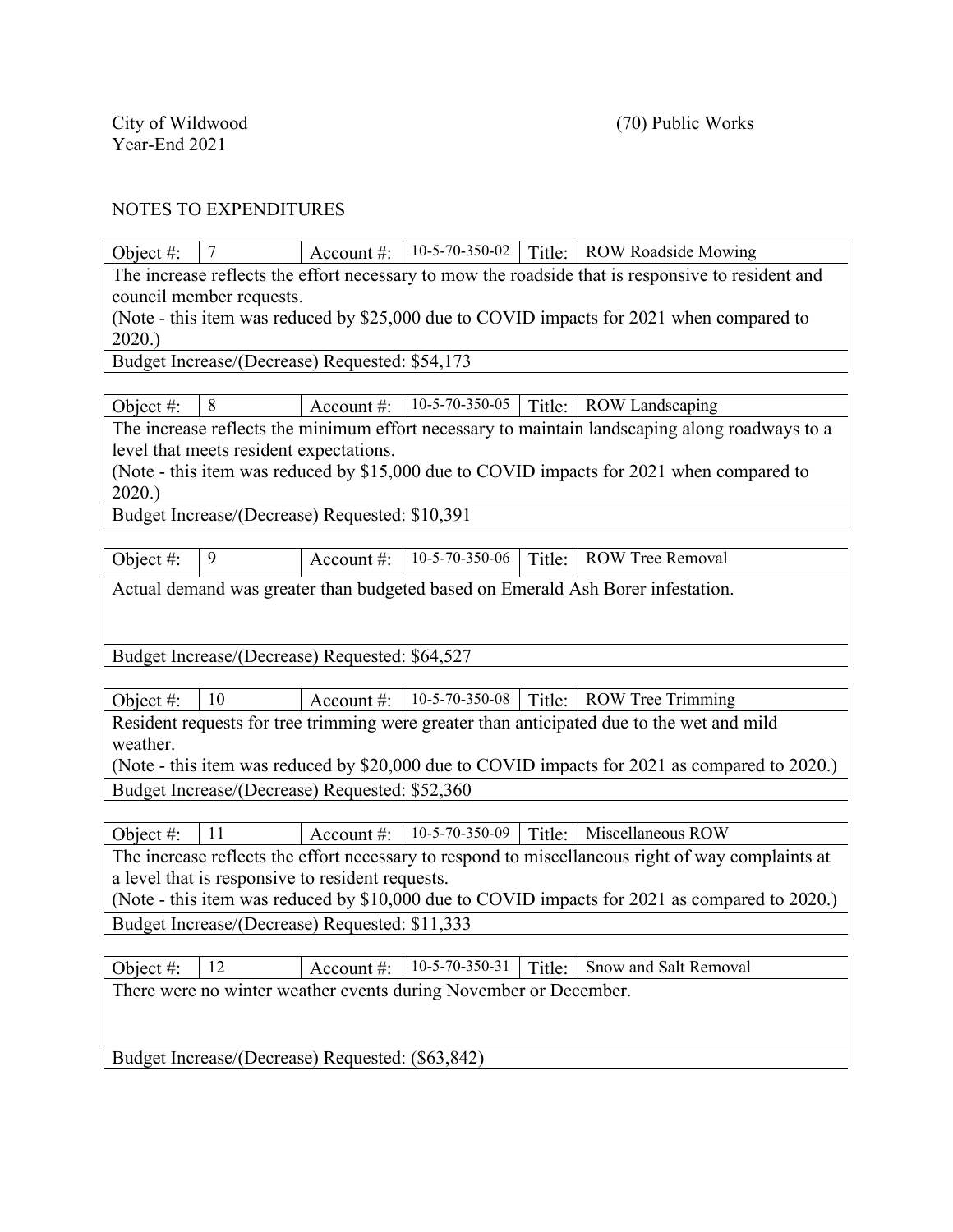Object #:  $\begin{array}{|l|l|} \hline \end{array}$  7  $\begin{array}{|l|}$  Account #:  $\begin{array}{|l|l|} \hline \end{array}$  10-5-70-350-02 Title: ROW Roadside Mowing The increase reflects the effort necessary to mow the roadside that is responsive to resident and council member requests.

(Note - this item was reduced by \$25,000 due to COVID impacts for 2021 when compared to 2020.)

Budget Increase/(Decrease) Requested: \$54,173

Object #:  $\begin{array}{|l|l|} 8 \end{array}$  Account #:  $\begin{array}{|l|l|} 10-5-70-350-05 & \text{Title:} & \text{Row Landscaping} \end{array}$ 

The increase reflects the minimum effort necessary to maintain landscaping along roadways to a level that meets resident expectations.

(Note - this item was reduced by \$15,000 due to COVID impacts for 2021 when compared to 2020.)

Budget Increase/(Decrease) Requested: \$10,391

| Object #: $ 9$                                                                  |  |  |  |  | $\vert$ Account #: $\vert$ 10-5-70-350-06 $\vert$ Title: ROW Tree Removal |  |  |  |  |
|---------------------------------------------------------------------------------|--|--|--|--|---------------------------------------------------------------------------|--|--|--|--|
| Actual demand was greater than budgeted based on Emerald Ash Borer infestation. |  |  |  |  |                                                                           |  |  |  |  |

Budget Increase/(Decrease) Requested: \$64,527

| Object #:                                                                                     | $\perp 10$ |  |  |  | Account #:   10-5-70-350-08   Title:   ROW Tree Trimming |  |  |  |
|-----------------------------------------------------------------------------------------------|------------|--|--|--|----------------------------------------------------------|--|--|--|
| Resident requests for tree trimming were greater than anticipated due to the wet and mild     |            |  |  |  |                                                          |  |  |  |
| weather.                                                                                      |            |  |  |  |                                                          |  |  |  |
| (Note - this item was reduced by \$20,000 due to COVID impacts for 2021 as compared to 2020.) |            |  |  |  |                                                          |  |  |  |
| Budget Increase/(Decrease) Requested: \$52,360                                                |            |  |  |  |                                                          |  |  |  |

Object #: 11 Account #: 10-5-70-350-09 Title: Miscellaneous ROW The increase reflects the effort necessary to respond to miscellaneous right of way complaints at a level that is responsive to resident requests. (Note - this item was reduced by \$10,000 due to COVID impacts for 2021 as compared to 2020.) Budget Increase/(Decrease) Requested: \$11,333

| Object #:                                                        | <sup>12</sup> |  |  |  | Account #: $  10-5-70-350-31  $ Title: Snow and Salt Removal |  |  |  |  |
|------------------------------------------------------------------|---------------|--|--|--|--------------------------------------------------------------|--|--|--|--|
| There were no winter weather events during November or December. |               |  |  |  |                                                              |  |  |  |  |
|                                                                  |               |  |  |  |                                                              |  |  |  |  |
|                                                                  |               |  |  |  |                                                              |  |  |  |  |
| Budget Increase/(Decrease) Requested: (\$63,842)                 |               |  |  |  |                                                              |  |  |  |  |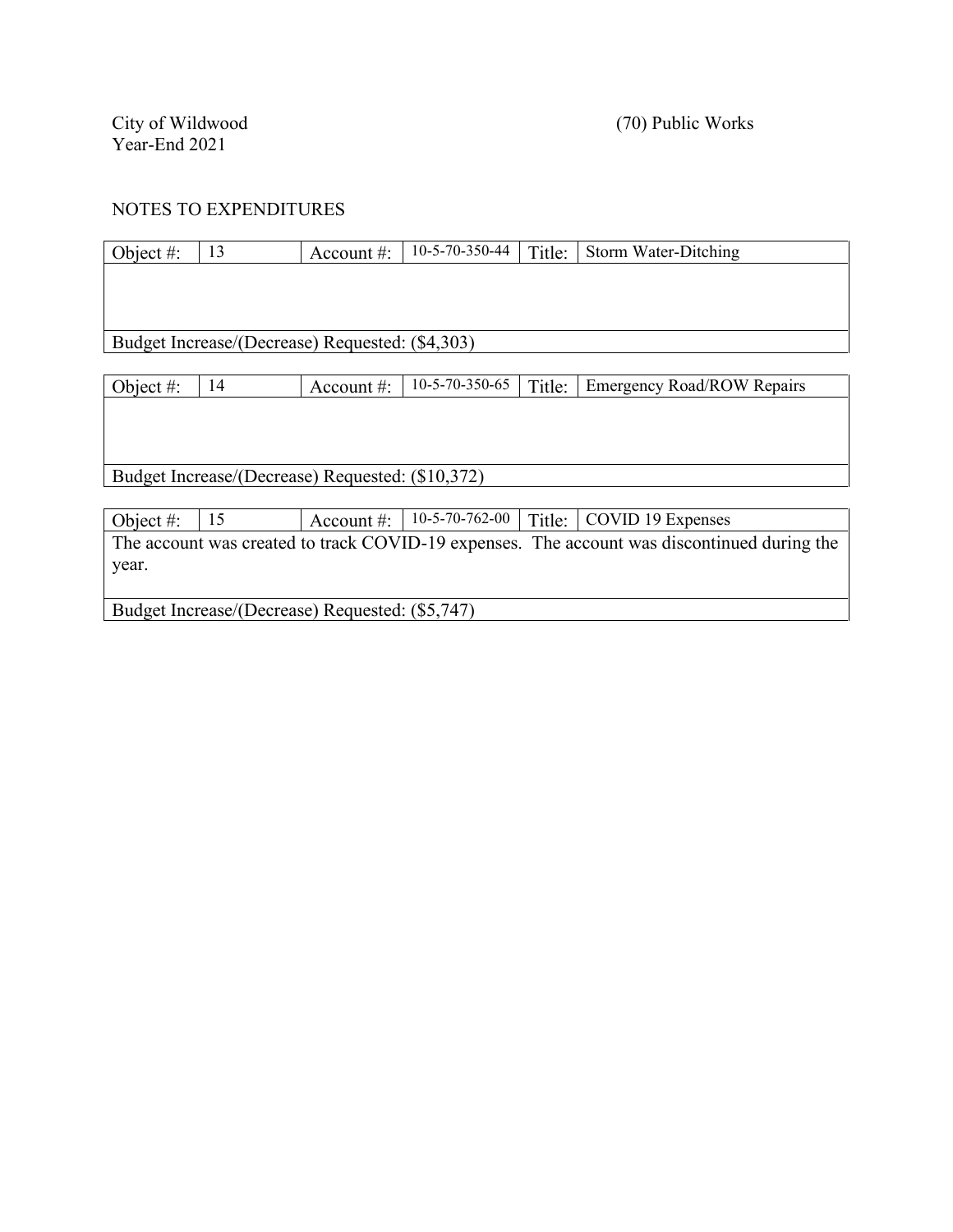Budget Increase/(Decrease) Requested: (\$5,747)

| Object $#$ : | 13                                               | Account $\#$ : | 10-5-70-350-44   | Title: | Storm Water-Ditching                                                                        |
|--------------|--------------------------------------------------|----------------|------------------|--------|---------------------------------------------------------------------------------------------|
|              |                                                  |                |                  |        |                                                                                             |
|              |                                                  |                |                  |        |                                                                                             |
|              |                                                  |                |                  |        |                                                                                             |
|              | Budget Increase/(Decrease) Requested: (\$4,303)  |                |                  |        |                                                                                             |
|              |                                                  |                |                  |        |                                                                                             |
| Object #:    | 14                                               | Account $\#$ : | 10-5-70-350-65   | Title: | <b>Emergency Road/ROW Repairs</b>                                                           |
|              |                                                  |                |                  |        |                                                                                             |
|              |                                                  |                |                  |        |                                                                                             |
|              |                                                  |                |                  |        |                                                                                             |
|              | Budget Increase/(Decrease) Requested: (\$10,372) |                |                  |        |                                                                                             |
|              |                                                  |                |                  |        |                                                                                             |
| Object $#$ : | 15                                               | Account $\#$ : | $10-5-70-762-00$ | Title: | COVID 19 Expenses                                                                           |
|              |                                                  |                |                  |        | The account was created to track COVID-19 expenses. The account was discontinued during the |
| year.        |                                                  |                |                  |        |                                                                                             |
|              |                                                  |                |                  |        |                                                                                             |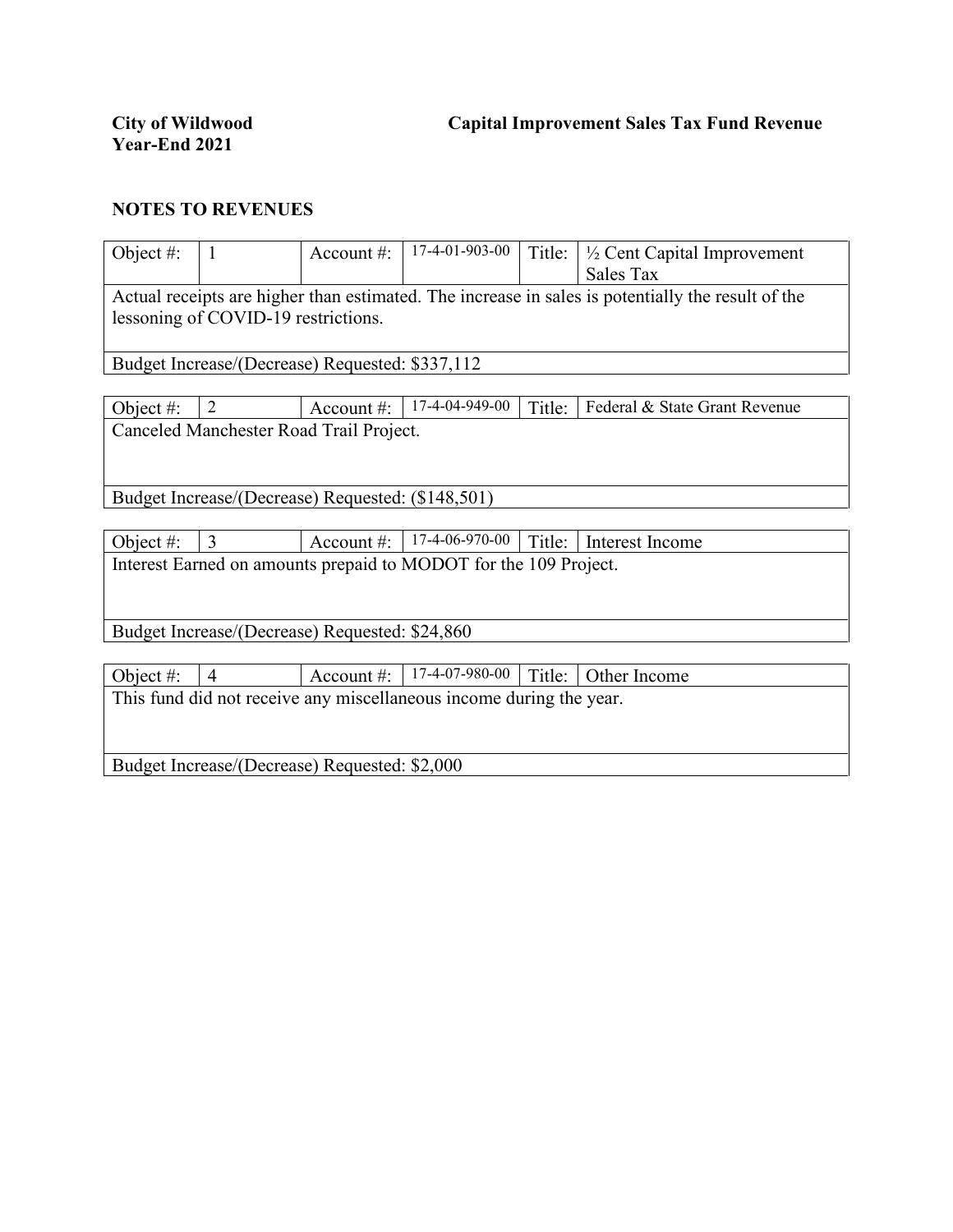| Object #:                                                                   | $\mathbf{1}$   | Account $#$ :                                     | 17-4-01-903-00                                                   | Title: | $\frac{1}{2}$ Cent Capital Improvement<br>Sales Tax                                               |  |  |  |
|-----------------------------------------------------------------------------|----------------|---------------------------------------------------|------------------------------------------------------------------|--------|---------------------------------------------------------------------------------------------------|--|--|--|
|                                                                             |                |                                                   |                                                                  |        | Actual receipts are higher than estimated. The increase in sales is potentially the result of the |  |  |  |
| lessoning of COVID-19 restrictions.                                         |                |                                                   |                                                                  |        |                                                                                                   |  |  |  |
|                                                                             |                | Budget Increase/(Decrease) Requested: \$337,112   |                                                                  |        |                                                                                                   |  |  |  |
|                                                                             |                |                                                   |                                                                  |        |                                                                                                   |  |  |  |
| Object $#$ :                                                                | $\overline{2}$ | Account $\#$ :                                    | 17-4-04-949-00                                                   | Title: | Federal & State Grant Revenue                                                                     |  |  |  |
|                                                                             |                | Canceled Manchester Road Trail Project.           |                                                                  |        |                                                                                                   |  |  |  |
|                                                                             |                |                                                   |                                                                  |        |                                                                                                   |  |  |  |
|                                                                             |                | Budget Increase/(Decrease) Requested: (\$148,501) |                                                                  |        |                                                                                                   |  |  |  |
|                                                                             |                |                                                   |                                                                  |        |                                                                                                   |  |  |  |
| Object #:                                                                   | $\overline{3}$ | Account #:                                        | 17-4-06-970-00                                                   | Title: | Interest Income                                                                                   |  |  |  |
|                                                                             |                |                                                   | Interest Earned on amounts prepaid to MODOT for the 109 Project. |        |                                                                                                   |  |  |  |
|                                                                             |                |                                                   |                                                                  |        |                                                                                                   |  |  |  |
|                                                                             |                |                                                   |                                                                  |        |                                                                                                   |  |  |  |
| Budget Increase/(Decrease) Requested: \$24,860                              |                |                                                   |                                                                  |        |                                                                                                   |  |  |  |
|                                                                             |                |                                                   |                                                                  |        |                                                                                                   |  |  |  |
| 17-4-07-980-00<br>Title:<br>Object #:<br>Account $#$ :<br>Other Income<br>4 |                |                                                   |                                                                  |        |                                                                                                   |  |  |  |
| This fund did not receive any miscellaneous income during the year.         |                |                                                   |                                                                  |        |                                                                                                   |  |  |  |
|                                                                             |                |                                                   |                                                                  |        |                                                                                                   |  |  |  |
|                                                                             |                |                                                   |                                                                  |        |                                                                                                   |  |  |  |

Budget Increase/(Decrease) Requested: \$2,000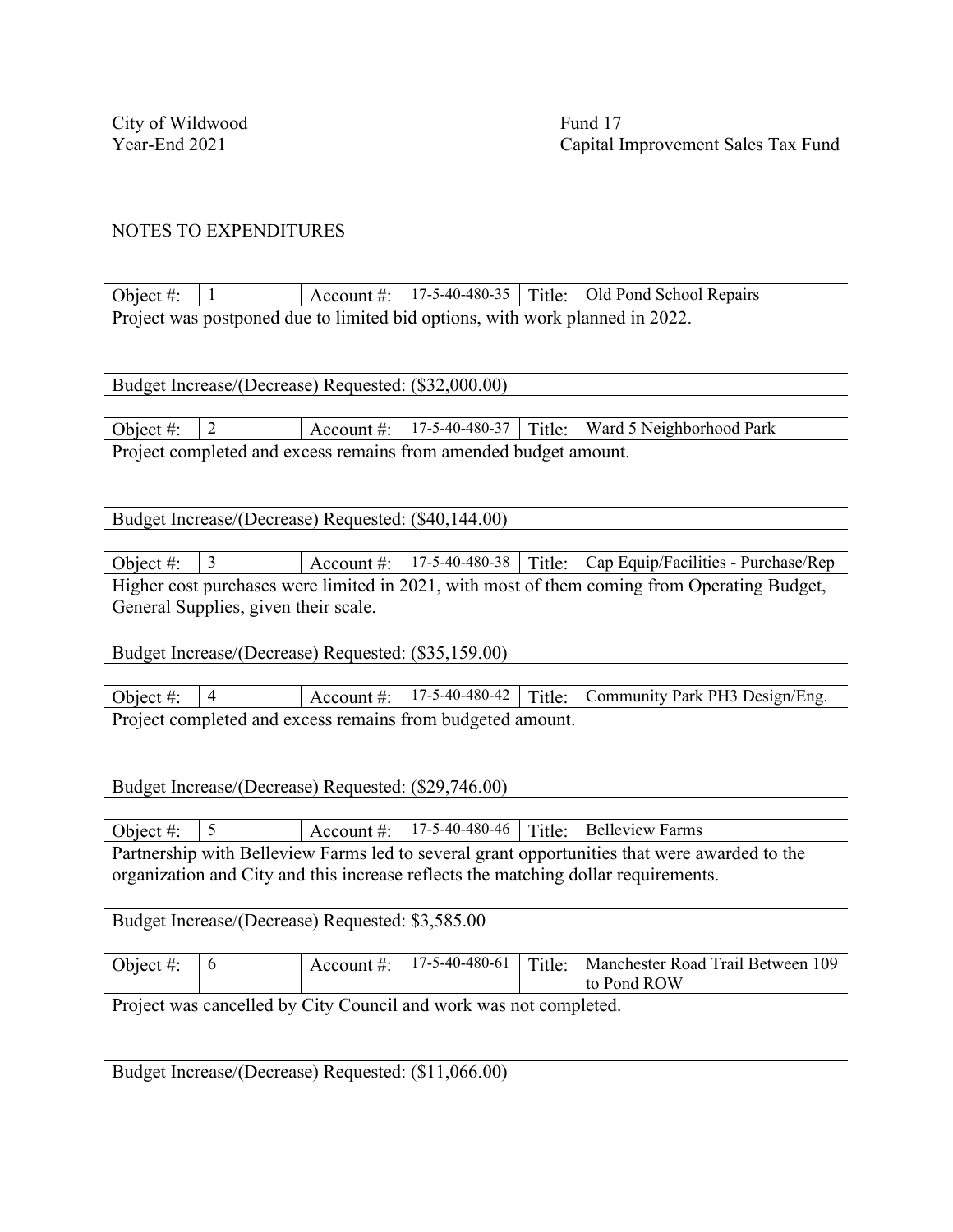Object  $\#$ :  $\begin{array}{|l|l|} 1 \end{array}$  Account  $\#$ :  $\begin{array}{|l|l|} 17-5-40-480-35 & \text{Title:} \end{array}$  Old Pond School Repairs Project was postponed due to limited bid options, with work planned in 2022.

Budget Increase/(Decrease) Requested: (\$32,000.00)

Object #:  $\begin{array}{|l|l|} 2 \end{array}$  Account #:  $\begin{array}{|l|l|} 17-5-40-480-37 & \text{Title:} \end{array}$  Ward 5 Neighborhood Park Project completed and excess remains from amended budget amount.

Budget Increase/(Decrease) Requested: (\$40,144.00)

Object #: 3 Account #: 17-5-40-480-38 Title: Cap Equip/Facilities - Purchase/Rep Higher cost purchases were limited in 2021, with most of them coming from Operating Budget, General Supplies, given their scale.

Budget Increase/(Decrease) Requested: (\$35,159.00)

Object #:  $\boxed{4}$  Account #:  $\boxed{17-5-40-480-42}$  Title: Community Park PH3 Design/Eng. Project completed and excess remains from budgeted amount.

Budget Increase/(Decrease) Requested: (\$29,746.00)

Object #:  $\begin{array}{|l|l|} 5 \end{array}$  Account #:  $\begin{array}{|l|l|} 17-5-40-480-46 & \text{Title:} & \text{Belleview Farms} \end{array}$ Partnership with Belleview Farms led to several grant opportunities that were awarded to the organization and City and this increase reflects the matching dollar requirements.

Budget Increase/(Decrease) Requested: \$3,585.00

| Object #:                                                         | l 6 |  | Account #:   17-5-40-480-61 |  | Title:   Manchester Road Trail Between 109 |  |  |  |  |
|-------------------------------------------------------------------|-----|--|-----------------------------|--|--------------------------------------------|--|--|--|--|
|                                                                   |     |  |                             |  | to Pond ROW                                |  |  |  |  |
| Project was cancelled by City Council and work was not completed. |     |  |                             |  |                                            |  |  |  |  |
|                                                                   |     |  |                             |  |                                            |  |  |  |  |
|                                                                   |     |  |                             |  |                                            |  |  |  |  |
| Budget Increase/(Decrease) Requested: (\$11,066.00)               |     |  |                             |  |                                            |  |  |  |  |
|                                                                   |     |  |                             |  |                                            |  |  |  |  |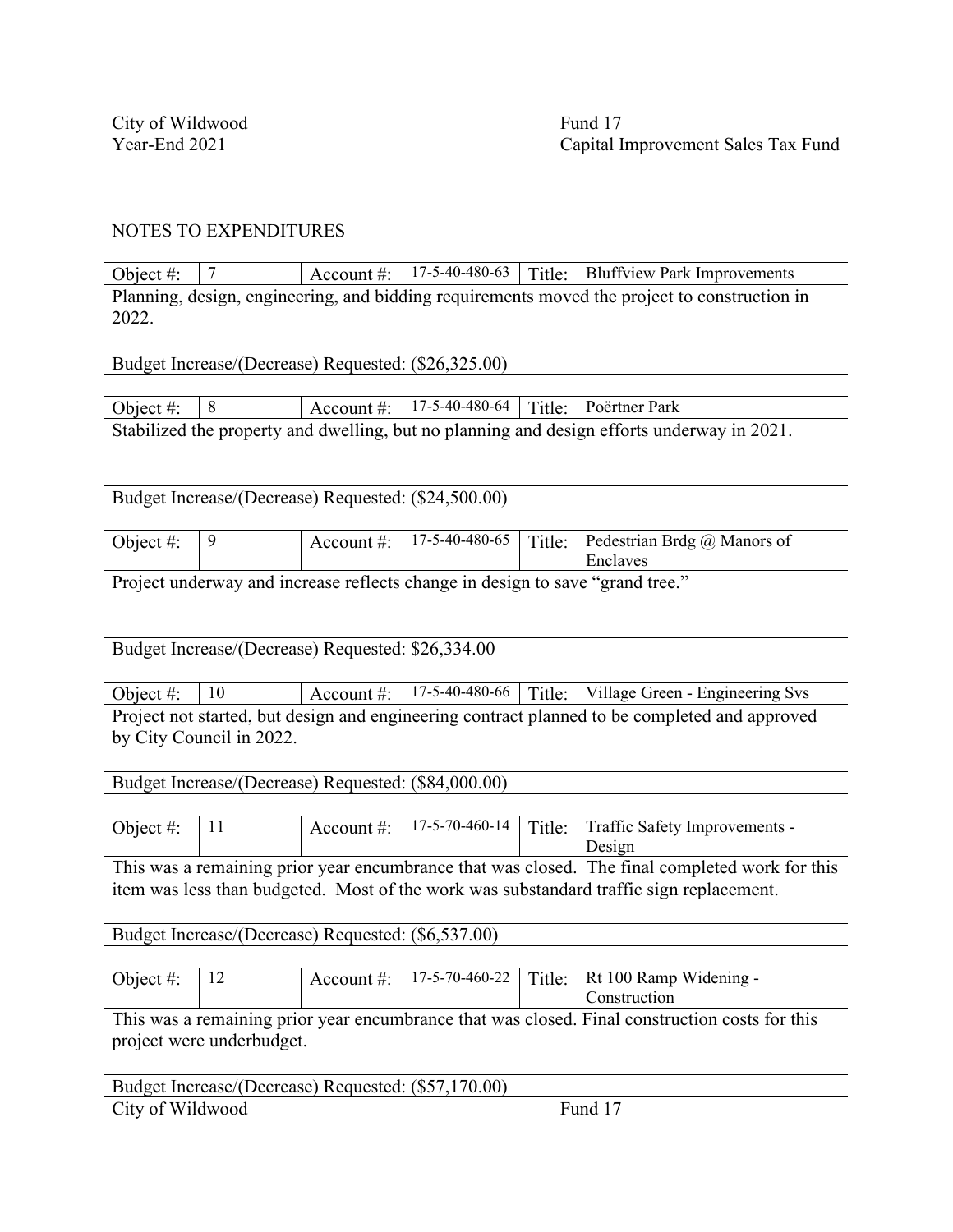Object #: 7 Account #: 17-5-40-480-63 Title: Bluffview Park Improvements Planning, design, engineering, and bidding requirements moved the project to construction in 2022.

Budget Increase/(Decrease) Requested: (\$26,325.00)

| Object #: $\mid 8$ |  | Account #:   17-5-40-480-64   Title:   Poërtner Park |                                                                                            |
|--------------------|--|------------------------------------------------------|--------------------------------------------------------------------------------------------|
|                    |  |                                                      | Stabilized the property and dwelling, but no planning and design efforts underway in 2021. |
|                    |  |                                                      |                                                                                            |

Budget Increase/(Decrease) Requested: (\$24,500.00)

| Object #: | Account $\#$ : |  | 17-5-40-480-65   Title:   Pedestrian Brdg @ Manors of |
|-----------|----------------|--|-------------------------------------------------------|
|           |                |  | Enclaves                                              |
| --        |                |  | $\sim$ $\sim$                                         |

Project underway and increase reflects change in design to save "grand tree."

Budget Increase/(Decrease) Requested: \$26,334.00

Object #: 10 Account #: 17-5-40-480-66 Title: Village Green - Engineering Svs Project not started, but design and engineering contract planned to be completed and approved by City Council in 2022.

Budget Increase/(Decrease) Requested: (\$84,000.00)

| Object #: $ 11 $                                                                                                                                                                          |  |  |  |  | Account #: $\vert$ 17-5-70-460-14 $\vert$ Title: Traffic Safety Improvements - |  |  |  |
|-------------------------------------------------------------------------------------------------------------------------------------------------------------------------------------------|--|--|--|--|--------------------------------------------------------------------------------|--|--|--|
|                                                                                                                                                                                           |  |  |  |  | Design                                                                         |  |  |  |
| This was a remaining prior year encumbrance that was closed. The final completed work for this<br>item was less than budgeted. Most of the work was substandard traffic sign replacement. |  |  |  |  |                                                                                |  |  |  |
| Budget Increase/(Decrease) Requested: (\$6,537.00)                                                                                                                                        |  |  |  |  |                                                                                |  |  |  |

Object #: 12 Account #: 17-5-70-460-22 Title: Rt 100 Ramp Widening -Construction This was a remaining prior year encumbrance that was closed. Final construction costs for this project were underbudget. Budget Increase/(Decrease) Requested: (\$57,170.00) City of Wildwood Fund 17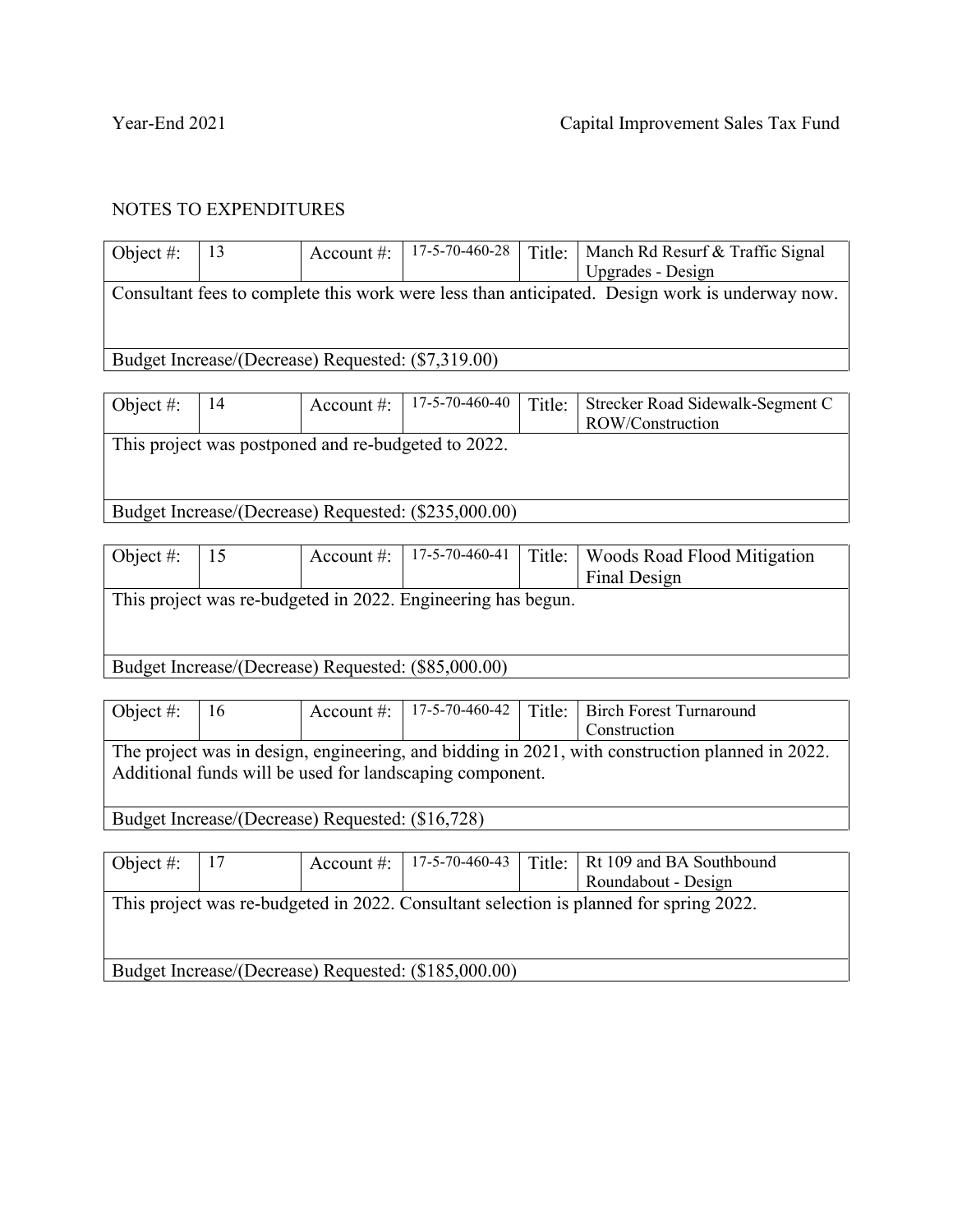| Object $#$ : | 13                                                  | Account $#$ :                                        | $17 - 5 - 70 - 460 - 28$ | Title: | Manch Rd Resurf & Traffic Signal                                                               |  |  |  |
|--------------|-----------------------------------------------------|------------------------------------------------------|--------------------------|--------|------------------------------------------------------------------------------------------------|--|--|--|
|              |                                                     |                                                      |                          |        | Upgrades - Design                                                                              |  |  |  |
|              |                                                     |                                                      |                          |        | Consultant fees to complete this work were less than anticipated. Design work is underway now. |  |  |  |
|              |                                                     |                                                      |                          |        |                                                                                                |  |  |  |
|              |                                                     |                                                      |                          |        |                                                                                                |  |  |  |
|              | Budget Increase/(Decrease) Requested: (\$7,319.00)  |                                                      |                          |        |                                                                                                |  |  |  |
|              |                                                     |                                                      |                          |        |                                                                                                |  |  |  |
| Object $#$ : | 14                                                  | Account $\#$ :                                       | $17 - 5 - 70 - 460 - 40$ | Title: | Strecker Road Sidewalk-Segment C                                                               |  |  |  |
|              |                                                     |                                                      |                          |        | ROW/Construction                                                                               |  |  |  |
|              | This project was postponed and re-budgeted to 2022. |                                                      |                          |        |                                                                                                |  |  |  |
|              |                                                     |                                                      |                          |        |                                                                                                |  |  |  |
|              |                                                     |                                                      |                          |        |                                                                                                |  |  |  |
|              |                                                     |                                                      |                          |        |                                                                                                |  |  |  |
|              |                                                     | Budget Increase/(Decrease) Requested: (\$235,000.00) |                          |        |                                                                                                |  |  |  |

| Object #:                                                    | 15 | Account #: $\vert$ | 17-5-70-460-41 |  | Title:   Woods Road Flood Mitigation |  |  |  |
|--------------------------------------------------------------|----|--------------------|----------------|--|--------------------------------------|--|--|--|
|                                                              |    |                    |                |  | Final Design                         |  |  |  |
| This project was re-budgeted in 2022. Engineering has begun. |    |                    |                |  |                                      |  |  |  |
|                                                              |    |                    |                |  |                                      |  |  |  |
|                                                              |    |                    |                |  |                                      |  |  |  |
| Budget Increase/(Decrease) Requested: (\$85,000.00)          |    |                    |                |  |                                      |  |  |  |
|                                                              |    |                    |                |  |                                      |  |  |  |

| Object #: $  16$                                 |  |  |                                                          |  | Account #: $\vert$ 17-5-70-460-42   Title:   Birch Forest Turnaround                            |  |  |  |
|--------------------------------------------------|--|--|----------------------------------------------------------|--|-------------------------------------------------------------------------------------------------|--|--|--|
|                                                  |  |  |                                                          |  | Construction                                                                                    |  |  |  |
|                                                  |  |  | Additional funds will be used for landscaping component. |  | The project was in design, engineering, and bidding in 2021, with construction planned in 2022. |  |  |  |
| Budget Increase/(Decrease) Requested: (\$16,728) |  |  |                                                          |  |                                                                                                 |  |  |  |

| Object #:                                            | $\mid$ 17 |  | Account #: $  17-5-70-460-43  $ |  | Title:   Rt 109 and BA Southbound                                                      |  |
|------------------------------------------------------|-----------|--|---------------------------------|--|----------------------------------------------------------------------------------------|--|
|                                                      |           |  |                                 |  | Roundabout - Design                                                                    |  |
|                                                      |           |  |                                 |  | This project was re-budgeted in 2022. Consultant selection is planned for spring 2022. |  |
| Budget Increase/(Decrease) Requested: (\$185,000.00) |           |  |                                 |  |                                                                                        |  |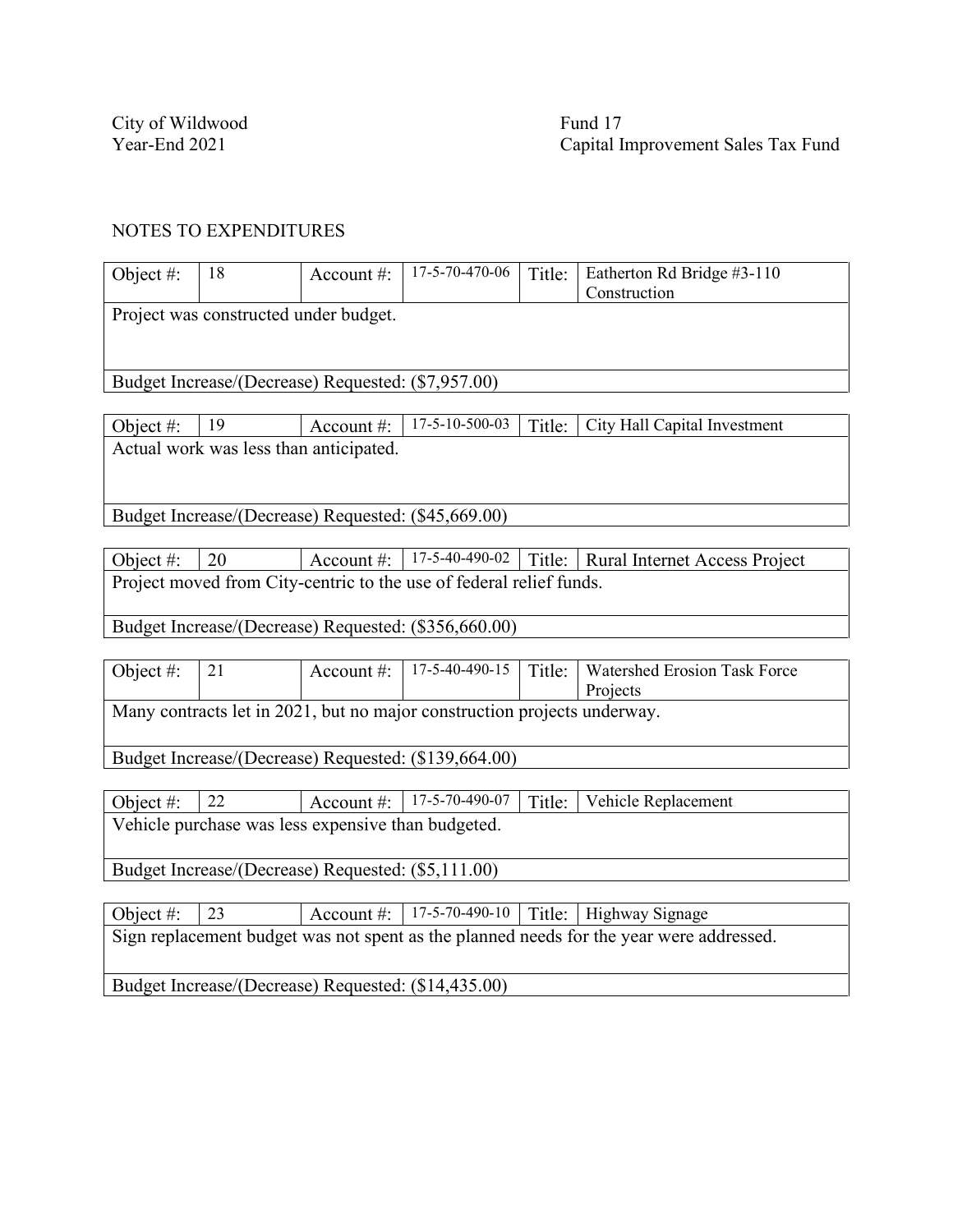City of Wildwood<br>
Year-End 2021<br>
Capital I

Capital Improvement Sales Tax Fund

#### NOTES TO EXPENDITURES

| Object #:                                                                               | 18                                                 | Account#:      | $17-5-70-470-06$                                                         | Title: | Eatherton Rd Bridge #3-110<br>Construction |  |  |  |  |
|-----------------------------------------------------------------------------------------|----------------------------------------------------|----------------|--------------------------------------------------------------------------|--------|--------------------------------------------|--|--|--|--|
|                                                                                         | Project was constructed under budget.              |                |                                                                          |        |                                            |  |  |  |  |
|                                                                                         |                                                    |                |                                                                          |        |                                            |  |  |  |  |
|                                                                                         | Budget Increase/(Decrease) Requested: (\$7,957.00) |                |                                                                          |        |                                            |  |  |  |  |
|                                                                                         |                                                    |                |                                                                          |        |                                            |  |  |  |  |
| Object #:                                                                               | 19                                                 | Account#:      | 17-5-10-500-03                                                           | Title: | City Hall Capital Investment               |  |  |  |  |
|                                                                                         | Actual work was less than anticipated.             |                |                                                                          |        |                                            |  |  |  |  |
|                                                                                         |                                                    |                |                                                                          |        |                                            |  |  |  |  |
|                                                                                         |                                                    |                |                                                                          |        |                                            |  |  |  |  |
|                                                                                         |                                                    |                | Budget Increase/(Decrease) Requested: (\$45,669.00)                      |        |                                            |  |  |  |  |
|                                                                                         |                                                    |                | 17-5-40-490-02                                                           |        |                                            |  |  |  |  |
| Object#:                                                                                | 20                                                 | Account #:     |                                                                          |        | Title:   Rural Internet Access Project     |  |  |  |  |
|                                                                                         |                                                    |                | Project moved from City-centric to the use of federal relief funds.      |        |                                            |  |  |  |  |
|                                                                                         |                                                    |                | Budget Increase/(Decrease) Requested: (\$356,660.00)                     |        |                                            |  |  |  |  |
|                                                                                         |                                                    |                |                                                                          |        |                                            |  |  |  |  |
| Object #:                                                                               | 21                                                 | Account #:     | 17-5-40-490-15                                                           | Title: | Watershed Erosion Task Force<br>Projects   |  |  |  |  |
|                                                                                         |                                                    |                | Many contracts let in 2021, but no major construction projects underway. |        |                                            |  |  |  |  |
|                                                                                         |                                                    |                |                                                                          |        |                                            |  |  |  |  |
|                                                                                         |                                                    |                | Budget Increase/(Decrease) Requested: (\$139,664.00)                     |        |                                            |  |  |  |  |
|                                                                                         |                                                    |                |                                                                          |        |                                            |  |  |  |  |
| Object #:                                                                               | 22                                                 | Account $\#$ : | 17-5-70-490-07                                                           | Title: | Vehicle Replacement                        |  |  |  |  |
| Vehicle purchase was less expensive than budgeted.                                      |                                                    |                |                                                                          |        |                                            |  |  |  |  |
| Budget Increase/(Decrease) Requested: (\$5,111.00)                                      |                                                    |                |                                                                          |        |                                            |  |  |  |  |
|                                                                                         |                                                    |                |                                                                          |        |                                            |  |  |  |  |
| Object #:                                                                               | 23                                                 |                | Account #: $  17-5-70-490-10$                                            |        | Title: Highway Signage                     |  |  |  |  |
| Sign replacement budget was not spent as the planned needs for the year were addressed. |                                                    |                |                                                                          |        |                                            |  |  |  |  |

Budget Increase/(Decrease) Requested: (\$14,435.00)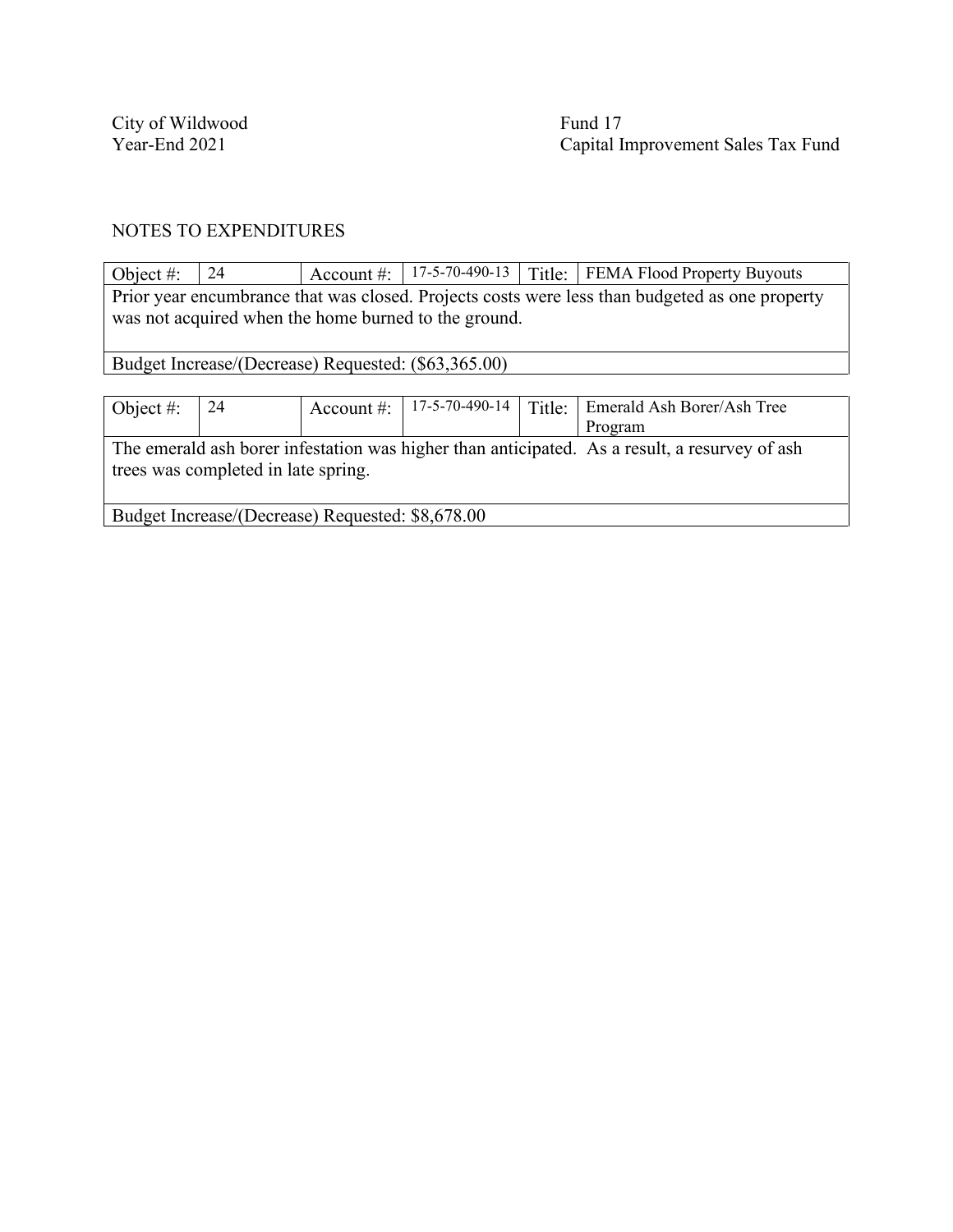City of Wildwood Fund 17

Year-End 2021 Capital Improvement Sales Tax Fund

#### NOTES TO EXPENDITURES

Object #: 24 Account #: 17-5-70-490-13 Title: FEMA Flood Property Buyouts Prior year encumbrance that was closed. Projects costs were less than budgeted as one property was not acquired when the home burned to the ground. Budget Increase/(Decrease) Requested: (\$63,365.00) Object #: 24 Account #: 17-5-70-490-14 Title: Emerald Ash Borer/Ash Tree Program The emerald ash borer infestation was higher than anticipated. As a result, a resurvey of ash trees was completed in late spring. Budget Increase/(Decrease) Requested: \$8,678.00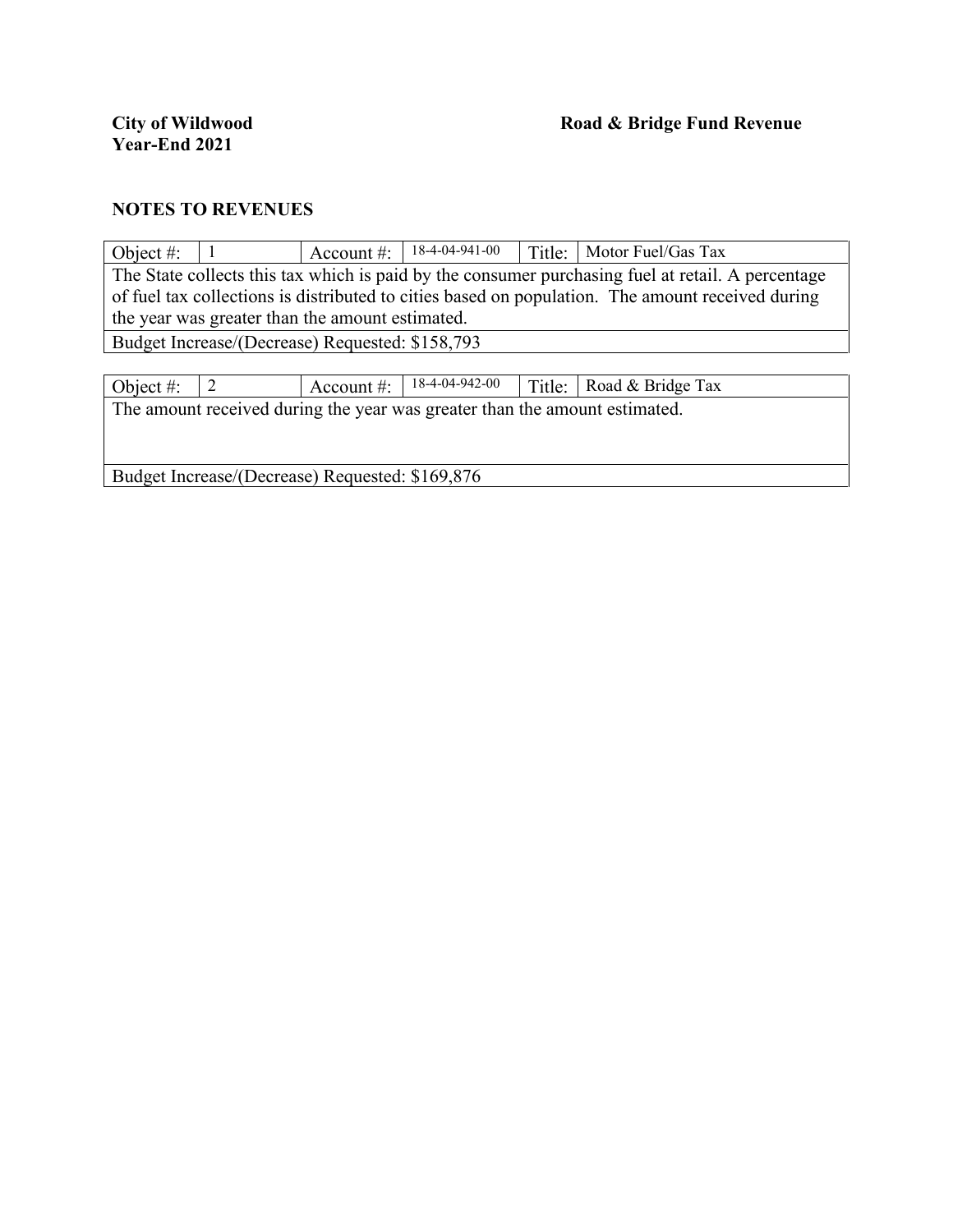| Object #: |                                                                                                   | Account $\#$ :                                  | $18-4-04-941-00$ | Title: | Motor Fuel/Gas Tax                                                                               |  |  |  |  |
|-----------|---------------------------------------------------------------------------------------------------|-------------------------------------------------|------------------|--------|--------------------------------------------------------------------------------------------------|--|--|--|--|
|           | The State collects this tax which is paid by the consumer purchasing fuel at retail. A percentage |                                                 |                  |        |                                                                                                  |  |  |  |  |
|           |                                                                                                   |                                                 |                  |        | of fuel tax collections is distributed to cities based on population. The amount received during |  |  |  |  |
|           |                                                                                                   | the year was greater than the amount estimated. |                  |        |                                                                                                  |  |  |  |  |
|           |                                                                                                   | Budget Increase/(Decrease) Requested: \$158,793 |                  |        |                                                                                                  |  |  |  |  |
|           |                                                                                                   |                                                 |                  |        |                                                                                                  |  |  |  |  |
| Object #: |                                                                                                   | Account $\#$ :                                  | 18-4-04-942-00   | Title: | Road & Bridge Tax                                                                                |  |  |  |  |
|           | The amount received during the year was greater than the amount estimated.                        |                                                 |                  |        |                                                                                                  |  |  |  |  |
|           |                                                                                                   |                                                 |                  |        |                                                                                                  |  |  |  |  |
|           |                                                                                                   |                                                 |                  |        |                                                                                                  |  |  |  |  |
|           | Budget Increase/(Decrease) Requested: \$169,876                                                   |                                                 |                  |        |                                                                                                  |  |  |  |  |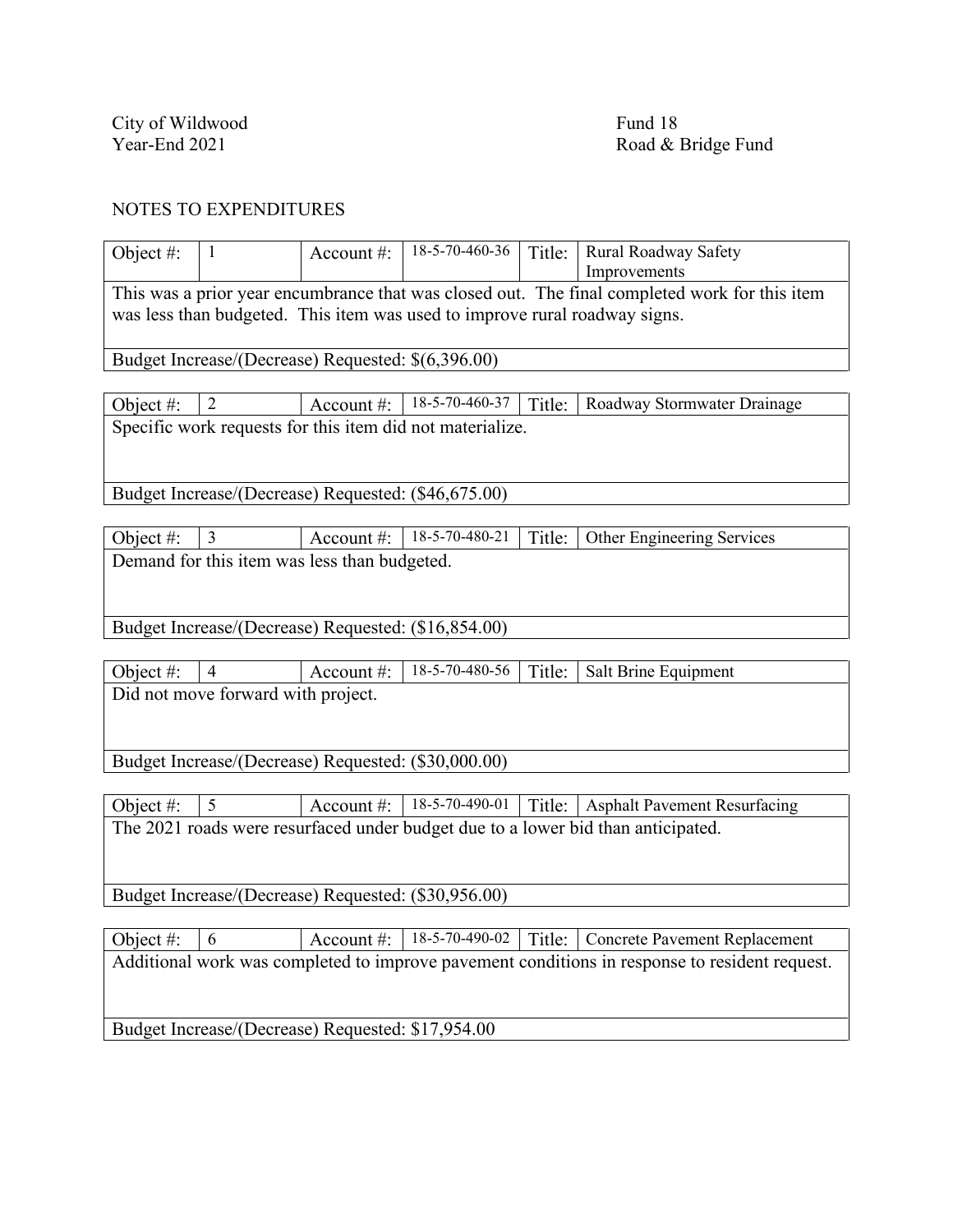City of Wildwood<br>
Year-End 2021<br>
Road & J

Road & Bridge Fund

#### NOTES TO EXPENDITURES

| Object $#$ :                                        | $\mathbf{1}$                                       | Account $#$ : | 18-5-70-460-36                                                             | Title: | Rural Roadway Safety                                                                          |  |  |
|-----------------------------------------------------|----------------------------------------------------|---------------|----------------------------------------------------------------------------|--------|-----------------------------------------------------------------------------------------------|--|--|
|                                                     |                                                    |               |                                                                            |        | Improvements                                                                                  |  |  |
|                                                     |                                                    |               |                                                                            |        | This was a prior year encumbrance that was closed out. The final completed work for this item |  |  |
|                                                     |                                                    |               | was less than budgeted. This item was used to improve rural roadway signs. |        |                                                                                               |  |  |
|                                                     |                                                    |               |                                                                            |        |                                                                                               |  |  |
|                                                     | Budget Increase/(Decrease) Requested: \$(6,396.00) |               |                                                                            |        |                                                                                               |  |  |
|                                                     |                                                    |               |                                                                            |        |                                                                                               |  |  |
| Object #:                                           | $\overline{2}$                                     | Account #:    | 18-5-70-460-37                                                             | Title: | Roadway Stormwater Drainage                                                                   |  |  |
|                                                     |                                                    |               | Specific work requests for this item did not materialize.                  |        |                                                                                               |  |  |
|                                                     |                                                    |               |                                                                            |        |                                                                                               |  |  |
|                                                     |                                                    |               |                                                                            |        |                                                                                               |  |  |
|                                                     |                                                    |               | Budget Increase/(Decrease) Requested: (\$46,675.00)                        |        |                                                                                               |  |  |
|                                                     |                                                    |               |                                                                            |        |                                                                                               |  |  |
| Object $#$ :                                        | $\overline{3}$                                     | Account $#$ : | 18-5-70-480-21                                                             | Title: | Other Engineering Services                                                                    |  |  |
|                                                     | Demand for this item was less than budgeted.       |               |                                                                            |        |                                                                                               |  |  |
|                                                     |                                                    |               |                                                                            |        |                                                                                               |  |  |
|                                                     |                                                    |               |                                                                            |        |                                                                                               |  |  |
|                                                     |                                                    |               | Budget Increase/(Decrease) Requested: (\$16,854.00)                        |        |                                                                                               |  |  |
|                                                     |                                                    |               |                                                                            |        |                                                                                               |  |  |
| Object #:                                           | $\overline{4}$                                     | Account #:    | 18-5-70-480-56                                                             | Title: | Salt Brine Equipment                                                                          |  |  |
|                                                     | Did not move forward with project.                 |               |                                                                            |        |                                                                                               |  |  |
|                                                     |                                                    |               |                                                                            |        |                                                                                               |  |  |
|                                                     |                                                    |               |                                                                            |        |                                                                                               |  |  |
|                                                     |                                                    |               |                                                                            |        |                                                                                               |  |  |
| Budget Increase/(Decrease) Requested: (\$30,000.00) |                                                    |               |                                                                            |        |                                                                                               |  |  |
|                                                     |                                                    |               |                                                                            |        |                                                                                               |  |  |
| Object #:                                           | 5                                                  | Account $#$ : | 18-5-70-490-01                                                             |        | Title:   Asphalt Pavement Resurfacing                                                         |  |  |
|                                                     |                                                    |               |                                                                            |        | The 2021 roads were resurfaced under budget due to a lower bid than anticipated.              |  |  |
|                                                     |                                                    |               |                                                                            |        |                                                                                               |  |  |

Budget Increase/(Decrease) Requested: (\$30,956.00)

Object #:  $\begin{array}{|l|l|}\n\hline\n6 & \text{Account #:} \end{array}$  18-5-70-490-02 Title: Concrete Pavement Replacement Additional work was completed to improve pavement conditions in response to resident request. Budget Increase/(Decrease) Requested: \$17,954.00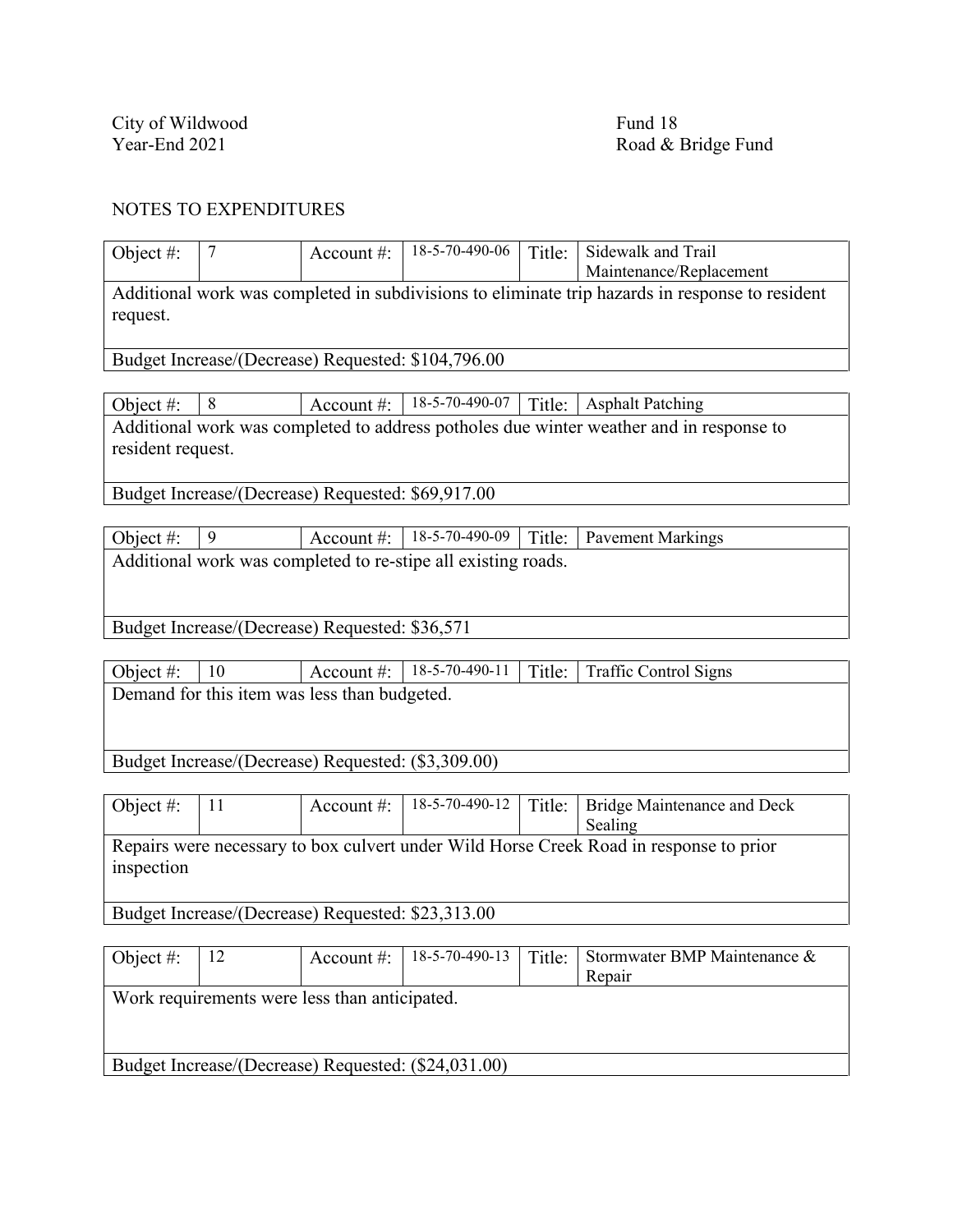City of Wildwood<br>
Year-End 2021<br>
Road & 1

Road & Bridge Fund

#### NOTES TO EXPENDITURES

| Object #:                                                                                                   |                                                   | Account $#$ :                | 18-5-70-490-06                                     | Title: | Sidewalk and Trail                                                                      |  |  |  |
|-------------------------------------------------------------------------------------------------------------|---------------------------------------------------|------------------------------|----------------------------------------------------|--------|-----------------------------------------------------------------------------------------|--|--|--|
|                                                                                                             |                                                   |                              |                                                    |        | Maintenance/Replacement                                                                 |  |  |  |
| Additional work was completed in subdivisions to eliminate trip hazards in response to resident<br>request. |                                                   |                              |                                                    |        |                                                                                         |  |  |  |
|                                                                                                             |                                                   |                              | Budget Increase/(Decrease) Requested: \$104,796.00 |        |                                                                                         |  |  |  |
|                                                                                                             |                                                   |                              |                                                    |        |                                                                                         |  |  |  |
| Object #:                                                                                                   | 8                                                 | Account $\#$ :               | 18-5-70-490-07                                     | Title: | <b>Asphalt Patching</b>                                                                 |  |  |  |
|                                                                                                             |                                                   |                              |                                                    |        | Additional work was completed to address potholes due winter weather and in response to |  |  |  |
| resident request.                                                                                           |                                                   |                              |                                                    |        |                                                                                         |  |  |  |
|                                                                                                             | Budget Increase/(Decrease) Requested: \$69,917.00 |                              |                                                    |        |                                                                                         |  |  |  |
|                                                                                                             |                                                   |                              |                                                    |        |                                                                                         |  |  |  |
| Object #:                                                                                                   | 9                                                 | Account #:                   | 18-5-70-490-09                                     | Title: | <b>Pavement Markings</b>                                                                |  |  |  |
| Additional work was completed to re-stipe all existing roads.                                               |                                                   |                              |                                                    |        |                                                                                         |  |  |  |
|                                                                                                             |                                                   |                              |                                                    |        |                                                                                         |  |  |  |
|                                                                                                             |                                                   |                              |                                                    |        |                                                                                         |  |  |  |
| $T = 1$                                                                                                     | $\sqrt{D}$                                        | $\sqrt{D}$ $1$ $0.02$ $7.71$ |                                                    |        |                                                                                         |  |  |  |

Budget Increase/(Decrease) Requested: \$36,571

| Object #: $  10$ |                                              |  |  |  | $\vert$ Account #: $\vert$ 18-5-70-490-11 $\vert$ Title: Traffic Control Signs |  |  |  |
|------------------|----------------------------------------------|--|--|--|--------------------------------------------------------------------------------|--|--|--|
|                  | Demand for this item was less than budgeted. |  |  |  |                                                                                |  |  |  |
|                  |                                              |  |  |  |                                                                                |  |  |  |

Budget Increase/(Decrease) Requested: (\$3,309.00)

| Object #:                                         | $\vert$ 11 | Account #: |  |  | 18-5-70-490-12   Title:   Bridge Maintenance and Deck                                  |  |  |
|---------------------------------------------------|------------|------------|--|--|----------------------------------------------------------------------------------------|--|--|
|                                                   |            |            |  |  | Sealing                                                                                |  |  |
| inspection                                        |            |            |  |  | Repairs were necessary to box culvert under Wild Horse Creek Road in response to prior |  |  |
| Budget Increase/(Decrease) Requested: \$23,313.00 |            |            |  |  |                                                                                        |  |  |

| Object #:                                           | 12                                            | Account $#$ : | $18-5-70-490-13$ | Title: | Stormwater BMP Maintenance & |  |  |  |  |
|-----------------------------------------------------|-----------------------------------------------|---------------|------------------|--------|------------------------------|--|--|--|--|
|                                                     |                                               |               |                  |        | Repair                       |  |  |  |  |
|                                                     | Work requirements were less than anticipated. |               |                  |        |                              |  |  |  |  |
|                                                     |                                               |               |                  |        |                              |  |  |  |  |
|                                                     |                                               |               |                  |        |                              |  |  |  |  |
| Budget Increase/(Decrease) Requested: (\$24,031.00) |                                               |               |                  |        |                              |  |  |  |  |
|                                                     |                                               |               |                  |        |                              |  |  |  |  |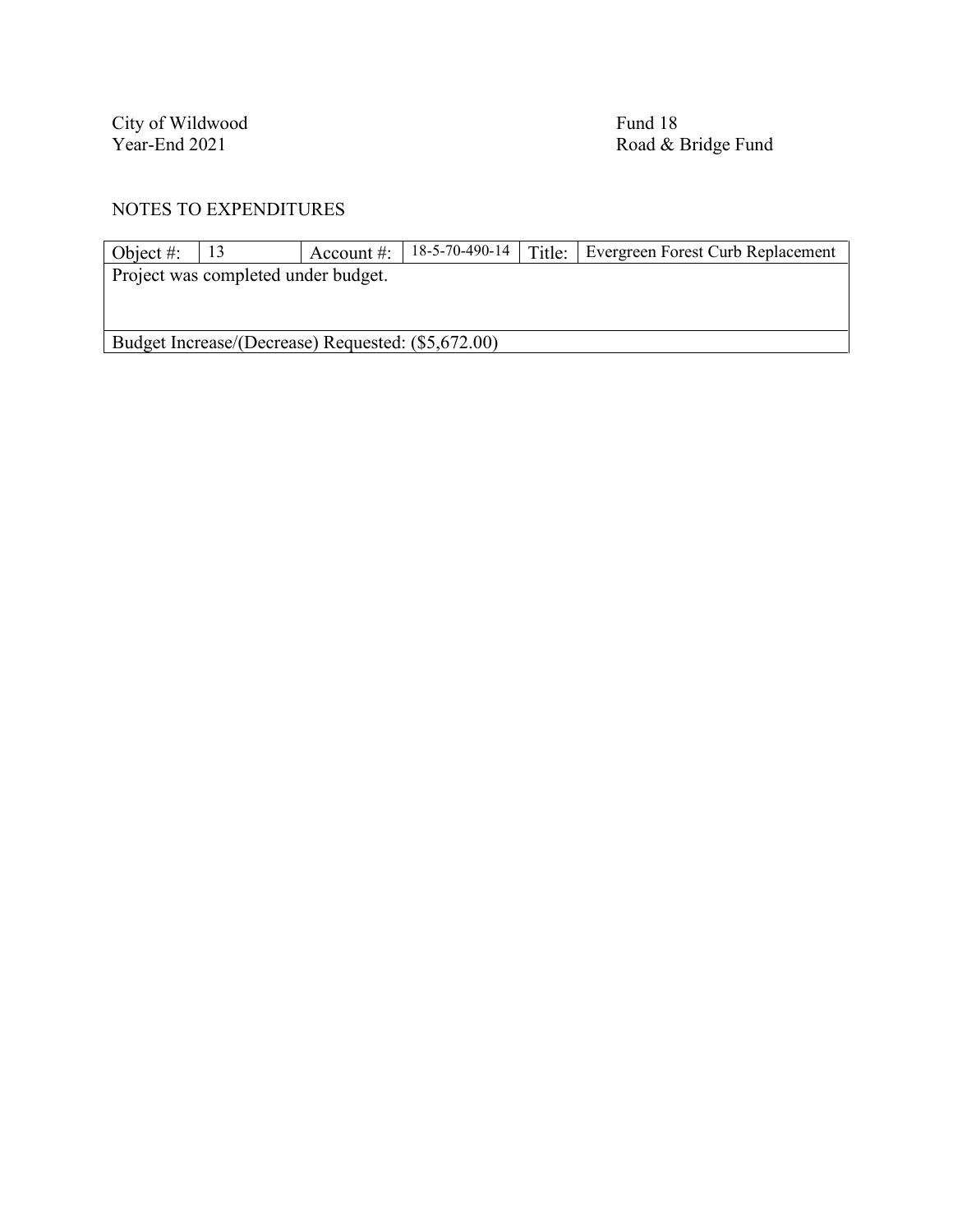City of Wildwood<br>
Year-End 2021<br>
Road & 1

Road & Bridge Fund

| Object #:                           |                                                    | Account $\#$ : |  |  | 18-5-70-490-14   Title:   Evergreen Forest Curb Replacement |  |  |  |  |
|-------------------------------------|----------------------------------------------------|----------------|--|--|-------------------------------------------------------------|--|--|--|--|
| Project was completed under budget. |                                                    |                |  |  |                                                             |  |  |  |  |
|                                     |                                                    |                |  |  |                                                             |  |  |  |  |
|                                     |                                                    |                |  |  |                                                             |  |  |  |  |
|                                     | Budget Increase/(Decrease) Requested: (\$5,672.00) |                |  |  |                                                             |  |  |  |  |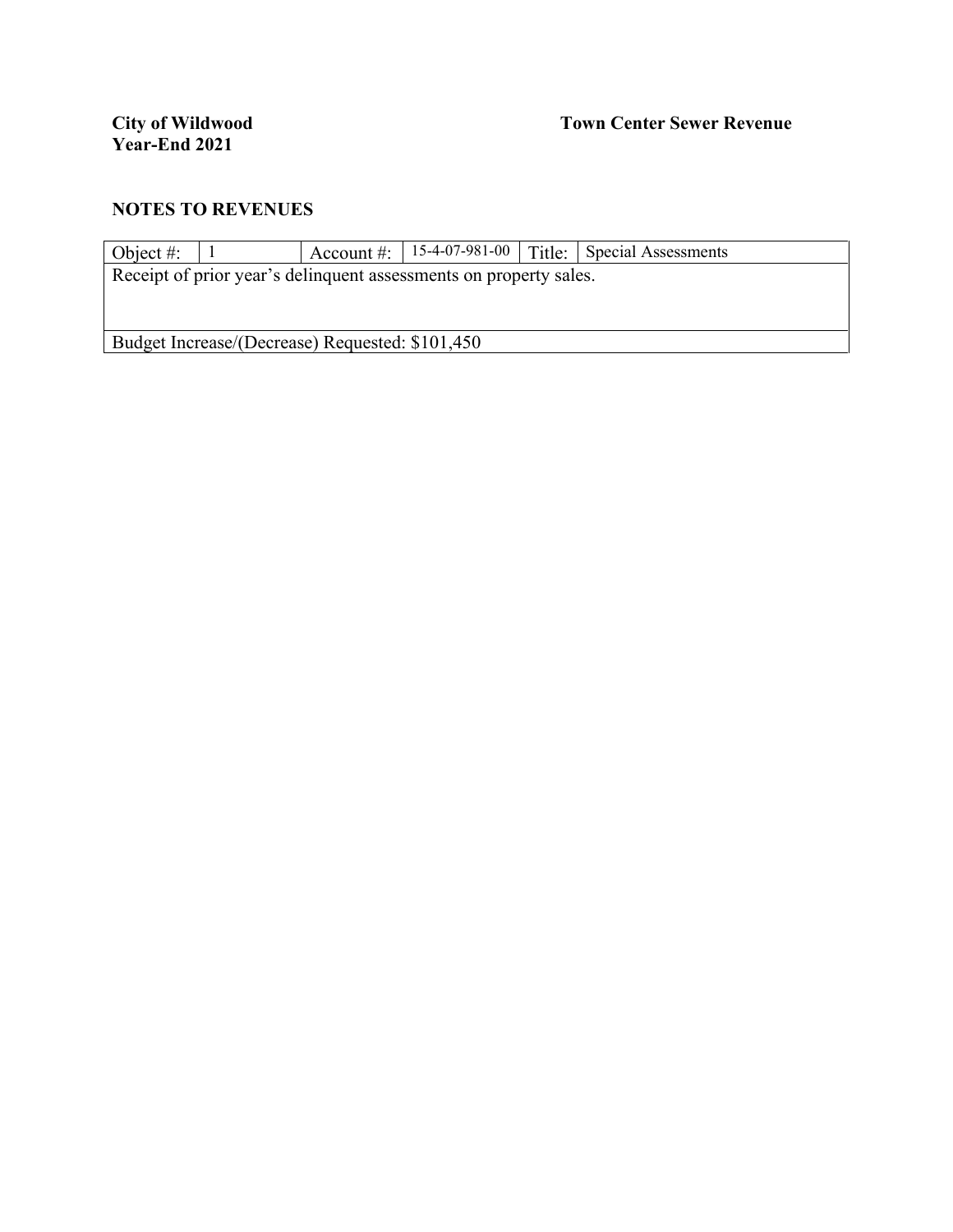| Object #:                                                         |  |  |  |  | Account #: $\vert$ 15-4-07-981-00 $\vert$ Title: Special Assessments |  |  |  |  |
|-------------------------------------------------------------------|--|--|--|--|----------------------------------------------------------------------|--|--|--|--|
| Receipt of prior year's delinquent assessments on property sales. |  |  |  |  |                                                                      |  |  |  |  |
|                                                                   |  |  |  |  |                                                                      |  |  |  |  |
|                                                                   |  |  |  |  |                                                                      |  |  |  |  |
| Budget Increase/(Decrease) Requested: \$101,450                   |  |  |  |  |                                                                      |  |  |  |  |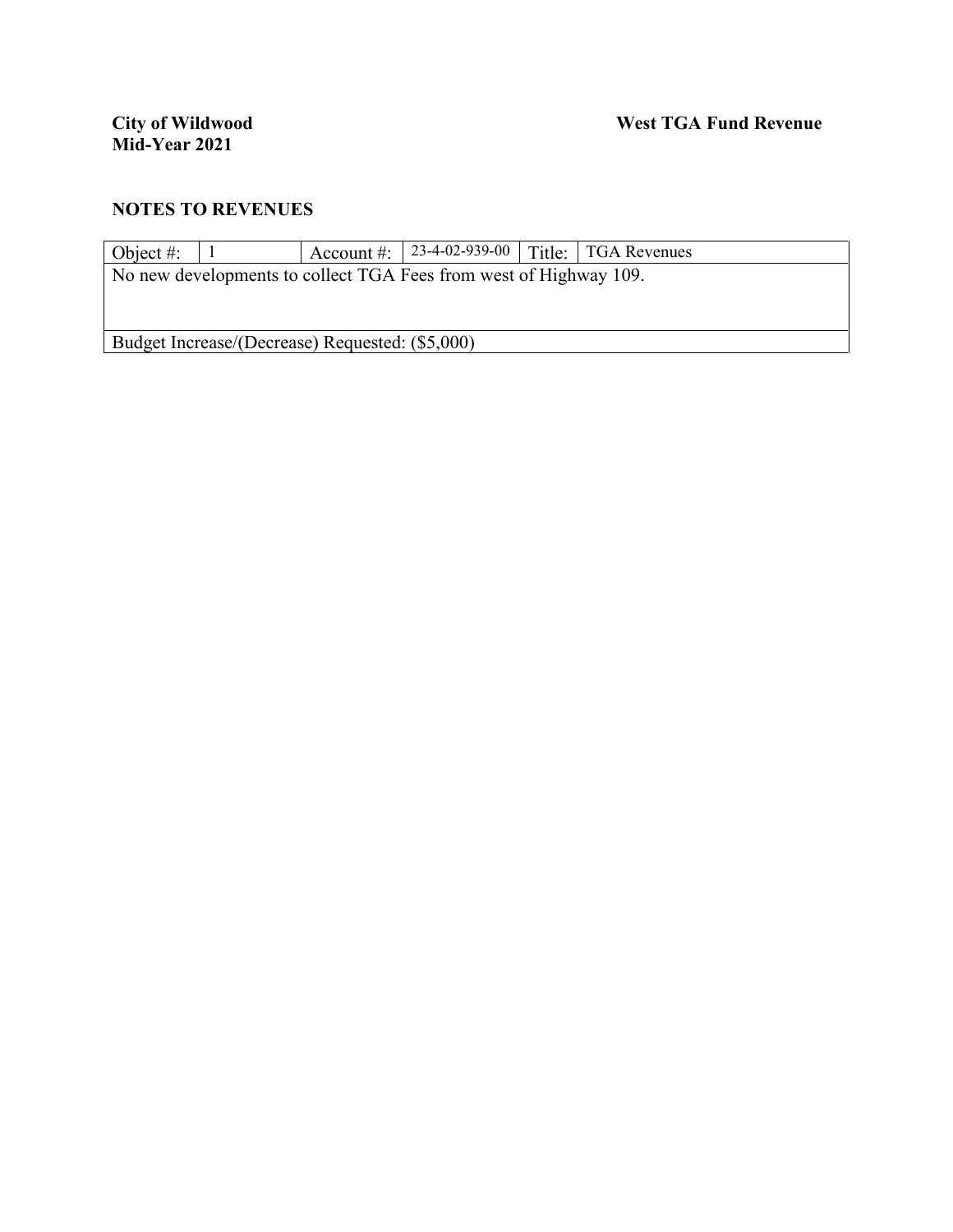| Object #: $\parallel$                                             |  |  |  |  | Account #: 23-4-02-939-00   Title:   TGA Revenues |  |  |  |
|-------------------------------------------------------------------|--|--|--|--|---------------------------------------------------|--|--|--|
| No new developments to collect TGA Fees from west of Highway 109. |  |  |  |  |                                                   |  |  |  |
|                                                                   |  |  |  |  |                                                   |  |  |  |
|                                                                   |  |  |  |  |                                                   |  |  |  |
| Budget Increase/(Decrease) Requested: (\$5,000)                   |  |  |  |  |                                                   |  |  |  |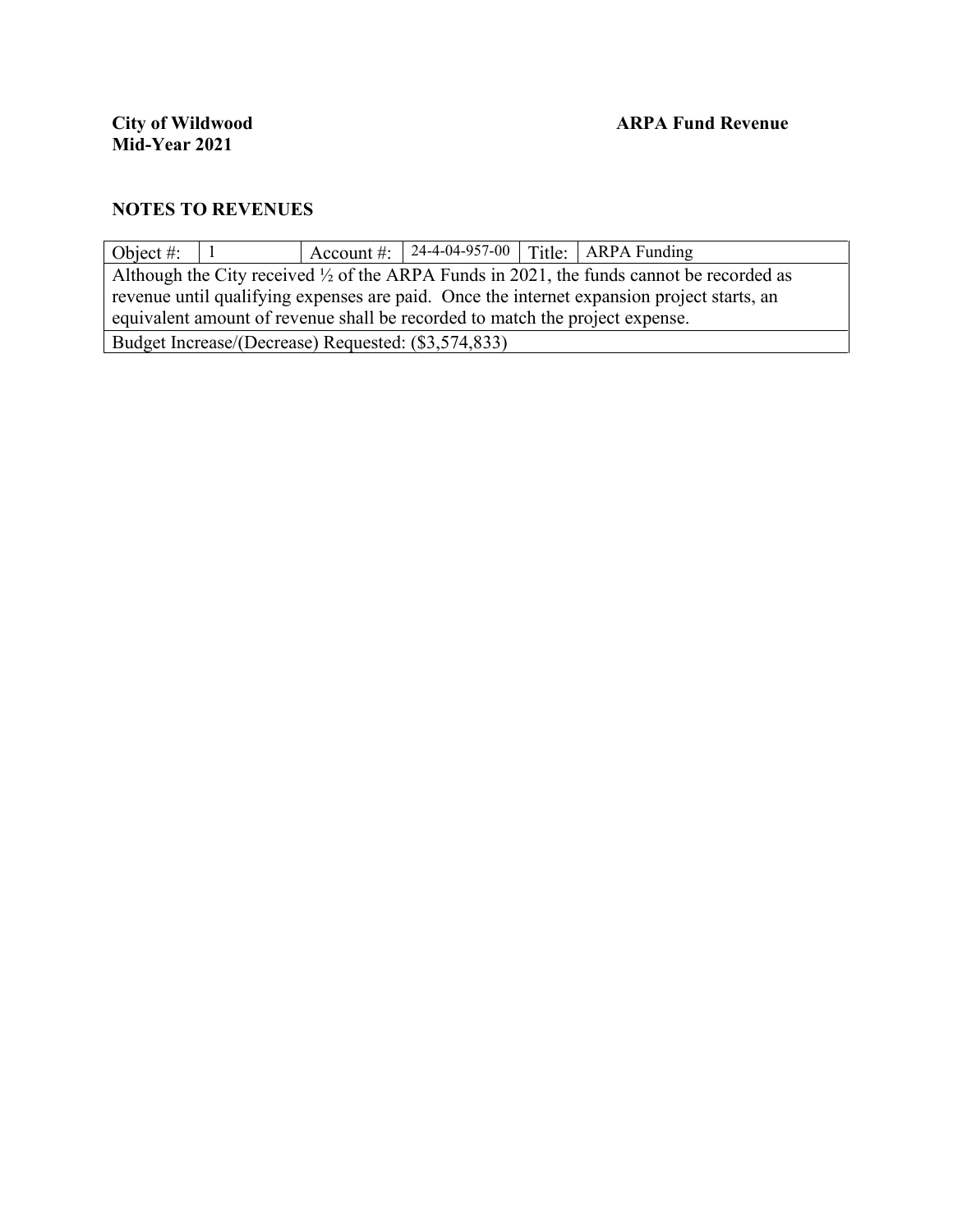| Object #:                                                                                           |                                                                                            |  |                                                     |  | Account #: $\vert$ 24-4-04-957-00 $\vert$ Title: ARPA Funding |  |
|-----------------------------------------------------------------------------------------------------|--------------------------------------------------------------------------------------------|--|-----------------------------------------------------|--|---------------------------------------------------------------|--|
| Although the City received $\frac{1}{2}$ of the ARPA Funds in 2021, the funds cannot be recorded as |                                                                                            |  |                                                     |  |                                                               |  |
|                                                                                                     | revenue until qualifying expenses are paid. Once the internet expansion project starts, an |  |                                                     |  |                                                               |  |
|                                                                                                     | equivalent amount of revenue shall be recorded to match the project expense.               |  |                                                     |  |                                                               |  |
|                                                                                                     |                                                                                            |  | Budget Increase/(Decrease) Requested: (\$3,574,833) |  |                                                               |  |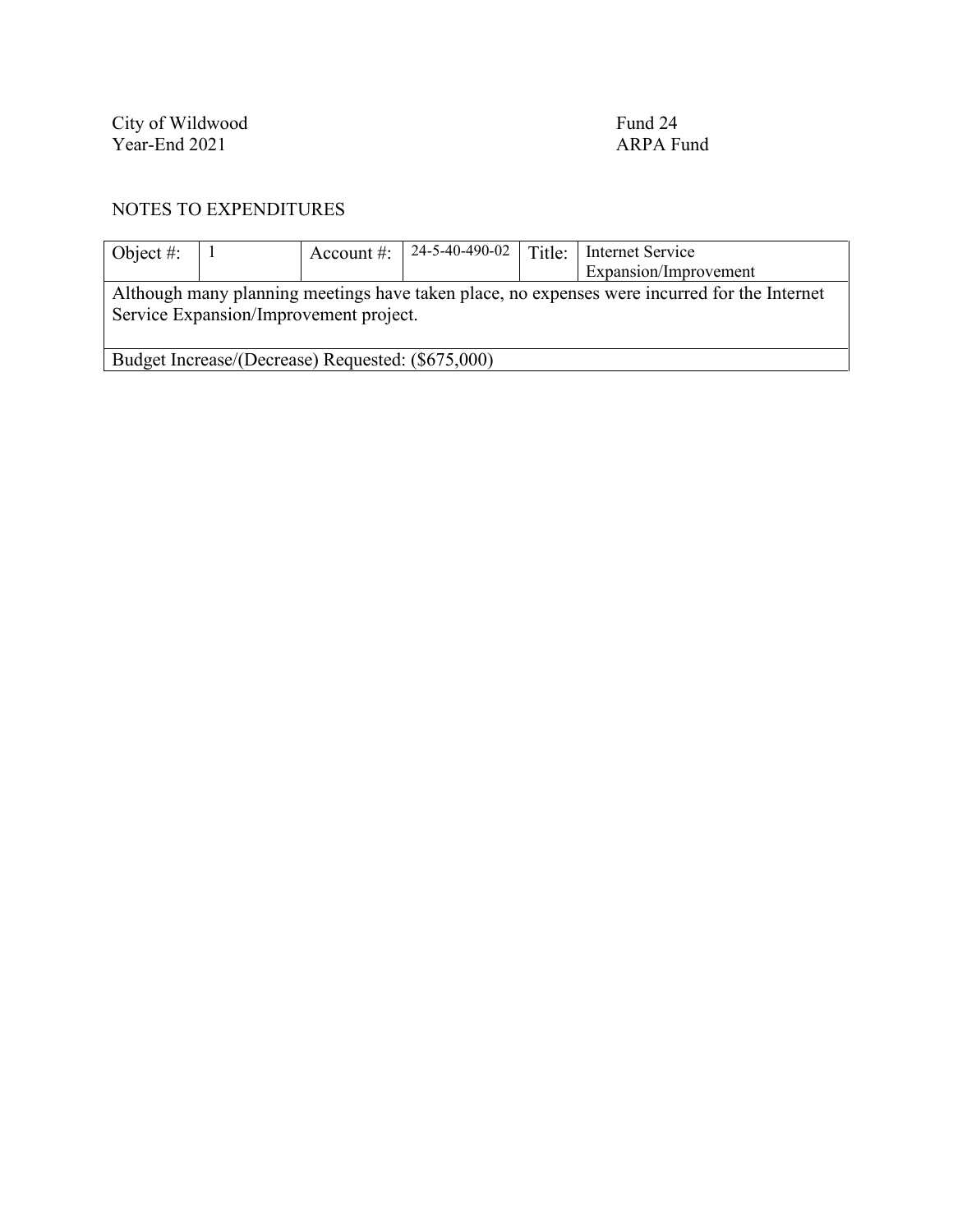City of Wildwood Fund 24 Year-End 2021 **ARPA** Fund

| Object #:                                         |  | Account #:                             | 24-5-40-490-02 | Title: | Internet Service                                                                             |
|---------------------------------------------------|--|----------------------------------------|----------------|--------|----------------------------------------------------------------------------------------------|
|                                                   |  |                                        |                |        | Expansion/Improvement                                                                        |
|                                                   |  | Service Expansion/Improvement project. |                |        | Although many planning meetings have taken place, no expenses were incurred for the Internet |
| Budget Increase/(Decrease) Requested: (\$675,000) |  |                                        |                |        |                                                                                              |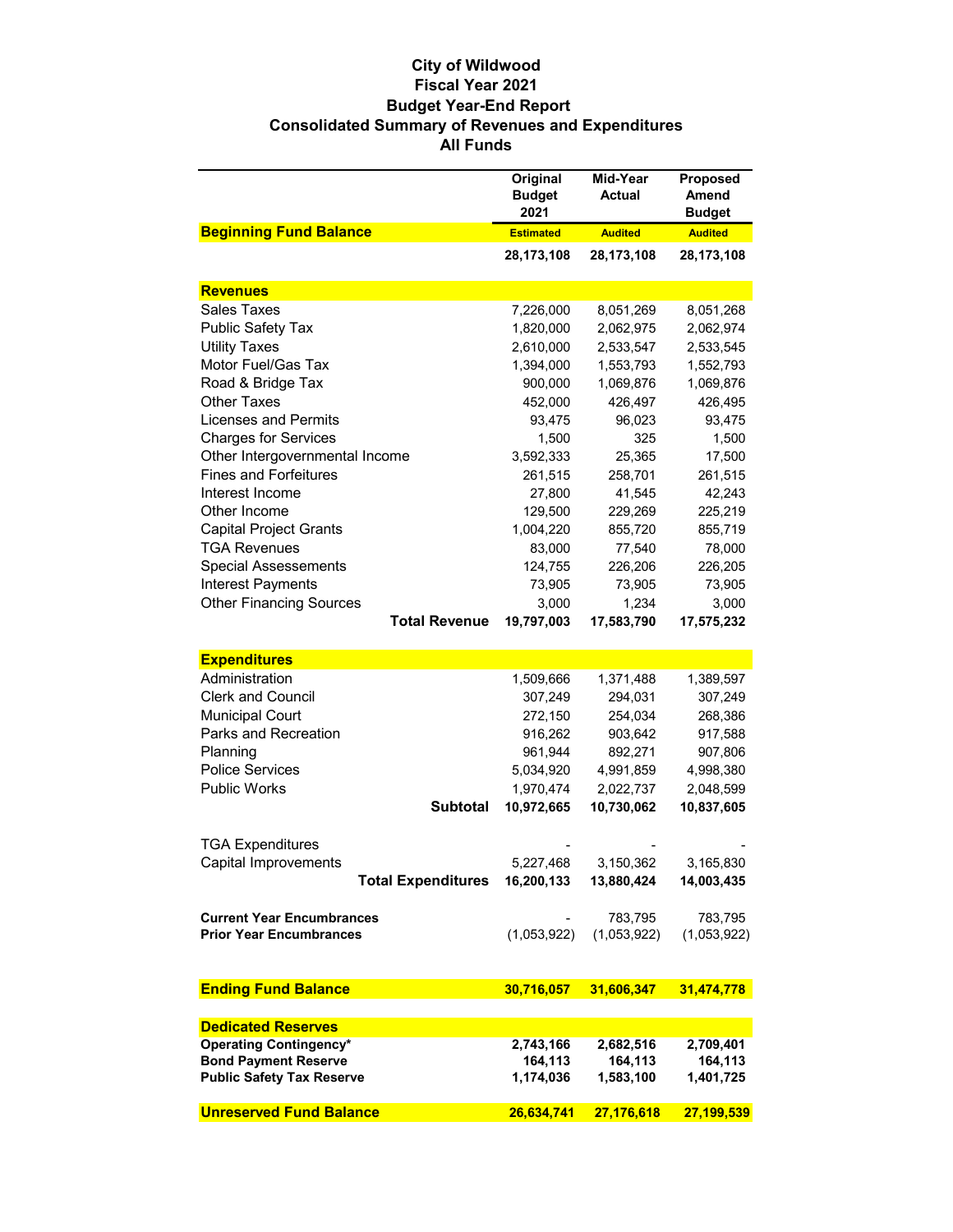#### **City of Wildwood Fiscal Year 2021 Budget Year-End Report Consolidated Summary of Revenues and Expenditures All Funds**

|                                  | Original<br><b>Budget</b><br>2021 | Mid-Year<br><b>Actual</b> | Proposed<br><b>Amend</b><br><b>Budget</b> |
|----------------------------------|-----------------------------------|---------------------------|-------------------------------------------|
| <b>Beginning Fund Balance</b>    | <b>Estimated</b>                  | <b>Audited</b>            | <b>Audited</b>                            |
|                                  | 28,173,108                        | 28,173,108                | 28,173,108                                |
| <b>Revenues</b>                  |                                   |                           |                                           |
| <b>Sales Taxes</b>               | 7,226,000                         | 8,051,269                 | 8,051,268                                 |
| Public Safety Tax                | 1,820,000                         | 2,062,975                 | 2,062,974                                 |
| <b>Utility Taxes</b>             | 2,610,000                         | 2,533,547                 | 2,533,545                                 |
| Motor Fuel/Gas Tax               | 1,394,000                         | 1,553,793                 | 1,552,793                                 |
| Road & Bridge Tax                | 900,000                           | 1,069,876                 | 1,069,876                                 |
| <b>Other Taxes</b>               | 452,000                           | 426,497                   | 426,495                                   |
| Licenses and Permits             | 93,475                            | 96,023                    | 93,475                                    |
| <b>Charges for Services</b>      | 1,500                             | 325                       | 1,500                                     |
| Other Intergovernmental Income   | 3,592,333                         | 25,365                    | 17,500                                    |
| <b>Fines and Forfeitures</b>     | 261,515                           | 258,701                   | 261,515                                   |
| Interest Income                  | 27,800                            | 41,545                    | 42,243                                    |
| Other Income                     | 129,500                           | 229,269                   | 225,219                                   |
| <b>Capital Project Grants</b>    | 1,004,220                         | 855,720                   | 855,719                                   |
| <b>TGA Revenues</b>              | 83,000                            | 77,540                    | 78,000                                    |
| <b>Special Assessements</b>      | 124,755                           | 226,206                   | 226,205                                   |
| <b>Interest Payments</b>         | 73,905                            | 73,905                    | 73,905                                    |
| <b>Other Financing Sources</b>   | 3,000                             | 1,234                     | 3,000                                     |
| <b>Total Revenue</b>             | 19,797,003                        | 17,583,790                | 17,575,232                                |
|                                  |                                   |                           |                                           |
| <b>Expenditures</b>              |                                   |                           |                                           |
| Administration                   | 1,509,666                         | 1,371,488                 | 1,389,597                                 |
| <b>Clerk and Council</b>         | 307,249                           | 294,031                   | 307,249                                   |
| <b>Municipal Court</b>           | 272,150                           | 254,034                   | 268,386                                   |
| Parks and Recreation             | 916,262                           | 903,642                   | 917,588                                   |
| Planning                         | 961,944                           | 892,271                   | 907,806                                   |
| <b>Police Services</b>           | 5,034,920                         | 4,991,859                 | 4,998,380                                 |
| <b>Public Works</b>              | 1,970,474                         | 2,022,737                 | 2,048,599                                 |
| <b>Subtotal</b>                  | 10,972,665                        | 10,730,062                | 10,837,605                                |
|                                  |                                   |                           |                                           |
| <b>TGA Expenditures</b>          |                                   |                           |                                           |
| Capital Improvements             | 5,227,468                         | 3,150,362                 | 3,165,830                                 |
| <b>Total Expenditures</b>        | 16,200,133                        | 13,880,424                | 14,003,435                                |
| <b>Current Year Encumbrances</b> |                                   | 783,795                   | 783,795                                   |
| <b>Prior Year Encumbrances</b>   | (1,053,922)                       | (1,053,922)               | (1,053,922)                               |
|                                  |                                   |                           |                                           |
|                                  |                                   |                           |                                           |
| <b>Ending Fund Balance</b>       | 30,716,057                        | 31,606,347                | 31,474,778                                |
| <b>Dedicated Reserves</b>        |                                   |                           |                                           |
| <b>Operating Contingency*</b>    | 2,743,166                         | 2,682,516                 | 2,709,401                                 |
| <b>Bond Payment Reserve</b>      | 164,113                           | 164,113                   | 164,113                                   |
| <b>Public Safety Tax Reserve</b> | 1,174,036                         | 1,583,100                 | 1,401,725                                 |
| <b>Unreserved Fund Balance</b>   | 26,634,741                        | 27,176,618                | 27,199,539                                |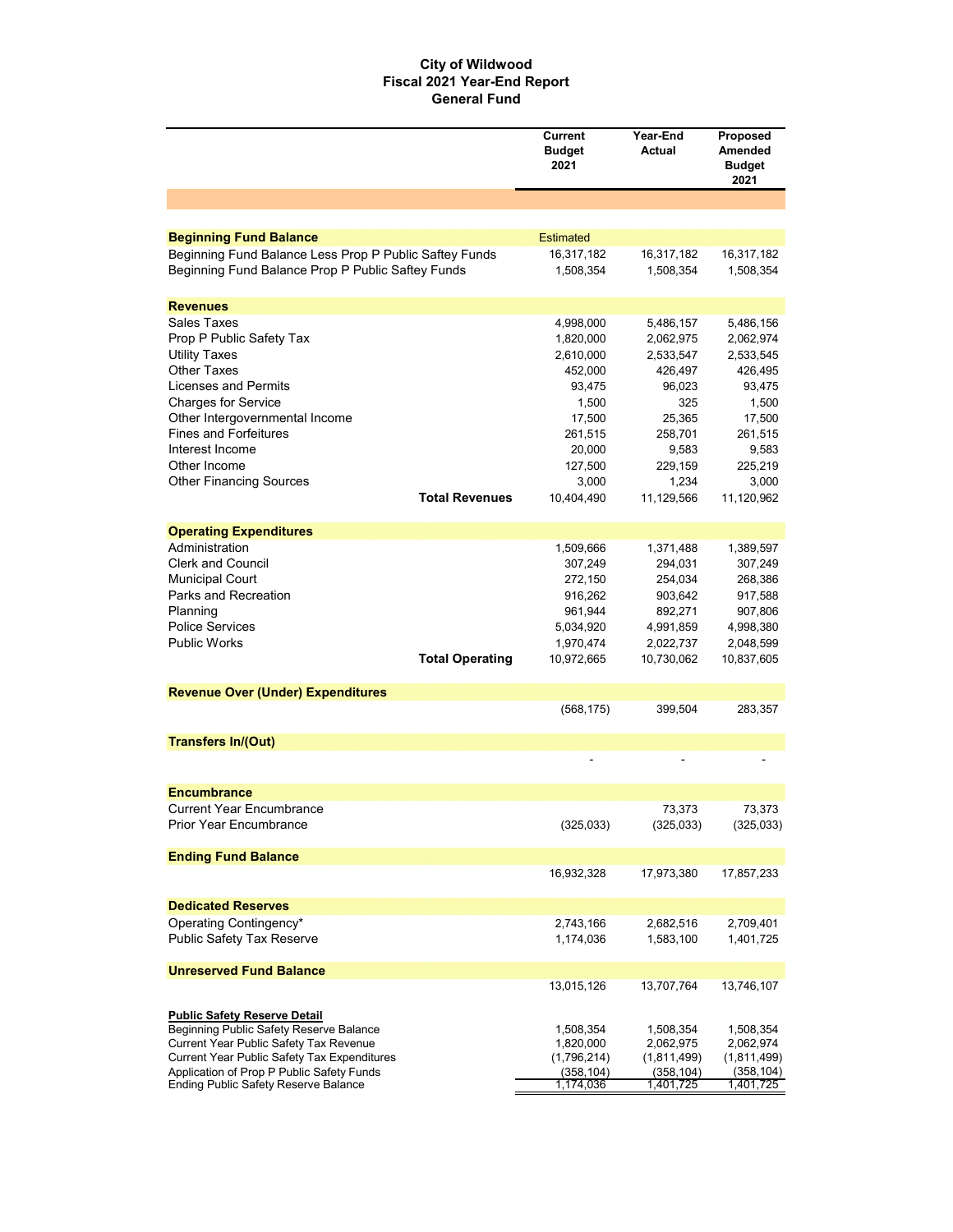#### **City of Wildwood Fiscal 2021 Year-End Report General Fund**

| <b>Beginning Fund Balance</b><br><b>Estimated</b><br>Beginning Fund Balance Less Prop P Public Saftey Funds<br>16,317,182<br>16,317,182<br>16,317,182<br>Beginning Fund Balance Prop P Public Saftey Funds<br>1,508,354<br>1,508,354<br>1,508,354<br><b>Revenues</b><br><b>Sales Taxes</b><br>4,998,000<br>5,486,157<br>5,486,156<br>Prop P Public Safety Tax<br>1,820,000<br>2,062,975<br>2,062,974<br><b>Utility Taxes</b><br>2,610,000<br>2,533,547<br>2,533,545<br><b>Other Taxes</b><br>452,000<br>426,497<br>426,495<br>Licenses and Permits<br>93,475<br>96,023<br>93,475<br>1,500<br>325<br>1,500<br>Other Intergovernmental Income<br>17,500<br>25,365<br>17,500<br><b>Fines and Forfeitures</b><br>261,515<br>258,701<br>261,515<br>Interest Income<br>20,000<br>9,583<br>9,583<br>Other Income<br>127,500<br>229,159<br>225,219<br>3,000<br>1,234<br>3,000<br><b>Total Revenues</b><br>10,404,490<br>11,129,566<br>11,120,962<br><b>Operating Expenditures</b><br>Administration<br>1,509,666<br>1,389,597<br>1,371,488<br><b>Clerk and Council</b><br>307,249<br>294,031<br>307,249<br><b>Municipal Court</b><br>272,150<br>254,034<br>268,386<br>Parks and Recreation<br>916,262<br>903,642<br>917,588<br>Planning<br>961,944<br>892,271<br>907,806<br><b>Police Services</b><br>5,034,920<br>4,991,859<br>4,998,380<br><b>Public Works</b><br>1,970,474<br>2,022,737<br>2,048,599<br><b>Total Operating</b><br>10,972,665<br>10,730,062<br>10,837,605<br><b>Revenue Over (Under) Expenditures</b><br>(568, 175)<br>399,504<br>283,357<br><b>Transfers In/(Out)</b><br><b>Encumbrance</b><br><b>Current Year Encumbrance</b><br>73,373<br>73,373<br><b>Prior Year Encumbrance</b><br>(325, 033)<br>(325, 033)<br>(325,033)<br><b>Ending Fund Balance</b><br>16,932,328<br>17,973,380<br>17,857,233<br><b>Dedicated Reserves</b><br>Operating Contingency*<br>2,743,166<br>2,682,516<br>2,709,401<br><b>Public Safety Tax Reserve</b><br>1,174,036<br>1,583,100<br>1,401,725<br><b>Unreserved Fund Balance</b><br>13,015,126<br>13,707,764<br>13,746,107<br><b>Public Safety Reserve Detail</b><br>Beginning Public Safety Reserve Balance<br>1,508,354<br>1,508,354<br>1,508,354<br>Current Year Public Safety Tax Revenue<br>2,062,975<br>1,820,000<br>2,062,974<br>Current Year Public Safety Tax Expenditures<br>(1,796,214)<br>(1,811,499)<br>(1,811,499)<br>Application of Prop P Public Safety Funds<br>(358, 104)<br>(358, 104)<br>(358, 104)<br>1,174,036<br>Ending Public Safety Reserve Balance<br>1,401,725<br>1,401,725 |                                | <b>Current</b><br><b>Budget</b><br>2021 | Year-End<br>Actual | Proposed<br>Amended<br><b>Budget</b><br>2021 |
|--------------------------------------------------------------------------------------------------------------------------------------------------------------------------------------------------------------------------------------------------------------------------------------------------------------------------------------------------------------------------------------------------------------------------------------------------------------------------------------------------------------------------------------------------------------------------------------------------------------------------------------------------------------------------------------------------------------------------------------------------------------------------------------------------------------------------------------------------------------------------------------------------------------------------------------------------------------------------------------------------------------------------------------------------------------------------------------------------------------------------------------------------------------------------------------------------------------------------------------------------------------------------------------------------------------------------------------------------------------------------------------------------------------------------------------------------------------------------------------------------------------------------------------------------------------------------------------------------------------------------------------------------------------------------------------------------------------------------------------------------------------------------------------------------------------------------------------------------------------------------------------------------------------------------------------------------------------------------------------------------------------------------------------------------------------------------------------------------------------------------------------------------------------------------------------------------------------------------------------------------------------------------------------------------------------------------------------------------------------------------------------------------------------------------------------------------------------------------------------------------------------------------------------------------|--------------------------------|-----------------------------------------|--------------------|----------------------------------------------|
|                                                                                                                                                                                                                                                                                                                                                                                                                                                                                                                                                                                                                                                                                                                                                                                                                                                                                                                                                                                                                                                                                                                                                                                                                                                                                                                                                                                                                                                                                                                                                                                                                                                                                                                                                                                                                                                                                                                                                                                                                                                                                                                                                                                                                                                                                                                                                                                                                                                                                                                                                  |                                |                                         |                    |                                              |
|                                                                                                                                                                                                                                                                                                                                                                                                                                                                                                                                                                                                                                                                                                                                                                                                                                                                                                                                                                                                                                                                                                                                                                                                                                                                                                                                                                                                                                                                                                                                                                                                                                                                                                                                                                                                                                                                                                                                                                                                                                                                                                                                                                                                                                                                                                                                                                                                                                                                                                                                                  |                                |                                         |                    |                                              |
|                                                                                                                                                                                                                                                                                                                                                                                                                                                                                                                                                                                                                                                                                                                                                                                                                                                                                                                                                                                                                                                                                                                                                                                                                                                                                                                                                                                                                                                                                                                                                                                                                                                                                                                                                                                                                                                                                                                                                                                                                                                                                                                                                                                                                                                                                                                                                                                                                                                                                                                                                  |                                |                                         |                    |                                              |
|                                                                                                                                                                                                                                                                                                                                                                                                                                                                                                                                                                                                                                                                                                                                                                                                                                                                                                                                                                                                                                                                                                                                                                                                                                                                                                                                                                                                                                                                                                                                                                                                                                                                                                                                                                                                                                                                                                                                                                                                                                                                                                                                                                                                                                                                                                                                                                                                                                                                                                                                                  |                                |                                         |                    |                                              |
|                                                                                                                                                                                                                                                                                                                                                                                                                                                                                                                                                                                                                                                                                                                                                                                                                                                                                                                                                                                                                                                                                                                                                                                                                                                                                                                                                                                                                                                                                                                                                                                                                                                                                                                                                                                                                                                                                                                                                                                                                                                                                                                                                                                                                                                                                                                                                                                                                                                                                                                                                  |                                |                                         |                    |                                              |
|                                                                                                                                                                                                                                                                                                                                                                                                                                                                                                                                                                                                                                                                                                                                                                                                                                                                                                                                                                                                                                                                                                                                                                                                                                                                                                                                                                                                                                                                                                                                                                                                                                                                                                                                                                                                                                                                                                                                                                                                                                                                                                                                                                                                                                                                                                                                                                                                                                                                                                                                                  |                                |                                         |                    |                                              |
|                                                                                                                                                                                                                                                                                                                                                                                                                                                                                                                                                                                                                                                                                                                                                                                                                                                                                                                                                                                                                                                                                                                                                                                                                                                                                                                                                                                                                                                                                                                                                                                                                                                                                                                                                                                                                                                                                                                                                                                                                                                                                                                                                                                                                                                                                                                                                                                                                                                                                                                                                  |                                |                                         |                    |                                              |
|                                                                                                                                                                                                                                                                                                                                                                                                                                                                                                                                                                                                                                                                                                                                                                                                                                                                                                                                                                                                                                                                                                                                                                                                                                                                                                                                                                                                                                                                                                                                                                                                                                                                                                                                                                                                                                                                                                                                                                                                                                                                                                                                                                                                                                                                                                                                                                                                                                                                                                                                                  |                                |                                         |                    |                                              |
|                                                                                                                                                                                                                                                                                                                                                                                                                                                                                                                                                                                                                                                                                                                                                                                                                                                                                                                                                                                                                                                                                                                                                                                                                                                                                                                                                                                                                                                                                                                                                                                                                                                                                                                                                                                                                                                                                                                                                                                                                                                                                                                                                                                                                                                                                                                                                                                                                                                                                                                                                  |                                |                                         |                    |                                              |
|                                                                                                                                                                                                                                                                                                                                                                                                                                                                                                                                                                                                                                                                                                                                                                                                                                                                                                                                                                                                                                                                                                                                                                                                                                                                                                                                                                                                                                                                                                                                                                                                                                                                                                                                                                                                                                                                                                                                                                                                                                                                                                                                                                                                                                                                                                                                                                                                                                                                                                                                                  |                                |                                         |                    |                                              |
|                                                                                                                                                                                                                                                                                                                                                                                                                                                                                                                                                                                                                                                                                                                                                                                                                                                                                                                                                                                                                                                                                                                                                                                                                                                                                                                                                                                                                                                                                                                                                                                                                                                                                                                                                                                                                                                                                                                                                                                                                                                                                                                                                                                                                                                                                                                                                                                                                                                                                                                                                  | <b>Charges for Service</b>     |                                         |                    |                                              |
|                                                                                                                                                                                                                                                                                                                                                                                                                                                                                                                                                                                                                                                                                                                                                                                                                                                                                                                                                                                                                                                                                                                                                                                                                                                                                                                                                                                                                                                                                                                                                                                                                                                                                                                                                                                                                                                                                                                                                                                                                                                                                                                                                                                                                                                                                                                                                                                                                                                                                                                                                  |                                |                                         |                    |                                              |
|                                                                                                                                                                                                                                                                                                                                                                                                                                                                                                                                                                                                                                                                                                                                                                                                                                                                                                                                                                                                                                                                                                                                                                                                                                                                                                                                                                                                                                                                                                                                                                                                                                                                                                                                                                                                                                                                                                                                                                                                                                                                                                                                                                                                                                                                                                                                                                                                                                                                                                                                                  |                                |                                         |                    |                                              |
|                                                                                                                                                                                                                                                                                                                                                                                                                                                                                                                                                                                                                                                                                                                                                                                                                                                                                                                                                                                                                                                                                                                                                                                                                                                                                                                                                                                                                                                                                                                                                                                                                                                                                                                                                                                                                                                                                                                                                                                                                                                                                                                                                                                                                                                                                                                                                                                                                                                                                                                                                  |                                |                                         |                    |                                              |
|                                                                                                                                                                                                                                                                                                                                                                                                                                                                                                                                                                                                                                                                                                                                                                                                                                                                                                                                                                                                                                                                                                                                                                                                                                                                                                                                                                                                                                                                                                                                                                                                                                                                                                                                                                                                                                                                                                                                                                                                                                                                                                                                                                                                                                                                                                                                                                                                                                                                                                                                                  |                                |                                         |                    |                                              |
|                                                                                                                                                                                                                                                                                                                                                                                                                                                                                                                                                                                                                                                                                                                                                                                                                                                                                                                                                                                                                                                                                                                                                                                                                                                                                                                                                                                                                                                                                                                                                                                                                                                                                                                                                                                                                                                                                                                                                                                                                                                                                                                                                                                                                                                                                                                                                                                                                                                                                                                                                  | <b>Other Financing Sources</b> |                                         |                    |                                              |
|                                                                                                                                                                                                                                                                                                                                                                                                                                                                                                                                                                                                                                                                                                                                                                                                                                                                                                                                                                                                                                                                                                                                                                                                                                                                                                                                                                                                                                                                                                                                                                                                                                                                                                                                                                                                                                                                                                                                                                                                                                                                                                                                                                                                                                                                                                                                                                                                                                                                                                                                                  |                                |                                         |                    |                                              |
|                                                                                                                                                                                                                                                                                                                                                                                                                                                                                                                                                                                                                                                                                                                                                                                                                                                                                                                                                                                                                                                                                                                                                                                                                                                                                                                                                                                                                                                                                                                                                                                                                                                                                                                                                                                                                                                                                                                                                                                                                                                                                                                                                                                                                                                                                                                                                                                                                                                                                                                                                  |                                |                                         |                    |                                              |
|                                                                                                                                                                                                                                                                                                                                                                                                                                                                                                                                                                                                                                                                                                                                                                                                                                                                                                                                                                                                                                                                                                                                                                                                                                                                                                                                                                                                                                                                                                                                                                                                                                                                                                                                                                                                                                                                                                                                                                                                                                                                                                                                                                                                                                                                                                                                                                                                                                                                                                                                                  |                                |                                         |                    |                                              |
|                                                                                                                                                                                                                                                                                                                                                                                                                                                                                                                                                                                                                                                                                                                                                                                                                                                                                                                                                                                                                                                                                                                                                                                                                                                                                                                                                                                                                                                                                                                                                                                                                                                                                                                                                                                                                                                                                                                                                                                                                                                                                                                                                                                                                                                                                                                                                                                                                                                                                                                                                  |                                |                                         |                    |                                              |
|                                                                                                                                                                                                                                                                                                                                                                                                                                                                                                                                                                                                                                                                                                                                                                                                                                                                                                                                                                                                                                                                                                                                                                                                                                                                                                                                                                                                                                                                                                                                                                                                                                                                                                                                                                                                                                                                                                                                                                                                                                                                                                                                                                                                                                                                                                                                                                                                                                                                                                                                                  |                                |                                         |                    |                                              |
|                                                                                                                                                                                                                                                                                                                                                                                                                                                                                                                                                                                                                                                                                                                                                                                                                                                                                                                                                                                                                                                                                                                                                                                                                                                                                                                                                                                                                                                                                                                                                                                                                                                                                                                                                                                                                                                                                                                                                                                                                                                                                                                                                                                                                                                                                                                                                                                                                                                                                                                                                  |                                |                                         |                    |                                              |
|                                                                                                                                                                                                                                                                                                                                                                                                                                                                                                                                                                                                                                                                                                                                                                                                                                                                                                                                                                                                                                                                                                                                                                                                                                                                                                                                                                                                                                                                                                                                                                                                                                                                                                                                                                                                                                                                                                                                                                                                                                                                                                                                                                                                                                                                                                                                                                                                                                                                                                                                                  |                                |                                         |                    |                                              |
|                                                                                                                                                                                                                                                                                                                                                                                                                                                                                                                                                                                                                                                                                                                                                                                                                                                                                                                                                                                                                                                                                                                                                                                                                                                                                                                                                                                                                                                                                                                                                                                                                                                                                                                                                                                                                                                                                                                                                                                                                                                                                                                                                                                                                                                                                                                                                                                                                                                                                                                                                  |                                |                                         |                    |                                              |
|                                                                                                                                                                                                                                                                                                                                                                                                                                                                                                                                                                                                                                                                                                                                                                                                                                                                                                                                                                                                                                                                                                                                                                                                                                                                                                                                                                                                                                                                                                                                                                                                                                                                                                                                                                                                                                                                                                                                                                                                                                                                                                                                                                                                                                                                                                                                                                                                                                                                                                                                                  |                                |                                         |                    |                                              |
|                                                                                                                                                                                                                                                                                                                                                                                                                                                                                                                                                                                                                                                                                                                                                                                                                                                                                                                                                                                                                                                                                                                                                                                                                                                                                                                                                                                                                                                                                                                                                                                                                                                                                                                                                                                                                                                                                                                                                                                                                                                                                                                                                                                                                                                                                                                                                                                                                                                                                                                                                  |                                |                                         |                    |                                              |
|                                                                                                                                                                                                                                                                                                                                                                                                                                                                                                                                                                                                                                                                                                                                                                                                                                                                                                                                                                                                                                                                                                                                                                                                                                                                                                                                                                                                                                                                                                                                                                                                                                                                                                                                                                                                                                                                                                                                                                                                                                                                                                                                                                                                                                                                                                                                                                                                                                                                                                                                                  |                                |                                         |                    |                                              |
|                                                                                                                                                                                                                                                                                                                                                                                                                                                                                                                                                                                                                                                                                                                                                                                                                                                                                                                                                                                                                                                                                                                                                                                                                                                                                                                                                                                                                                                                                                                                                                                                                                                                                                                                                                                                                                                                                                                                                                                                                                                                                                                                                                                                                                                                                                                                                                                                                                                                                                                                                  |                                |                                         |                    |                                              |
|                                                                                                                                                                                                                                                                                                                                                                                                                                                                                                                                                                                                                                                                                                                                                                                                                                                                                                                                                                                                                                                                                                                                                                                                                                                                                                                                                                                                                                                                                                                                                                                                                                                                                                                                                                                                                                                                                                                                                                                                                                                                                                                                                                                                                                                                                                                                                                                                                                                                                                                                                  |                                |                                         |                    |                                              |
|                                                                                                                                                                                                                                                                                                                                                                                                                                                                                                                                                                                                                                                                                                                                                                                                                                                                                                                                                                                                                                                                                                                                                                                                                                                                                                                                                                                                                                                                                                                                                                                                                                                                                                                                                                                                                                                                                                                                                                                                                                                                                                                                                                                                                                                                                                                                                                                                                                                                                                                                                  |                                |                                         |                    |                                              |
|                                                                                                                                                                                                                                                                                                                                                                                                                                                                                                                                                                                                                                                                                                                                                                                                                                                                                                                                                                                                                                                                                                                                                                                                                                                                                                                                                                                                                                                                                                                                                                                                                                                                                                                                                                                                                                                                                                                                                                                                                                                                                                                                                                                                                                                                                                                                                                                                                                                                                                                                                  |                                |                                         |                    |                                              |
|                                                                                                                                                                                                                                                                                                                                                                                                                                                                                                                                                                                                                                                                                                                                                                                                                                                                                                                                                                                                                                                                                                                                                                                                                                                                                                                                                                                                                                                                                                                                                                                                                                                                                                                                                                                                                                                                                                                                                                                                                                                                                                                                                                                                                                                                                                                                                                                                                                                                                                                                                  |                                |                                         |                    |                                              |
|                                                                                                                                                                                                                                                                                                                                                                                                                                                                                                                                                                                                                                                                                                                                                                                                                                                                                                                                                                                                                                                                                                                                                                                                                                                                                                                                                                                                                                                                                                                                                                                                                                                                                                                                                                                                                                                                                                                                                                                                                                                                                                                                                                                                                                                                                                                                                                                                                                                                                                                                                  |                                |                                         |                    |                                              |
|                                                                                                                                                                                                                                                                                                                                                                                                                                                                                                                                                                                                                                                                                                                                                                                                                                                                                                                                                                                                                                                                                                                                                                                                                                                                                                                                                                                                                                                                                                                                                                                                                                                                                                                                                                                                                                                                                                                                                                                                                                                                                                                                                                                                                                                                                                                                                                                                                                                                                                                                                  |                                |                                         |                    |                                              |
|                                                                                                                                                                                                                                                                                                                                                                                                                                                                                                                                                                                                                                                                                                                                                                                                                                                                                                                                                                                                                                                                                                                                                                                                                                                                                                                                                                                                                                                                                                                                                                                                                                                                                                                                                                                                                                                                                                                                                                                                                                                                                                                                                                                                                                                                                                                                                                                                                                                                                                                                                  |                                |                                         |                    |                                              |
|                                                                                                                                                                                                                                                                                                                                                                                                                                                                                                                                                                                                                                                                                                                                                                                                                                                                                                                                                                                                                                                                                                                                                                                                                                                                                                                                                                                                                                                                                                                                                                                                                                                                                                                                                                                                                                                                                                                                                                                                                                                                                                                                                                                                                                                                                                                                                                                                                                                                                                                                                  |                                |                                         |                    |                                              |
|                                                                                                                                                                                                                                                                                                                                                                                                                                                                                                                                                                                                                                                                                                                                                                                                                                                                                                                                                                                                                                                                                                                                                                                                                                                                                                                                                                                                                                                                                                                                                                                                                                                                                                                                                                                                                                                                                                                                                                                                                                                                                                                                                                                                                                                                                                                                                                                                                                                                                                                                                  |                                |                                         |                    |                                              |
|                                                                                                                                                                                                                                                                                                                                                                                                                                                                                                                                                                                                                                                                                                                                                                                                                                                                                                                                                                                                                                                                                                                                                                                                                                                                                                                                                                                                                                                                                                                                                                                                                                                                                                                                                                                                                                                                                                                                                                                                                                                                                                                                                                                                                                                                                                                                                                                                                                                                                                                                                  |                                |                                         |                    |                                              |
|                                                                                                                                                                                                                                                                                                                                                                                                                                                                                                                                                                                                                                                                                                                                                                                                                                                                                                                                                                                                                                                                                                                                                                                                                                                                                                                                                                                                                                                                                                                                                                                                                                                                                                                                                                                                                                                                                                                                                                                                                                                                                                                                                                                                                                                                                                                                                                                                                                                                                                                                                  |                                |                                         |                    |                                              |
|                                                                                                                                                                                                                                                                                                                                                                                                                                                                                                                                                                                                                                                                                                                                                                                                                                                                                                                                                                                                                                                                                                                                                                                                                                                                                                                                                                                                                                                                                                                                                                                                                                                                                                                                                                                                                                                                                                                                                                                                                                                                                                                                                                                                                                                                                                                                                                                                                                                                                                                                                  |                                |                                         |                    |                                              |
|                                                                                                                                                                                                                                                                                                                                                                                                                                                                                                                                                                                                                                                                                                                                                                                                                                                                                                                                                                                                                                                                                                                                                                                                                                                                                                                                                                                                                                                                                                                                                                                                                                                                                                                                                                                                                                                                                                                                                                                                                                                                                                                                                                                                                                                                                                                                                                                                                                                                                                                                                  |                                |                                         |                    |                                              |
|                                                                                                                                                                                                                                                                                                                                                                                                                                                                                                                                                                                                                                                                                                                                                                                                                                                                                                                                                                                                                                                                                                                                                                                                                                                                                                                                                                                                                                                                                                                                                                                                                                                                                                                                                                                                                                                                                                                                                                                                                                                                                                                                                                                                                                                                                                                                                                                                                                                                                                                                                  |                                |                                         |                    |                                              |
|                                                                                                                                                                                                                                                                                                                                                                                                                                                                                                                                                                                                                                                                                                                                                                                                                                                                                                                                                                                                                                                                                                                                                                                                                                                                                                                                                                                                                                                                                                                                                                                                                                                                                                                                                                                                                                                                                                                                                                                                                                                                                                                                                                                                                                                                                                                                                                                                                                                                                                                                                  |                                |                                         |                    |                                              |
|                                                                                                                                                                                                                                                                                                                                                                                                                                                                                                                                                                                                                                                                                                                                                                                                                                                                                                                                                                                                                                                                                                                                                                                                                                                                                                                                                                                                                                                                                                                                                                                                                                                                                                                                                                                                                                                                                                                                                                                                                                                                                                                                                                                                                                                                                                                                                                                                                                                                                                                                                  |                                |                                         |                    |                                              |
|                                                                                                                                                                                                                                                                                                                                                                                                                                                                                                                                                                                                                                                                                                                                                                                                                                                                                                                                                                                                                                                                                                                                                                                                                                                                                                                                                                                                                                                                                                                                                                                                                                                                                                                                                                                                                                                                                                                                                                                                                                                                                                                                                                                                                                                                                                                                                                                                                                                                                                                                                  |                                |                                         |                    |                                              |
|                                                                                                                                                                                                                                                                                                                                                                                                                                                                                                                                                                                                                                                                                                                                                                                                                                                                                                                                                                                                                                                                                                                                                                                                                                                                                                                                                                                                                                                                                                                                                                                                                                                                                                                                                                                                                                                                                                                                                                                                                                                                                                                                                                                                                                                                                                                                                                                                                                                                                                                                                  |                                |                                         |                    |                                              |
|                                                                                                                                                                                                                                                                                                                                                                                                                                                                                                                                                                                                                                                                                                                                                                                                                                                                                                                                                                                                                                                                                                                                                                                                                                                                                                                                                                                                                                                                                                                                                                                                                                                                                                                                                                                                                                                                                                                                                                                                                                                                                                                                                                                                                                                                                                                                                                                                                                                                                                                                                  |                                |                                         |                    |                                              |
|                                                                                                                                                                                                                                                                                                                                                                                                                                                                                                                                                                                                                                                                                                                                                                                                                                                                                                                                                                                                                                                                                                                                                                                                                                                                                                                                                                                                                                                                                                                                                                                                                                                                                                                                                                                                                                                                                                                                                                                                                                                                                                                                                                                                                                                                                                                                                                                                                                                                                                                                                  |                                |                                         |                    |                                              |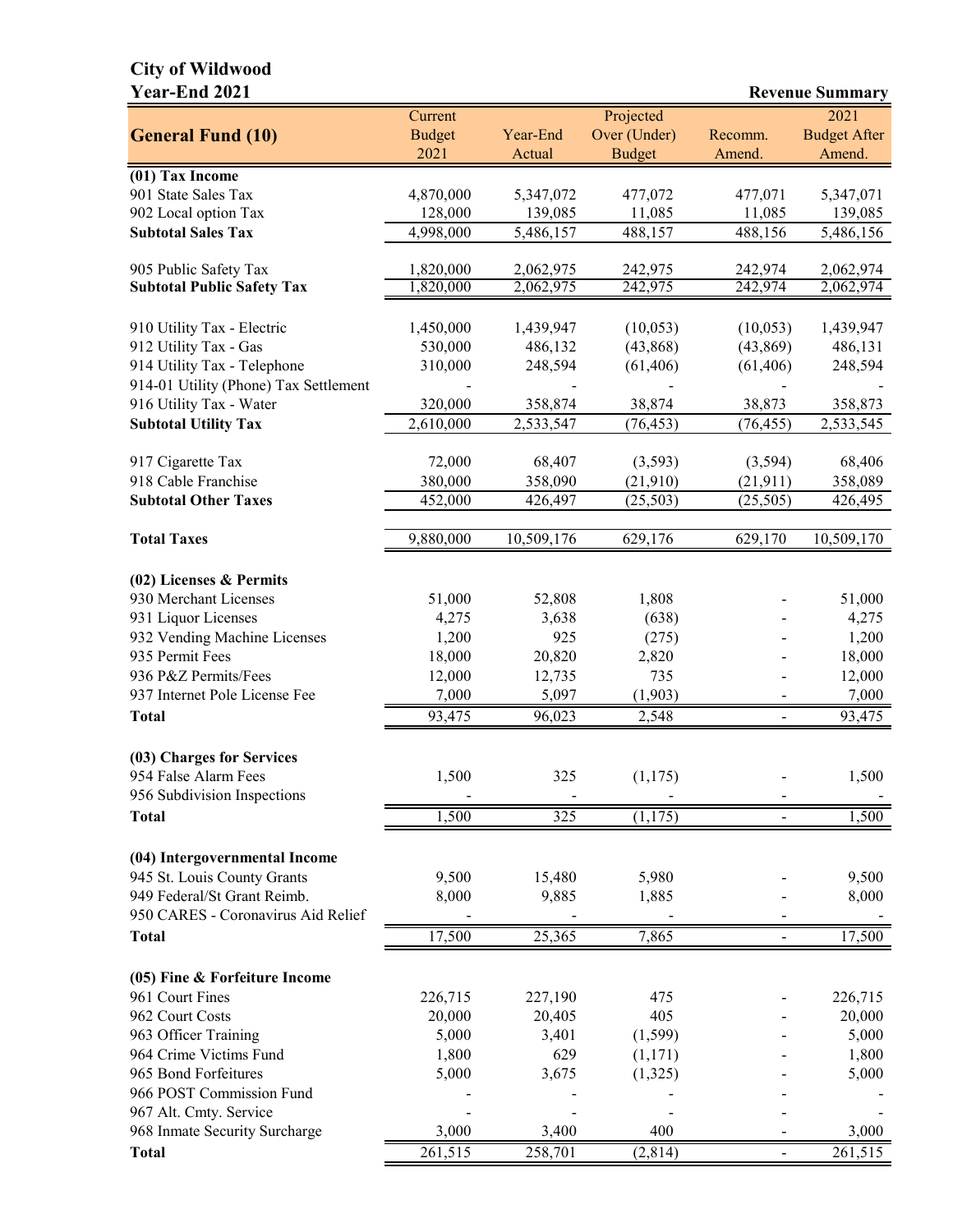# **City of Wildwood**

| <b>Year-End 2021</b>                  |                                  |                    |                                            |                   | <b>Revenue Summary</b>                |
|---------------------------------------|----------------------------------|--------------------|--------------------------------------------|-------------------|---------------------------------------|
| <b>General Fund (10)</b>              | Current<br><b>Budget</b><br>2021 | Year-End<br>Actual | Projected<br>Over (Under)<br><b>Budget</b> | Recomm.<br>Amend. | 2021<br><b>Budget After</b><br>Amend. |
| (01) Tax Income                       |                                  |                    |                                            |                   |                                       |
| 901 State Sales Tax                   | 4,870,000                        | 5,347,072          | 477,072                                    | 477,071           | 5,347,071                             |
| 902 Local option Tax                  | 128,000                          | 139,085            | 11,085                                     | 11,085            | 139,085                               |
| <b>Subtotal Sales Tax</b>             | 4,998,000                        | 5,486,157          | 488,157                                    | 488,156           | 5,486,156                             |
| 905 Public Safety Tax                 | 1,820,000                        | 2,062,975          | 242,975                                    | 242,974           | 2,062,974                             |
| <b>Subtotal Public Safety Tax</b>     | 1,820,000                        | 2,062,975          | 242,975                                    | 242,974           | 2,062,974                             |
| 910 Utility Tax - Electric            | 1,450,000                        | 1,439,947          | (10,053)                                   | (10,053)          | 1,439,947                             |
| 912 Utility Tax - Gas                 | 530,000                          | 486,132            | (43,868)                                   | (43, 869)         | 486,131                               |
| 914 Utility Tax - Telephone           | 310,000                          | 248,594            | (61, 406)                                  | (61, 406)         | 248,594                               |
| 914-01 Utility (Phone) Tax Settlement |                                  |                    |                                            |                   |                                       |
| 916 Utility Tax - Water               | 320,000                          | 358,874            | 38,874                                     | 38,873            | 358,873                               |
| <b>Subtotal Utility Tax</b>           | 2,610,000                        | 2,533,547          | (76, 453)                                  | (76, 455)         | 2,533,545                             |
| 917 Cigarette Tax                     | 72,000                           | 68,407             | (3,593)                                    | (3,594)           | 68,406                                |
| 918 Cable Franchise                   | 380,000                          | 358,090            | (21, 910)                                  | (21, 911)         | 358,089                               |
| <b>Subtotal Other Taxes</b>           | 452,000                          | 426,497            | (25,503)                                   | (25, 505)         | 426,495                               |
|                                       |                                  |                    |                                            |                   |                                       |
| <b>Total Taxes</b>                    | 9,880,000                        | 10,509,176         | 629,176                                    | 629,170           | 10,509,170                            |
| $(02)$ Licenses & Permits             |                                  |                    |                                            |                   |                                       |
| 930 Merchant Licenses                 | 51,000                           | 52,808             | 1,808                                      |                   | 51,000                                |
| 931 Liquor Licenses                   | 4,275                            | 3,638              | (638)                                      |                   | 4,275                                 |
| 932 Vending Machine Licenses          | 1,200                            | 925                | (275)                                      |                   | 1,200                                 |
| 935 Permit Fees                       | 18,000                           | 20,820             | 2,820                                      |                   | 18,000                                |
| 936 P&Z Permits/Fees                  | 12,000                           | 12,735             | 735                                        |                   | 12,000                                |
| 937 Internet Pole License Fee         | 7,000                            | 5,097              | (1,903)                                    |                   | 7,000                                 |
| <b>Total</b>                          | 93,475                           | 96,023             | 2,548                                      |                   | 93,475                                |
|                                       |                                  |                    |                                            |                   |                                       |
| (03) Charges for Services             |                                  |                    |                                            |                   |                                       |
| 954 False Alarm Fees                  | 1,500                            | 325                | (1,175)                                    |                   | 1,500                                 |
| 956 Subdivision Inspections           |                                  |                    |                                            |                   |                                       |
| <b>Total</b>                          | 1,500                            | 325                | (1, 175)                                   |                   | 1,500                                 |
| (04) Intergovernmental Income         |                                  |                    |                                            |                   |                                       |
| 945 St. Louis County Grants           | 9,500                            | 15,480             | 5,980                                      |                   | 9,500                                 |
| 949 Federal/St Grant Reimb.           | 8,000                            | 9,885              | 1,885                                      |                   | 8,000                                 |
| 950 CARES - Coronavirus Aid Relief    |                                  |                    |                                            |                   |                                       |
| <b>Total</b>                          | 17,500                           | 25,365             | 7,865                                      | Ξ.                | 17,500                                |
| (05) Fine & Forfeiture Income         |                                  |                    |                                            |                   |                                       |
| 961 Court Fines                       | 226,715                          | 227,190            | 475                                        |                   | 226,715                               |
| 962 Court Costs                       | 20,000                           | 20,405             | 405                                        |                   | 20,000                                |
| 963 Officer Training                  | 5,000                            | 3,401              | (1, 599)                                   |                   | 5,000                                 |
| 964 Crime Victims Fund                | 1,800                            | 629                | (1,171)                                    |                   | 1,800                                 |
| 965 Bond Forfeitures                  | 5,000                            | 3,675              | (1,325)                                    |                   | 5,000                                 |
| 966 POST Commission Fund              |                                  |                    |                                            |                   |                                       |
| 967 Alt. Cmty. Service                |                                  |                    |                                            |                   |                                       |
| 968 Inmate Security Surcharge         | 3,000                            | 3,400              | 400                                        |                   | 3,000                                 |

**Total** 261,515 258,701 (2,814) - 261,515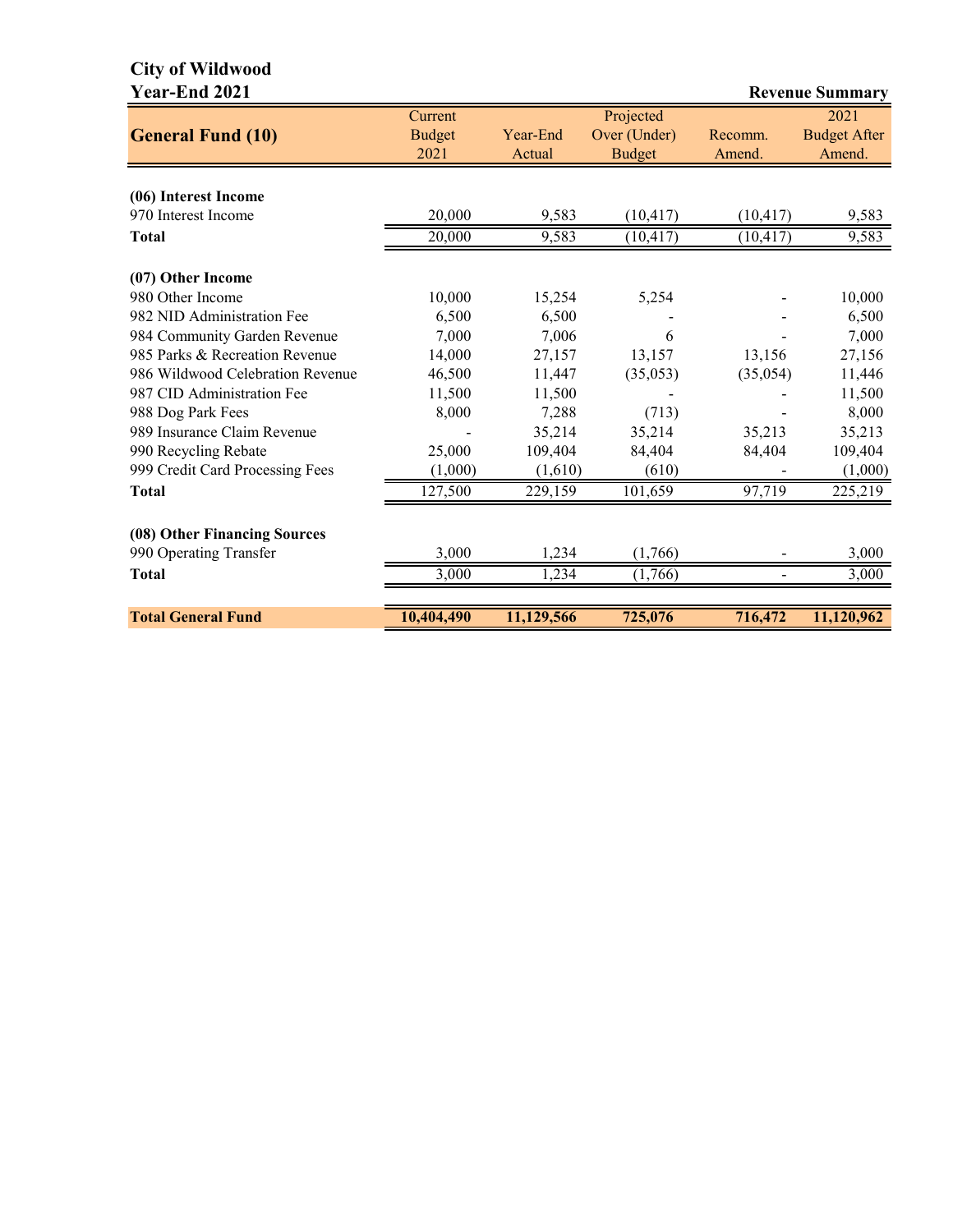# **City of Wildwood**

| <b>Year-End 2021</b>             |                                  |                    |                                            |                   | <b>Revenue Summary</b>                |
|----------------------------------|----------------------------------|--------------------|--------------------------------------------|-------------------|---------------------------------------|
| <b>General Fund (10)</b>         | Current<br><b>Budget</b><br>2021 | Year-End<br>Actual | Projected<br>Over (Under)<br><b>Budget</b> | Recomm.<br>Amend. | 2021<br><b>Budget After</b><br>Amend. |
| (06) Interest Income             |                                  |                    |                                            |                   |                                       |
| 970 Interest Income              | 20,000                           | 9,583              | (10, 417)                                  | (10, 417)         | 9,583                                 |
|                                  |                                  |                    |                                            |                   |                                       |
| <b>Total</b>                     | 20,000                           | 9,583              | $(\overline{10,417})$                      | (10, 417)         | 9,583                                 |
| (07) Other Income                |                                  |                    |                                            |                   |                                       |
| 980 Other Income                 | 10,000                           | 15,254             | 5,254                                      |                   | 10,000                                |
| 982 NID Administration Fee       | 6,500                            | 6,500              |                                            |                   | 6,500                                 |
| 984 Community Garden Revenue     | 7,000                            | 7,006              | 6                                          |                   | 7,000                                 |
| 985 Parks & Recreation Revenue   | 14,000                           | 27,157             | 13,157                                     | 13,156            | 27,156                                |
| 986 Wildwood Celebration Revenue | 46,500                           | 11,447             | (35,053)                                   | (35,054)          | 11,446                                |
| 987 CID Administration Fee       | 11,500                           | 11,500             |                                            |                   | 11,500                                |
| 988 Dog Park Fees                | 8,000                            | 7,288              | (713)                                      |                   | 8,000                                 |
| 989 Insurance Claim Revenue      |                                  | 35,214             | 35,214                                     | 35,213            | 35,213                                |
| 990 Recycling Rebate             | 25,000                           | 109,404            | 84,404                                     | 84,404            | 109,404                               |
| 999 Credit Card Processing Fees  | (1,000)                          | (1,610)            | (610)                                      |                   | (1,000)                               |
| <b>Total</b>                     | 127,500                          | 229,159            | 101,659                                    | 97,719            | 225,219                               |
| (08) Other Financing Sources     |                                  |                    |                                            |                   |                                       |
| 990 Operating Transfer           | 3,000                            | 1,234              | (1,766)                                    |                   | 3,000                                 |
| <b>Total</b>                     | 3,000                            | 1,234              | (1,766)                                    |                   | 3,000                                 |
|                                  |                                  |                    |                                            |                   |                                       |
| <b>Total General Fund</b>        | 10,404,490                       | 11, 129, 566       | 725,076                                    | 716,472           | 11,120,962                            |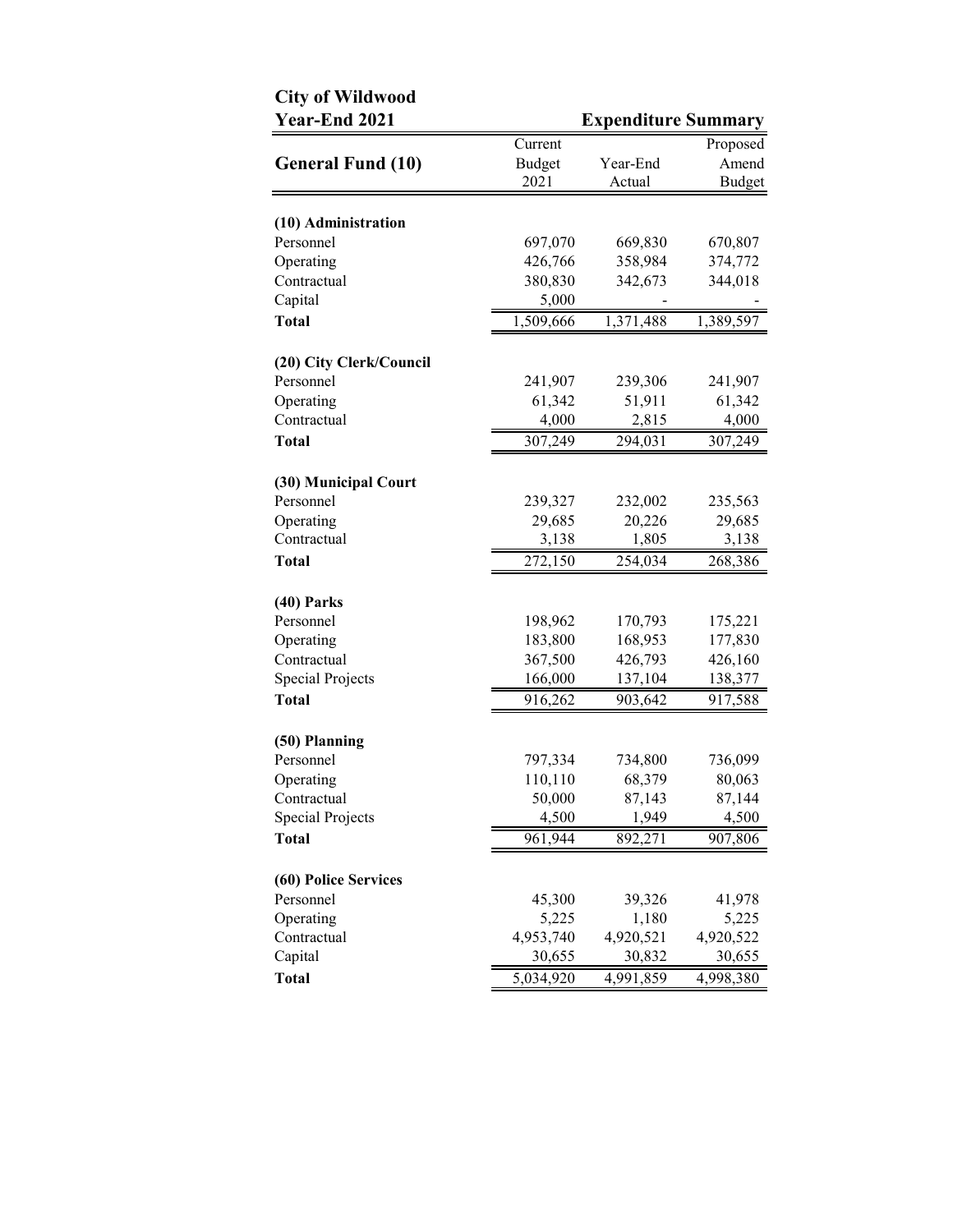| <b>City of Wildwood</b>           |               |                            |           |
|-----------------------------------|---------------|----------------------------|-----------|
| Year-End 2021                     |               | <b>Expenditure Summary</b> |           |
|                                   | Current       |                            | Proposed  |
| <b>General Fund (10)</b>          | <b>Budget</b> | Year-End                   | Amend     |
|                                   | 2021          | Actual                     | Budget    |
| (10) Administration               |               |                            |           |
| Personnel                         | 697,070       | 669,830                    | 670,807   |
| Operating                         | 426,766       | 358,984                    | 374,772   |
| Contractual                       | 380,830       | 342,673                    | 344,018   |
| Capital                           | 5,000         |                            |           |
| <b>Total</b>                      | 1,509,666     | 1,371,488                  | 1,389,597 |
| (20) City Clerk/Council           |               |                            |           |
| Personnel                         | 241,907       | 239,306                    | 241,907   |
| Operating                         | 61,342        | 51,911                     | 61,342    |
| Contractual                       | 4,000         | 2,815                      | 4,000     |
| <b>Total</b>                      | 307,249       | 294,031                    | 307,249   |
|                                   |               |                            |           |
| (30) Municipal Court<br>Personnel | 239,327       | 232,002                    | 235,563   |
| Operating                         | 29,685        | 20,226                     | 29,685    |
| Contractual                       | 3,138         | 1,805                      | 3,138     |
| <b>Total</b>                      | 272,150       | 254,034                    | 268,386   |
|                                   |               |                            |           |
| $(40)$ Parks                      |               |                            |           |
| Personnel                         | 198,962       | 170,793                    | 175,221   |
| Operating                         | 183,800       | 168,953                    | 177,830   |
| Contractual                       | 367,500       | 426,793                    | 426,160   |
| <b>Special Projects</b>           | 166,000       | 137,104                    | 138,377   |
| <b>Total</b>                      | 916,262       | 903,642                    | 917,588   |
| (50) Planning                     |               |                            |           |
| Personnel                         | 797,334       | 734,800                    | 736,099   |
| Operating                         | 110,110       | 68,379                     | 80,063    |
| Contractual                       | 50,000        | 87,143                     | 87,144    |
| <b>Special Projects</b>           | 4,500         | 1,949                      | 4,500     |
| <b>Total</b>                      | 961,944       | 892,271                    | 907,806   |
| (60) Police Services              |               |                            |           |
| Personnel                         | 45,300        | 39,326                     | 41,978    |
| Operating                         | 5,225         | 1,180                      | 5,225     |
| Contractual                       | 4,953,740     | 4,920,521                  | 4,920,522 |
| Capital                           | 30,655        | 30,832                     | 30,655    |
| <b>Total</b>                      | 5,034,920     | 4,991,859                  | 4,998,380 |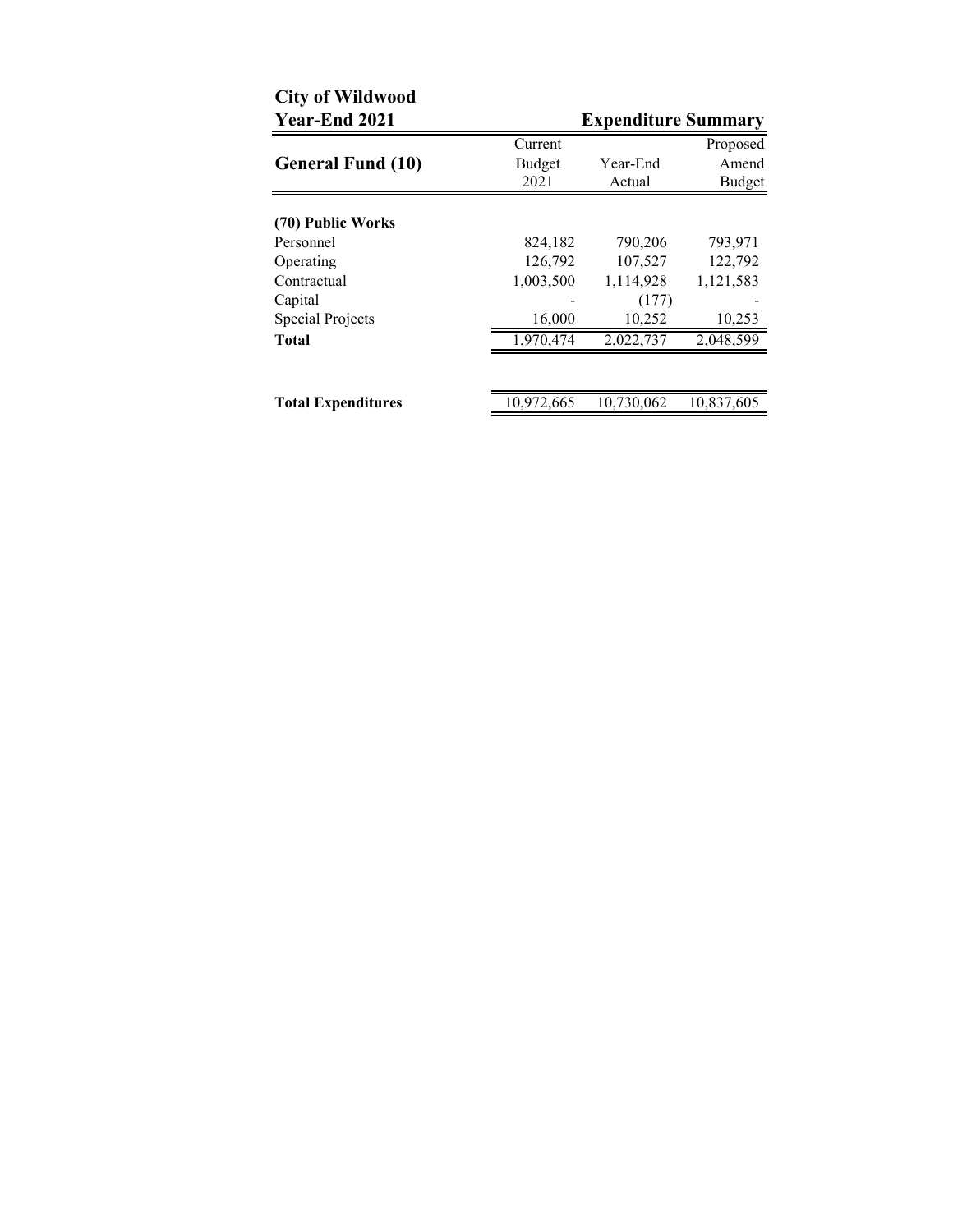| <b>City of Wildwood</b><br>Year-End 2021 |            | <b>Expenditure Summary</b> |            |
|------------------------------------------|------------|----------------------------|------------|
|                                          | Current    |                            | Proposed   |
| <b>General Fund (10)</b>                 | Budget     | Year-End                   | Amend      |
|                                          | 2021       | Actual                     | Budget     |
| (70) Public Works                        |            |                            |            |
| Personnel                                | 824,182    | 790,206                    | 793,971    |
| Operating                                | 126,792    | 107,527                    | 122,792    |
| Contractual                              | 1,003,500  | 1,114,928                  | 1,121,583  |
| Capital                                  |            | (177)                      |            |
| <b>Special Projects</b>                  | 16,000     | 10,252                     | 10,253     |
| <b>Total</b>                             | 1,970,474  | 2,022,737                  | 2,048,599  |
|                                          |            |                            |            |
| <b>Total Expenditures</b>                | 10,972,665 | 10,730,062                 | 10,837,605 |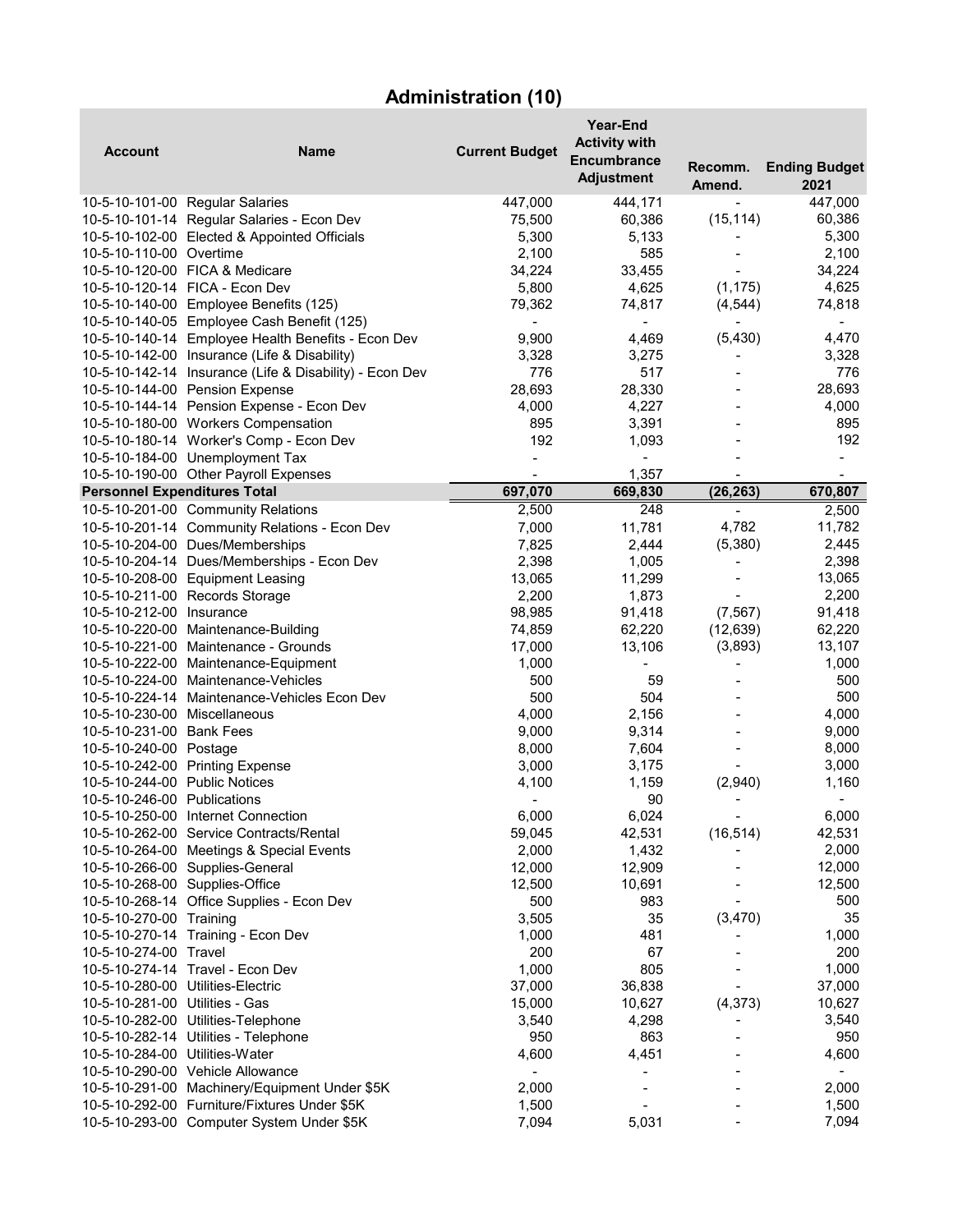# **Administration (10)**

| 2021<br>Amend.<br>447,000<br>10-5-10-101-00 Regular Salaries<br>447,000<br>444,171<br>10-5-10-101-14 Regular Salaries - Econ Dev<br>(15, 114)<br>60,386<br>75,500<br>60,386<br>10-5-10-102-00 Elected & Appointed Officials<br>5,300<br>5,300<br>5,133<br>585<br>10-5-10-110-00 Overtime<br>2,100<br>2,100<br>34,224<br>10-5-10-120-00 FICA & Medicare<br>34,224<br>33,455<br>10-5-10-120-14 FICA - Econ Dev<br>5,800<br>4,625<br>(1, 175)<br>4,625<br>(4, 544)<br>74,818<br>10-5-10-140-00 Employee Benefits (125)<br>74,817<br>79,362<br>10-5-10-140-05 Employee Cash Benefit (125)<br>$\blacksquare$<br>$\overline{\phantom{a}}$<br>$\blacksquare$<br>$\overline{\phantom{a}}$<br>10-5-10-140-14 Employee Health Benefits - Econ Dev<br>(5, 430)<br>4,470<br>9,900<br>4,469<br>10-5-10-142-00 Insurance (Life & Disability)<br>3,328<br>3,275<br>3,328<br>776<br>517<br>776<br>10-5-10-142-14 Insurance (Life & Disability) - Econ Dev<br>10-5-10-144-00 Pension Expense<br>28,330<br>28,693<br>28,693<br>10-5-10-144-14 Pension Expense - Econ Dev<br>4,000<br>4,000<br>4,227<br>10-5-10-180-00 Workers Compensation<br>895<br>895<br>3,391<br>192<br>10-5-10-180-14 Worker's Comp - Econ Dev<br>192<br>1,093<br>10-5-10-184-00 Unemployment Tax<br>$\blacksquare$<br>$\blacksquare$<br>$\overline{\phantom{a}}$<br>10-5-10-190-00 Other Payroll Expenses<br>1,357<br>$\blacksquare$<br>$\blacksquare$<br><b>Personnel Expenditures Total</b><br>697,070<br>669,830<br>(26, 263)<br>670,807<br>10-5-10-201-00 Community Relations<br>248<br>2,500<br>2,500<br>$\qquad \qquad \blacksquare$<br>10-5-10-201-14 Community Relations - Econ Dev<br>11,781<br>4,782<br>7,000<br>11,782<br>2,445<br>10-5-10-204-00 Dues/Memberships<br>7,825<br>2,444<br>(5,380)<br>2,398<br>10-5-10-204-14 Dues/Memberships - Econ Dev<br>2,398<br>1,005<br>$\overline{\phantom{a}}$<br>13,065<br>10-5-10-208-00 Equipment Leasing<br>13,065<br>11,299<br>2,200<br>2,200<br>10-5-10-211-00 Records Storage<br>1,873<br>(7, 567)<br>91,418<br>10-5-10-212-00 Insurance<br>98,985<br>91,418<br>10-5-10-220-00 Maintenance-Building<br>74,859<br>62,220<br>(12, 639)<br>62,220<br>(3,893)<br>10-5-10-221-00 Maintenance - Grounds<br>17,000<br>13,106<br>13,107<br>1,000<br>10-5-10-222-00 Maintenance-Equipment<br>1,000<br>500<br>10-5-10-224-00 Maintenance-Vehicles<br>500<br>59<br>500<br>504<br>500<br>10-5-10-224-14 Maintenance-Vehicles Econ Dev<br>4,000<br>10-5-10-230-00 Miscellaneous<br>4,000<br>2,156<br>9,000<br>10-5-10-231-00 Bank Fees<br>9,000<br>9,314<br>10-5-10-240-00 Postage<br>8,000<br>7,604<br>8,000<br>10-5-10-242-00 Printing Expense<br>3,000<br>3,175<br>3,000<br>10-5-10-244-00 Public Notices<br>4,100<br>1,159<br>(2,940)<br>1,160<br>10-5-10-246-00 Publications<br>90<br>$\qquad \qquad \blacksquare$<br>6,024<br>6,000<br>6,000<br>10-5-10-250-00 Internet Connection<br>(16, 514)<br>42,531<br>10-5-10-262-00 Service Contracts/Rental<br>59,045<br>42,531<br>2,000<br>10-5-10-264-00 Meetings & Special Events<br>2,000<br>1,432<br>12,000<br>10-5-10-266-00 Supplies-General<br>12,000<br>12,909<br>10-5-10-268-00 Supplies-Office<br>12,500<br>10,691<br>12,500<br>10-5-10-268-14 Office Supplies - Econ Dev<br>500<br>983<br>500<br>35<br>35<br>(3,470)<br>10-5-10-270-00 Training<br>3,505<br>1,000<br>10-5-10-270-14 Training - Econ Dev<br>1,000<br>481<br>200<br>200<br>10-5-10-274-00 Travel<br>67<br>1,000<br>805<br>1,000<br>10-5-10-274-14 Travel - Econ Dev<br>10-5-10-280-00 Utilities-Electric<br>37,000<br>36,838<br>37,000<br>(4, 373)<br>10-5-10-281-00 Utilities - Gas<br>15,000<br>10,627<br>10,627<br>10-5-10-282-00 Utilities-Telephone<br>3,540<br>4,298<br>3,540<br>950<br>863<br>950<br>10-5-10-282-14 Utilities - Telephone<br>4,451<br>4,600<br>10-5-10-284-00 Utilities-Water<br>4,600<br>10-5-10-290-00 Vehicle Allowance<br>10-5-10-291-00 Machinery/Equipment Under \$5K<br>2,000<br>2,000<br>1,500<br>10-5-10-292-00 Furniture/Fixtures Under \$5K<br>1,500<br>5,031<br>7,094<br>10-5-10-293-00 Computer System Under \$5K<br>7,094 | <b>Account</b> | <b>Name</b> | <b>Current Budget</b> | <b>Year-End</b><br><b>Activity with</b><br><b>Encumbrance</b><br><b>Adjustment</b> | Recomm. | <b>Ending Budget</b> |
|----------------------------------------------------------------------------------------------------------------------------------------------------------------------------------------------------------------------------------------------------------------------------------------------------------------------------------------------------------------------------------------------------------------------------------------------------------------------------------------------------------------------------------------------------------------------------------------------------------------------------------------------------------------------------------------------------------------------------------------------------------------------------------------------------------------------------------------------------------------------------------------------------------------------------------------------------------------------------------------------------------------------------------------------------------------------------------------------------------------------------------------------------------------------------------------------------------------------------------------------------------------------------------------------------------------------------------------------------------------------------------------------------------------------------------------------------------------------------------------------------------------------------------------------------------------------------------------------------------------------------------------------------------------------------------------------------------------------------------------------------------------------------------------------------------------------------------------------------------------------------------------------------------------------------------------------------------------------------------------------------------------------------------------------------------------------------------------------------------------------------------------------------------------------------------------------------------------------------------------------------------------------------------------------------------------------------------------------------------------------------------------------------------------------------------------------------------------------------------------------------------------------------------------------------------------------------------------------------------------------------------------------------------------------------------------------------------------------------------------------------------------------------------------------------------------------------------------------------------------------------------------------------------------------------------------------------------------------------------------------------------------------------------------------------------------------------------------------------------------------------------------------------------------------------------------------------------------------------------------------------------------------------------------------------------------------------------------------------------------------------------------------------------------------------------------------------------------------------------------------------------------------------------------------------------------------------------------------------------------------------------------------------------------------------------------------------------------------------------------------------------------------------------------------------------------------------------------------------------------------------------------------------------------------------------------------------------------------------------------------------------------------------------------------------------------------------------------|----------------|-------------|-----------------------|------------------------------------------------------------------------------------|---------|----------------------|
|                                                                                                                                                                                                                                                                                                                                                                                                                                                                                                                                                                                                                                                                                                                                                                                                                                                                                                                                                                                                                                                                                                                                                                                                                                                                                                                                                                                                                                                                                                                                                                                                                                                                                                                                                                                                                                                                                                                                                                                                                                                                                                                                                                                                                                                                                                                                                                                                                                                                                                                                                                                                                                                                                                                                                                                                                                                                                                                                                                                                                                                                                                                                                                                                                                                                                                                                                                                                                                                                                                                                                                                                                                                                                                                                                                                                                                                                                                                                                                                                                                                                                        |                |             |                       |                                                                                    |         |                      |
|                                                                                                                                                                                                                                                                                                                                                                                                                                                                                                                                                                                                                                                                                                                                                                                                                                                                                                                                                                                                                                                                                                                                                                                                                                                                                                                                                                                                                                                                                                                                                                                                                                                                                                                                                                                                                                                                                                                                                                                                                                                                                                                                                                                                                                                                                                                                                                                                                                                                                                                                                                                                                                                                                                                                                                                                                                                                                                                                                                                                                                                                                                                                                                                                                                                                                                                                                                                                                                                                                                                                                                                                                                                                                                                                                                                                                                                                                                                                                                                                                                                                                        |                |             |                       |                                                                                    |         |                      |
|                                                                                                                                                                                                                                                                                                                                                                                                                                                                                                                                                                                                                                                                                                                                                                                                                                                                                                                                                                                                                                                                                                                                                                                                                                                                                                                                                                                                                                                                                                                                                                                                                                                                                                                                                                                                                                                                                                                                                                                                                                                                                                                                                                                                                                                                                                                                                                                                                                                                                                                                                                                                                                                                                                                                                                                                                                                                                                                                                                                                                                                                                                                                                                                                                                                                                                                                                                                                                                                                                                                                                                                                                                                                                                                                                                                                                                                                                                                                                                                                                                                                                        |                |             |                       |                                                                                    |         |                      |
|                                                                                                                                                                                                                                                                                                                                                                                                                                                                                                                                                                                                                                                                                                                                                                                                                                                                                                                                                                                                                                                                                                                                                                                                                                                                                                                                                                                                                                                                                                                                                                                                                                                                                                                                                                                                                                                                                                                                                                                                                                                                                                                                                                                                                                                                                                                                                                                                                                                                                                                                                                                                                                                                                                                                                                                                                                                                                                                                                                                                                                                                                                                                                                                                                                                                                                                                                                                                                                                                                                                                                                                                                                                                                                                                                                                                                                                                                                                                                                                                                                                                                        |                |             |                       |                                                                                    |         |                      |
|                                                                                                                                                                                                                                                                                                                                                                                                                                                                                                                                                                                                                                                                                                                                                                                                                                                                                                                                                                                                                                                                                                                                                                                                                                                                                                                                                                                                                                                                                                                                                                                                                                                                                                                                                                                                                                                                                                                                                                                                                                                                                                                                                                                                                                                                                                                                                                                                                                                                                                                                                                                                                                                                                                                                                                                                                                                                                                                                                                                                                                                                                                                                                                                                                                                                                                                                                                                                                                                                                                                                                                                                                                                                                                                                                                                                                                                                                                                                                                                                                                                                                        |                |             |                       |                                                                                    |         |                      |
|                                                                                                                                                                                                                                                                                                                                                                                                                                                                                                                                                                                                                                                                                                                                                                                                                                                                                                                                                                                                                                                                                                                                                                                                                                                                                                                                                                                                                                                                                                                                                                                                                                                                                                                                                                                                                                                                                                                                                                                                                                                                                                                                                                                                                                                                                                                                                                                                                                                                                                                                                                                                                                                                                                                                                                                                                                                                                                                                                                                                                                                                                                                                                                                                                                                                                                                                                                                                                                                                                                                                                                                                                                                                                                                                                                                                                                                                                                                                                                                                                                                                                        |                |             |                       |                                                                                    |         |                      |
|                                                                                                                                                                                                                                                                                                                                                                                                                                                                                                                                                                                                                                                                                                                                                                                                                                                                                                                                                                                                                                                                                                                                                                                                                                                                                                                                                                                                                                                                                                                                                                                                                                                                                                                                                                                                                                                                                                                                                                                                                                                                                                                                                                                                                                                                                                                                                                                                                                                                                                                                                                                                                                                                                                                                                                                                                                                                                                                                                                                                                                                                                                                                                                                                                                                                                                                                                                                                                                                                                                                                                                                                                                                                                                                                                                                                                                                                                                                                                                                                                                                                                        |                |             |                       |                                                                                    |         |                      |
|                                                                                                                                                                                                                                                                                                                                                                                                                                                                                                                                                                                                                                                                                                                                                                                                                                                                                                                                                                                                                                                                                                                                                                                                                                                                                                                                                                                                                                                                                                                                                                                                                                                                                                                                                                                                                                                                                                                                                                                                                                                                                                                                                                                                                                                                                                                                                                                                                                                                                                                                                                                                                                                                                                                                                                                                                                                                                                                                                                                                                                                                                                                                                                                                                                                                                                                                                                                                                                                                                                                                                                                                                                                                                                                                                                                                                                                                                                                                                                                                                                                                                        |                |             |                       |                                                                                    |         |                      |
|                                                                                                                                                                                                                                                                                                                                                                                                                                                                                                                                                                                                                                                                                                                                                                                                                                                                                                                                                                                                                                                                                                                                                                                                                                                                                                                                                                                                                                                                                                                                                                                                                                                                                                                                                                                                                                                                                                                                                                                                                                                                                                                                                                                                                                                                                                                                                                                                                                                                                                                                                                                                                                                                                                                                                                                                                                                                                                                                                                                                                                                                                                                                                                                                                                                                                                                                                                                                                                                                                                                                                                                                                                                                                                                                                                                                                                                                                                                                                                                                                                                                                        |                |             |                       |                                                                                    |         |                      |
|                                                                                                                                                                                                                                                                                                                                                                                                                                                                                                                                                                                                                                                                                                                                                                                                                                                                                                                                                                                                                                                                                                                                                                                                                                                                                                                                                                                                                                                                                                                                                                                                                                                                                                                                                                                                                                                                                                                                                                                                                                                                                                                                                                                                                                                                                                                                                                                                                                                                                                                                                                                                                                                                                                                                                                                                                                                                                                                                                                                                                                                                                                                                                                                                                                                                                                                                                                                                                                                                                                                                                                                                                                                                                                                                                                                                                                                                                                                                                                                                                                                                                        |                |             |                       |                                                                                    |         |                      |
|                                                                                                                                                                                                                                                                                                                                                                                                                                                                                                                                                                                                                                                                                                                                                                                                                                                                                                                                                                                                                                                                                                                                                                                                                                                                                                                                                                                                                                                                                                                                                                                                                                                                                                                                                                                                                                                                                                                                                                                                                                                                                                                                                                                                                                                                                                                                                                                                                                                                                                                                                                                                                                                                                                                                                                                                                                                                                                                                                                                                                                                                                                                                                                                                                                                                                                                                                                                                                                                                                                                                                                                                                                                                                                                                                                                                                                                                                                                                                                                                                                                                                        |                |             |                       |                                                                                    |         |                      |
|                                                                                                                                                                                                                                                                                                                                                                                                                                                                                                                                                                                                                                                                                                                                                                                                                                                                                                                                                                                                                                                                                                                                                                                                                                                                                                                                                                                                                                                                                                                                                                                                                                                                                                                                                                                                                                                                                                                                                                                                                                                                                                                                                                                                                                                                                                                                                                                                                                                                                                                                                                                                                                                                                                                                                                                                                                                                                                                                                                                                                                                                                                                                                                                                                                                                                                                                                                                                                                                                                                                                                                                                                                                                                                                                                                                                                                                                                                                                                                                                                                                                                        |                |             |                       |                                                                                    |         |                      |
|                                                                                                                                                                                                                                                                                                                                                                                                                                                                                                                                                                                                                                                                                                                                                                                                                                                                                                                                                                                                                                                                                                                                                                                                                                                                                                                                                                                                                                                                                                                                                                                                                                                                                                                                                                                                                                                                                                                                                                                                                                                                                                                                                                                                                                                                                                                                                                                                                                                                                                                                                                                                                                                                                                                                                                                                                                                                                                                                                                                                                                                                                                                                                                                                                                                                                                                                                                                                                                                                                                                                                                                                                                                                                                                                                                                                                                                                                                                                                                                                                                                                                        |                |             |                       |                                                                                    |         |                      |
|                                                                                                                                                                                                                                                                                                                                                                                                                                                                                                                                                                                                                                                                                                                                                                                                                                                                                                                                                                                                                                                                                                                                                                                                                                                                                                                                                                                                                                                                                                                                                                                                                                                                                                                                                                                                                                                                                                                                                                                                                                                                                                                                                                                                                                                                                                                                                                                                                                                                                                                                                                                                                                                                                                                                                                                                                                                                                                                                                                                                                                                                                                                                                                                                                                                                                                                                                                                                                                                                                                                                                                                                                                                                                                                                                                                                                                                                                                                                                                                                                                                                                        |                |             |                       |                                                                                    |         |                      |
|                                                                                                                                                                                                                                                                                                                                                                                                                                                                                                                                                                                                                                                                                                                                                                                                                                                                                                                                                                                                                                                                                                                                                                                                                                                                                                                                                                                                                                                                                                                                                                                                                                                                                                                                                                                                                                                                                                                                                                                                                                                                                                                                                                                                                                                                                                                                                                                                                                                                                                                                                                                                                                                                                                                                                                                                                                                                                                                                                                                                                                                                                                                                                                                                                                                                                                                                                                                                                                                                                                                                                                                                                                                                                                                                                                                                                                                                                                                                                                                                                                                                                        |                |             |                       |                                                                                    |         |                      |
|                                                                                                                                                                                                                                                                                                                                                                                                                                                                                                                                                                                                                                                                                                                                                                                                                                                                                                                                                                                                                                                                                                                                                                                                                                                                                                                                                                                                                                                                                                                                                                                                                                                                                                                                                                                                                                                                                                                                                                                                                                                                                                                                                                                                                                                                                                                                                                                                                                                                                                                                                                                                                                                                                                                                                                                                                                                                                                                                                                                                                                                                                                                                                                                                                                                                                                                                                                                                                                                                                                                                                                                                                                                                                                                                                                                                                                                                                                                                                                                                                                                                                        |                |             |                       |                                                                                    |         |                      |
|                                                                                                                                                                                                                                                                                                                                                                                                                                                                                                                                                                                                                                                                                                                                                                                                                                                                                                                                                                                                                                                                                                                                                                                                                                                                                                                                                                                                                                                                                                                                                                                                                                                                                                                                                                                                                                                                                                                                                                                                                                                                                                                                                                                                                                                                                                                                                                                                                                                                                                                                                                                                                                                                                                                                                                                                                                                                                                                                                                                                                                                                                                                                                                                                                                                                                                                                                                                                                                                                                                                                                                                                                                                                                                                                                                                                                                                                                                                                                                                                                                                                                        |                |             |                       |                                                                                    |         |                      |
|                                                                                                                                                                                                                                                                                                                                                                                                                                                                                                                                                                                                                                                                                                                                                                                                                                                                                                                                                                                                                                                                                                                                                                                                                                                                                                                                                                                                                                                                                                                                                                                                                                                                                                                                                                                                                                                                                                                                                                                                                                                                                                                                                                                                                                                                                                                                                                                                                                                                                                                                                                                                                                                                                                                                                                                                                                                                                                                                                                                                                                                                                                                                                                                                                                                                                                                                                                                                                                                                                                                                                                                                                                                                                                                                                                                                                                                                                                                                                                                                                                                                                        |                |             |                       |                                                                                    |         |                      |
|                                                                                                                                                                                                                                                                                                                                                                                                                                                                                                                                                                                                                                                                                                                                                                                                                                                                                                                                                                                                                                                                                                                                                                                                                                                                                                                                                                                                                                                                                                                                                                                                                                                                                                                                                                                                                                                                                                                                                                                                                                                                                                                                                                                                                                                                                                                                                                                                                                                                                                                                                                                                                                                                                                                                                                                                                                                                                                                                                                                                                                                                                                                                                                                                                                                                                                                                                                                                                                                                                                                                                                                                                                                                                                                                                                                                                                                                                                                                                                                                                                                                                        |                |             |                       |                                                                                    |         |                      |
|                                                                                                                                                                                                                                                                                                                                                                                                                                                                                                                                                                                                                                                                                                                                                                                                                                                                                                                                                                                                                                                                                                                                                                                                                                                                                                                                                                                                                                                                                                                                                                                                                                                                                                                                                                                                                                                                                                                                                                                                                                                                                                                                                                                                                                                                                                                                                                                                                                                                                                                                                                                                                                                                                                                                                                                                                                                                                                                                                                                                                                                                                                                                                                                                                                                                                                                                                                                                                                                                                                                                                                                                                                                                                                                                                                                                                                                                                                                                                                                                                                                                                        |                |             |                       |                                                                                    |         |                      |
|                                                                                                                                                                                                                                                                                                                                                                                                                                                                                                                                                                                                                                                                                                                                                                                                                                                                                                                                                                                                                                                                                                                                                                                                                                                                                                                                                                                                                                                                                                                                                                                                                                                                                                                                                                                                                                                                                                                                                                                                                                                                                                                                                                                                                                                                                                                                                                                                                                                                                                                                                                                                                                                                                                                                                                                                                                                                                                                                                                                                                                                                                                                                                                                                                                                                                                                                                                                                                                                                                                                                                                                                                                                                                                                                                                                                                                                                                                                                                                                                                                                                                        |                |             |                       |                                                                                    |         |                      |
|                                                                                                                                                                                                                                                                                                                                                                                                                                                                                                                                                                                                                                                                                                                                                                                                                                                                                                                                                                                                                                                                                                                                                                                                                                                                                                                                                                                                                                                                                                                                                                                                                                                                                                                                                                                                                                                                                                                                                                                                                                                                                                                                                                                                                                                                                                                                                                                                                                                                                                                                                                                                                                                                                                                                                                                                                                                                                                                                                                                                                                                                                                                                                                                                                                                                                                                                                                                                                                                                                                                                                                                                                                                                                                                                                                                                                                                                                                                                                                                                                                                                                        |                |             |                       |                                                                                    |         |                      |
|                                                                                                                                                                                                                                                                                                                                                                                                                                                                                                                                                                                                                                                                                                                                                                                                                                                                                                                                                                                                                                                                                                                                                                                                                                                                                                                                                                                                                                                                                                                                                                                                                                                                                                                                                                                                                                                                                                                                                                                                                                                                                                                                                                                                                                                                                                                                                                                                                                                                                                                                                                                                                                                                                                                                                                                                                                                                                                                                                                                                                                                                                                                                                                                                                                                                                                                                                                                                                                                                                                                                                                                                                                                                                                                                                                                                                                                                                                                                                                                                                                                                                        |                |             |                       |                                                                                    |         |                      |
|                                                                                                                                                                                                                                                                                                                                                                                                                                                                                                                                                                                                                                                                                                                                                                                                                                                                                                                                                                                                                                                                                                                                                                                                                                                                                                                                                                                                                                                                                                                                                                                                                                                                                                                                                                                                                                                                                                                                                                                                                                                                                                                                                                                                                                                                                                                                                                                                                                                                                                                                                                                                                                                                                                                                                                                                                                                                                                                                                                                                                                                                                                                                                                                                                                                                                                                                                                                                                                                                                                                                                                                                                                                                                                                                                                                                                                                                                                                                                                                                                                                                                        |                |             |                       |                                                                                    |         |                      |
|                                                                                                                                                                                                                                                                                                                                                                                                                                                                                                                                                                                                                                                                                                                                                                                                                                                                                                                                                                                                                                                                                                                                                                                                                                                                                                                                                                                                                                                                                                                                                                                                                                                                                                                                                                                                                                                                                                                                                                                                                                                                                                                                                                                                                                                                                                                                                                                                                                                                                                                                                                                                                                                                                                                                                                                                                                                                                                                                                                                                                                                                                                                                                                                                                                                                                                                                                                                                                                                                                                                                                                                                                                                                                                                                                                                                                                                                                                                                                                                                                                                                                        |                |             |                       |                                                                                    |         |                      |
|                                                                                                                                                                                                                                                                                                                                                                                                                                                                                                                                                                                                                                                                                                                                                                                                                                                                                                                                                                                                                                                                                                                                                                                                                                                                                                                                                                                                                                                                                                                                                                                                                                                                                                                                                                                                                                                                                                                                                                                                                                                                                                                                                                                                                                                                                                                                                                                                                                                                                                                                                                                                                                                                                                                                                                                                                                                                                                                                                                                                                                                                                                                                                                                                                                                                                                                                                                                                                                                                                                                                                                                                                                                                                                                                                                                                                                                                                                                                                                                                                                                                                        |                |             |                       |                                                                                    |         |                      |
|                                                                                                                                                                                                                                                                                                                                                                                                                                                                                                                                                                                                                                                                                                                                                                                                                                                                                                                                                                                                                                                                                                                                                                                                                                                                                                                                                                                                                                                                                                                                                                                                                                                                                                                                                                                                                                                                                                                                                                                                                                                                                                                                                                                                                                                                                                                                                                                                                                                                                                                                                                                                                                                                                                                                                                                                                                                                                                                                                                                                                                                                                                                                                                                                                                                                                                                                                                                                                                                                                                                                                                                                                                                                                                                                                                                                                                                                                                                                                                                                                                                                                        |                |             |                       |                                                                                    |         |                      |
|                                                                                                                                                                                                                                                                                                                                                                                                                                                                                                                                                                                                                                                                                                                                                                                                                                                                                                                                                                                                                                                                                                                                                                                                                                                                                                                                                                                                                                                                                                                                                                                                                                                                                                                                                                                                                                                                                                                                                                                                                                                                                                                                                                                                                                                                                                                                                                                                                                                                                                                                                                                                                                                                                                                                                                                                                                                                                                                                                                                                                                                                                                                                                                                                                                                                                                                                                                                                                                                                                                                                                                                                                                                                                                                                                                                                                                                                                                                                                                                                                                                                                        |                |             |                       |                                                                                    |         |                      |
|                                                                                                                                                                                                                                                                                                                                                                                                                                                                                                                                                                                                                                                                                                                                                                                                                                                                                                                                                                                                                                                                                                                                                                                                                                                                                                                                                                                                                                                                                                                                                                                                                                                                                                                                                                                                                                                                                                                                                                                                                                                                                                                                                                                                                                                                                                                                                                                                                                                                                                                                                                                                                                                                                                                                                                                                                                                                                                                                                                                                                                                                                                                                                                                                                                                                                                                                                                                                                                                                                                                                                                                                                                                                                                                                                                                                                                                                                                                                                                                                                                                                                        |                |             |                       |                                                                                    |         |                      |
|                                                                                                                                                                                                                                                                                                                                                                                                                                                                                                                                                                                                                                                                                                                                                                                                                                                                                                                                                                                                                                                                                                                                                                                                                                                                                                                                                                                                                                                                                                                                                                                                                                                                                                                                                                                                                                                                                                                                                                                                                                                                                                                                                                                                                                                                                                                                                                                                                                                                                                                                                                                                                                                                                                                                                                                                                                                                                                                                                                                                                                                                                                                                                                                                                                                                                                                                                                                                                                                                                                                                                                                                                                                                                                                                                                                                                                                                                                                                                                                                                                                                                        |                |             |                       |                                                                                    |         |                      |
|                                                                                                                                                                                                                                                                                                                                                                                                                                                                                                                                                                                                                                                                                                                                                                                                                                                                                                                                                                                                                                                                                                                                                                                                                                                                                                                                                                                                                                                                                                                                                                                                                                                                                                                                                                                                                                                                                                                                                                                                                                                                                                                                                                                                                                                                                                                                                                                                                                                                                                                                                                                                                                                                                                                                                                                                                                                                                                                                                                                                                                                                                                                                                                                                                                                                                                                                                                                                                                                                                                                                                                                                                                                                                                                                                                                                                                                                                                                                                                                                                                                                                        |                |             |                       |                                                                                    |         |                      |
|                                                                                                                                                                                                                                                                                                                                                                                                                                                                                                                                                                                                                                                                                                                                                                                                                                                                                                                                                                                                                                                                                                                                                                                                                                                                                                                                                                                                                                                                                                                                                                                                                                                                                                                                                                                                                                                                                                                                                                                                                                                                                                                                                                                                                                                                                                                                                                                                                                                                                                                                                                                                                                                                                                                                                                                                                                                                                                                                                                                                                                                                                                                                                                                                                                                                                                                                                                                                                                                                                                                                                                                                                                                                                                                                                                                                                                                                                                                                                                                                                                                                                        |                |             |                       |                                                                                    |         |                      |
|                                                                                                                                                                                                                                                                                                                                                                                                                                                                                                                                                                                                                                                                                                                                                                                                                                                                                                                                                                                                                                                                                                                                                                                                                                                                                                                                                                                                                                                                                                                                                                                                                                                                                                                                                                                                                                                                                                                                                                                                                                                                                                                                                                                                                                                                                                                                                                                                                                                                                                                                                                                                                                                                                                                                                                                                                                                                                                                                                                                                                                                                                                                                                                                                                                                                                                                                                                                                                                                                                                                                                                                                                                                                                                                                                                                                                                                                                                                                                                                                                                                                                        |                |             |                       |                                                                                    |         |                      |
|                                                                                                                                                                                                                                                                                                                                                                                                                                                                                                                                                                                                                                                                                                                                                                                                                                                                                                                                                                                                                                                                                                                                                                                                                                                                                                                                                                                                                                                                                                                                                                                                                                                                                                                                                                                                                                                                                                                                                                                                                                                                                                                                                                                                                                                                                                                                                                                                                                                                                                                                                                                                                                                                                                                                                                                                                                                                                                                                                                                                                                                                                                                                                                                                                                                                                                                                                                                                                                                                                                                                                                                                                                                                                                                                                                                                                                                                                                                                                                                                                                                                                        |                |             |                       |                                                                                    |         |                      |
|                                                                                                                                                                                                                                                                                                                                                                                                                                                                                                                                                                                                                                                                                                                                                                                                                                                                                                                                                                                                                                                                                                                                                                                                                                                                                                                                                                                                                                                                                                                                                                                                                                                                                                                                                                                                                                                                                                                                                                                                                                                                                                                                                                                                                                                                                                                                                                                                                                                                                                                                                                                                                                                                                                                                                                                                                                                                                                                                                                                                                                                                                                                                                                                                                                                                                                                                                                                                                                                                                                                                                                                                                                                                                                                                                                                                                                                                                                                                                                                                                                                                                        |                |             |                       |                                                                                    |         |                      |
|                                                                                                                                                                                                                                                                                                                                                                                                                                                                                                                                                                                                                                                                                                                                                                                                                                                                                                                                                                                                                                                                                                                                                                                                                                                                                                                                                                                                                                                                                                                                                                                                                                                                                                                                                                                                                                                                                                                                                                                                                                                                                                                                                                                                                                                                                                                                                                                                                                                                                                                                                                                                                                                                                                                                                                                                                                                                                                                                                                                                                                                                                                                                                                                                                                                                                                                                                                                                                                                                                                                                                                                                                                                                                                                                                                                                                                                                                                                                                                                                                                                                                        |                |             |                       |                                                                                    |         |                      |
|                                                                                                                                                                                                                                                                                                                                                                                                                                                                                                                                                                                                                                                                                                                                                                                                                                                                                                                                                                                                                                                                                                                                                                                                                                                                                                                                                                                                                                                                                                                                                                                                                                                                                                                                                                                                                                                                                                                                                                                                                                                                                                                                                                                                                                                                                                                                                                                                                                                                                                                                                                                                                                                                                                                                                                                                                                                                                                                                                                                                                                                                                                                                                                                                                                                                                                                                                                                                                                                                                                                                                                                                                                                                                                                                                                                                                                                                                                                                                                                                                                                                                        |                |             |                       |                                                                                    |         |                      |
|                                                                                                                                                                                                                                                                                                                                                                                                                                                                                                                                                                                                                                                                                                                                                                                                                                                                                                                                                                                                                                                                                                                                                                                                                                                                                                                                                                                                                                                                                                                                                                                                                                                                                                                                                                                                                                                                                                                                                                                                                                                                                                                                                                                                                                                                                                                                                                                                                                                                                                                                                                                                                                                                                                                                                                                                                                                                                                                                                                                                                                                                                                                                                                                                                                                                                                                                                                                                                                                                                                                                                                                                                                                                                                                                                                                                                                                                                                                                                                                                                                                                                        |                |             |                       |                                                                                    |         |                      |
|                                                                                                                                                                                                                                                                                                                                                                                                                                                                                                                                                                                                                                                                                                                                                                                                                                                                                                                                                                                                                                                                                                                                                                                                                                                                                                                                                                                                                                                                                                                                                                                                                                                                                                                                                                                                                                                                                                                                                                                                                                                                                                                                                                                                                                                                                                                                                                                                                                                                                                                                                                                                                                                                                                                                                                                                                                                                                                                                                                                                                                                                                                                                                                                                                                                                                                                                                                                                                                                                                                                                                                                                                                                                                                                                                                                                                                                                                                                                                                                                                                                                                        |                |             |                       |                                                                                    |         |                      |
|                                                                                                                                                                                                                                                                                                                                                                                                                                                                                                                                                                                                                                                                                                                                                                                                                                                                                                                                                                                                                                                                                                                                                                                                                                                                                                                                                                                                                                                                                                                                                                                                                                                                                                                                                                                                                                                                                                                                                                                                                                                                                                                                                                                                                                                                                                                                                                                                                                                                                                                                                                                                                                                                                                                                                                                                                                                                                                                                                                                                                                                                                                                                                                                                                                                                                                                                                                                                                                                                                                                                                                                                                                                                                                                                                                                                                                                                                                                                                                                                                                                                                        |                |             |                       |                                                                                    |         |                      |
|                                                                                                                                                                                                                                                                                                                                                                                                                                                                                                                                                                                                                                                                                                                                                                                                                                                                                                                                                                                                                                                                                                                                                                                                                                                                                                                                                                                                                                                                                                                                                                                                                                                                                                                                                                                                                                                                                                                                                                                                                                                                                                                                                                                                                                                                                                                                                                                                                                                                                                                                                                                                                                                                                                                                                                                                                                                                                                                                                                                                                                                                                                                                                                                                                                                                                                                                                                                                                                                                                                                                                                                                                                                                                                                                                                                                                                                                                                                                                                                                                                                                                        |                |             |                       |                                                                                    |         |                      |
|                                                                                                                                                                                                                                                                                                                                                                                                                                                                                                                                                                                                                                                                                                                                                                                                                                                                                                                                                                                                                                                                                                                                                                                                                                                                                                                                                                                                                                                                                                                                                                                                                                                                                                                                                                                                                                                                                                                                                                                                                                                                                                                                                                                                                                                                                                                                                                                                                                                                                                                                                                                                                                                                                                                                                                                                                                                                                                                                                                                                                                                                                                                                                                                                                                                                                                                                                                                                                                                                                                                                                                                                                                                                                                                                                                                                                                                                                                                                                                                                                                                                                        |                |             |                       |                                                                                    |         |                      |
|                                                                                                                                                                                                                                                                                                                                                                                                                                                                                                                                                                                                                                                                                                                                                                                                                                                                                                                                                                                                                                                                                                                                                                                                                                                                                                                                                                                                                                                                                                                                                                                                                                                                                                                                                                                                                                                                                                                                                                                                                                                                                                                                                                                                                                                                                                                                                                                                                                                                                                                                                                                                                                                                                                                                                                                                                                                                                                                                                                                                                                                                                                                                                                                                                                                                                                                                                                                                                                                                                                                                                                                                                                                                                                                                                                                                                                                                                                                                                                                                                                                                                        |                |             |                       |                                                                                    |         |                      |
|                                                                                                                                                                                                                                                                                                                                                                                                                                                                                                                                                                                                                                                                                                                                                                                                                                                                                                                                                                                                                                                                                                                                                                                                                                                                                                                                                                                                                                                                                                                                                                                                                                                                                                                                                                                                                                                                                                                                                                                                                                                                                                                                                                                                                                                                                                                                                                                                                                                                                                                                                                                                                                                                                                                                                                                                                                                                                                                                                                                                                                                                                                                                                                                                                                                                                                                                                                                                                                                                                                                                                                                                                                                                                                                                                                                                                                                                                                                                                                                                                                                                                        |                |             |                       |                                                                                    |         |                      |
|                                                                                                                                                                                                                                                                                                                                                                                                                                                                                                                                                                                                                                                                                                                                                                                                                                                                                                                                                                                                                                                                                                                                                                                                                                                                                                                                                                                                                                                                                                                                                                                                                                                                                                                                                                                                                                                                                                                                                                                                                                                                                                                                                                                                                                                                                                                                                                                                                                                                                                                                                                                                                                                                                                                                                                                                                                                                                                                                                                                                                                                                                                                                                                                                                                                                                                                                                                                                                                                                                                                                                                                                                                                                                                                                                                                                                                                                                                                                                                                                                                                                                        |                |             |                       |                                                                                    |         |                      |
|                                                                                                                                                                                                                                                                                                                                                                                                                                                                                                                                                                                                                                                                                                                                                                                                                                                                                                                                                                                                                                                                                                                                                                                                                                                                                                                                                                                                                                                                                                                                                                                                                                                                                                                                                                                                                                                                                                                                                                                                                                                                                                                                                                                                                                                                                                                                                                                                                                                                                                                                                                                                                                                                                                                                                                                                                                                                                                                                                                                                                                                                                                                                                                                                                                                                                                                                                                                                                                                                                                                                                                                                                                                                                                                                                                                                                                                                                                                                                                                                                                                                                        |                |             |                       |                                                                                    |         |                      |
|                                                                                                                                                                                                                                                                                                                                                                                                                                                                                                                                                                                                                                                                                                                                                                                                                                                                                                                                                                                                                                                                                                                                                                                                                                                                                                                                                                                                                                                                                                                                                                                                                                                                                                                                                                                                                                                                                                                                                                                                                                                                                                                                                                                                                                                                                                                                                                                                                                                                                                                                                                                                                                                                                                                                                                                                                                                                                                                                                                                                                                                                                                                                                                                                                                                                                                                                                                                                                                                                                                                                                                                                                                                                                                                                                                                                                                                                                                                                                                                                                                                                                        |                |             |                       |                                                                                    |         |                      |
|                                                                                                                                                                                                                                                                                                                                                                                                                                                                                                                                                                                                                                                                                                                                                                                                                                                                                                                                                                                                                                                                                                                                                                                                                                                                                                                                                                                                                                                                                                                                                                                                                                                                                                                                                                                                                                                                                                                                                                                                                                                                                                                                                                                                                                                                                                                                                                                                                                                                                                                                                                                                                                                                                                                                                                                                                                                                                                                                                                                                                                                                                                                                                                                                                                                                                                                                                                                                                                                                                                                                                                                                                                                                                                                                                                                                                                                                                                                                                                                                                                                                                        |                |             |                       |                                                                                    |         |                      |
|                                                                                                                                                                                                                                                                                                                                                                                                                                                                                                                                                                                                                                                                                                                                                                                                                                                                                                                                                                                                                                                                                                                                                                                                                                                                                                                                                                                                                                                                                                                                                                                                                                                                                                                                                                                                                                                                                                                                                                                                                                                                                                                                                                                                                                                                                                                                                                                                                                                                                                                                                                                                                                                                                                                                                                                                                                                                                                                                                                                                                                                                                                                                                                                                                                                                                                                                                                                                                                                                                                                                                                                                                                                                                                                                                                                                                                                                                                                                                                                                                                                                                        |                |             |                       |                                                                                    |         |                      |
|                                                                                                                                                                                                                                                                                                                                                                                                                                                                                                                                                                                                                                                                                                                                                                                                                                                                                                                                                                                                                                                                                                                                                                                                                                                                                                                                                                                                                                                                                                                                                                                                                                                                                                                                                                                                                                                                                                                                                                                                                                                                                                                                                                                                                                                                                                                                                                                                                                                                                                                                                                                                                                                                                                                                                                                                                                                                                                                                                                                                                                                                                                                                                                                                                                                                                                                                                                                                                                                                                                                                                                                                                                                                                                                                                                                                                                                                                                                                                                                                                                                                                        |                |             |                       |                                                                                    |         |                      |
|                                                                                                                                                                                                                                                                                                                                                                                                                                                                                                                                                                                                                                                                                                                                                                                                                                                                                                                                                                                                                                                                                                                                                                                                                                                                                                                                                                                                                                                                                                                                                                                                                                                                                                                                                                                                                                                                                                                                                                                                                                                                                                                                                                                                                                                                                                                                                                                                                                                                                                                                                                                                                                                                                                                                                                                                                                                                                                                                                                                                                                                                                                                                                                                                                                                                                                                                                                                                                                                                                                                                                                                                                                                                                                                                                                                                                                                                                                                                                                                                                                                                                        |                |             |                       |                                                                                    |         |                      |
|                                                                                                                                                                                                                                                                                                                                                                                                                                                                                                                                                                                                                                                                                                                                                                                                                                                                                                                                                                                                                                                                                                                                                                                                                                                                                                                                                                                                                                                                                                                                                                                                                                                                                                                                                                                                                                                                                                                                                                                                                                                                                                                                                                                                                                                                                                                                                                                                                                                                                                                                                                                                                                                                                                                                                                                                                                                                                                                                                                                                                                                                                                                                                                                                                                                                                                                                                                                                                                                                                                                                                                                                                                                                                                                                                                                                                                                                                                                                                                                                                                                                                        |                |             |                       |                                                                                    |         |                      |
|                                                                                                                                                                                                                                                                                                                                                                                                                                                                                                                                                                                                                                                                                                                                                                                                                                                                                                                                                                                                                                                                                                                                                                                                                                                                                                                                                                                                                                                                                                                                                                                                                                                                                                                                                                                                                                                                                                                                                                                                                                                                                                                                                                                                                                                                                                                                                                                                                                                                                                                                                                                                                                                                                                                                                                                                                                                                                                                                                                                                                                                                                                                                                                                                                                                                                                                                                                                                                                                                                                                                                                                                                                                                                                                                                                                                                                                                                                                                                                                                                                                                                        |                |             |                       |                                                                                    |         |                      |
|                                                                                                                                                                                                                                                                                                                                                                                                                                                                                                                                                                                                                                                                                                                                                                                                                                                                                                                                                                                                                                                                                                                                                                                                                                                                                                                                                                                                                                                                                                                                                                                                                                                                                                                                                                                                                                                                                                                                                                                                                                                                                                                                                                                                                                                                                                                                                                                                                                                                                                                                                                                                                                                                                                                                                                                                                                                                                                                                                                                                                                                                                                                                                                                                                                                                                                                                                                                                                                                                                                                                                                                                                                                                                                                                                                                                                                                                                                                                                                                                                                                                                        |                |             |                       |                                                                                    |         |                      |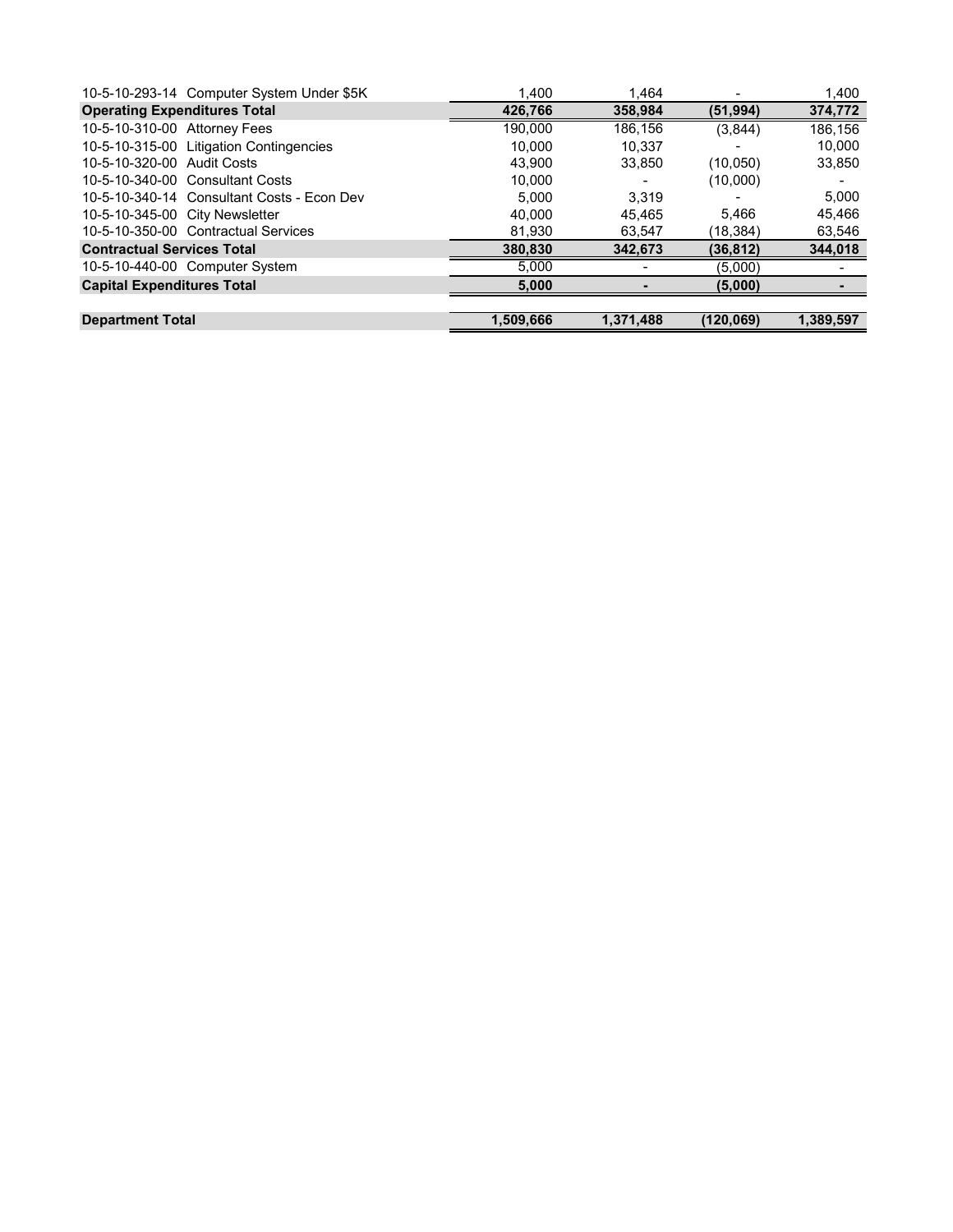|                                     | 10-5-10-293-14 Computer System Under \$5K  | 1.400     | 1.464     |           | 1,400     |
|-------------------------------------|--------------------------------------------|-----------|-----------|-----------|-----------|
| <b>Operating Expenditures Total</b> |                                            | 426,766   | 358,984   | (51, 994) | 374,772   |
| 10-5-10-310-00 Attorney Fees        |                                            | 190,000   | 186,156   | (3,844)   | 186,156   |
|                                     | 10-5-10-315-00 Litigation Contingencies    | 10.000    | 10.337    |           | 10,000    |
| 10-5-10-320-00 Audit Costs          |                                            | 43.900    | 33.850    | (10,050)  | 33,850    |
|                                     | 10-5-10-340-00 Consultant Costs            | 10.000    |           | (10,000)  |           |
|                                     | 10-5-10-340-14 Consultant Costs - Econ Dev | 5.000     | 3.319     |           | 5.000     |
| 10-5-10-345-00 City Newsletter      |                                            | 40.000    | 45.465    | 5.466     | 45,466    |
|                                     | 10-5-10-350-00 Contractual Services        | 81,930    | 63,547    | (18,384)  | 63,546    |
| <b>Contractual Services Total</b>   |                                            | 380,830   | 342,673   | (36, 812) | 344,018   |
|                                     | 10-5-10-440-00 Computer System             | 5.000     |           | (5,000)   |           |
| <b>Capital Expenditures Total</b>   |                                            | 5,000     |           | (5,000)   |           |
|                                     |                                            |           |           |           |           |
| <b>Department Total</b>             |                                            | 1.509.666 | 1.371.488 | (120.069) | 1.389.597 |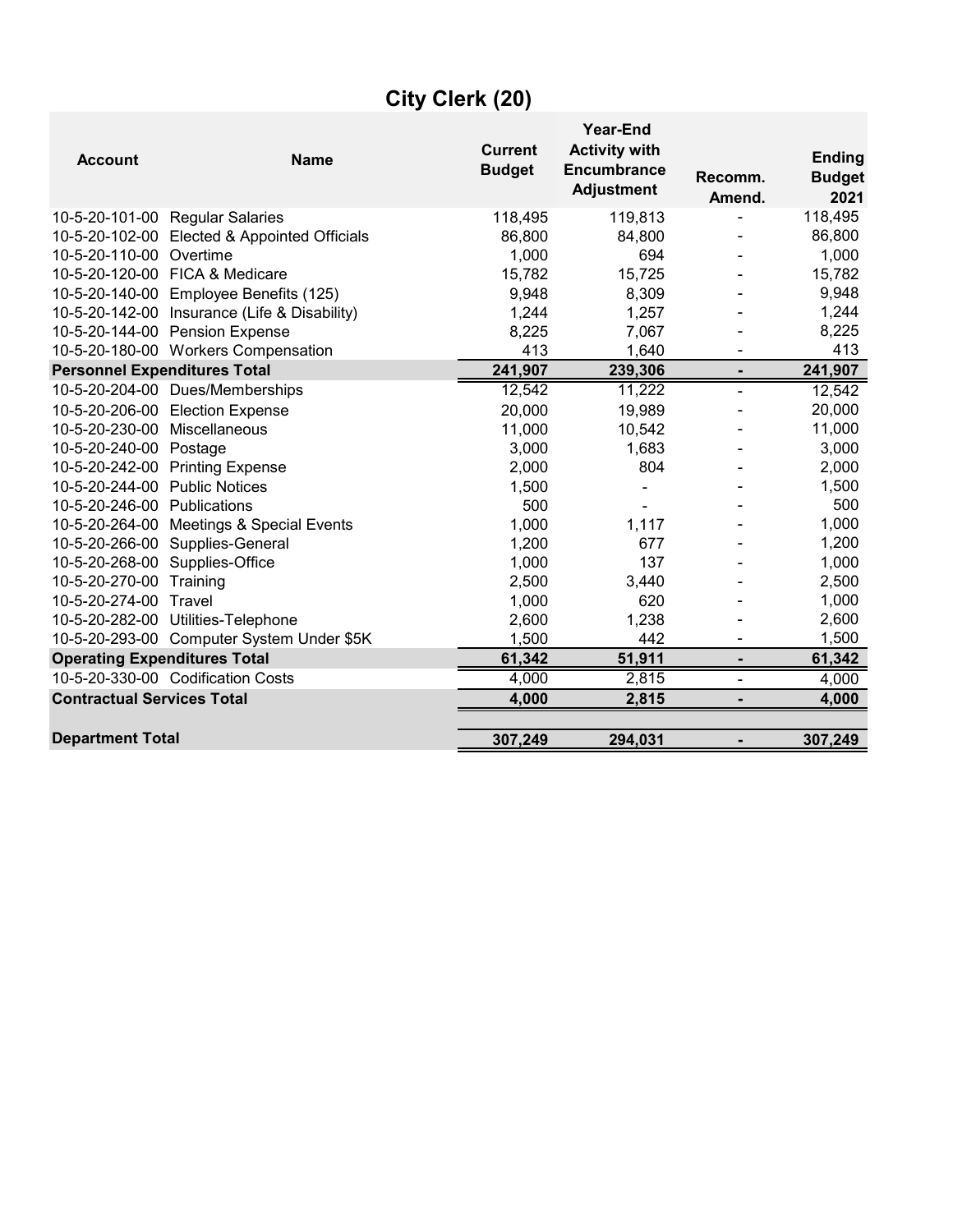| <b>Account</b>                      | <b>Name</b>                                  | <b>Current</b><br><b>Budget</b> | Year-End<br><b>Activity with</b><br><b>Encumbrance</b><br><b>Adjustment</b> | Recomm.<br>Amend. | <b>Ending</b><br><b>Budget</b><br>2021 |
|-------------------------------------|----------------------------------------------|---------------------------------|-----------------------------------------------------------------------------|-------------------|----------------------------------------|
|                                     | 10-5-20-101-00 Regular Salaries              | 118,495                         | 119,813                                                                     |                   | 118,495                                |
|                                     | 10-5-20-102-00 Elected & Appointed Officials | 86,800                          | 84,800                                                                      |                   | 86,800                                 |
| 10-5-20-110-00 Overtime             |                                              | 1,000                           | 694                                                                         |                   | 1,000                                  |
|                                     | 10-5-20-120-00 FICA & Medicare               | 15,782                          | 15,725                                                                      |                   | 15,782                                 |
|                                     | 10-5-20-140-00 Employee Benefits (125)       | 9,948                           | 8,309                                                                       |                   | 9,948                                  |
|                                     | 10-5-20-142-00 Insurance (Life & Disability) | 1,244                           | 1,257                                                                       |                   | 1,244                                  |
|                                     | 10-5-20-144-00 Pension Expense               | 8,225                           | 7,067                                                                       |                   | 8,225                                  |
|                                     | 10-5-20-180-00 Workers Compensation          | 413                             | 1,640                                                                       |                   | 413                                    |
| <b>Personnel Expenditures Total</b> |                                              | 241,907                         | 239,306                                                                     | $\blacksquare$    | 241,907                                |
|                                     | 10-5-20-204-00 Dues/Memberships              | 12,542                          | 11,222                                                                      | ÷.                | 12,542                                 |
|                                     | 10-5-20-206-00 Election Expense              | 20,000                          | 19,989                                                                      |                   | 20,000                                 |
| 10-5-20-230-00                      | Miscellaneous                                | 11,000                          | 10,542                                                                      |                   | 11,000                                 |
| 10-5-20-240-00                      | Postage                                      | 3,000                           | 1,683                                                                       |                   | 3,000                                  |
|                                     | 10-5-20-242-00 Printing Expense              | 2,000                           | 804                                                                         |                   | 2,000                                  |
| 10-5-20-244-00 Public Notices       |                                              | 1,500                           |                                                                             |                   | 1,500                                  |
| 10-5-20-246-00 Publications         |                                              | 500                             |                                                                             |                   | 500                                    |
| 10-5-20-264-00                      | <b>Meetings &amp; Special Events</b>         | 1,000                           | 1,117                                                                       |                   | 1,000                                  |
|                                     | 10-5-20-266-00 Supplies-General              | 1,200                           | 677                                                                         |                   | 1,200                                  |
| 10-5-20-268-00 Supplies-Office      |                                              | 1,000                           | 137                                                                         |                   | 1,000                                  |
| 10-5-20-270-00                      | Training                                     | 2,500                           | 3,440                                                                       |                   | 2,500                                  |
| 10-5-20-274-00                      | Travel                                       | 1,000                           | 620                                                                         |                   | 1,000                                  |
|                                     | 10-5-20-282-00 Utilities-Telephone           | 2,600                           | 1,238                                                                       |                   | 2,600                                  |
|                                     | 10-5-20-293-00 Computer System Under \$5K    | 1,500                           | 442                                                                         |                   | 1,500                                  |
| <b>Operating Expenditures Total</b> |                                              | 61,342                          | 51,911                                                                      | $\blacksquare$    | 61,342                                 |
|                                     | 10-5-20-330-00 Codification Costs            | 4,000                           | 2,815                                                                       | ۰                 | 4,000                                  |
| <b>Contractual Services Total</b>   |                                              | 4,000                           | 2,815                                                                       |                   | 4,000                                  |
| <b>Department Total</b>             |                                              | 307,249                         | 294,031                                                                     |                   | 307,249                                |
|                                     |                                              |                                 |                                                                             |                   |                                        |

# **City Clerk (20)**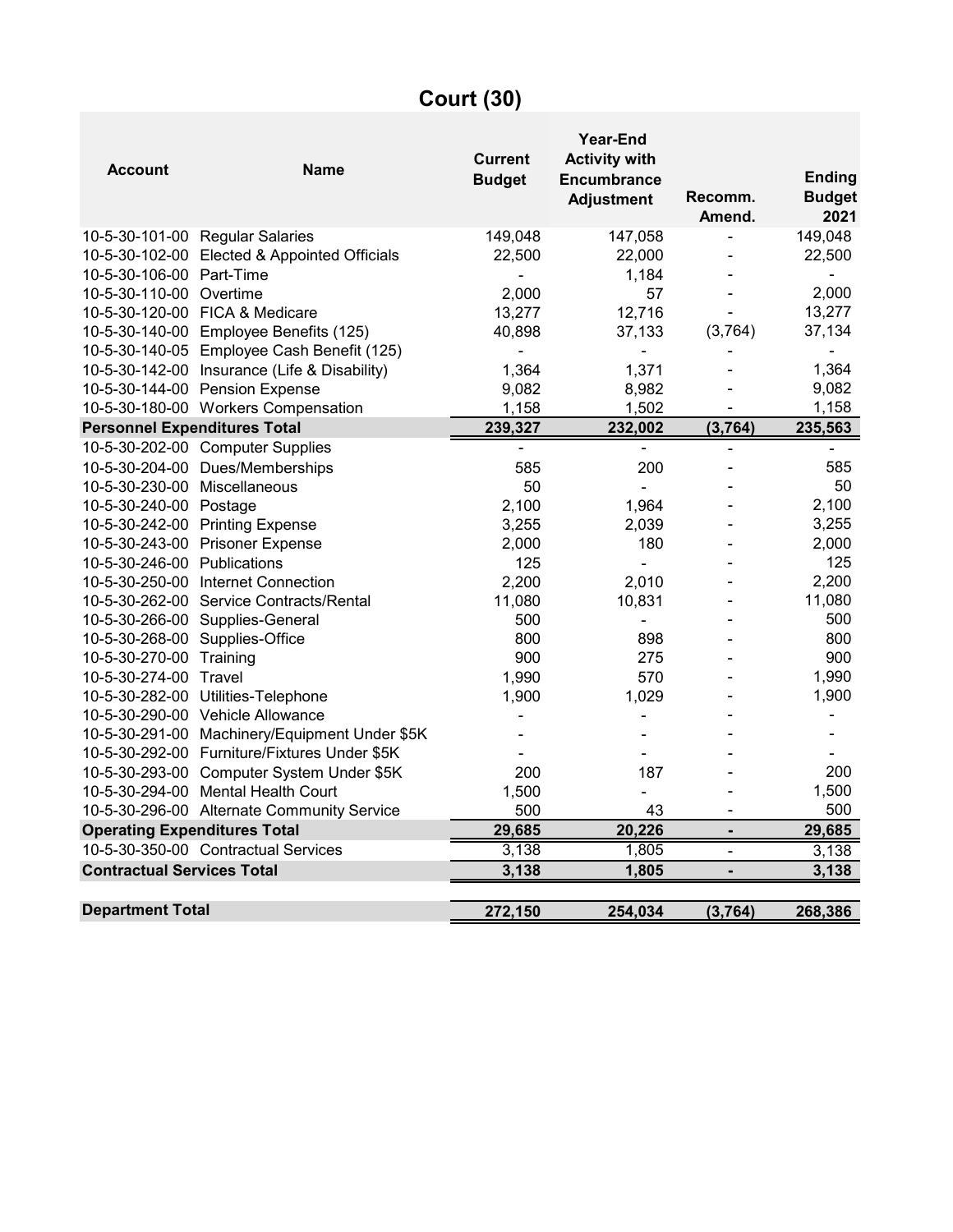# **Court (30)**

| <b>Account</b>                      | <b>Name</b>                                   | <b>Current</b><br><b>Budget</b> | Year-End<br><b>Activity with</b><br><b>Encumbrance</b><br><b>Adjustment</b> | Recomm.<br>Amend.            | <b>Ending</b><br><b>Budget</b><br>2021 |
|-------------------------------------|-----------------------------------------------|---------------------------------|-----------------------------------------------------------------------------|------------------------------|----------------------------------------|
|                                     | 10-5-30-101-00 Regular Salaries               | 149,048                         | 147,058                                                                     | $\qquad \qquad \blacksquare$ | 149,048                                |
|                                     | 10-5-30-102-00 Elected & Appointed Officials  | 22,500                          | 22,000                                                                      |                              | 22,500                                 |
| 10-5-30-106-00 Part-Time            |                                               |                                 | 1,184                                                                       |                              |                                        |
| 10-5-30-110-00 Overtime             |                                               | 2,000                           | 57                                                                          |                              | 2,000                                  |
|                                     | 10-5-30-120-00 FICA & Medicare                | 13,277                          | 12,716                                                                      |                              | 13,277                                 |
|                                     | 10-5-30-140-00 Employee Benefits (125)        | 40,898                          | 37,133                                                                      | (3,764)                      | 37,134                                 |
|                                     | 10-5-30-140-05 Employee Cash Benefit (125)    |                                 |                                                                             |                              |                                        |
|                                     | 10-5-30-142-00 Insurance (Life & Disability)  | 1,364                           | 1,371                                                                       |                              | 1,364                                  |
|                                     | 10-5-30-144-00 Pension Expense                | 9,082                           | 8,982                                                                       |                              | 9,082                                  |
|                                     | 10-5-30-180-00 Workers Compensation           | 1,158                           | 1,502                                                                       | $\overline{\phantom{a}}$     | 1,158                                  |
| <b>Personnel Expenditures Total</b> |                                               | 239,327                         | 232,002                                                                     | (3, 764)                     | 235,563                                |
|                                     | 10-5-30-202-00 Computer Supplies              | $\qquad \qquad \blacksquare$    | -                                                                           | ÷                            | $\overline{\phantom{0}}$               |
|                                     | 10-5-30-204-00 Dues/Memberships               | 585                             | 200                                                                         |                              | 585                                    |
| 10-5-30-230-00 Miscellaneous        |                                               | 50                              | ä,                                                                          |                              | 50                                     |
| 10-5-30-240-00 Postage              |                                               | 2,100                           | 1,964                                                                       |                              | 2,100                                  |
|                                     | 10-5-30-242-00 Printing Expense               | 3,255                           | 2,039                                                                       |                              | 3,255                                  |
|                                     | 10-5-30-243-00 Prisoner Expense               | 2,000                           | 180                                                                         |                              | 2,000                                  |
| 10-5-30-246-00 Publications         |                                               | 125                             |                                                                             |                              | 125                                    |
|                                     | 10-5-30-250-00 Internet Connection            | 2,200                           | 2,010                                                                       |                              | 2,200                                  |
|                                     | 10-5-30-262-00 Service Contracts/Rental       | 11,080                          | 10,831                                                                      |                              | 11,080                                 |
|                                     | 10-5-30-266-00 Supplies-General               | 500                             | $\blacksquare$                                                              |                              | 500                                    |
| 10-5-30-268-00 Supplies-Office      |                                               | 800                             | 898                                                                         |                              | 800                                    |
| 10-5-30-270-00 Training             |                                               | 900                             | 275                                                                         |                              | 900                                    |
| 10-5-30-274-00 Travel               |                                               | 1,990                           | 570                                                                         |                              | 1,990                                  |
|                                     | 10-5-30-282-00 Utilities-Telephone            | 1,900                           | 1,029                                                                       |                              | 1,900                                  |
|                                     | 10-5-30-290-00 Vehicle Allowance              |                                 |                                                                             |                              |                                        |
|                                     | 10-5-30-291-00 Machinery/Equipment Under \$5K |                                 |                                                                             |                              |                                        |
|                                     | 10-5-30-292-00 Furniture/Fixtures Under \$5K  |                                 |                                                                             |                              |                                        |
|                                     | 10-5-30-293-00 Computer System Under \$5K     | 200                             | 187                                                                         |                              | 200                                    |
|                                     | 10-5-30-294-00 Mental Health Court            | 1,500                           | $\blacksquare$                                                              |                              | 1,500                                  |
|                                     | 10-5-30-296-00 Alternate Community Service    | 500                             | 43                                                                          | $\overline{\phantom{a}}$     | 500                                    |
| <b>Operating Expenditures Total</b> |                                               | 29,685                          | 20,226                                                                      | $\blacksquare$               | 29,685                                 |
|                                     | 10-5-30-350-00 Contractual Services           | 3,138                           | 1,805                                                                       | $\blacksquare$               | 3,138                                  |
| <b>Contractual Services Total</b>   |                                               | 3,138                           | 1,805                                                                       |                              | 3,138                                  |
| <b>Department Total</b>             |                                               | 272,150                         | 254,034                                                                     | (3,764)                      | 268,386                                |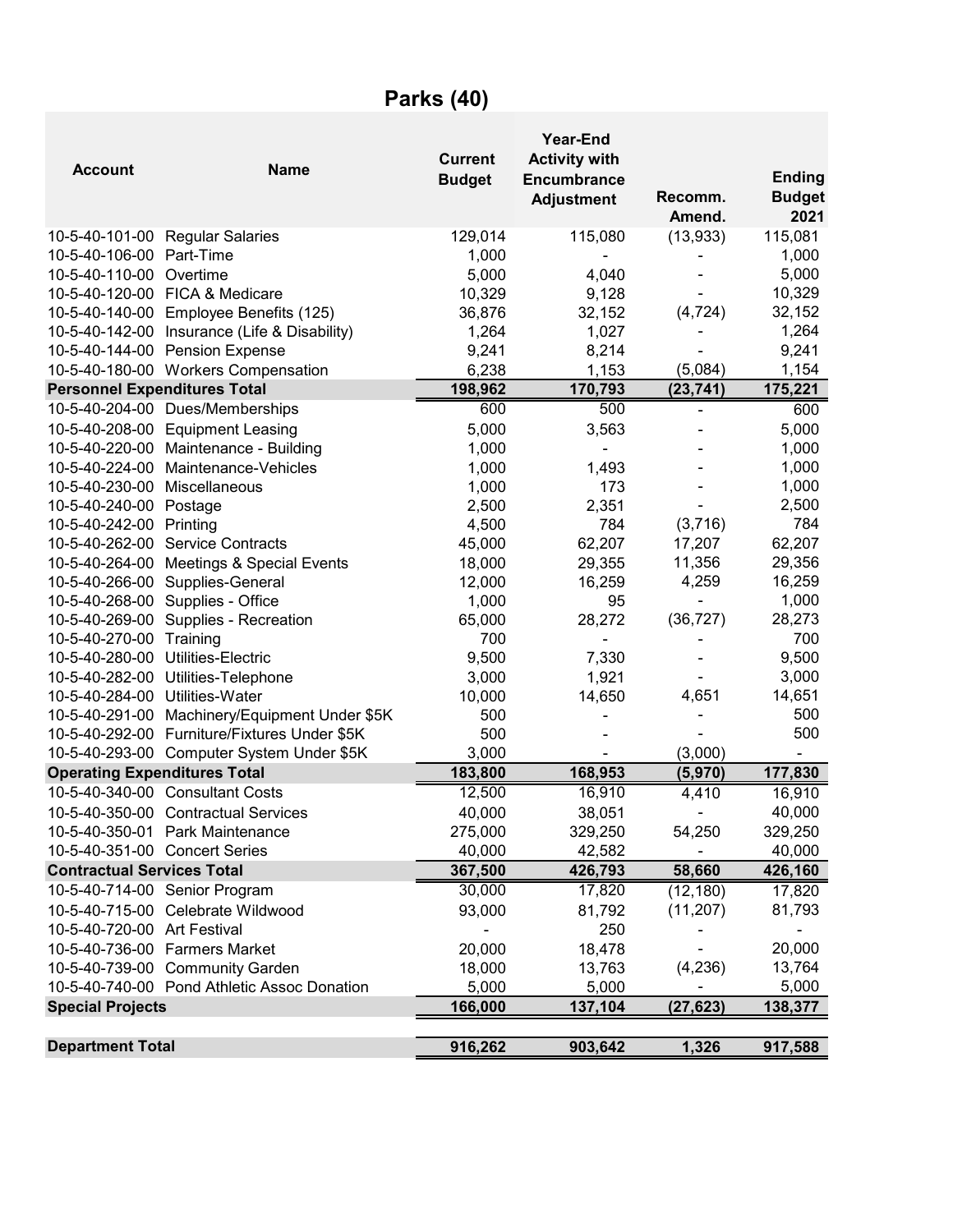# **Parks (40)**

| <b>Account</b>                      | <b>Name</b>                                  | <b>Current</b><br><b>Budget</b> | <b>Year-End</b><br><b>Activity with</b><br><b>Encumbrance</b><br><b>Adjustment</b> | Recomm.<br>Amend. | <b>Ending</b><br><b>Budget</b><br>2021 |
|-------------------------------------|----------------------------------------------|---------------------------------|------------------------------------------------------------------------------------|-------------------|----------------------------------------|
|                                     | 10-5-40-101-00 Regular Salaries              | 129,014                         | 115,080                                                                            | (13, 933)         | 115,081                                |
| 10-5-40-106-00 Part-Time            |                                              | 1,000                           |                                                                                    |                   | 1,000                                  |
| 10-5-40-110-00 Overtime             |                                              | 5,000                           | 4,040                                                                              |                   | 5,000                                  |
|                                     | 10-5-40-120-00 FICA & Medicare               | 10,329                          | 9,128                                                                              |                   | 10,329                                 |
|                                     | 10-5-40-140-00 Employee Benefits (125)       | 36,876                          | 32,152                                                                             | (4, 724)          | 32,152                                 |
|                                     | 10-5-40-142-00 Insurance (Life & Disability) | 1,264                           | 1,027                                                                              |                   | 1,264                                  |
|                                     | 10-5-40-144-00 Pension Expense               | 9,241                           | 8,214                                                                              |                   | 9,241                                  |
|                                     | 10-5-40-180-00 Workers Compensation          | 6,238                           | 1,153                                                                              | (5,084)           | 1,154                                  |
| <b>Personnel Expenditures Total</b> |                                              | 198,962                         | 170,793                                                                            | (23, 741)         | 175,221                                |
|                                     | 10-5-40-204-00 Dues/Memberships              | 600                             | 500                                                                                | $\blacksquare$    | 600                                    |
| 10-5-40-208-00                      | <b>Equipment Leasing</b>                     | 5,000                           | 3,563                                                                              |                   | 5,000                                  |
| 10-5-40-220-00                      | Maintenance - Building                       | 1,000                           | ÷,                                                                                 |                   | 1,000                                  |
| 10-5-40-224-00                      | Maintenance-Vehicles                         | 1,000                           | 1,493                                                                              |                   | 1,000                                  |
| 10-5-40-230-00                      | Miscellaneous                                | 1,000                           | 173                                                                                |                   | 1,000                                  |
| 10-5-40-240-00 Postage              |                                              | 2,500                           | 2,351                                                                              |                   | 2,500                                  |
| 10-5-40-242-00                      | Printing                                     | 4,500                           | 784                                                                                | (3,716)           | 784                                    |
| 10-5-40-262-00                      | <b>Service Contracts</b>                     | 45,000                          | 62,207                                                                             | 17,207            | 62,207                                 |
| 10-5-40-264-00                      | Meetings & Special Events                    | 18,000                          | 29,355                                                                             | 11,356            | 29,356                                 |
| 10-5-40-266-00                      | Supplies-General                             | 12,000                          | 16,259                                                                             | 4,259             | 16,259                                 |
|                                     | 10-5-40-268-00 Supplies - Office             | 1,000                           | 95                                                                                 |                   | 1,000                                  |
| 10-5-40-269-00                      | Supplies - Recreation                        | 65,000                          | 28,272                                                                             | (36, 727)         | 28,273                                 |
| 10-5-40-270-00                      | Training                                     | 700                             |                                                                                    |                   | 700                                    |
| 10-5-40-280-00                      | Utilities-Electric                           | 9,500                           | 7,330                                                                              |                   | 9,500                                  |
| 10-5-40-282-00                      | Utilities-Telephone                          | 3,000                           | 1,921                                                                              |                   | 3,000                                  |
| 10-5-40-284-00                      | Utilities-Water                              | 10,000                          | 14,650                                                                             | 4,651             | 14,651                                 |
| 10-5-40-291-00                      | Machinery/Equipment Under \$5K               | 500                             |                                                                                    |                   | 500                                    |
|                                     | 10-5-40-292-00 Furniture/Fixtures Under \$5K | 500                             |                                                                                    |                   | 500                                    |
|                                     | 10-5-40-293-00 Computer System Under \$5K    | 3,000                           |                                                                                    | (3,000)           |                                        |
| <b>Operating Expenditures Total</b> |                                              | 183,800                         | 168,953                                                                            | (5,970)           | 177,830                                |
|                                     | 10-5-40-340-00 Consultant Costs              | 12,500                          | 16,910                                                                             | 4,410             | 16,910                                 |
|                                     | 10-5-40-350-00 Contractual Services          | 40,000                          | 38,051                                                                             | ÷                 | 40,000                                 |
|                                     | 10-5-40-350-01 Park Maintenance              | 275,000                         | 329,250                                                                            | 54,250            | 329,250                                |
| 10-5-40-351-00 Concert Series       |                                              | 40,000                          | 42,582                                                                             |                   | 40,000                                 |
| <b>Contractual Services Total</b>   |                                              | 367,500                         | 426,793                                                                            | 58,660            | 426,160                                |
|                                     | 10-5-40-714-00 Senior Program                | 30,000                          | 17,820                                                                             | (12, 180)         | 17,820                                 |
|                                     | 10-5-40-715-00 Celebrate Wildwood            | 93,000                          | 81,792                                                                             | (11, 207)         | 81,793                                 |
| 10-5-40-720-00 Art Festival         |                                              |                                 | 250                                                                                |                   |                                        |
|                                     | 10-5-40-736-00 Farmers Market                | 20,000                          | 18,478                                                                             |                   | 20,000                                 |
|                                     | 10-5-40-739-00 Community Garden              | 18,000                          | 13,763                                                                             | (4, 236)          | 13,764                                 |
|                                     | 10-5-40-740-00 Pond Athletic Assoc Donation  | 5,000                           | 5,000                                                                              |                   | 5,000                                  |
| <b>Special Projects</b>             |                                              | 166,000                         | 137,104                                                                            | (27, 623)         | 138,377                                |
|                                     |                                              |                                 |                                                                                    |                   |                                        |
| <b>Department Total</b>             |                                              | 916,262                         | 903,642                                                                            | 1,326             | 917,588                                |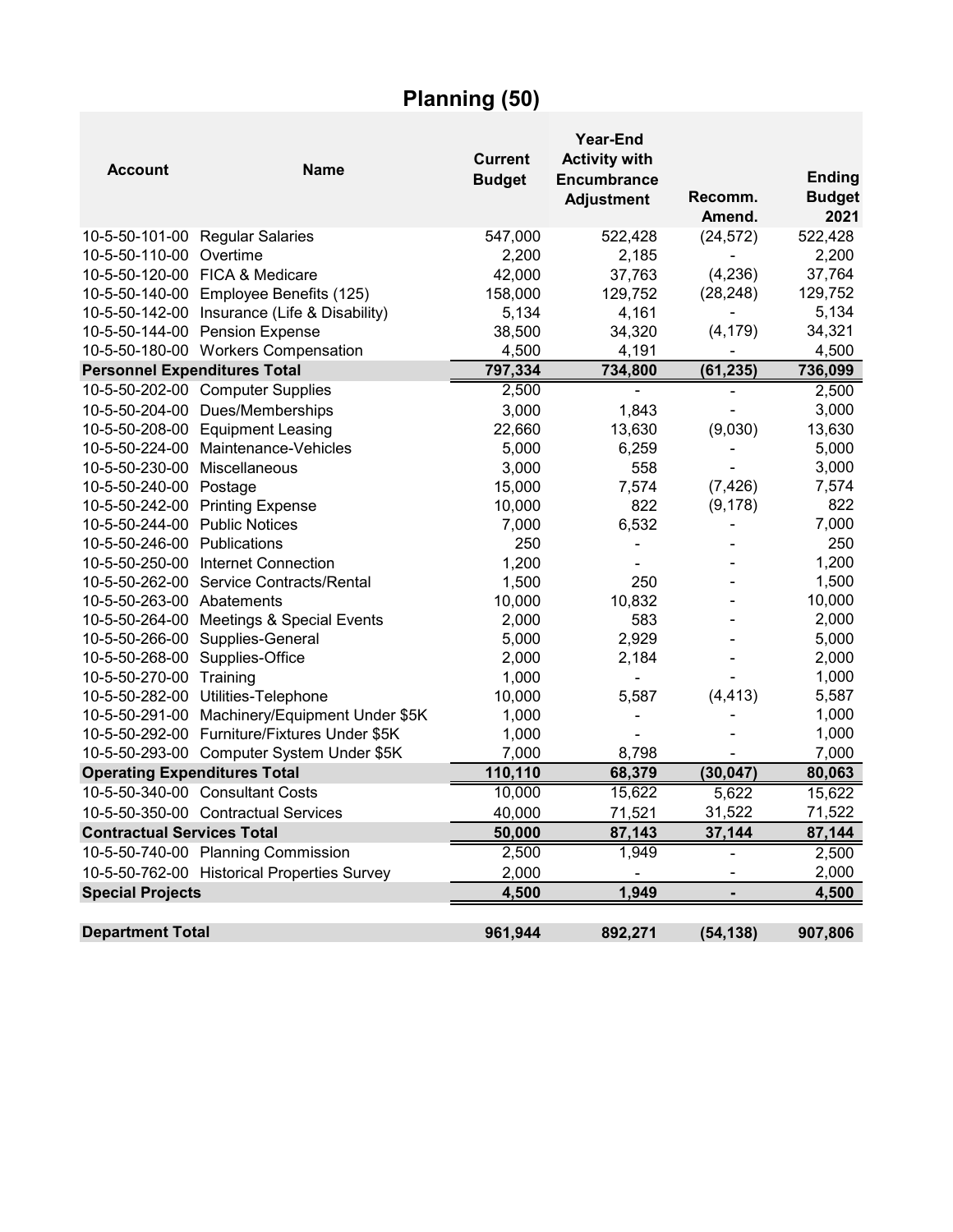# **Planning (50)**

| <b>Account</b>                      | <b>Name</b>                                   | <b>Current</b><br><b>Budget</b> | Year-End<br><b>Activity with</b><br><b>Encumbrance</b><br><b>Adjustment</b> | Recomm.<br>Amend. | <b>Ending</b><br><b>Budget</b><br>2021 |
|-------------------------------------|-----------------------------------------------|---------------------------------|-----------------------------------------------------------------------------|-------------------|----------------------------------------|
|                                     | 10-5-50-101-00 Regular Salaries               | 547,000                         | 522,428                                                                     | (24, 572)         | 522,428                                |
| 10-5-50-110-00 Overtime             |                                               | 2,200                           | 2,185                                                                       |                   | 2,200                                  |
|                                     | 10-5-50-120-00 FICA & Medicare                | 42,000                          | 37,763                                                                      | (4,236)           | 37,764                                 |
|                                     | 10-5-50-140-00 Employee Benefits (125)        | 158,000                         | 129,752                                                                     | (28, 248)         | 129,752                                |
|                                     | 10-5-50-142-00 Insurance (Life & Disability)  | 5,134                           | 4,161                                                                       |                   | 5,134                                  |
|                                     | 10-5-50-144-00 Pension Expense                | 38,500                          | 34,320                                                                      | (4, 179)          | 34,321                                 |
|                                     | 10-5-50-180-00 Workers Compensation           | 4,500                           | 4,191                                                                       |                   | 4,500                                  |
| <b>Personnel Expenditures Total</b> |                                               | 797,334                         | 734,800                                                                     | (61, 235)         | 736,099                                |
|                                     | 10-5-50-202-00 Computer Supplies              | 2,500                           | $\blacksquare$                                                              | -                 | 2,500                                  |
|                                     | 10-5-50-204-00 Dues/Memberships               | 3,000                           | 1,843                                                                       | ä,                | 3,000                                  |
|                                     | 10-5-50-208-00 Equipment Leasing              | 22,660                          | 13,630                                                                      | (9,030)           | 13,630                                 |
|                                     | 10-5-50-224-00 Maintenance-Vehicles           | 5,000                           | 6,259                                                                       |                   | 5,000                                  |
| 10-5-50-230-00 Miscellaneous        |                                               | 3,000                           | 558                                                                         |                   | 3,000                                  |
| 10-5-50-240-00 Postage              |                                               | 15,000                          | 7,574                                                                       | (7, 426)          | 7,574                                  |
|                                     | 10-5-50-242-00 Printing Expense               | 10,000                          | 822                                                                         | (9, 178)          | 822                                    |
| 10-5-50-244-00 Public Notices       |                                               | 7,000                           | 6,532                                                                       | -                 | 7,000                                  |
| 10-5-50-246-00 Publications         |                                               | 250                             | ÷,                                                                          |                   | 250                                    |
|                                     | 10-5-50-250-00 Internet Connection            | 1,200                           |                                                                             |                   | 1,200                                  |
|                                     | 10-5-50-262-00 Service Contracts/Rental       | 1,500                           | 250                                                                         |                   | 1,500                                  |
| 10-5-50-263-00 Abatements           |                                               | 10,000                          | 10,832                                                                      |                   | 10,000                                 |
|                                     | 10-5-50-264-00 Meetings & Special Events      | 2,000                           | 583                                                                         |                   | 2,000                                  |
|                                     | 10-5-50-266-00 Supplies-General               | 5,000                           | 2,929                                                                       |                   | 5,000                                  |
| 10-5-50-268-00 Supplies-Office      |                                               | 2,000                           | 2,184                                                                       |                   | 2,000                                  |
| 10-5-50-270-00 Training             |                                               | 1,000                           | ä,                                                                          |                   | 1,000                                  |
|                                     | 10-5-50-282-00 Utilities-Telephone            | 10,000                          | 5,587                                                                       | (4, 413)          | 5,587                                  |
|                                     | 10-5-50-291-00 Machinery/Equipment Under \$5K | 1,000                           |                                                                             |                   | 1,000                                  |
|                                     | 10-5-50-292-00 Furniture/Fixtures Under \$5K  | 1,000                           |                                                                             |                   | 1,000                                  |
|                                     | 10-5-50-293-00 Computer System Under \$5K     | 7,000                           | 8,798                                                                       |                   | 7,000                                  |
| <b>Operating Expenditures Total</b> |                                               | 110,110                         | 68,379                                                                      | (30, 047)         | 80,063                                 |
|                                     | 10-5-50-340-00 Consultant Costs               | 10,000                          | 15,622                                                                      | 5,622             | 15,622                                 |
|                                     | 10-5-50-350-00 Contractual Services           | 40,000                          | 71,521                                                                      | 31,522            | 71,522                                 |
| <b>Contractual Services Total</b>   |                                               | 50,000                          | 87,143                                                                      | 37,144            | 87,144                                 |
|                                     | 10-5-50-740-00 Planning Commission            | 2,500                           | 1,949                                                                       |                   | 2,500                                  |
|                                     | 10-5-50-762-00 Historical Properties Survey   | 2,000                           |                                                                             | $\overline{a}$    | 2,000                                  |
| <b>Special Projects</b>             |                                               | 4,500                           | 1,949                                                                       | $\overline{a}$    | 4,500                                  |
| <b>Department Total</b>             |                                               | 961,944                         | 892,271                                                                     | (54, 138)         | 907,806                                |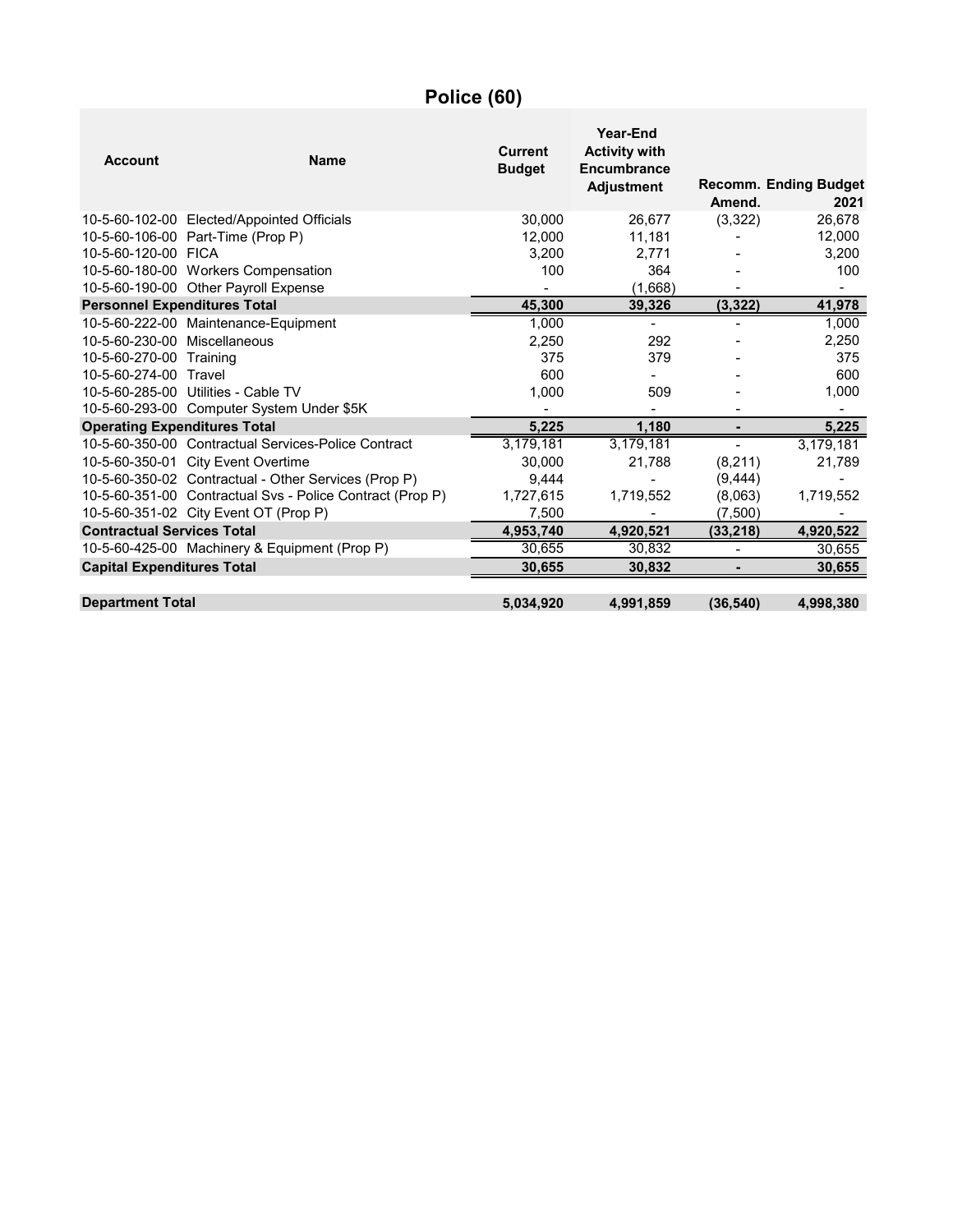# **Police (60)**

| <b>Account</b>                      | <b>Name</b>                                               | <b>Current</b><br><b>Budget</b> | Year-End<br><b>Activity with</b><br><b>Encumbrance</b><br><b>Adjustment</b> | Amend.                   | <b>Recomm. Ending Budget</b><br>2021 |
|-------------------------------------|-----------------------------------------------------------|---------------------------------|-----------------------------------------------------------------------------|--------------------------|--------------------------------------|
|                                     | 10-5-60-102-00 Elected/Appointed Officials                | 30.000                          | 26.677                                                                      | (3, 322)                 | 26,678                               |
|                                     | 10-5-60-106-00 Part-Time (Prop P)                         | 12,000                          | 11,181                                                                      |                          | 12,000                               |
| 10-5-60-120-00 FICA                 |                                                           | 3,200                           | 2,771                                                                       |                          | 3,200                                |
|                                     | 10-5-60-180-00 Workers Compensation                       | 100                             | 364                                                                         |                          | 100                                  |
|                                     | 10-5-60-190-00 Other Payroll Expense                      |                                 | (1,668)                                                                     |                          |                                      |
| <b>Personnel Expenditures Total</b> |                                                           | 45,300                          | 39,326                                                                      | (3, 322)                 | 41,978                               |
|                                     | 10-5-60-222-00 Maintenance-Equipment                      | 1,000                           |                                                                             |                          | 1,000                                |
| 10-5-60-230-00 Miscellaneous        |                                                           | 2,250                           | 292                                                                         |                          | 2,250                                |
| 10-5-60-270-00 Training             |                                                           | 375                             | 379                                                                         |                          | 375                                  |
| 10-5-60-274-00 Travel               |                                                           | 600                             |                                                                             |                          | 600                                  |
|                                     | 10-5-60-285-00 Utilities - Cable TV                       | 1,000                           | 509                                                                         |                          | 1,000                                |
|                                     | 10-5-60-293-00 Computer System Under \$5K                 |                                 |                                                                             |                          |                                      |
| <b>Operating Expenditures Total</b> |                                                           | 5,225                           | 1.180                                                                       |                          | 5,225                                |
|                                     | 10-5-60-350-00 Contractual Services-Police Contract       | 3,179,181                       | 3,179,181                                                                   | Ξ.                       | 3,179,181                            |
|                                     | 10-5-60-350-01 City Event Overtime                        | 30,000                          | 21,788                                                                      | (8, 211)                 | 21,789                               |
|                                     | 10-5-60-350-02 Contractual - Other Services (Prop P)      | 9,444                           |                                                                             | (9, 444)                 |                                      |
|                                     | 10-5-60-351-00 Contractual Svs - Police Contract (Prop P) | 1,727,615                       | 1,719,552                                                                   | (8,063)                  | 1,719,552                            |
|                                     | 10-5-60-351-02 City Event OT (Prop P)                     | 7,500                           |                                                                             | (7,500)                  |                                      |
| <b>Contractual Services Total</b>   |                                                           | 4,953,740                       | 4,920,521                                                                   | (33, 218)                | 4,920,522                            |
|                                     | 10-5-60-425-00 Machinery & Equipment (Prop P)             | 30,655                          | 30,832                                                                      | $\overline{\phantom{a}}$ | 30,655                               |
| <b>Capital Expenditures Total</b>   |                                                           | 30,655                          | 30,832                                                                      |                          | 30,655                               |
| <b>Department Total</b>             |                                                           | 5,034,920                       | 4,991,859                                                                   | (36, 540)                | 4,998,380                            |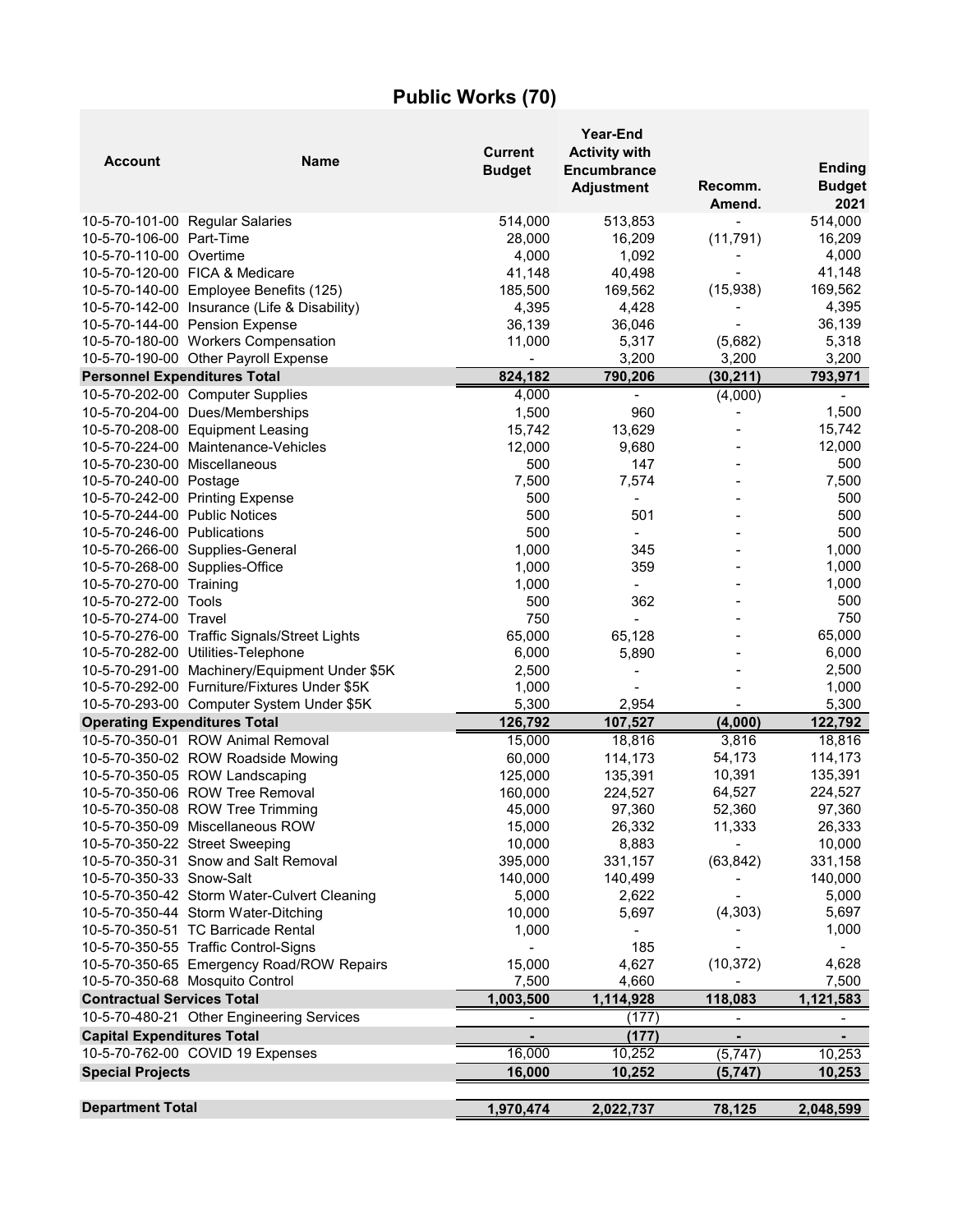# **Public Works (70)**

| <b>Account</b>                      | <b>Name</b>                                   | <b>Current</b><br><b>Budget</b> | <b>Year-End</b><br><b>Activity with</b><br>Encumbrance<br><b>Adjustment</b> | Recomm.<br>Amend.            | <b>Ending</b><br><b>Budget</b><br>2021 |
|-------------------------------------|-----------------------------------------------|---------------------------------|-----------------------------------------------------------------------------|------------------------------|----------------------------------------|
|                                     | 10-5-70-101-00 Regular Salaries               | 514,000                         | 513,853                                                                     |                              | 514,000                                |
| 10-5-70-106-00 Part-Time            |                                               | 28,000                          | 16,209                                                                      | (11, 791)                    | 16,209                                 |
| 10-5-70-110-00 Overtime             |                                               | 4,000                           | 1,092                                                                       | -                            | 4,000                                  |
|                                     | 10-5-70-120-00 FICA & Medicare                | 41,148                          | 40,498                                                                      | $\blacksquare$               | 41,148                                 |
|                                     | 10-5-70-140-00 Employee Benefits (125)        | 185,500                         | 169,562                                                                     | (15,938)                     | 169,562                                |
|                                     | 10-5-70-142-00 Insurance (Life & Disability)  | 4,395                           | 4,428                                                                       |                              | 4,395                                  |
|                                     | 10-5-70-144-00 Pension Expense                | 36,139                          | 36,046                                                                      |                              | 36,139                                 |
|                                     | 10-5-70-180-00 Workers Compensation           | 11,000                          | 5,317                                                                       | (5,682)                      | 5,318                                  |
|                                     | 10-5-70-190-00 Other Payroll Expense          |                                 | 3,200                                                                       | 3,200                        | 3,200                                  |
| <b>Personnel Expenditures Total</b> |                                               | 824,182                         | 790,206                                                                     | (30, 211)                    | 793,971                                |
|                                     | 10-5-70-202-00 Computer Supplies              | 4,000                           | $\overline{\phantom{0}}$                                                    | (4,000)                      | $\blacksquare$                         |
|                                     | 10-5-70-204-00 Dues/Memberships               | 1,500                           | 960                                                                         |                              | 1,500                                  |
|                                     | 10-5-70-208-00 Equipment Leasing              | 15,742                          | 13,629                                                                      |                              | 15,742                                 |
|                                     | 10-5-70-224-00 Maintenance-Vehicles           | 12,000                          | 9,680                                                                       |                              | 12,000                                 |
| 10-5-70-230-00 Miscellaneous        |                                               | 500                             | 147                                                                         |                              | 500                                    |
| 10-5-70-240-00 Postage              |                                               | 7,500                           | 7,574                                                                       |                              | 7,500                                  |
|                                     | 10-5-70-242-00 Printing Expense               | 500                             | $\overline{\phantom{a}}$                                                    |                              | 500                                    |
| 10-5-70-244-00 Public Notices       |                                               | 500                             | 501                                                                         |                              | 500                                    |
| 10-5-70-246-00 Publications         |                                               | 500                             | $\blacksquare$                                                              |                              | 500                                    |
|                                     | 10-5-70-266-00 Supplies-General               | 1,000                           | 345                                                                         |                              | 1,000                                  |
| 10-5-70-268-00 Supplies-Office      |                                               | 1,000                           | 359                                                                         |                              | 1,000                                  |
| 10-5-70-270-00 Training             |                                               | 1,000                           |                                                                             |                              | 1,000                                  |
| 10-5-70-272-00 Tools                |                                               | 500                             | 362                                                                         |                              | 500                                    |
| 10-5-70-274-00 Travel               |                                               | 750                             |                                                                             |                              | 750                                    |
|                                     | 10-5-70-276-00 Traffic Signals/Street Lights  | 65,000                          | 65,128                                                                      |                              | 65,000                                 |
|                                     | 10-5-70-282-00 Utilities-Telephone            | 6,000                           | 5,890                                                                       |                              | 6,000                                  |
|                                     | 10-5-70-291-00 Machinery/Equipment Under \$5K | 2,500                           |                                                                             |                              | 2,500                                  |
|                                     | 10-5-70-292-00 Furniture/Fixtures Under \$5K  | 1,000                           |                                                                             |                              | 1,000                                  |
|                                     | 10-5-70-293-00 Computer System Under \$5K     | 5,300                           | 2,954                                                                       |                              | 5,300                                  |
| <b>Operating Expenditures Total</b> |                                               | 126,792                         | 107,527                                                                     | (4,000)                      | 122,792                                |
|                                     | 10-5-70-350-01 ROW Animal Removal             | 15,000                          | 18,816                                                                      | 3,816                        | 18,816                                 |
|                                     | 10-5-70-350-02 ROW Roadside Mowing            | 60,000                          | 114,173                                                                     | 54,173                       | 114,173                                |
|                                     | 10-5-70-350-05 ROW Landscaping                | 125,000                         | 135,391                                                                     | 10,391                       | 135,391                                |
|                                     | 10-5-70-350-06 ROW Tree Removal               | 160,000                         | 224,527                                                                     | 64,527                       | 224,527                                |
|                                     | 10-5-70-350-08 ROW Tree Trimming              | 45,000                          | 97,360                                                                      | 52,360                       | 97,360                                 |
|                                     | 10-5-70-350-09 Miscellaneous ROW              | 15,000                          | 26,332                                                                      | 11,333                       | 26,333                                 |
|                                     | 10-5-70-350-22 Street Sweeping                | 10,000                          | 8,883                                                                       |                              | 10,000                                 |
|                                     | 10-5-70-350-31 Snow and Salt Removal          | 395,000                         | 331,157                                                                     | (63, 842)                    | 331,158                                |
| 10-5-70-350-33 Snow-Salt            |                                               | 140,000                         | 140,499                                                                     |                              | 140,000                                |
|                                     | 10-5-70-350-42 Storm Water-Culvert Cleaning   | 5,000                           | 2,622                                                                       |                              | 5,000                                  |
|                                     | 10-5-70-350-44 Storm Water-Ditching           | 10,000                          | 5,697                                                                       | (4, 303)                     | 5,697                                  |
|                                     | 10-5-70-350-51 TC Barricade Rental            | 1,000                           |                                                                             |                              | 1,000                                  |
|                                     | 10-5-70-350-55 Traffic Control-Signs          |                                 | 185                                                                         |                              |                                        |
|                                     | 10-5-70-350-65 Emergency Road/ROW Repairs     | 15,000                          | 4,627                                                                       | (10, 372)                    | 4,628                                  |
|                                     | 10-5-70-350-68 Mosquito Control               | 7,500                           | 4,660                                                                       |                              | 7,500                                  |
| <b>Contractual Services Total</b>   |                                               | 1,003,500                       | 1,114,928                                                                   | 118,083                      | 1,121,583                              |
|                                     | 10-5-70-480-21 Other Engineering Services     |                                 | (177)                                                                       | $\qquad \qquad \blacksquare$ | $\blacksquare$                         |
| <b>Capital Expenditures Total</b>   |                                               |                                 | (177)                                                                       |                              |                                        |
|                                     | 10-5-70-762-00 COVID 19 Expenses              | 16,000                          | 10,252                                                                      | (5, 747)                     | 10,253                                 |
| <b>Special Projects</b>             |                                               | 16,000                          | 10,252                                                                      | (5,747)                      | 10,253                                 |
| <b>Department Total</b>             |                                               | 1,970,474                       |                                                                             | 78,125                       |                                        |
|                                     |                                               |                                 | 2,022,737                                                                   |                              | 2,048,599                              |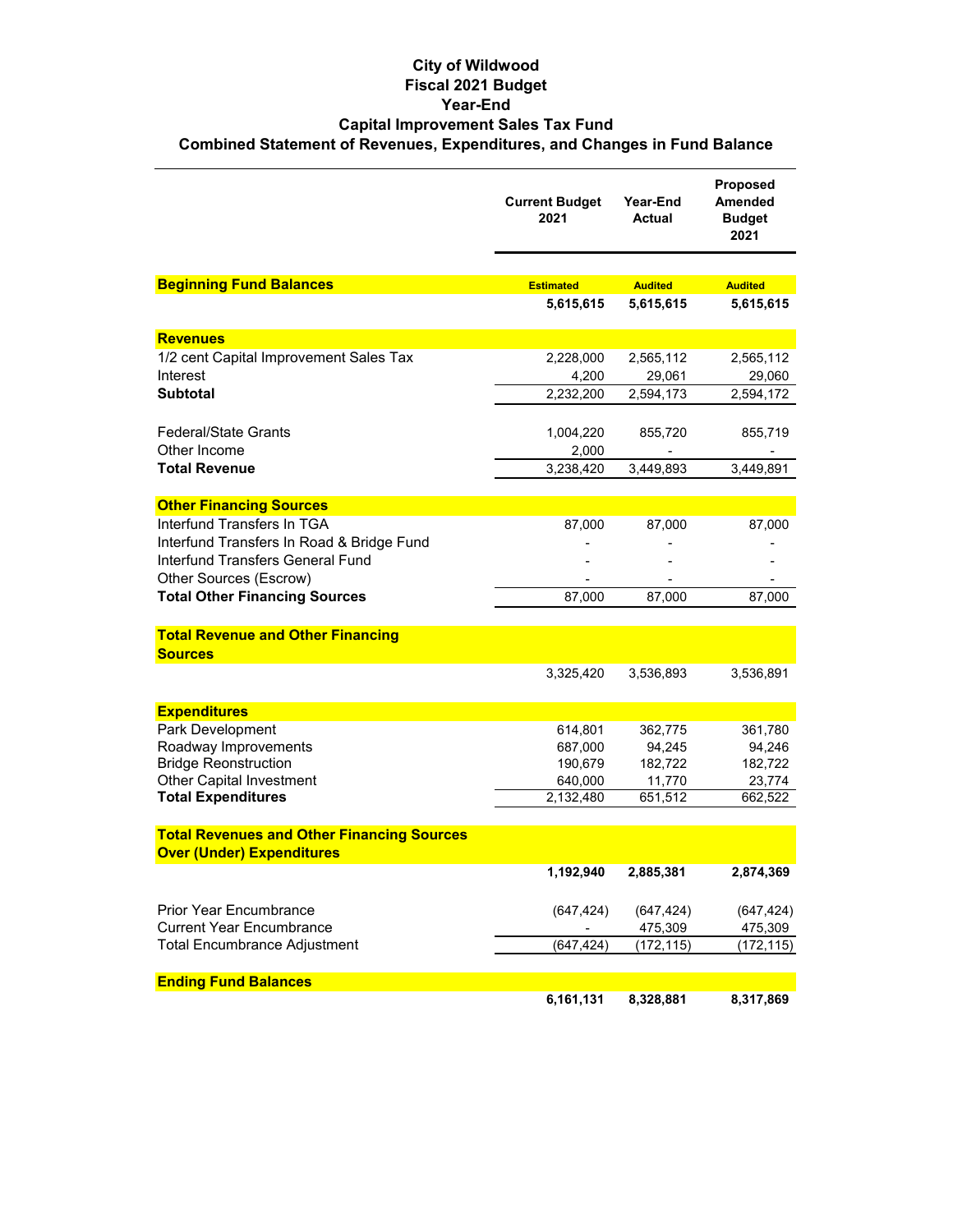#### **City of Wildwood Fiscal 2021 Budget Year-End Capital Improvement Sales Tax Fund Combined Statement of Revenues, Expenditures, and Changes in Fund Balance**

|                                                   | <b>Current Budget</b><br>2021 | Year-End<br><b>Actual</b> | Proposed<br><b>Amended</b><br><b>Budget</b><br>2021 |
|---------------------------------------------------|-------------------------------|---------------------------|-----------------------------------------------------|
|                                                   |                               |                           |                                                     |
| <b>Beginning Fund Balances</b>                    | <b>Estimated</b>              | <b>Audited</b>            | <b>Audited</b>                                      |
|                                                   | 5,615,615                     | 5,615,615                 | 5,615,615                                           |
| <b>Revenues</b>                                   |                               |                           |                                                     |
| 1/2 cent Capital Improvement Sales Tax            | 2,228,000                     | 2,565,112                 | 2,565,112                                           |
| Interest                                          | 4,200                         | 29,061                    | 29,060                                              |
| Subtotal                                          | 2,232,200                     | 2,594,173                 | 2,594,172                                           |
| <b>Federal/State Grants</b>                       | 1,004,220                     | 855,720                   | 855,719                                             |
| Other Income                                      | 2,000                         |                           |                                                     |
| <b>Total Revenue</b>                              | 3,238,420                     | 3,449,893                 | 3,449,891                                           |
|                                                   |                               |                           |                                                     |
| <b>Other Financing Sources</b>                    |                               |                           |                                                     |
| Interfund Transfers In TGA                        | 87,000                        | 87,000                    | 87,000                                              |
| Interfund Transfers In Road & Bridge Fund         |                               |                           |                                                     |
| Interfund Transfers General Fund                  |                               |                           |                                                     |
| Other Sources (Escrow)                            |                               |                           |                                                     |
| <b>Total Other Financing Sources</b>              | 87,000                        | 87,000                    | 87,000                                              |
| <b>Total Revenue and Other Financing</b>          |                               |                           |                                                     |
| <b>Sources</b>                                    |                               |                           |                                                     |
|                                                   | 3,325,420                     | 3,536,893                 | 3,536,891                                           |
| <b>Expenditures</b>                               |                               |                           |                                                     |
| Park Development                                  | 614,801                       | 362,775                   | 361,780                                             |
| Roadway Improvements                              | 687,000                       | 94,245                    | 94,246                                              |
| <b>Bridge Reonstruction</b>                       | 190,679                       | 182,722                   | 182,722                                             |
| <b>Other Capital Investment</b>                   | 640,000                       | 11,770                    | 23,774                                              |
| <b>Total Expenditures</b>                         | 2,132,480                     | 651,512                   | 662,522                                             |
| <b>Total Revenues and Other Financing Sources</b> |                               |                           |                                                     |
| <b>Over (Under) Expenditures</b>                  |                               |                           |                                                     |
|                                                   | 1,192,940                     | 2,885,381                 | 2.874.369                                           |
|                                                   |                               |                           |                                                     |
| <b>Prior Year Encumbrance</b>                     | (647, 424)                    | (647, 424)                | (647, 424)                                          |
| <b>Current Year Encumbrance</b>                   |                               | 475,309                   | 475,309                                             |
| <b>Total Encumbrance Adjustment</b>               | (647, 424)                    | (172,115)                 | (172,115)                                           |
| <b>Ending Fund Balances</b>                       |                               |                           |                                                     |
|                                                   | 6,161,131                     | 8,328,881                 | 8,317,869                                           |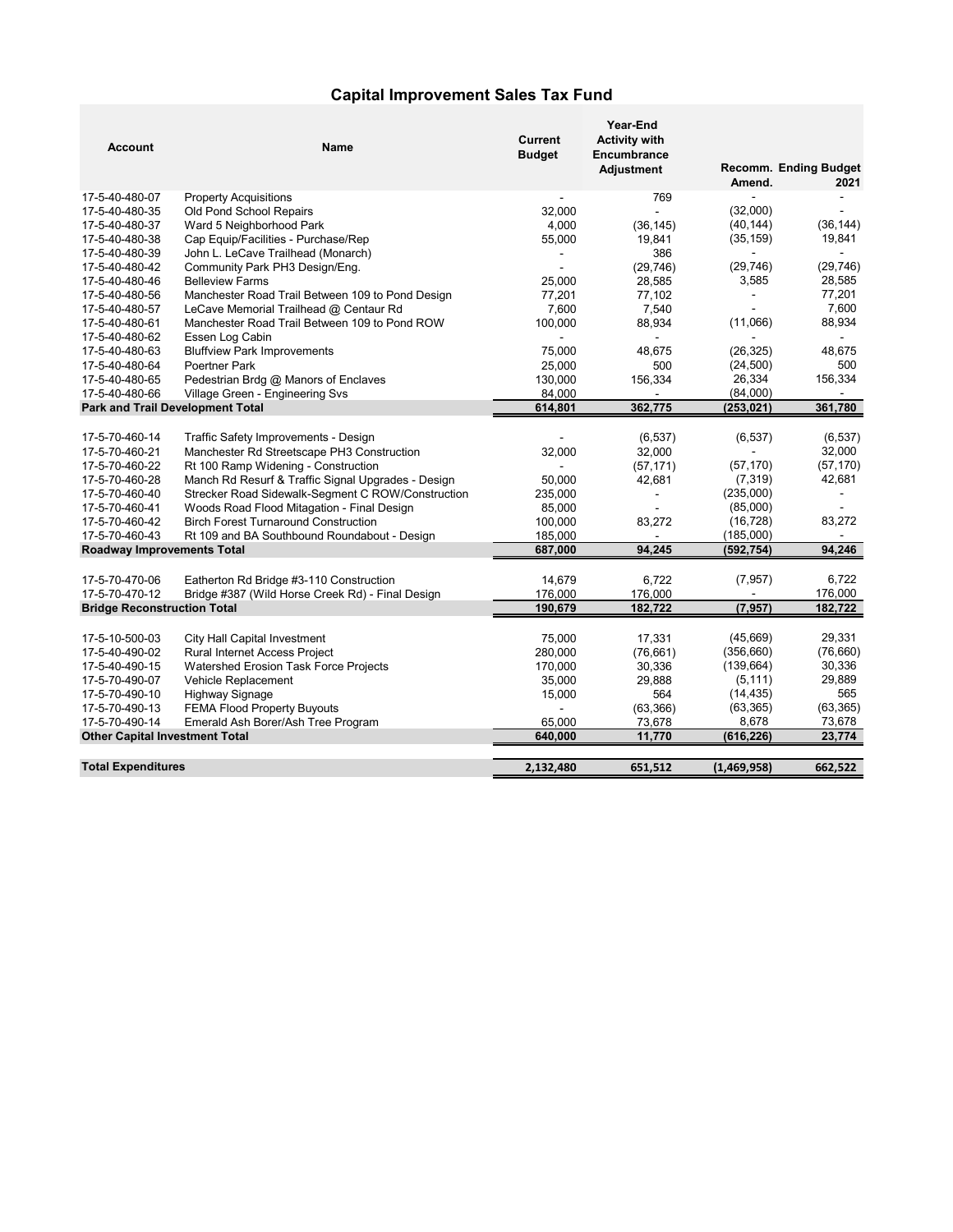#### **Capital Improvement Sales Tax Fund**

| <b>Account</b>                          | Name                                               | <b>Current</b><br><b>Budget</b> | Year-End<br><b>Activity with</b><br><b>Encumbrance</b><br>Adjustment |                | Recomm. Ending Budget |
|-----------------------------------------|----------------------------------------------------|---------------------------------|----------------------------------------------------------------------|----------------|-----------------------|
|                                         |                                                    |                                 |                                                                      | Amend.         | 2021                  |
| 17-5-40-480-07                          | <b>Property Acquisitions</b>                       |                                 | 769                                                                  | $\overline{a}$ |                       |
| 17-5-40-480-35                          | Old Pond School Repairs                            | 32,000                          |                                                                      | (32,000)       | $\overline{a}$        |
| 17-5-40-480-37                          | Ward 5 Neighborhood Park                           | 4,000                           | (36, 145)                                                            | (40, 144)      | (36, 144)             |
| 17-5-40-480-38                          | Cap Equip/Facilities - Purchase/Rep                | 55,000                          | 19,841                                                               | (35, 159)      | 19,841                |
| 17-5-40-480-39                          | John L. LeCave Trailhead (Monarch)                 |                                 | 386                                                                  |                |                       |
| 17-5-40-480-42                          | Community Park PH3 Design/Eng.                     |                                 | (29, 746)                                                            | (29, 746)      | (29, 746)             |
| 17-5-40-480-46                          | <b>Belleview Farms</b>                             | 25,000                          | 28,585                                                               | 3,585          | 28,585                |
| 17-5-40-480-56                          | Manchester Road Trail Between 109 to Pond Design   | 77,201                          | 77,102                                                               | $\blacksquare$ | 77,201                |
| 17-5-40-480-57                          | LeCave Memorial Trailhead @ Centaur Rd             | 7,600                           | 7,540                                                                |                | 7,600                 |
| 17-5-40-480-61                          | Manchester Road Trail Between 109 to Pond ROW      | 100,000                         | 88,934                                                               | (11,066)       | 88,934                |
| 17-5-40-480-62                          | Essen Log Cabin                                    |                                 |                                                                      |                |                       |
| 17-5-40-480-63                          | <b>Bluffview Park Improvements</b>                 | 75,000                          | 48,675                                                               | (26, 325)      | 48,675                |
| 17-5-40-480-64                          | Poertner Park                                      | 25,000                          | 500                                                                  | (24, 500)      | 500                   |
| 17-5-40-480-65                          | Pedestrian Brdg @ Manors of Enclaves               | 130,000                         | 156,334                                                              | 26,334         | 156,334               |
| 17-5-40-480-66                          | Village Green - Engineering Svs                    | 84,000                          |                                                                      | (84,000)       |                       |
| <b>Park and Trail Development Total</b> |                                                    | 614,801                         | 362,775                                                              | (253, 021)     | 361,780               |
| 17-5-70-460-14                          | Traffic Safety Improvements - Design               |                                 | (6, 537)                                                             | (6, 537)       | (6, 537)              |
| 17-5-70-460-21                          | Manchester Rd Streetscape PH3 Construction         | 32,000                          | 32,000                                                               |                | 32,000                |
| 17-5-70-460-22                          | Rt 100 Ramp Widening - Construction                |                                 | (57, 171)                                                            | (57, 170)      | (57, 170)             |
| 17-5-70-460-28                          | Manch Rd Resurf & Traffic Signal Upgrades - Design | 50,000                          | 42,681                                                               | (7, 319)       | 42,681                |
| 17-5-70-460-40                          | Strecker Road Sidewalk-Segment C ROW/Construction  | 235,000                         |                                                                      | (235,000)      |                       |
| 17-5-70-460-41                          | Woods Road Flood Mitagation - Final Design         | 85,000                          |                                                                      | (85,000)       |                       |
| 17-5-70-460-42                          | <b>Birch Forest Turnaround Construction</b>        | 100,000                         | 83,272                                                               | (16, 728)      | 83,272                |
| 17-5-70-460-43                          | Rt 109 and BA Southbound Roundabout - Design       | 185,000                         |                                                                      | (185,000)      |                       |
| <b>Roadway Improvements Total</b>       |                                                    | 687,000                         | 94,245                                                               | (592, 754)     | 94,246                |
|                                         |                                                    |                                 |                                                                      |                |                       |
| 17-5-70-470-06                          | Eatherton Rd Bridge #3-110 Construction            | 14.679                          | 6.722                                                                | (7, 957)       | 6.722                 |
| 17-5-70-470-12                          | Bridge #387 (Wild Horse Creek Rd) - Final Design   | 176,000                         | 176,000                                                              | $\overline{a}$ | 176,000               |
| <b>Bridge Reconstruction Total</b>      |                                                    | 190,679                         | 182,722                                                              | (7, 957)       | 182,722               |
|                                         |                                                    |                                 |                                                                      |                |                       |
| 17-5-10-500-03                          | City Hall Capital Investment                       | 75,000                          | 17,331                                                               | (45,669)       | 29,331                |
| 17-5-40-490-02                          | <b>Rural Internet Access Project</b>               | 280,000                         | (76, 661)                                                            | (356, 660)     | (76,660)              |
| 17-5-40-490-15                          | <b>Watershed Erosion Task Force Projects</b>       | 170,000                         | 30,336                                                               | (139, 664)     | 30,336                |
| 17-5-70-490-07                          | Vehicle Replacement                                | 35,000                          | 29,888                                                               | (5, 111)       | 29,889                |
| 17-5-70-490-10                          | <b>Highway Signage</b>                             | 15,000                          | 564                                                                  | (14, 435)      | 565                   |
| 17-5-70-490-13                          | <b>FEMA Flood Property Buyouts</b>                 |                                 | (63, 366)                                                            | (63, 365)      | (63, 365)             |
| 17-5-70-490-14                          | Emerald Ash Borer/Ash Tree Program                 | 65,000                          | 73,678                                                               | 8,678          | 73,678                |
| <b>Other Capital Investment Total</b>   |                                                    | 640.000                         | 11,770                                                               | (616, 226)     | 23,774                |
|                                         |                                                    |                                 |                                                                      |                |                       |
| <b>Total Expenditures</b>               |                                                    | 2,132,480                       | 651,512                                                              | (1,469,958)    | 662,522               |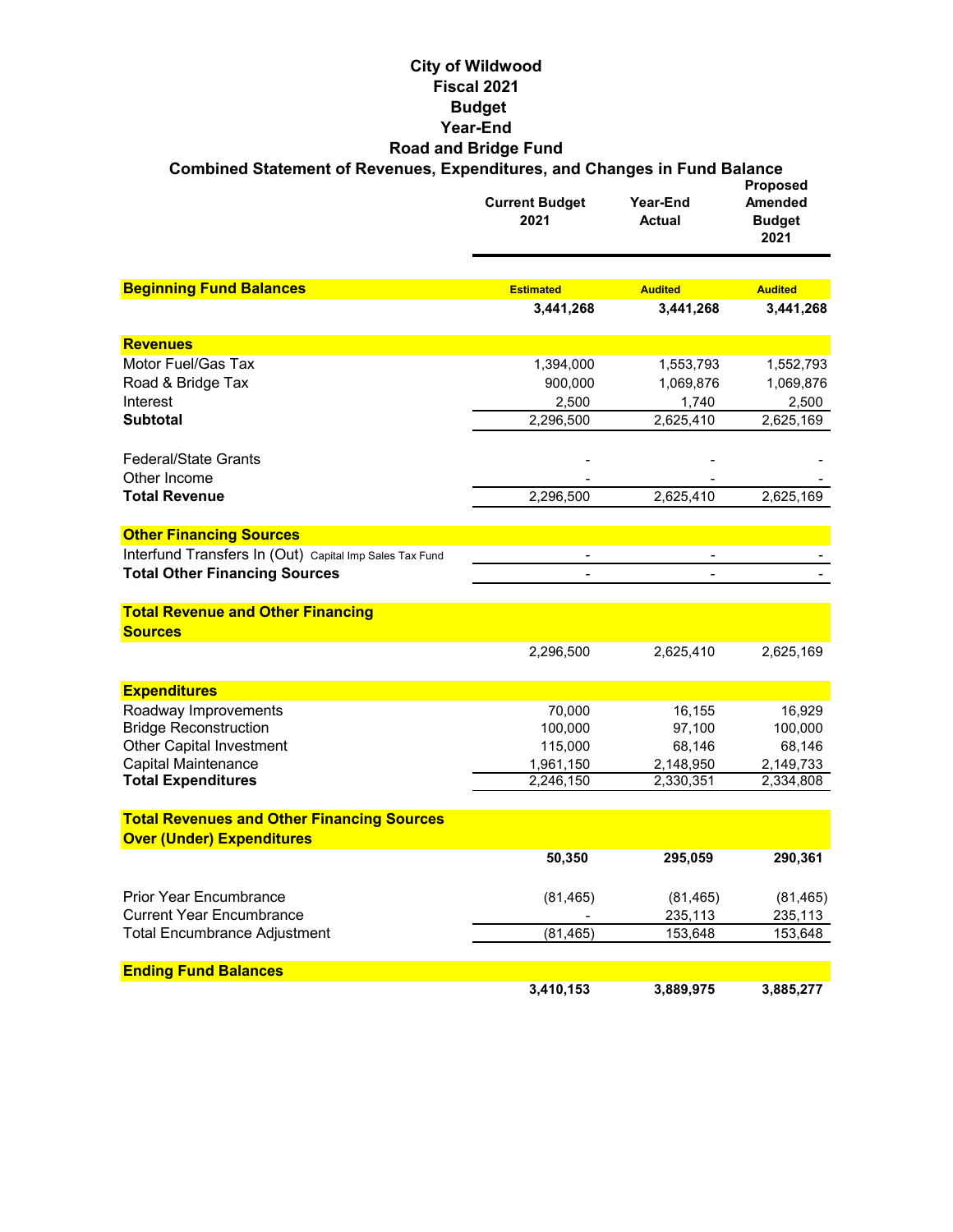#### **City of Wildwood Fiscal 2021 Budget Year-End Road and Bridge Fund Combined Statement of Revenues, Expenditures, and Changes in Fund Balance**

|                                                            | <b>Current Budget</b><br>2021 | Year-End<br><b>Actual</b> | <b>Proposed</b><br><b>Amended</b><br><b>Budget</b><br>2021 |
|------------------------------------------------------------|-------------------------------|---------------------------|------------------------------------------------------------|
|                                                            |                               |                           |                                                            |
| <b>Beginning Fund Balances</b>                             | <b>Estimated</b>              | <b>Audited</b>            | <b>Audited</b>                                             |
|                                                            | 3,441,268                     | 3,441,268                 | 3,441,268                                                  |
| <b>Revenues</b>                                            |                               |                           |                                                            |
| Motor Fuel/Gas Tax                                         | 1,394,000                     | 1,553,793                 | 1,552,793                                                  |
| Road & Bridge Tax                                          | 900,000                       | 1,069,876                 | 1,069,876                                                  |
| Interest                                                   | 2,500                         | 1,740                     | 2,500                                                      |
| <b>Subtotal</b>                                            | 2,296,500                     | 2,625,410                 | 2,625,169                                                  |
| <b>Federal/State Grants</b>                                |                               |                           |                                                            |
| Other Income                                               |                               |                           |                                                            |
| <b>Total Revenue</b>                                       | 2,296,500                     | 2,625,410                 | 2,625,169                                                  |
| <b>Other Financing Sources</b>                             |                               |                           |                                                            |
| Interfund Transfers In (Out) Capital Imp Sales Tax Fund    |                               |                           |                                                            |
| <b>Total Other Financing Sources</b>                       |                               |                           |                                                            |
| <b>Total Revenue and Other Financing</b><br><b>Sources</b> |                               |                           |                                                            |
|                                                            | 2,296,500                     | 2,625,410                 | 2,625,169                                                  |
| <b>Expenditures</b>                                        |                               |                           |                                                            |
| Roadway Improvements                                       | 70,000                        | 16,155                    | 16,929                                                     |
| <b>Bridge Reconstruction</b>                               | 100,000                       | 97,100                    | 100,000                                                    |
| <b>Other Capital Investment</b>                            | 115,000                       | 68,146                    | 68,146                                                     |
| <b>Capital Maintenance</b>                                 | 1,961,150                     | 2,148,950                 | 2,149,733                                                  |
| <b>Total Expenditures</b>                                  | 2,246,150                     | 2,330,351                 | 2,334,808                                                  |
| <b>Total Revenues and Other Financing Sources</b>          |                               |                           |                                                            |
| <b>Over (Under) Expenditures</b>                           |                               |                           |                                                            |
|                                                            | 50,350                        | 295,059                   | 290,361                                                    |
| <b>Prior Year Encumbrance</b>                              | (81, 465)                     | (81, 465)                 | (81, 465)                                                  |
| <b>Current Year Encumbrance</b>                            |                               | 235,113                   | 235,113                                                    |
| <b>Total Encumbrance Adjustment</b>                        | (81, 465)                     | 153,648                   | 153,648                                                    |
| <b>Ending Fund Balances</b>                                |                               |                           |                                                            |
|                                                            | 3,410,153                     | 3,889,975                 | 3,885,277                                                  |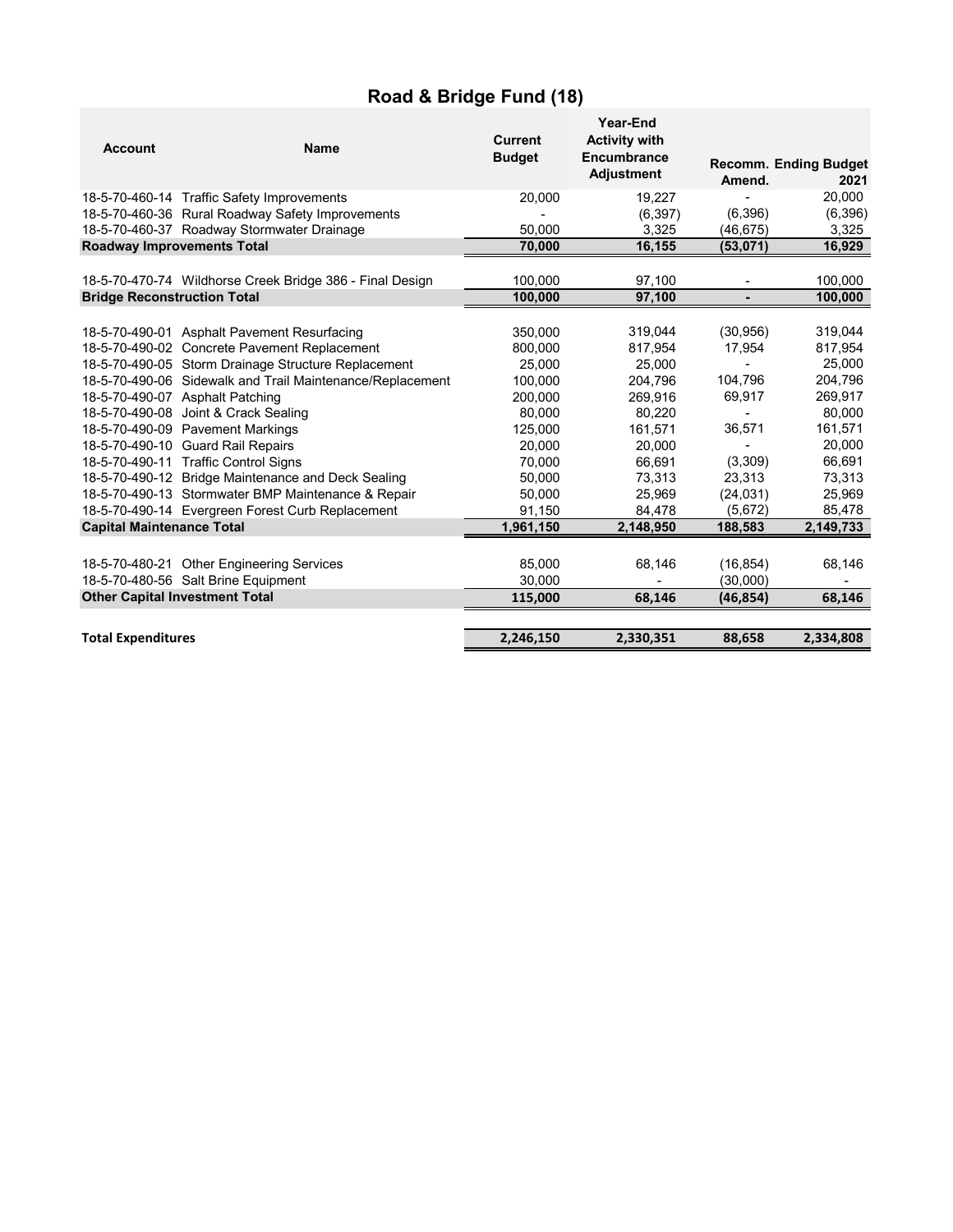# **Road & Bridge Fund (18)**

| <b>Account</b>                     | <b>Name</b>                                               | <b>Current</b><br><b>Budget</b> | Year-End<br><b>Activity with</b><br>Encumbrance<br><b>Adjustment</b> | Amend.    | <b>Recomm. Ending Budget</b><br>2021 |
|------------------------------------|-----------------------------------------------------------|---------------------------------|----------------------------------------------------------------------|-----------|--------------------------------------|
|                                    | 18-5-70-460-14 Traffic Safety Improvements                | 20,000                          | 19,227                                                               |           | 20,000                               |
|                                    | 18-5-70-460-36 Rural Roadway Safety Improvements          |                                 | (6.397)                                                              | (6,396)   | (6, 396)                             |
|                                    | 18-5-70-460-37 Roadway Stormwater Drainage                | 50.000                          | 3,325                                                                | (46, 675) | 3,325                                |
| <b>Roadway Improvements Total</b>  |                                                           | 70,000                          | 16,155                                                               | (53,071)  | 16,929                               |
|                                    |                                                           |                                 |                                                                      |           |                                      |
|                                    | 18-5-70-470-74 Wildhorse Creek Bridge 386 - Final Design  | 100,000                         | 97,100                                                               |           | 100,000                              |
| <b>Bridge Reconstruction Total</b> |                                                           | 100,000                         | 97,100                                                               |           | 100,000                              |
|                                    |                                                           |                                 |                                                                      |           |                                      |
|                                    | 18-5-70-490-01 Asphalt Pavement Resurfacing               | 350,000                         | 319,044                                                              | (30, 956) | 319,044                              |
|                                    | 18-5-70-490-02 Concrete Pavement Replacement              | 800,000                         | 817,954                                                              | 17,954    | 817,954                              |
|                                    | 18-5-70-490-05 Storm Drainage Structure Replacement       | 25,000                          | 25,000                                                               |           | 25,000                               |
|                                    | 18-5-70-490-06 Sidewalk and Trail Maintenance/Replacement | 100,000                         | 204.796                                                              | 104,796   | 204,796                              |
|                                    | 18-5-70-490-07 Asphalt Patching                           | 200,000                         | 269,916                                                              | 69,917    | 269,917                              |
|                                    | 18-5-70-490-08 Joint & Crack Sealing                      | 80,000                          | 80,220                                                               |           | 80.000                               |
|                                    | 18-5-70-490-09 Pavement Markings                          | 125,000                         | 161,571                                                              | 36,571    | 161,571                              |
|                                    | 18-5-70-490-10 Guard Rail Repairs                         | 20,000                          | 20.000                                                               |           | 20,000                               |
|                                    | 18-5-70-490-11 Traffic Control Signs                      | 70,000                          | 66,691                                                               | (3,309)   | 66,691                               |
|                                    | 18-5-70-490-12 Bridge Maintenance and Deck Sealing        | 50,000                          | 73,313                                                               | 23,313    | 73,313                               |
|                                    | 18-5-70-490-13 Stormwater BMP Maintenance & Repair        | 50,000                          | 25,969                                                               | (24, 031) | 25,969                               |
|                                    | 18-5-70-490-14 Evergreen Forest Curb Replacement          | 91,150                          | 84,478                                                               | (5,672)   | 85,478                               |
| <b>Capital Maintenance Total</b>   |                                                           | 1,961,150                       | 2,148,950                                                            | 188,583   | 2,149,733                            |
|                                    |                                                           |                                 |                                                                      |           |                                      |
|                                    | 18-5-70-480-21 Other Engineering Services                 | 85,000                          | 68,146                                                               | (16, 854) | 68,146                               |
|                                    | 18-5-70-480-56 Salt Brine Equipment                       | 30,000                          |                                                                      | (30,000)  |                                      |
|                                    | <b>Other Capital Investment Total</b>                     | 115,000                         | 68,146                                                               | (46, 854) | 68,146                               |
|                                    |                                                           |                                 |                                                                      |           |                                      |
| <b>Total Expenditures</b>          |                                                           | 2,246,150                       | 2,330,351                                                            | 88,658    | 2,334,808                            |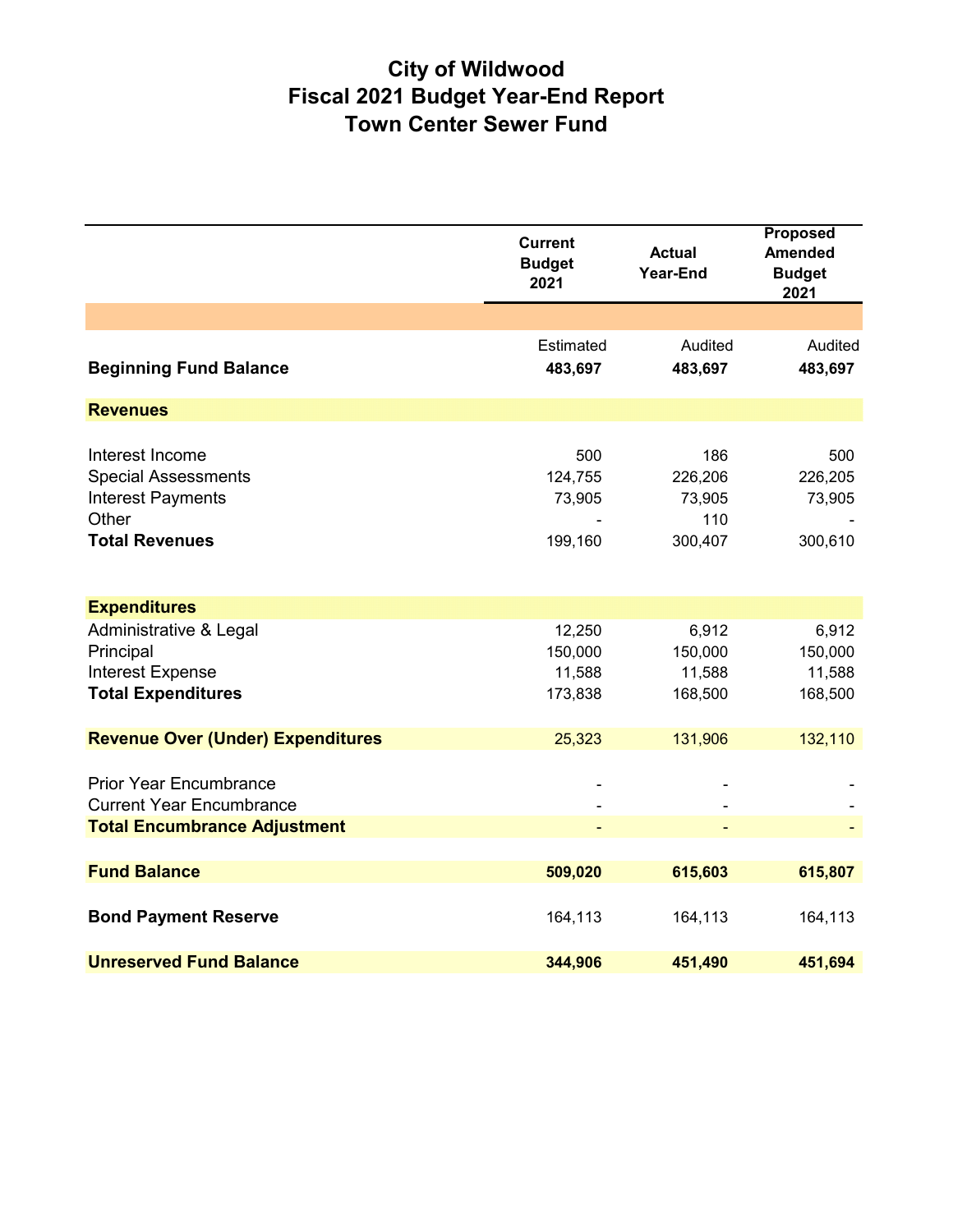# **City of Wildwood Fiscal 2021 Budget Year-End Report Town Center Sewer Fund**

|                                                                                                             | <b>Current</b><br><b>Budget</b><br>2021 | <b>Actual</b><br><b>Year-End</b>           | <b>Proposed</b><br><b>Amended</b><br><b>Budget</b><br>2021 |
|-------------------------------------------------------------------------------------------------------------|-----------------------------------------|--------------------------------------------|------------------------------------------------------------|
|                                                                                                             |                                         |                                            |                                                            |
| <b>Beginning Fund Balance</b>                                                                               | Estimated<br>483,697                    | Audited<br>483,697                         | Audited<br>483,697                                         |
| <b>Revenues</b>                                                                                             |                                         |                                            |                                                            |
| Interest Income<br><b>Special Assessments</b><br><b>Interest Payments</b><br>Other<br><b>Total Revenues</b> | 500<br>124,755<br>73,905<br>199,160     | 186<br>226,206<br>73,905<br>110<br>300,407 | 500<br>226,205<br>73,905<br>300,610                        |
| <b>Expenditures</b>                                                                                         |                                         |                                            |                                                            |
| Administrative & Legal<br>Principal<br><b>Interest Expense</b><br><b>Total Expenditures</b>                 | 12,250<br>150,000<br>11,588<br>173,838  | 6,912<br>150,000<br>11,588<br>168,500      | 6,912<br>150,000<br>11,588<br>168,500                      |
| <b>Revenue Over (Under) Expenditures</b>                                                                    | 25,323                                  | 131,906                                    | 132,110                                                    |
| <b>Prior Year Encumbrance</b><br><b>Current Year Encumbrance</b><br><b>Total Encumbrance Adjustment</b>     |                                         |                                            |                                                            |
| <b>Fund Balance</b>                                                                                         | 509,020                                 | 615,603                                    | 615,807                                                    |
| <b>Bond Payment Reserve</b>                                                                                 | 164,113                                 | 164,113                                    | 164,113                                                    |
| <b>Unreserved Fund Balance</b>                                                                              | 344,906                                 | 451,490                                    | 451,694                                                    |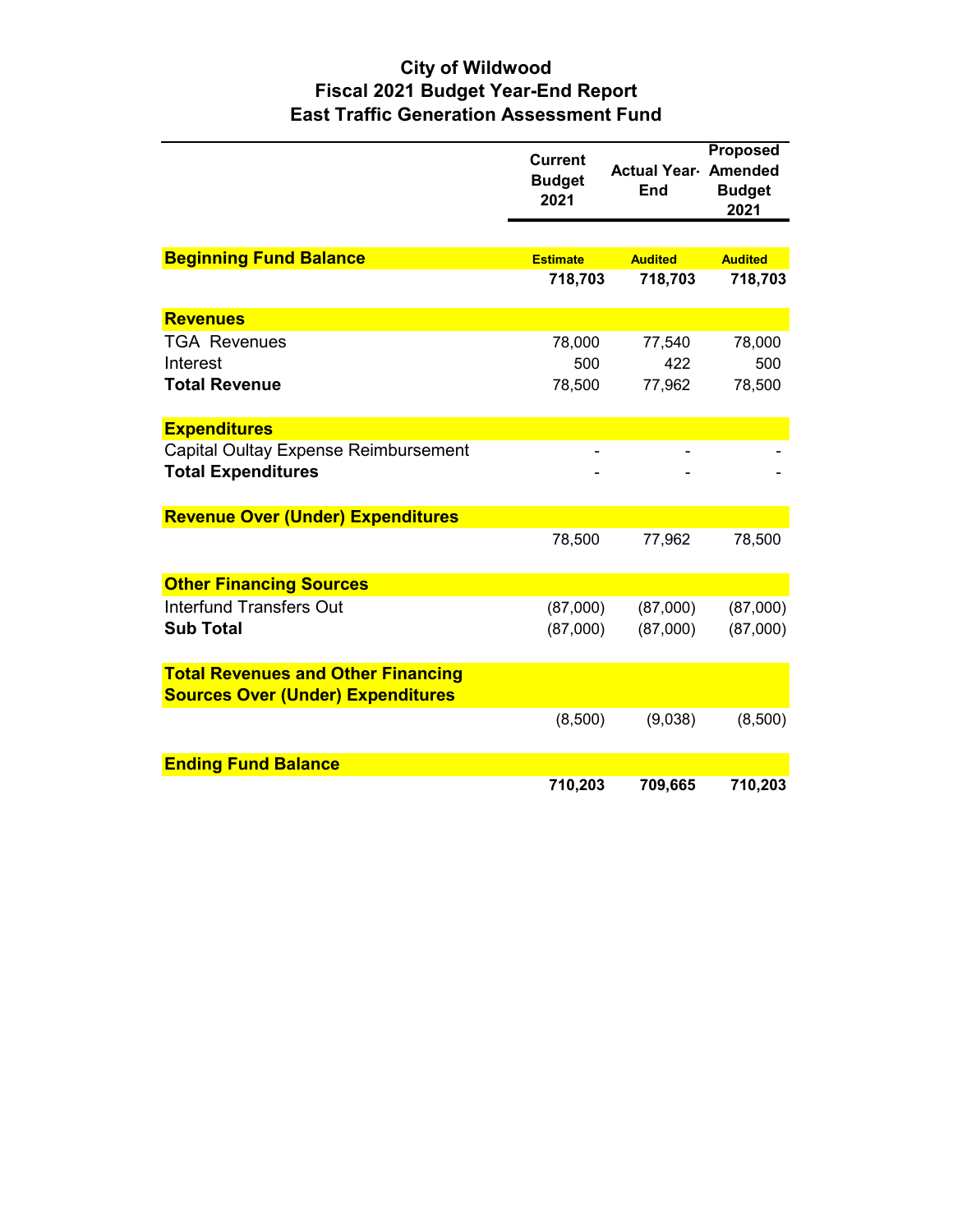## **City of Wildwood Fiscal 2021 Budget Year-End Report East Traffic Generation Assessment Fund**

|                                                                   | <b>Current</b><br><b>Budget</b><br>2021 | <b>Actual Year Amended</b><br><b>End</b> | <b>Proposed</b><br><b>Budget</b><br>2021 |
|-------------------------------------------------------------------|-----------------------------------------|------------------------------------------|------------------------------------------|
|                                                                   |                                         |                                          |                                          |
| <b>Beginning Fund Balance</b>                                     | <b>Estimate</b>                         | <b>Audited</b>                           | <b>Audited</b>                           |
|                                                                   | 718,703                                 | 718,703                                  | 718,703                                  |
| <b>Revenues</b>                                                   |                                         |                                          |                                          |
| <b>TGA Revenues</b>                                               | 78,000                                  | 77,540                                   | 78,000                                   |
| Interest                                                          | 500                                     | 422                                      | 500                                      |
| <b>Total Revenue</b>                                              | 78,500                                  | 77,962                                   | 78,500                                   |
| <b>Expenditures</b>                                               |                                         |                                          |                                          |
| Capital Oultay Expense Reimbursement<br><b>Total Expenditures</b> |                                         |                                          |                                          |
| <b>Revenue Over (Under) Expenditures</b>                          |                                         |                                          |                                          |
|                                                                   | 78,500                                  | 77,962                                   | 78,500                                   |
| <b>Other Financing Sources</b>                                    |                                         |                                          |                                          |
| <b>Interfund Transfers Out</b>                                    | (87,000)                                | (87,000)                                 | (87,000)                                 |
| <b>Sub Total</b>                                                  | (87,000)                                | (87,000)                                 | (87,000)                                 |
| <b>Total Revenues and Other Financing</b>                         |                                         |                                          |                                          |
| <b>Sources Over (Under) Expenditures</b>                          |                                         |                                          |                                          |
|                                                                   | (8,500)                                 | (9,038)                                  | (8,500)                                  |
| <b>Ending Fund Balance</b>                                        |                                         |                                          |                                          |
|                                                                   | 710,203                                 | 709,665                                  | 710,203                                  |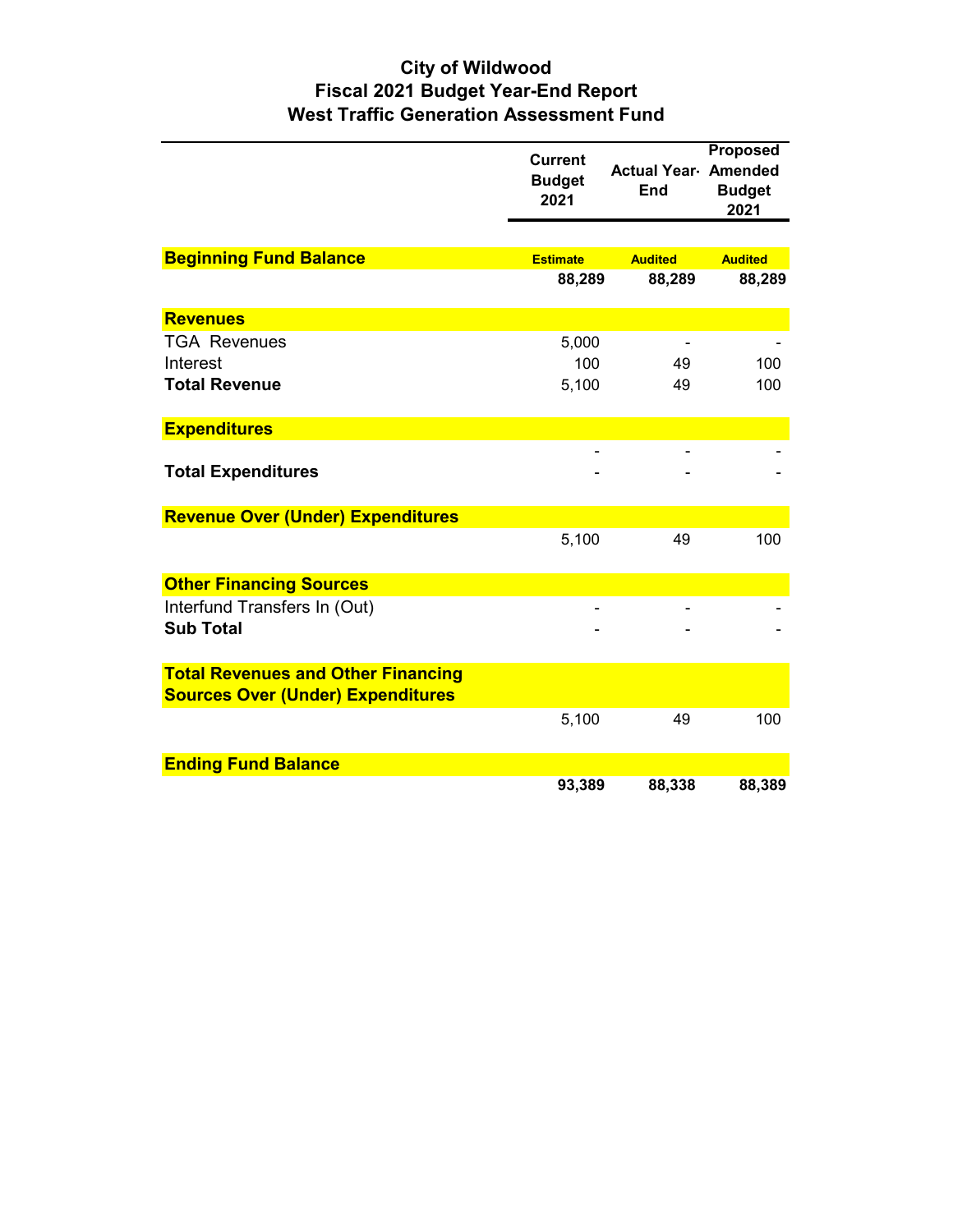## **City of Wildwood Fiscal 2021 Budget Year-End Report West Traffic Generation Assessment Fund**

|                                                  | <b>Current</b><br><b>Budget</b><br>2021 | <b>Actual Year Amended</b><br><b>End</b> | <b>Proposed</b><br><b>Budget</b><br>2021 |
|--------------------------------------------------|-----------------------------------------|------------------------------------------|------------------------------------------|
|                                                  |                                         |                                          |                                          |
| <b>Beginning Fund Balance</b>                    | <b>Estimate</b>                         | <b>Audited</b>                           | <b>Audited</b>                           |
|                                                  | 88,289                                  | 88,289                                   | 88,289                                   |
| <b>Revenues</b>                                  |                                         |                                          |                                          |
| <b>TGA Revenues</b>                              | 5,000                                   |                                          |                                          |
| Interest                                         | 100                                     | 49                                       | 100                                      |
| <b>Total Revenue</b>                             | 5,100                                   | 49                                       | 100                                      |
| <b>Expenditures</b>                              |                                         |                                          |                                          |
| <b>Total Expenditures</b>                        |                                         |                                          |                                          |
| <b>Revenue Over (Under) Expenditures</b>         |                                         |                                          |                                          |
|                                                  | 5,100                                   | 49                                       | 100                                      |
| <b>Other Financing Sources</b>                   |                                         |                                          |                                          |
| Interfund Transfers In (Out)<br><b>Sub Total</b> |                                         |                                          |                                          |
| <b>Total Revenues and Other Financing</b>        |                                         |                                          |                                          |
| <b>Sources Over (Under) Expenditures</b>         |                                         |                                          |                                          |
|                                                  | 5,100                                   | 49                                       | 100                                      |
| <b>Ending Fund Balance</b>                       |                                         |                                          |                                          |
|                                                  | 93,389                                  | 88,338                                   | 88,389                                   |